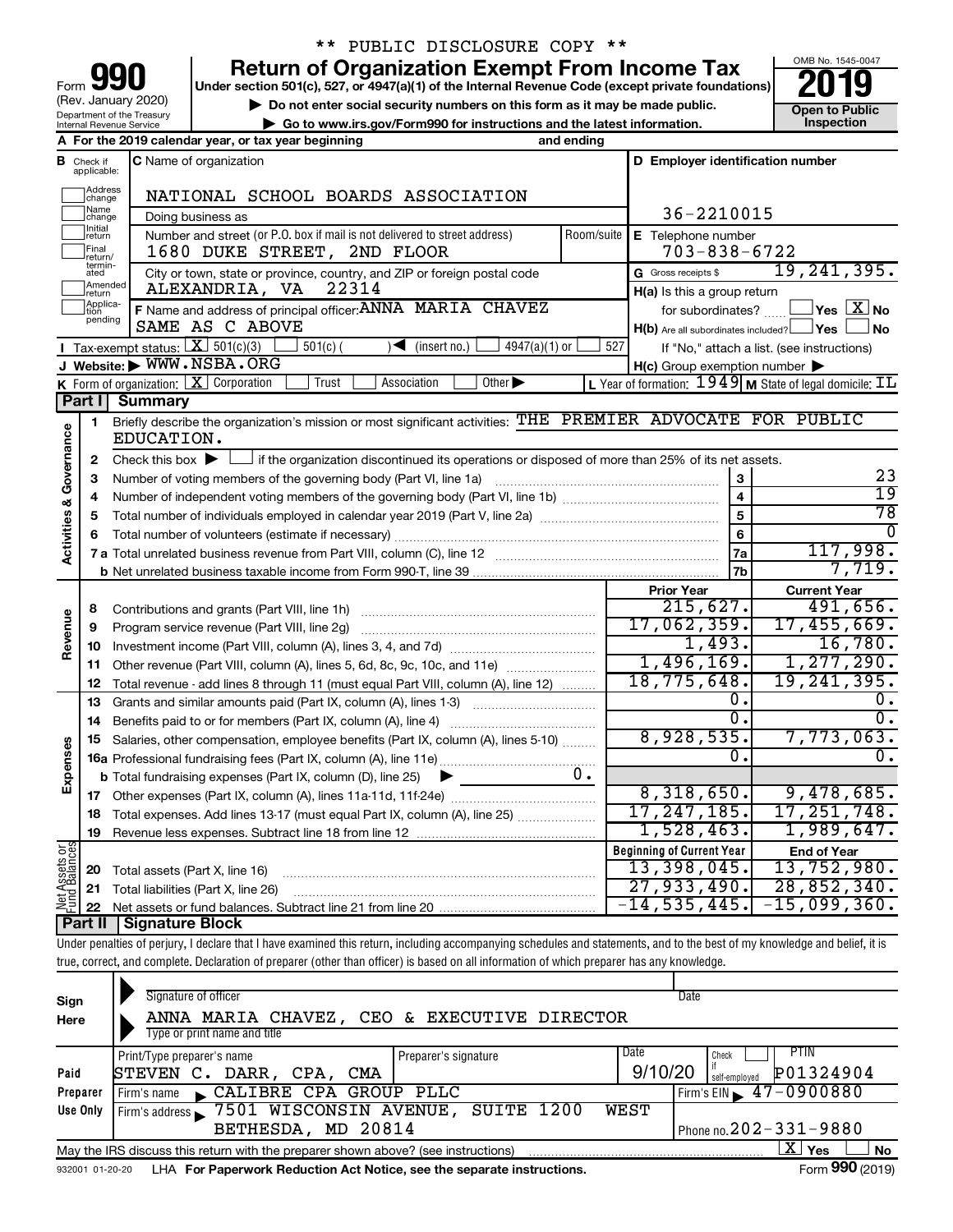| 990<br>Form                                            |
|--------------------------------------------------------|
| (Rev. January 2020)                                    |
| Department of the Treasury<br>Internal Revenue Service |

## \*\* PUBLIC DISCLOSURE COPY \*\*

**your Section 501(c), 527, or 4947(a)(1) of the Internal Revenue Code (except private foundations) 2019** 

▶ Do not enter social security numbers on this form as it may be made public. <br>
inspection and the latest information. **Dependent in the latest information** and the latest information. **| Go to www.irs.gov/Form990 for instructions and the latest information. Inspection**



|                              |                                | A For the 2019 calendar year, or tax year beginning                                                                                         | and ending |                                                                              |                                                                               |
|------------------------------|--------------------------------|---------------------------------------------------------------------------------------------------------------------------------------------|------------|------------------------------------------------------------------------------|-------------------------------------------------------------------------------|
| в                            | Check if<br>applicable:        | <b>C</b> Name of organization                                                                                                               |            | D Employer identification number                                             |                                                                               |
|                              | Address<br> change             | NATIONAL SCHOOL BOARDS ASSOCIATION                                                                                                          |            |                                                                              |                                                                               |
|                              | Name<br>change                 | Doing business as                                                                                                                           |            | 36-2210015                                                                   |                                                                               |
|                              | Initial<br> return             | Number and street (or P.O. box if mail is not delivered to street address)                                                                  | Room/suite | E Telephone number                                                           |                                                                               |
|                              | Final<br>return/<br>termin-    | 1680 DUKE STREET, 2ND FLOOR                                                                                                                 |            | $703 - 838 - 6722$                                                           |                                                                               |
|                              | ated                           | City or town, state or province, country, and ZIP or foreign postal code                                                                    |            | G Gross receipts \$                                                          | 19, 241, 395.                                                                 |
|                              | Amended<br>Ireturn<br>Applica- | 22314<br>ALEXANDRIA, VA                                                                                                                     |            | H(a) Is this a group return                                                  |                                                                               |
|                              | pending                        | F Name and address of principal officer: ANNA MARIA CHAVEZ<br>SAME AS C ABOVE                                                               |            | for subordinates?<br>$H(b)$ Are all subordinates included? $\Box$ Yes $\Box$ | $ {\mathsf Y}{\mathsf e}{\mathsf s} \mid \overline{{\mathbf X}}\,$ No<br>l No |
|                              |                                | Tax-exempt status: $X \overline{3}$ 501(c)(3)<br>$501(c)$ (<br>$\sqrt{\frac{1}{1}}$ (insert no.)<br>$4947(a)(1)$ or                         | 527        |                                                                              | If "No," attach a list. (see instructions)                                    |
|                              |                                | J Website: WWW.NSBA.ORG                                                                                                                     |            | $H(c)$ Group exemption number $\blacktriangleright$                          |                                                                               |
|                              |                                | Other $\blacktriangleright$<br><b>K</b> Form of organization: $X$ Corporation<br>Trust<br>Association                                       |            |                                                                              | L Year of formation: 1949 M State of legal domicile: IL                       |
|                              | Part I I                       | Summary                                                                                                                                     |            |                                                                              |                                                                               |
|                              | 1.                             | Briefly describe the organization's mission or most significant activities: THE PREMIER ADVOCATE FOR PUBLIC                                 |            |                                                                              |                                                                               |
| Governance                   |                                | EDUCATION.                                                                                                                                  |            |                                                                              |                                                                               |
|                              | $\mathbf{2}$                   | Check this box $\blacktriangleright$ $\Box$ if the organization discontinued its operations or disposed of more than 25% of its net assets. |            |                                                                              | 23                                                                            |
|                              | 3                              | Number of voting members of the governing body (Part VI, line 1a)                                                                           |            | 3                                                                            | $\overline{19}$                                                               |
|                              | 4                              |                                                                                                                                             |            | $\overline{\mathbf{4}}$<br>$\overline{5}$                                    | $\overline{78}$                                                               |
| Activities &                 | 5                              |                                                                                                                                             |            | 6                                                                            | $\Omega$                                                                      |
|                              | 6                              |                                                                                                                                             |            | 7a                                                                           | 117,998.                                                                      |
|                              |                                |                                                                                                                                             |            | 7 <sub>b</sub>                                                               | 7,719.                                                                        |
|                              |                                |                                                                                                                                             |            | <b>Prior Year</b>                                                            | <b>Current Year</b>                                                           |
|                              | 8                              | Contributions and grants (Part VIII, line 1h)                                                                                               |            | 215,627.                                                                     | 491,656.                                                                      |
| Revenue                      | 9                              | Program service revenue (Part VIII, line 2g)                                                                                                |            | 17,062,359.                                                                  | 17,455,669.                                                                   |
|                              |                                |                                                                                                                                             |            | 1,493.                                                                       | 16,780.                                                                       |
|                              | 11                             | Other revenue (Part VIII, column (A), lines 5, 6d, 8c, 9c, 10c, and 11e)                                                                    |            | 1,496,169.                                                                   | 1, 277, 290.                                                                  |
|                              | 12                             | Total revenue - add lines 8 through 11 (must equal Part VIII, column (A), line 12)                                                          |            | 18,775,648.                                                                  | 19, 241, 395.                                                                 |
|                              | 13                             | Grants and similar amounts paid (Part IX, column (A), lines 1-3)                                                                            |            | 0.                                                                           | 0.                                                                            |
|                              | 14                             |                                                                                                                                             |            | 0.                                                                           | σ.                                                                            |
|                              | 15                             | Salaries, other compensation, employee benefits (Part IX, column (A), lines 5-10)                                                           |            | 8,928,535.                                                                   | 7,773,063.                                                                    |
| Expenses                     |                                |                                                                                                                                             |            | Ο.                                                                           | $\overline{0}$ .                                                              |
|                              |                                | <b>b</b> Total fundraising expenses (Part IX, column (D), line 25)                                                                          | υ.         |                                                                              |                                                                               |
|                              |                                |                                                                                                                                             |            | 8,318,650.                                                                   | 9,478,685.                                                                    |
|                              | 18                             | Total expenses. Add lines 13-17 (must equal Part IX, column (A), line 25)                                                                   |            | 17, 247, 185.                                                                | 17, 251, 748.                                                                 |
|                              | 19                             |                                                                                                                                             |            | 1,528,463.                                                                   | 1,989,647.                                                                    |
| $rac{\text{or}}{\text{cos}}$ |                                |                                                                                                                                             |            | <b>Beginning of Current Year</b>                                             | <b>End of Year</b>                                                            |
| <b>Assets</b><br>Balanc      | 20                             | Total assets (Part X, line 16)                                                                                                              |            | 13,398,045.                                                                  | 13,752,980.                                                                   |
| 홍                            | 21                             | Total liabilities (Part X, line 26)                                                                                                         |            | 27,933,490.                                                                  | 28,852,340.                                                                   |
|                              | 22                             |                                                                                                                                             |            | $-14, 535, 445.$                                                             | 15,099,360.                                                                   |
|                              |                                | <b>Part II Signature Block</b>                                                                                                              |            |                                                                              |                                                                               |

Under penalties of perjury, I declare that I have examined this return, including accompanying schedules and statements, and to the best of my knowledge and belief, it is true, correct, and complete. Declaration of preparer (other than officer) is based on all information of which preparer has any knowledge.

| Sign<br>Here     | Signature of officer<br>ANNA MARIA CHAVEZ, CEO & EXECUTIVE DIRECTOR<br>Type or print name and title                                       | Date                                                                                            |
|------------------|-------------------------------------------------------------------------------------------------------------------------------------------|-------------------------------------------------------------------------------------------------|
| Paid<br>Preparer | Date<br>Print/Type preparer's name<br>Preparer's signature<br>STEVEN C.<br>DARR ,<br>CPA.<br>CMA<br>CALIBRE CPA GROUP PLLC<br>Firm's name | <b>PTIN</b><br>Check<br>P01324904<br>9/10/20<br>self-emploved<br>Firm's EIN $\sqrt{47-0900880}$ |
| Use Only         | Firm's address 7501 WISCONSIN AVENUE, SUITE 1200<br>WEST<br>BETHESDA, MD 20814                                                            | Phone no. $202 - 331 - 9880$                                                                    |
|                  | May the IRS discuss this return with the preparer shown above? (see instructions)                                                         | X.<br>Yes<br>No                                                                                 |
| 932001 01-20-20  | LHA For Paperwork Reduction Act Notice, see the separate instructions.                                                                    | Form 990 (2019)                                                                                 |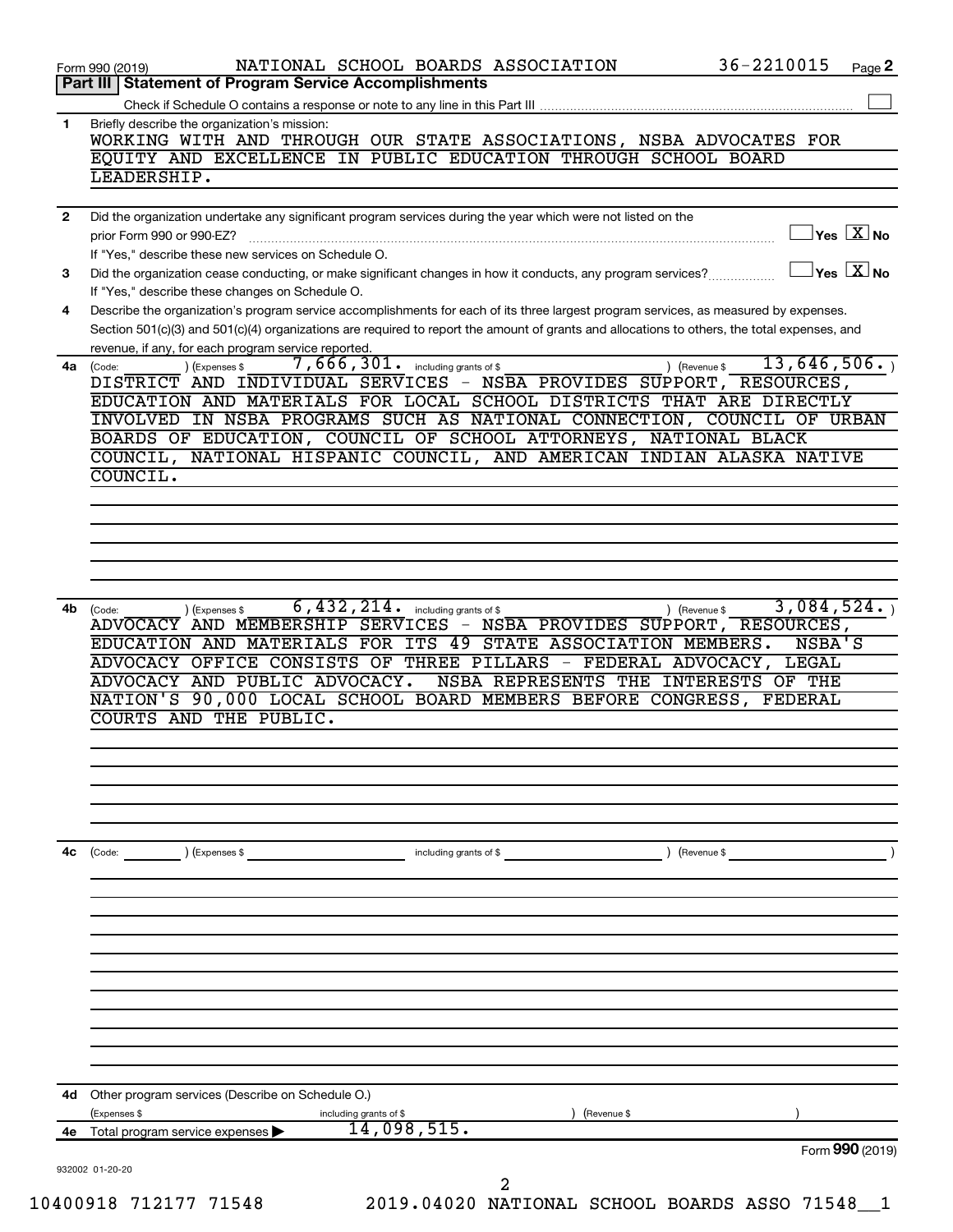| WORKING WITH AND THROUGH OUR STATE ASSOCIATIONS, NSBA ADVOCATES FOR<br>EQUITY AND EXCELLENCE IN PUBLIC EDUCATION THROUGH SCHOOL BOARD<br>Did the organization undertake any significant program services during the year which were not listed on the<br>$\sqrt{\mathsf{Yes}\ \mathbf{X}}$ No<br>If "Yes," describe these new services on Schedule O.<br>$Yes$ $X$ No<br>Describe the organization's program service accomplishments for each of its three largest program services, as measured by expenses.<br>Section 501(c)(3) and 501(c)(4) organizations are required to report the amount of grants and allocations to others, the total expenses, and<br>revenue, if any, for each program service reported.<br>13,646,506.<br>$7,666,301$ . including grants of \$<br>) (Expenses \$<br>) (Revenue \$<br>DISTRICT AND INDIVIDUAL SERVICES - NSBA PROVIDES SUPPORT, RESOURCES,<br>EDUCATION AND MATERIALS FOR LOCAL SCHOOL DISTRICTS THAT ARE DIRECTLY<br>INVOLVED IN NSBA PROGRAMS SUCH AS NATIONAL CONNECTION, COUNCIL OF URBAN<br>BOARDS OF EDUCATION, COUNCIL OF SCHOOL ATTORNEYS, NATIONAL BLACK<br>COUNCIL, NATIONAL HISPANIC COUNCIL, AND AMERICAN INDIAN ALASKA NATIVE<br>6,432,214.<br>3,084,524.<br>including grants of \$<br>(Expenses \$<br>) (Revenue \$<br>NSBA PROVIDES SUPPORT, RESOURCES,<br>49<br>STATE ASSOCIATION MEMBERS.<br>NSBA'S<br>ADVOCACY OFFICE CONSISTS OF THREE PILLARS - FEDERAL ADVOCACY, LEGAL<br>NSBA REPRESENTS THE INTERESTS OF THE<br>NATION'S 90,000 LOCAL SCHOOL BOARD MEMBERS BEFORE CONGRESS, FEDERAL<br>AND THE PUBLIC.<br>) (Expenses \$<br>including grants of \$<br>(Revenue \$<br>(Revenue \$<br>including grants of \$<br>14,098,515. |              | 36-2210015<br>NATIONAL SCHOOL BOARDS ASSOCIATION<br>Form 990 (2019)                                                                                             | Page 2 |
|----------------------------------------------------------------------------------------------------------------------------------------------------------------------------------------------------------------------------------------------------------------------------------------------------------------------------------------------------------------------------------------------------------------------------------------------------------------------------------------------------------------------------------------------------------------------------------------------------------------------------------------------------------------------------------------------------------------------------------------------------------------------------------------------------------------------------------------------------------------------------------------------------------------------------------------------------------------------------------------------------------------------------------------------------------------------------------------------------------------------------------------------------------------------------------------------------------------------------------------------------------------------------------------------------------------------------------------------------------------------------------------------------------------------------------------------------------------------------------------------------------------------------------------------------------------------------------------------------------------------------------------------------------------------------------------------|--------------|-----------------------------------------------------------------------------------------------------------------------------------------------------------------|--------|
|                                                                                                                                                                                                                                                                                                                                                                                                                                                                                                                                                                                                                                                                                                                                                                                                                                                                                                                                                                                                                                                                                                                                                                                                                                                                                                                                                                                                                                                                                                                                                                                                                                                                                              |              | Part III   Statement of Program Service Accomplishments                                                                                                         |        |
|                                                                                                                                                                                                                                                                                                                                                                                                                                                                                                                                                                                                                                                                                                                                                                                                                                                                                                                                                                                                                                                                                                                                                                                                                                                                                                                                                                                                                                                                                                                                                                                                                                                                                              | 1            | Briefly describe the organization's mission:                                                                                                                    |        |
|                                                                                                                                                                                                                                                                                                                                                                                                                                                                                                                                                                                                                                                                                                                                                                                                                                                                                                                                                                                                                                                                                                                                                                                                                                                                                                                                                                                                                                                                                                                                                                                                                                                                                              |              | LEADERSHIP.                                                                                                                                                     |        |
|                                                                                                                                                                                                                                                                                                                                                                                                                                                                                                                                                                                                                                                                                                                                                                                                                                                                                                                                                                                                                                                                                                                                                                                                                                                                                                                                                                                                                                                                                                                                                                                                                                                                                              | $\mathbf{2}$ |                                                                                                                                                                 |        |
|                                                                                                                                                                                                                                                                                                                                                                                                                                                                                                                                                                                                                                                                                                                                                                                                                                                                                                                                                                                                                                                                                                                                                                                                                                                                                                                                                                                                                                                                                                                                                                                                                                                                                              |              | prior Form 990 or 990-EZ?                                                                                                                                       |        |
|                                                                                                                                                                                                                                                                                                                                                                                                                                                                                                                                                                                                                                                                                                                                                                                                                                                                                                                                                                                                                                                                                                                                                                                                                                                                                                                                                                                                                                                                                                                                                                                                                                                                                              | 3            | Did the organization cease conducting, or make significant changes in how it conducts, any program services?<br>If "Yes," describe these changes on Schedule O. |        |
|                                                                                                                                                                                                                                                                                                                                                                                                                                                                                                                                                                                                                                                                                                                                                                                                                                                                                                                                                                                                                                                                                                                                                                                                                                                                                                                                                                                                                                                                                                                                                                                                                                                                                              | 4            |                                                                                                                                                                 |        |
|                                                                                                                                                                                                                                                                                                                                                                                                                                                                                                                                                                                                                                                                                                                                                                                                                                                                                                                                                                                                                                                                                                                                                                                                                                                                                                                                                                                                                                                                                                                                                                                                                                                                                              |              | 4a (Code:                                                                                                                                                       |        |
|                                                                                                                                                                                                                                                                                                                                                                                                                                                                                                                                                                                                                                                                                                                                                                                                                                                                                                                                                                                                                                                                                                                                                                                                                                                                                                                                                                                                                                                                                                                                                                                                                                                                                              |              | COUNCIL.                                                                                                                                                        |        |
|                                                                                                                                                                                                                                                                                                                                                                                                                                                                                                                                                                                                                                                                                                                                                                                                                                                                                                                                                                                                                                                                                                                                                                                                                                                                                                                                                                                                                                                                                                                                                                                                                                                                                              |              |                                                                                                                                                                 |        |
|                                                                                                                                                                                                                                                                                                                                                                                                                                                                                                                                                                                                                                                                                                                                                                                                                                                                                                                                                                                                                                                                                                                                                                                                                                                                                                                                                                                                                                                                                                                                                                                                                                                                                              |              |                                                                                                                                                                 |        |
|                                                                                                                                                                                                                                                                                                                                                                                                                                                                                                                                                                                                                                                                                                                                                                                                                                                                                                                                                                                                                                                                                                                                                                                                                                                                                                                                                                                                                                                                                                                                                                                                                                                                                              |              |                                                                                                                                                                 |        |
|                                                                                                                                                                                                                                                                                                                                                                                                                                                                                                                                                                                                                                                                                                                                                                                                                                                                                                                                                                                                                                                                                                                                                                                                                                                                                                                                                                                                                                                                                                                                                                                                                                                                                              |              |                                                                                                                                                                 |        |
|                                                                                                                                                                                                                                                                                                                                                                                                                                                                                                                                                                                                                                                                                                                                                                                                                                                                                                                                                                                                                                                                                                                                                                                                                                                                                                                                                                                                                                                                                                                                                                                                                                                                                              |              |                                                                                                                                                                 |        |
|                                                                                                                                                                                                                                                                                                                                                                                                                                                                                                                                                                                                                                                                                                                                                                                                                                                                                                                                                                                                                                                                                                                                                                                                                                                                                                                                                                                                                                                                                                                                                                                                                                                                                              | 4b           | (Code:<br>ADVOCACY AND MEMBERSHIP SERVICES -<br>EDUCATION AND MATERIALS FOR ITS<br>ADVOCACY AND PUBLIC ADVOCACY.<br><b>COURTS</b>                               |        |
|                                                                                                                                                                                                                                                                                                                                                                                                                                                                                                                                                                                                                                                                                                                                                                                                                                                                                                                                                                                                                                                                                                                                                                                                                                                                                                                                                                                                                                                                                                                                                                                                                                                                                              |              |                                                                                                                                                                 |        |
|                                                                                                                                                                                                                                                                                                                                                                                                                                                                                                                                                                                                                                                                                                                                                                                                                                                                                                                                                                                                                                                                                                                                                                                                                                                                                                                                                                                                                                                                                                                                                                                                                                                                                              |              |                                                                                                                                                                 |        |
|                                                                                                                                                                                                                                                                                                                                                                                                                                                                                                                                                                                                                                                                                                                                                                                                                                                                                                                                                                                                                                                                                                                                                                                                                                                                                                                                                                                                                                                                                                                                                                                                                                                                                              | 4с           | (Code:                                                                                                                                                          |        |
|                                                                                                                                                                                                                                                                                                                                                                                                                                                                                                                                                                                                                                                                                                                                                                                                                                                                                                                                                                                                                                                                                                                                                                                                                                                                                                                                                                                                                                                                                                                                                                                                                                                                                              |              |                                                                                                                                                                 |        |
|                                                                                                                                                                                                                                                                                                                                                                                                                                                                                                                                                                                                                                                                                                                                                                                                                                                                                                                                                                                                                                                                                                                                                                                                                                                                                                                                                                                                                                                                                                                                                                                                                                                                                              |              |                                                                                                                                                                 |        |
|                                                                                                                                                                                                                                                                                                                                                                                                                                                                                                                                                                                                                                                                                                                                                                                                                                                                                                                                                                                                                                                                                                                                                                                                                                                                                                                                                                                                                                                                                                                                                                                                                                                                                              |              |                                                                                                                                                                 |        |
|                                                                                                                                                                                                                                                                                                                                                                                                                                                                                                                                                                                                                                                                                                                                                                                                                                                                                                                                                                                                                                                                                                                                                                                                                                                                                                                                                                                                                                                                                                                                                                                                                                                                                              |              |                                                                                                                                                                 |        |
|                                                                                                                                                                                                                                                                                                                                                                                                                                                                                                                                                                                                                                                                                                                                                                                                                                                                                                                                                                                                                                                                                                                                                                                                                                                                                                                                                                                                                                                                                                                                                                                                                                                                                              | 4d           | Other program services (Describe on Schedule O.)                                                                                                                |        |
|                                                                                                                                                                                                                                                                                                                                                                                                                                                                                                                                                                                                                                                                                                                                                                                                                                                                                                                                                                                                                                                                                                                                                                                                                                                                                                                                                                                                                                                                                                                                                                                                                                                                                              | 4е           | (Expenses \$<br>Total program service expenses                                                                                                                  |        |
| Form 990 (2019)                                                                                                                                                                                                                                                                                                                                                                                                                                                                                                                                                                                                                                                                                                                                                                                                                                                                                                                                                                                                                                                                                                                                                                                                                                                                                                                                                                                                                                                                                                                                                                                                                                                                              |              |                                                                                                                                                                 |        |
| 2                                                                                                                                                                                                                                                                                                                                                                                                                                                                                                                                                                                                                                                                                                                                                                                                                                                                                                                                                                                                                                                                                                                                                                                                                                                                                                                                                                                                                                                                                                                                                                                                                                                                                            |              | 932002 01-20-20                                                                                                                                                 |        |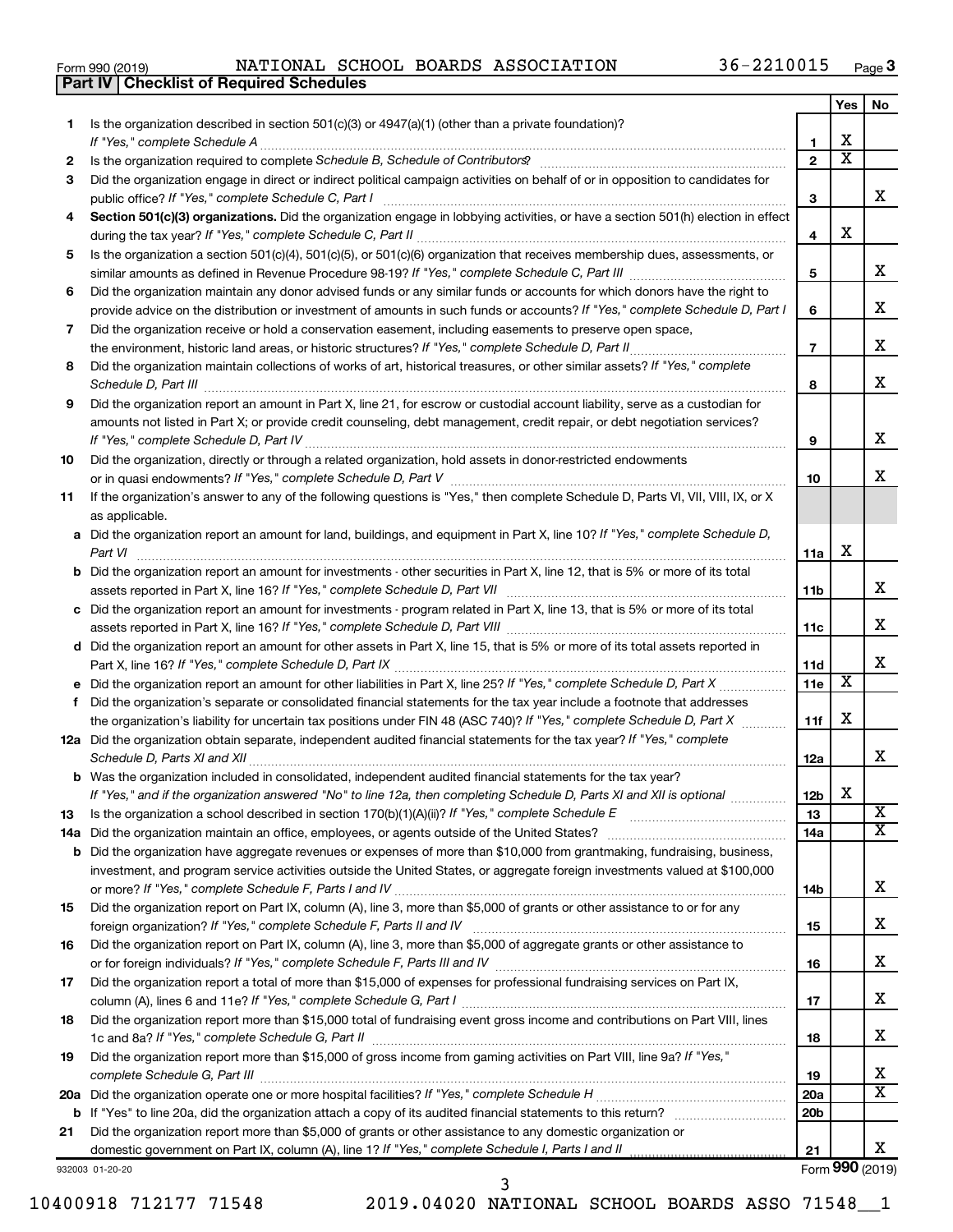| Form 990 (2019) | NATIONAL SCH                                   |  |
|-----------------|------------------------------------------------|--|
|                 | <b>Part IV Checklist of Required Schedules</b> |  |

Form 990 (2019) Page NATIONAL SCHOOL BOARDS ASSOCIATION 36-2210015

|     |                                                                                                                                                                                                                                     |                 | Yes                     | No              |
|-----|-------------------------------------------------------------------------------------------------------------------------------------------------------------------------------------------------------------------------------------|-----------------|-------------------------|-----------------|
| 1   | Is the organization described in section 501(c)(3) or $4947(a)(1)$ (other than a private foundation)?                                                                                                                               |                 |                         |                 |
|     |                                                                                                                                                                                                                                     | 1               | х                       |                 |
| 2   |                                                                                                                                                                                                                                     | $\overline{2}$  | $\overline{\textbf{x}}$ |                 |
| 3   | Did the organization engage in direct or indirect political campaign activities on behalf of or in opposition to candidates for                                                                                                     |                 |                         |                 |
|     |                                                                                                                                                                                                                                     | 3               |                         | x               |
| 4   | Section 501(c)(3) organizations. Did the organization engage in lobbying activities, or have a section 501(h) election in effect                                                                                                    |                 |                         |                 |
|     |                                                                                                                                                                                                                                     | 4               | х                       |                 |
| 5   | Is the organization a section 501(c)(4), 501(c)(5), or 501(c)(6) organization that receives membership dues, assessments, or                                                                                                        |                 |                         |                 |
|     |                                                                                                                                                                                                                                     | 5               |                         | х               |
| 6   | Did the organization maintain any donor advised funds or any similar funds or accounts for which donors have the right to                                                                                                           |                 |                         |                 |
|     | provide advice on the distribution or investment of amounts in such funds or accounts? If "Yes," complete Schedule D, Part I                                                                                                        | 6               |                         | х               |
| 7   | Did the organization receive or hold a conservation easement, including easements to preserve open space,                                                                                                                           |                 |                         |                 |
|     |                                                                                                                                                                                                                                     | $\overline{7}$  |                         | x               |
| 8   | Did the organization maintain collections of works of art, historical treasures, or other similar assets? If "Yes," complete                                                                                                        |                 |                         | x               |
|     | Schedule D, Part III <b>Marting Constructs</b> and the construction of the construction of the construction of the construction of the construction of the construction of the construction of the construction of the construction | 8               |                         |                 |
| 9   | Did the organization report an amount in Part X, line 21, for escrow or custodial account liability, serve as a custodian for                                                                                                       |                 |                         |                 |
|     | amounts not listed in Part X; or provide credit counseling, debt management, credit repair, or debt negotiation services?                                                                                                           |                 |                         | x               |
|     |                                                                                                                                                                                                                                     | 9               |                         |                 |
| 10  | Did the organization, directly or through a related organization, hold assets in donor-restricted endowments                                                                                                                        |                 |                         | x               |
|     |                                                                                                                                                                                                                                     | 10              |                         |                 |
| 11  | If the organization's answer to any of the following questions is "Yes," then complete Schedule D, Parts VI, VII, VIII, IX, or X                                                                                                    |                 |                         |                 |
|     | as applicable.<br>a Did the organization report an amount for land, buildings, and equipment in Part X, line 10? If "Yes," complete Schedule D,                                                                                     |                 |                         |                 |
|     | Part VI                                                                                                                                                                                                                             | 11a             | х                       |                 |
|     | <b>b</b> Did the organization report an amount for investments - other securities in Part X, line 12, that is 5% or more of its total                                                                                               |                 |                         |                 |
|     |                                                                                                                                                                                                                                     | 11b             |                         | x.              |
|     | c Did the organization report an amount for investments - program related in Part X, line 13, that is 5% or more of its total                                                                                                       |                 |                         |                 |
|     |                                                                                                                                                                                                                                     | 11с             |                         | x               |
|     | d Did the organization report an amount for other assets in Part X, line 15, that is 5% or more of its total assets reported in                                                                                                     |                 |                         |                 |
|     |                                                                                                                                                                                                                                     | 11d             |                         | x               |
|     |                                                                                                                                                                                                                                     | 11e             | X                       |                 |
| f.  | Did the organization's separate or consolidated financial statements for the tax year include a footnote that addresses                                                                                                             |                 |                         |                 |
|     | the organization's liability for uncertain tax positions under FIN 48 (ASC 740)? If "Yes," complete Schedule D, Part X                                                                                                              | 11f             | X                       |                 |
|     | 12a Did the organization obtain separate, independent audited financial statements for the tax year? If "Yes," complete                                                                                                             |                 |                         |                 |
|     |                                                                                                                                                                                                                                     | 12a             |                         | x               |
|     | <b>b</b> Was the organization included in consolidated, independent audited financial statements for the tax year?                                                                                                                  |                 |                         |                 |
|     | If "Yes," and if the organization answered "No" to line 12a, then completing Schedule D, Parts XI and XII is optional                                                                                                               | 12b             | X                       |                 |
| 13  |                                                                                                                                                                                                                                     | 13              |                         | X               |
| 14a | Did the organization maintain an office, employees, or agents outside of the United States?                                                                                                                                         | 14a             |                         | x               |
| b   | Did the organization have aggregate revenues or expenses of more than \$10,000 from grantmaking, fundraising, business,                                                                                                             |                 |                         |                 |
|     | investment, and program service activities outside the United States, or aggregate foreign investments valued at \$100,000                                                                                                          |                 |                         |                 |
|     |                                                                                                                                                                                                                                     | 14b             |                         | х               |
| 15  | Did the organization report on Part IX, column (A), line 3, more than \$5,000 of grants or other assistance to or for any                                                                                                           |                 |                         |                 |
|     |                                                                                                                                                                                                                                     | 15              |                         | x               |
| 16  | Did the organization report on Part IX, column (A), line 3, more than \$5,000 of aggregate grants or other assistance to                                                                                                            |                 |                         |                 |
|     |                                                                                                                                                                                                                                     | 16              |                         | x               |
| 17  | Did the organization report a total of more than \$15,000 of expenses for professional fundraising services on Part IX,                                                                                                             |                 |                         |                 |
|     |                                                                                                                                                                                                                                     | 17              |                         | x               |
| 18  | Did the organization report more than \$15,000 total of fundraising event gross income and contributions on Part VIII, lines                                                                                                        |                 |                         |                 |
|     |                                                                                                                                                                                                                                     | 18              |                         | x               |
| 19  | Did the organization report more than \$15,000 of gross income from gaming activities on Part VIII, line 9a? If "Yes,"                                                                                                              |                 |                         |                 |
|     |                                                                                                                                                                                                                                     | 19              |                         | x               |
|     |                                                                                                                                                                                                                                     | <b>20a</b>      |                         | X               |
| b   |                                                                                                                                                                                                                                     | 20 <sub>b</sub> |                         |                 |
| 21  | Did the organization report more than \$5,000 of grants or other assistance to any domestic organization or                                                                                                                         |                 |                         |                 |
|     |                                                                                                                                                                                                                                     | 21              |                         | x.              |
|     | 932003 01-20-20                                                                                                                                                                                                                     |                 |                         | Form 990 (2019) |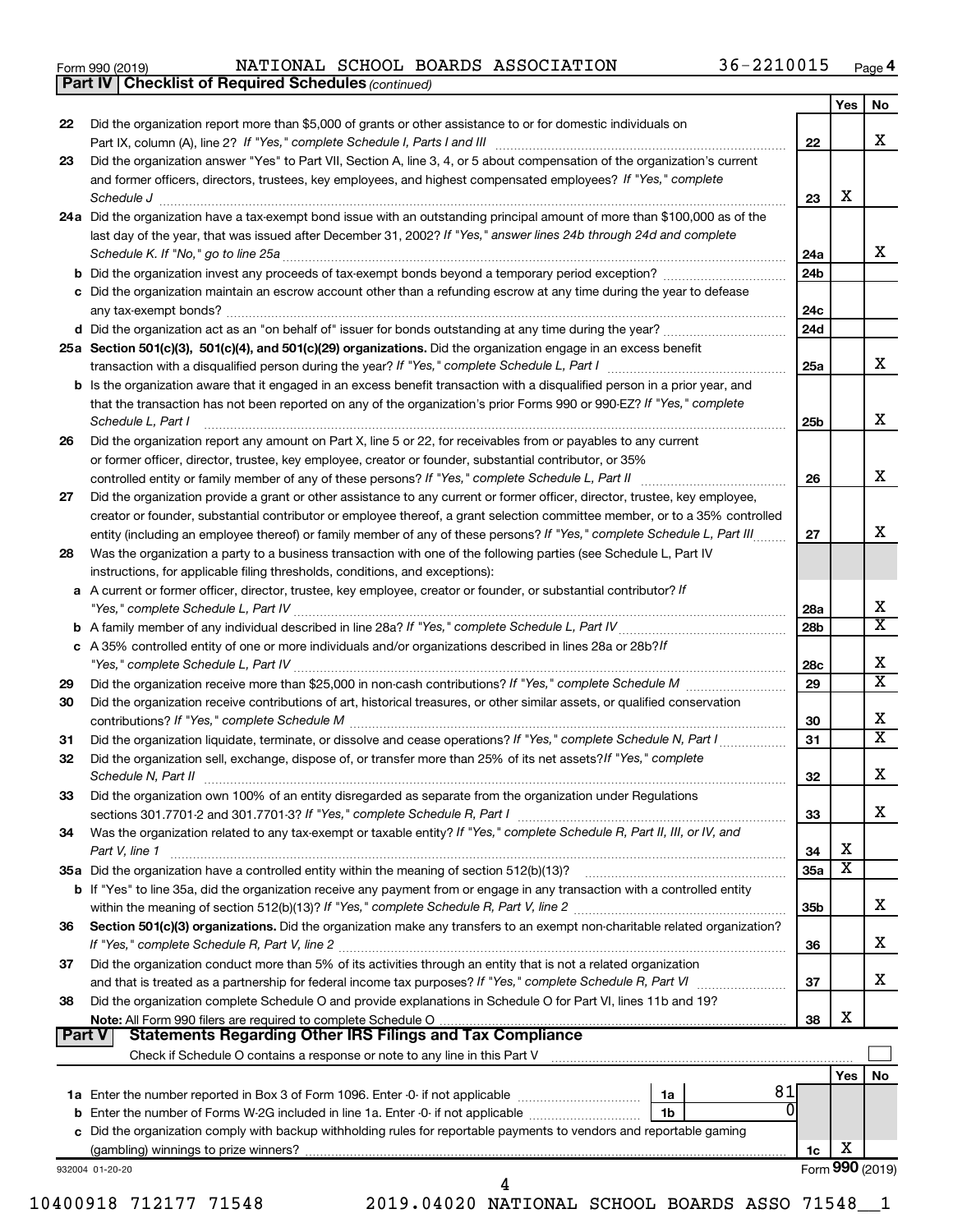|  | Form 990 (2019) |
|--|-----------------|
|  |                 |

|        | <b>Part IV   Checklist of Required Schedules (continued)</b>                                                                                                                           |                 |                         |                         |
|--------|----------------------------------------------------------------------------------------------------------------------------------------------------------------------------------------|-----------------|-------------------------|-------------------------|
|        |                                                                                                                                                                                        |                 | Yes                     | No.                     |
| 22     | Did the organization report more than \$5,000 of grants or other assistance to or for domestic individuals on                                                                          |                 |                         |                         |
|        | Part IX, column (A), line 2? If "Yes," complete Schedule I, Parts I and III [11]] [11]] [11] [11] [11] [11] [1                                                                         | 22              |                         | x                       |
| 23     | Did the organization answer "Yes" to Part VII, Section A, line 3, 4, or 5 about compensation of the organization's current                                                             |                 |                         |                         |
|        | and former officers, directors, trustees, key employees, and highest compensated employees? If "Yes," complete                                                                         |                 |                         |                         |
|        |                                                                                                                                                                                        | 23              | х                       |                         |
|        | Schedule J <b>Execute Schedule J Execute Schedule J</b><br>24a Did the organization have a tax-exempt bond issue with an outstanding principal amount of more than \$100,000 as of the |                 |                         |                         |
|        | last day of the year, that was issued after December 31, 2002? If "Yes," answer lines 24b through 24d and complete                                                                     |                 |                         |                         |
|        |                                                                                                                                                                                        | 24a             |                         | x                       |
|        | b Did the organization invest any proceeds of tax-exempt bonds beyond a temporary period exception?                                                                                    |                 |                         |                         |
|        |                                                                                                                                                                                        | 24 <sub>b</sub> |                         |                         |
|        | c Did the organization maintain an escrow account other than a refunding escrow at any time during the year to defease                                                                 |                 |                         |                         |
|        |                                                                                                                                                                                        | 24c             |                         |                         |
|        |                                                                                                                                                                                        | 24d             |                         |                         |
|        | 25a Section 501(c)(3), 501(c)(4), and 501(c)(29) organizations. Did the organization engage in an excess benefit                                                                       |                 |                         | x                       |
|        |                                                                                                                                                                                        | 25a             |                         |                         |
|        | b Is the organization aware that it engaged in an excess benefit transaction with a disqualified person in a prior year, and                                                           |                 |                         |                         |
|        | that the transaction has not been reported on any of the organization's prior Forms 990 or 990-EZ? If "Yes," complete                                                                  |                 |                         |                         |
|        | Schedule L, Part I                                                                                                                                                                     | 25b             |                         | x                       |
| 26     | Did the organization report any amount on Part X, line 5 or 22, for receivables from or payables to any current                                                                        |                 |                         |                         |
|        | or former officer, director, trustee, key employee, creator or founder, substantial contributor, or 35%                                                                                |                 |                         |                         |
|        | controlled entity or family member of any of these persons? If "Yes," complete Schedule L, Part II [ [ [ [ [ [ ] ]]                                                                    | 26              |                         | x                       |
| 27     | Did the organization provide a grant or other assistance to any current or former officer, director, trustee, key employee,                                                            |                 |                         |                         |
|        | creator or founder, substantial contributor or employee thereof, a grant selection committee member, or to a 35% controlled                                                            |                 |                         |                         |
|        | entity (including an employee thereof) or family member of any of these persons? If "Yes," complete Schedule L, Part III                                                               | 27              |                         | x                       |
| 28     | Was the organization a party to a business transaction with one of the following parties (see Schedule L, Part IV                                                                      |                 |                         |                         |
|        | instructions, for applicable filing thresholds, conditions, and exceptions):                                                                                                           |                 |                         |                         |
|        | a A current or former officer, director, trustee, key employee, creator or founder, or substantial contributor? If                                                                     |                 |                         |                         |
|        |                                                                                                                                                                                        | 28a             |                         | х                       |
|        |                                                                                                                                                                                        | 28b             |                         | $\overline{\texttt{x}}$ |
|        | c A 35% controlled entity of one or more individuals and/or organizations described in lines 28a or 28b?If                                                                             |                 |                         |                         |
|        |                                                                                                                                                                                        | 28c             |                         | х                       |
| 29     |                                                                                                                                                                                        | 29              |                         | $\overline{\texttt{x}}$ |
| 30     | Did the organization receive contributions of art, historical treasures, or other similar assets, or qualified conservation                                                            |                 |                         |                         |
|        |                                                                                                                                                                                        | 30              |                         | x                       |
| 31     | Did the organization liquidate, terminate, or dissolve and cease operations? If "Yes," complete Schedule N, Part I                                                                     | 31              |                         | $\overline{\text{x}}$   |
| 32     | Did the organization sell, exchange, dispose of, or transfer more than 25% of its net assets? If "Yes," complete                                                                       |                 |                         |                         |
|        | Schedule N, Part II                                                                                                                                                                    | 32              |                         | X                       |
| 33     | Did the organization own 100% of an entity disregarded as separate from the organization under Regulations                                                                             |                 |                         |                         |
|        |                                                                                                                                                                                        | 33              |                         | x.                      |
| 34     | Was the organization related to any tax-exempt or taxable entity? If "Yes," complete Schedule R, Part II, III, or IV, and                                                              |                 |                         |                         |
|        | Part V, line 1                                                                                                                                                                         | 34              | х                       |                         |
|        |                                                                                                                                                                                        | 35a             | $\overline{\mathbf{X}}$ |                         |
|        | b If "Yes" to line 35a, did the organization receive any payment from or engage in any transaction with a controlled entity                                                            |                 |                         |                         |
|        |                                                                                                                                                                                        | 35b             |                         | x.                      |
| 36     | Section 501(c)(3) organizations. Did the organization make any transfers to an exempt non-charitable related organization?                                                             |                 |                         |                         |
|        |                                                                                                                                                                                        | 36              |                         | x.                      |
| 37     | Did the organization conduct more than 5% of its activities through an entity that is not a related organization                                                                       |                 |                         |                         |
|        |                                                                                                                                                                                        | 37              |                         | x.                      |
| 38     | Did the organization complete Schedule O and provide explanations in Schedule O for Part VI, lines 11b and 19?                                                                         |                 |                         |                         |
|        | Note: All Form 990 filers are required to complete Schedule O                                                                                                                          | 38              | х                       |                         |
| Part V |                                                                                                                                                                                        |                 |                         |                         |
|        | Check if Schedule O contains a response or note to any line in this Part V [11] [12] Check if Schedule O contains a response or note to any line in this Part V                        |                 |                         |                         |
|        |                                                                                                                                                                                        |                 | Yes                     | No                      |
|        | 81<br>1a                                                                                                                                                                               |                 |                         |                         |
|        | 0<br>1b                                                                                                                                                                                |                 |                         |                         |
|        | c Did the organization comply with backup withholding rules for reportable payments to vendors and reportable gaming                                                                   |                 |                         |                         |
|        |                                                                                                                                                                                        | 1c              | x                       |                         |
|        | 932004 01-20-20                                                                                                                                                                        |                 |                         | Form 990 (2019)         |
|        | 4                                                                                                                                                                                      |                 |                         |                         |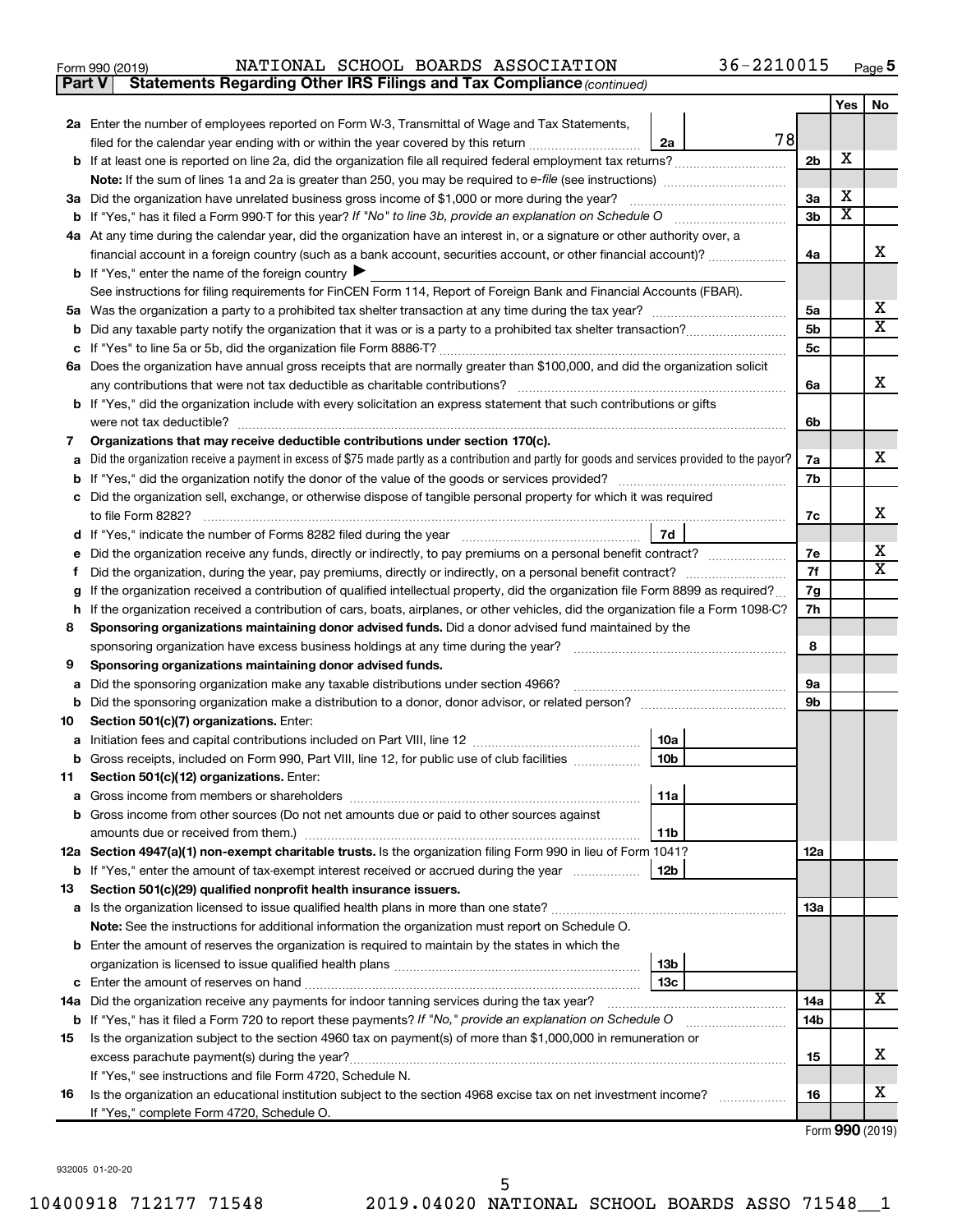| Form 990 (2019) |  |  |  |  | NATIONAL SCHOOL BOARDS ASSOCIATION | 36-2210015 | Page |  |
|-----------------|--|--|--|--|------------------------------------|------------|------|--|
|-----------------|--|--|--|--|------------------------------------|------------|------|--|

**Part V Statements Regarding Other IRS Filings and Tax Compliance**

*(continued)*

|        |                                                                                                                                                                                                       |                      | Yes                     | No                      |
|--------|-------------------------------------------------------------------------------------------------------------------------------------------------------------------------------------------------------|----------------------|-------------------------|-------------------------|
|        | 2a Enter the number of employees reported on Form W-3, Transmittal of Wage and Tax Statements,                                                                                                        |                      |                         |                         |
|        | 78<br>filed for the calendar year ending with or within the year covered by this return <i>manumumumum</i><br>2a                                                                                      |                      |                         |                         |
|        | b If at least one is reported on line 2a, did the organization file all required federal employment tax returns?                                                                                      | 2 <sub>b</sub>       | X                       |                         |
|        |                                                                                                                                                                                                       |                      |                         |                         |
|        | 3a Did the organization have unrelated business gross income of \$1,000 or more during the year?                                                                                                      | 3a                   | X                       |                         |
|        |                                                                                                                                                                                                       | 3b                   | $\overline{\textbf{x}}$ |                         |
|        | 4a At any time during the calendar year, did the organization have an interest in, or a signature or other authority over, a                                                                          |                      |                         |                         |
|        | financial account in a foreign country (such as a bank account, securities account, or other financial account)?                                                                                      | 4a                   |                         | х                       |
|        | <b>b</b> If "Yes," enter the name of the foreign country $\blacktriangleright$                                                                                                                        |                      |                         |                         |
|        | See instructions for filing requirements for FinCEN Form 114, Report of Foreign Bank and Financial Accounts (FBAR).                                                                                   |                      |                         | х                       |
| b      |                                                                                                                                                                                                       | 5a<br>5 <sub>b</sub> |                         | x                       |
|        |                                                                                                                                                                                                       | 5 <sub>c</sub>       |                         |                         |
|        | 6a Does the organization have annual gross receipts that are normally greater than \$100,000, and did the organization solicit                                                                        |                      |                         |                         |
|        | any contributions that were not tax deductible as charitable contributions?                                                                                                                           | 6а                   |                         | х                       |
|        | b If "Yes," did the organization include with every solicitation an express statement that such contributions or gifts                                                                                |                      |                         |                         |
|        | were not tax deductible?                                                                                                                                                                              | 6b                   |                         |                         |
| 7      | Organizations that may receive deductible contributions under section 170(c).                                                                                                                         |                      |                         |                         |
|        | Did the organization receive a payment in excess of \$75 made partly as a contribution and partly for goods and services provided to the payor?                                                       | 7а                   |                         | х                       |
|        |                                                                                                                                                                                                       | 7b                   |                         |                         |
| c      | Did the organization sell, exchange, or otherwise dispose of tangible personal property for which it was required                                                                                     |                      |                         |                         |
|        | to file Form 8282?                                                                                                                                                                                    | 7c                   |                         | х                       |
| d      | 7d<br>If "Yes," indicate the number of Forms 8282 filed during the year <i>manumumumumumumumum</i>                                                                                                    |                      |                         |                         |
|        |                                                                                                                                                                                                       | 7е                   |                         | х                       |
|        |                                                                                                                                                                                                       | 7f                   |                         | $\overline{\textbf{X}}$ |
| g      | If the organization received a contribution of qualified intellectual property, did the organization file Form 8899 as required?                                                                      | 7g                   |                         |                         |
| h      | If the organization received a contribution of cars, boats, airplanes, or other vehicles, did the organization file a Form 1098-C?                                                                    | 7h                   |                         |                         |
| 8      | Sponsoring organizations maintaining donor advised funds. Did a donor advised fund maintained by the                                                                                                  |                      |                         |                         |
|        | sponsoring organization have excess business holdings at any time during the year?<br>and a series of the contract of the contract of the contract of the contract of the contract of the contract of | 8                    |                         |                         |
| 9      | Sponsoring organizations maintaining donor advised funds.<br>Did the sponsoring organization make any taxable distributions under section 4966?                                                       | 9a                   |                         |                         |
| а<br>b |                                                                                                                                                                                                       | 9b                   |                         |                         |
| 10     | Section 501(c)(7) organizations. Enter:                                                                                                                                                               |                      |                         |                         |
| а      | 10a                                                                                                                                                                                                   |                      |                         |                         |
| b      | 10 <sub>b</sub><br>Gross receipts, included on Form 990, Part VIII, line 12, for public use of club facilities                                                                                        |                      |                         |                         |
| 11     | Section 501(c)(12) organizations. Enter:                                                                                                                                                              |                      |                         |                         |
|        | 11a                                                                                                                                                                                                   |                      |                         |                         |
|        | b Gross income from other sources (Do not net amounts due or paid to other sources against                                                                                                            |                      |                         |                         |
|        | amounts due or received from them.)<br>11b                                                                                                                                                            |                      |                         |                         |
|        | 12a Section 4947(a)(1) non-exempt charitable trusts. Is the organization filing Form 990 in lieu of Form 1041?                                                                                        | 12a                  |                         |                         |
|        | 12 <sub>b</sub><br><b>b</b> If "Yes," enter the amount of tax-exempt interest received or accrued during the year                                                                                     |                      |                         |                         |
| 13     | Section 501(c)(29) qualified nonprofit health insurance issuers.                                                                                                                                      |                      |                         |                         |
|        |                                                                                                                                                                                                       | 13a                  |                         |                         |
|        | Note: See the instructions for additional information the organization must report on Schedule O.                                                                                                     |                      |                         |                         |
|        | <b>b</b> Enter the amount of reserves the organization is required to maintain by the states in which the                                                                                             |                      |                         |                         |
|        | 13 <sub>b</sub><br>13 <sub>c</sub>                                                                                                                                                                    |                      |                         |                         |
|        | 14a Did the organization receive any payments for indoor tanning services during the tax year?                                                                                                        | 14a                  |                         | х                       |
|        | b If "Yes," has it filed a Form 720 to report these payments? If "No," provide an explanation on Schedule O<br><u> 1986 - John Bernstein, skriuwer en s</u>                                           | 14b                  |                         |                         |
| 15     | Is the organization subject to the section 4960 tax on payment(s) of more than \$1,000,000 in remuneration or                                                                                         |                      |                         |                         |
|        | excess parachute payment(s) during the year?                                                                                                                                                          | 15                   |                         | x                       |
|        | If "Yes," see instructions and file Form 4720, Schedule N.                                                                                                                                            |                      |                         |                         |
| 16     | Is the organization an educational institution subject to the section 4968 excise tax on net investment income?                                                                                       | 16                   |                         | х                       |
|        | If "Yes," complete Form 4720, Schedule O.                                                                                                                                                             |                      |                         |                         |

Form (2019) **990**

932005 01-20-20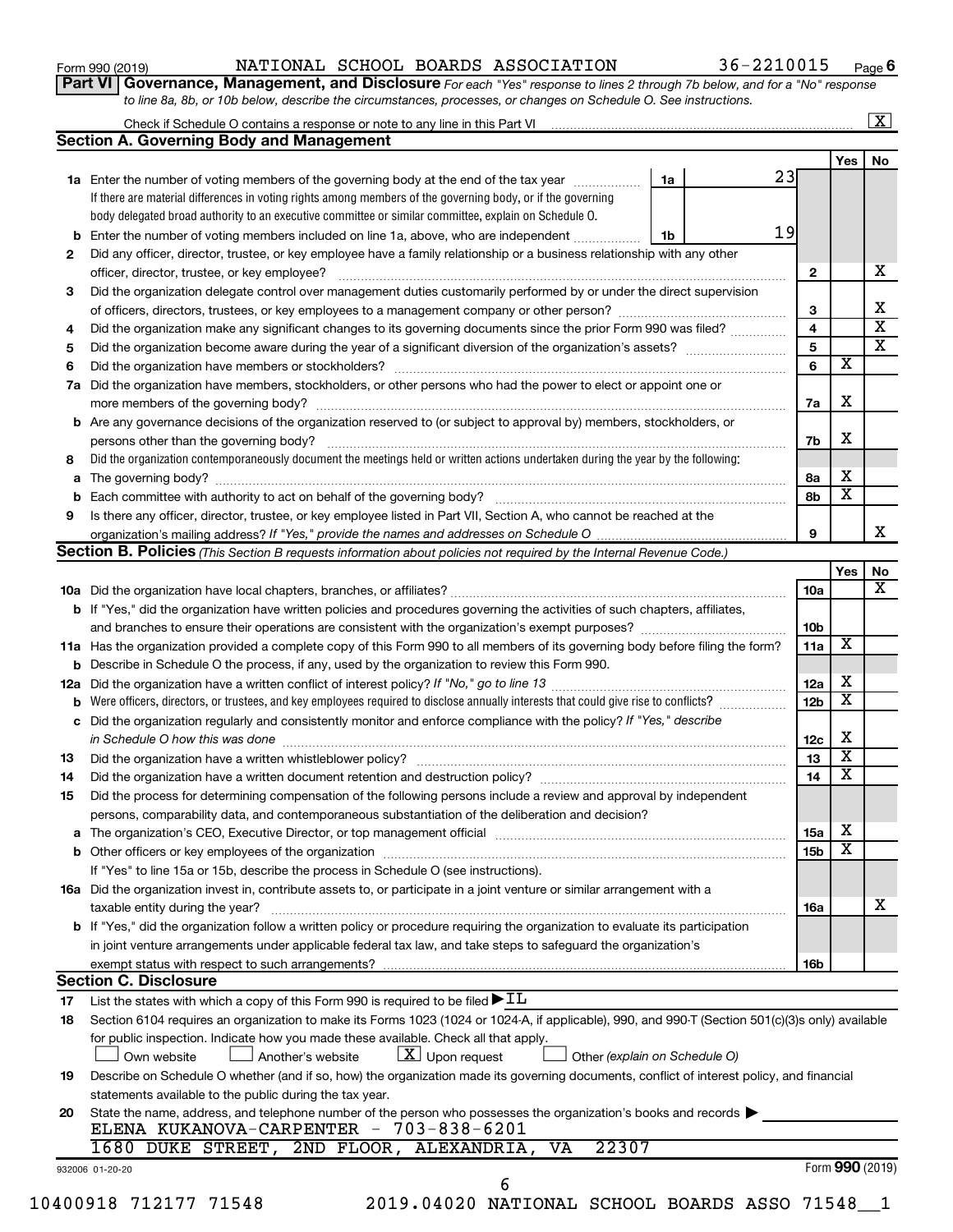| Form 990 (2019) |  |
|-----------------|--|
|-----------------|--|

### Form 990 (2019) Page NATIONAL SCHOOL BOARDS ASSOCIATION 36-2210015

**Part VI** Governance, Management, and Disclosure For each "Yes" response to lines 2 through 7b below, and for a "No" response *to line 8a, 8b, or 10b below, describe the circumstances, processes, or changes on Schedule O. See instructions.*

|                                                                                                                                                                                                                                                                                                                                                                                                                                                                                                                                                                                                                                                                                                                                                                                                                                                                                                                                                                                                                                                                                                                                                                                                                                                                                                                                                                                                                                                                                                                                                                                                                                                                                                                                                                                                                                                                                                                                                                                                                                                                                                                                                                                                                                                                                                                                                                                                                                                                                                                                                                                                                                                                                                                                                                                                  |                                                                                                             |  |                 |                 |                         | $\mathbf{X}$ |
|--------------------------------------------------------------------------------------------------------------------------------------------------------------------------------------------------------------------------------------------------------------------------------------------------------------------------------------------------------------------------------------------------------------------------------------------------------------------------------------------------------------------------------------------------------------------------------------------------------------------------------------------------------------------------------------------------------------------------------------------------------------------------------------------------------------------------------------------------------------------------------------------------------------------------------------------------------------------------------------------------------------------------------------------------------------------------------------------------------------------------------------------------------------------------------------------------------------------------------------------------------------------------------------------------------------------------------------------------------------------------------------------------------------------------------------------------------------------------------------------------------------------------------------------------------------------------------------------------------------------------------------------------------------------------------------------------------------------------------------------------------------------------------------------------------------------------------------------------------------------------------------------------------------------------------------------------------------------------------------------------------------------------------------------------------------------------------------------------------------------------------------------------------------------------------------------------------------------------------------------------------------------------------------------------------------------------------------------------------------------------------------------------------------------------------------------------------------------------------------------------------------------------------------------------------------------------------------------------------------------------------------------------------------------------------------------------------------------------------------------------------------------------------------------------|-------------------------------------------------------------------------------------------------------------|--|-----------------|-----------------|-------------------------|--------------|
|                                                                                                                                                                                                                                                                                                                                                                                                                                                                                                                                                                                                                                                                                                                                                                                                                                                                                                                                                                                                                                                                                                                                                                                                                                                                                                                                                                                                                                                                                                                                                                                                                                                                                                                                                                                                                                                                                                                                                                                                                                                                                                                                                                                                                                                                                                                                                                                                                                                                                                                                                                                                                                                                                                                                                                                                  |                                                                                                             |  |                 |                 |                         |              |
|                                                                                                                                                                                                                                                                                                                                                                                                                                                                                                                                                                                                                                                                                                                                                                                                                                                                                                                                                                                                                                                                                                                                                                                                                                                                                                                                                                                                                                                                                                                                                                                                                                                                                                                                                                                                                                                                                                                                                                                                                                                                                                                                                                                                                                                                                                                                                                                                                                                                                                                                                                                                                                                                                                                                                                                                  |                                                                                                             |  |                 |                 | Yes                     | No           |
|                                                                                                                                                                                                                                                                                                                                                                                                                                                                                                                                                                                                                                                                                                                                                                                                                                                                                                                                                                                                                                                                                                                                                                                                                                                                                                                                                                                                                                                                                                                                                                                                                                                                                                                                                                                                                                                                                                                                                                                                                                                                                                                                                                                                                                                                                                                                                                                                                                                                                                                                                                                                                                                                                                                                                                                                  |                                                                                                             |  |                 |                 |                         |              |
|                                                                                                                                                                                                                                                                                                                                                                                                                                                                                                                                                                                                                                                                                                                                                                                                                                                                                                                                                                                                                                                                                                                                                                                                                                                                                                                                                                                                                                                                                                                                                                                                                                                                                                                                                                                                                                                                                                                                                                                                                                                                                                                                                                                                                                                                                                                                                                                                                                                                                                                                                                                                                                                                                                                                                                                                  | If there are material differences in voting rights among members of the governing body, or if the governing |  |                 |                 |                         |              |
|                                                                                                                                                                                                                                                                                                                                                                                                                                                                                                                                                                                                                                                                                                                                                                                                                                                                                                                                                                                                                                                                                                                                                                                                                                                                                                                                                                                                                                                                                                                                                                                                                                                                                                                                                                                                                                                                                                                                                                                                                                                                                                                                                                                                                                                                                                                                                                                                                                                                                                                                                                                                                                                                                                                                                                                                  | body delegated broad authority to an executive committee or similar committee, explain on Schedule O.       |  |                 |                 |                         |              |
| b                                                                                                                                                                                                                                                                                                                                                                                                                                                                                                                                                                                                                                                                                                                                                                                                                                                                                                                                                                                                                                                                                                                                                                                                                                                                                                                                                                                                                                                                                                                                                                                                                                                                                                                                                                                                                                                                                                                                                                                                                                                                                                                                                                                                                                                                                                                                                                                                                                                                                                                                                                                                                                                                                                                                                                                                |                                                                                                             |  |                 |                 |                         |              |
|                                                                                                                                                                                                                                                                                                                                                                                                                                                                                                                                                                                                                                                                                                                                                                                                                                                                                                                                                                                                                                                                                                                                                                                                                                                                                                                                                                                                                                                                                                                                                                                                                                                                                                                                                                                                                                                                                                                                                                                                                                                                                                                                                                                                                                                                                                                                                                                                                                                                                                                                                                                                                                                                                                                                                                                                  |                                                                                                             |  |                 |                 |                         |              |
|                                                                                                                                                                                                                                                                                                                                                                                                                                                                                                                                                                                                                                                                                                                                                                                                                                                                                                                                                                                                                                                                                                                                                                                                                                                                                                                                                                                                                                                                                                                                                                                                                                                                                                                                                                                                                                                                                                                                                                                                                                                                                                                                                                                                                                                                                                                                                                                                                                                                                                                                                                                                                                                                                                                                                                                                  |                                                                                                             |  |                 | $\mathbf{2}$    |                         |              |
|                                                                                                                                                                                                                                                                                                                                                                                                                                                                                                                                                                                                                                                                                                                                                                                                                                                                                                                                                                                                                                                                                                                                                                                                                                                                                                                                                                                                                                                                                                                                                                                                                                                                                                                                                                                                                                                                                                                                                                                                                                                                                                                                                                                                                                                                                                                                                                                                                                                                                                                                                                                                                                                                                                                                                                                                  |                                                                                                             |  |                 |                 |                         |              |
|                                                                                                                                                                                                                                                                                                                                                                                                                                                                                                                                                                                                                                                                                                                                                                                                                                                                                                                                                                                                                                                                                                                                                                                                                                                                                                                                                                                                                                                                                                                                                                                                                                                                                                                                                                                                                                                                                                                                                                                                                                                                                                                                                                                                                                                                                                                                                                                                                                                                                                                                                                                                                                                                                                                                                                                                  |                                                                                                             |  |                 | 3               |                         |              |
|                                                                                                                                                                                                                                                                                                                                                                                                                                                                                                                                                                                                                                                                                                                                                                                                                                                                                                                                                                                                                                                                                                                                                                                                                                                                                                                                                                                                                                                                                                                                                                                                                                                                                                                                                                                                                                                                                                                                                                                                                                                                                                                                                                                                                                                                                                                                                                                                                                                                                                                                                                                                                                                                                                                                                                                                  |                                                                                                             |  |                 | 4               |                         |              |
|                                                                                                                                                                                                                                                                                                                                                                                                                                                                                                                                                                                                                                                                                                                                                                                                                                                                                                                                                                                                                                                                                                                                                                                                                                                                                                                                                                                                                                                                                                                                                                                                                                                                                                                                                                                                                                                                                                                                                                                                                                                                                                                                                                                                                                                                                                                                                                                                                                                                                                                                                                                                                                                                                                                                                                                                  |                                                                                                             |  |                 | 5               |                         |              |
|                                                                                                                                                                                                                                                                                                                                                                                                                                                                                                                                                                                                                                                                                                                                                                                                                                                                                                                                                                                                                                                                                                                                                                                                                                                                                                                                                                                                                                                                                                                                                                                                                                                                                                                                                                                                                                                                                                                                                                                                                                                                                                                                                                                                                                                                                                                                                                                                                                                                                                                                                                                                                                                                                                                                                                                                  |                                                                                                             |  |                 | 6               | $\overline{\textbf{x}}$ |              |
|                                                                                                                                                                                                                                                                                                                                                                                                                                                                                                                                                                                                                                                                                                                                                                                                                                                                                                                                                                                                                                                                                                                                                                                                                                                                                                                                                                                                                                                                                                                                                                                                                                                                                                                                                                                                                                                                                                                                                                                                                                                                                                                                                                                                                                                                                                                                                                                                                                                                                                                                                                                                                                                                                                                                                                                                  |                                                                                                             |  |                 |                 |                         |              |
|                                                                                                                                                                                                                                                                                                                                                                                                                                                                                                                                                                                                                                                                                                                                                                                                                                                                                                                                                                                                                                                                                                                                                                                                                                                                                                                                                                                                                                                                                                                                                                                                                                                                                                                                                                                                                                                                                                                                                                                                                                                                                                                                                                                                                                                                                                                                                                                                                                                                                                                                                                                                                                                                                                                                                                                                  |                                                                                                             |  |                 |                 | х                       |              |
|                                                                                                                                                                                                                                                                                                                                                                                                                                                                                                                                                                                                                                                                                                                                                                                                                                                                                                                                                                                                                                                                                                                                                                                                                                                                                                                                                                                                                                                                                                                                                                                                                                                                                                                                                                                                                                                                                                                                                                                                                                                                                                                                                                                                                                                                                                                                                                                                                                                                                                                                                                                                                                                                                                                                                                                                  |                                                                                                             |  |                 | 7a              |                         |              |
|                                                                                                                                                                                                                                                                                                                                                                                                                                                                                                                                                                                                                                                                                                                                                                                                                                                                                                                                                                                                                                                                                                                                                                                                                                                                                                                                                                                                                                                                                                                                                                                                                                                                                                                                                                                                                                                                                                                                                                                                                                                                                                                                                                                                                                                                                                                                                                                                                                                                                                                                                                                                                                                                                                                                                                                                  |                                                                                                             |  |                 |                 | X                       |              |
|                                                                                                                                                                                                                                                                                                                                                                                                                                                                                                                                                                                                                                                                                                                                                                                                                                                                                                                                                                                                                                                                                                                                                                                                                                                                                                                                                                                                                                                                                                                                                                                                                                                                                                                                                                                                                                                                                                                                                                                                                                                                                                                                                                                                                                                                                                                                                                                                                                                                                                                                                                                                                                                                                                                                                                                                  |                                                                                                             |  |                 | 7b              |                         |              |
|                                                                                                                                                                                                                                                                                                                                                                                                                                                                                                                                                                                                                                                                                                                                                                                                                                                                                                                                                                                                                                                                                                                                                                                                                                                                                                                                                                                                                                                                                                                                                                                                                                                                                                                                                                                                                                                                                                                                                                                                                                                                                                                                                                                                                                                                                                                                                                                                                                                                                                                                                                                                                                                                                                                                                                                                  |                                                                                                             |  |                 |                 |                         |              |
| a                                                                                                                                                                                                                                                                                                                                                                                                                                                                                                                                                                                                                                                                                                                                                                                                                                                                                                                                                                                                                                                                                                                                                                                                                                                                                                                                                                                                                                                                                                                                                                                                                                                                                                                                                                                                                                                                                                                                                                                                                                                                                                                                                                                                                                                                                                                                                                                                                                                                                                                                                                                                                                                                                                                                                                                                |                                                                                                             |  |                 | 8а              | X                       |              |
| b                                                                                                                                                                                                                                                                                                                                                                                                                                                                                                                                                                                                                                                                                                                                                                                                                                                                                                                                                                                                                                                                                                                                                                                                                                                                                                                                                                                                                                                                                                                                                                                                                                                                                                                                                                                                                                                                                                                                                                                                                                                                                                                                                                                                                                                                                                                                                                                                                                                                                                                                                                                                                                                                                                                                                                                                |                                                                                                             |  |                 | 8b              | $\overline{\textbf{x}}$ |              |
|                                                                                                                                                                                                                                                                                                                                                                                                                                                                                                                                                                                                                                                                                                                                                                                                                                                                                                                                                                                                                                                                                                                                                                                                                                                                                                                                                                                                                                                                                                                                                                                                                                                                                                                                                                                                                                                                                                                                                                                                                                                                                                                                                                                                                                                                                                                                                                                                                                                                                                                                                                                                                                                                                                                                                                                                  |                                                                                                             |  |                 |                 |                         |              |
|                                                                                                                                                                                                                                                                                                                                                                                                                                                                                                                                                                                                                                                                                                                                                                                                                                                                                                                                                                                                                                                                                                                                                                                                                                                                                                                                                                                                                                                                                                                                                                                                                                                                                                                                                                                                                                                                                                                                                                                                                                                                                                                                                                                                                                                                                                                                                                                                                                                                                                                                                                                                                                                                                                                                                                                                  |                                                                                                             |  |                 | 9               |                         |              |
|                                                                                                                                                                                                                                                                                                                                                                                                                                                                                                                                                                                                                                                                                                                                                                                                                                                                                                                                                                                                                                                                                                                                                                                                                                                                                                                                                                                                                                                                                                                                                                                                                                                                                                                                                                                                                                                                                                                                                                                                                                                                                                                                                                                                                                                                                                                                                                                                                                                                                                                                                                                                                                                                                                                                                                                                  |                                                                                                             |  |                 |                 |                         |              |
|                                                                                                                                                                                                                                                                                                                                                                                                                                                                                                                                                                                                                                                                                                                                                                                                                                                                                                                                                                                                                                                                                                                                                                                                                                                                                                                                                                                                                                                                                                                                                                                                                                                                                                                                                                                                                                                                                                                                                                                                                                                                                                                                                                                                                                                                                                                                                                                                                                                                                                                                                                                                                                                                                                                                                                                                  |                                                                                                             |  |                 |                 | Yes                     |              |
|                                                                                                                                                                                                                                                                                                                                                                                                                                                                                                                                                                                                                                                                                                                                                                                                                                                                                                                                                                                                                                                                                                                                                                                                                                                                                                                                                                                                                                                                                                                                                                                                                                                                                                                                                                                                                                                                                                                                                                                                                                                                                                                                                                                                                                                                                                                                                                                                                                                                                                                                                                                                                                                                                                                                                                                                  |                                                                                                             |  |                 | 10a             |                         |              |
|                                                                                                                                                                                                                                                                                                                                                                                                                                                                                                                                                                                                                                                                                                                                                                                                                                                                                                                                                                                                                                                                                                                                                                                                                                                                                                                                                                                                                                                                                                                                                                                                                                                                                                                                                                                                                                                                                                                                                                                                                                                                                                                                                                                                                                                                                                                                                                                                                                                                                                                                                                                                                                                                                                                                                                                                  |                                                                                                             |  |                 |                 |                         |              |
|                                                                                                                                                                                                                                                                                                                                                                                                                                                                                                                                                                                                                                                                                                                                                                                                                                                                                                                                                                                                                                                                                                                                                                                                                                                                                                                                                                                                                                                                                                                                                                                                                                                                                                                                                                                                                                                                                                                                                                                                                                                                                                                                                                                                                                                                                                                                                                                                                                                                                                                                                                                                                                                                                                                                                                                                  |                                                                                                             |  |                 | 10b             |                         |              |
|                                                                                                                                                                                                                                                                                                                                                                                                                                                                                                                                                                                                                                                                                                                                                                                                                                                                                                                                                                                                                                                                                                                                                                                                                                                                                                                                                                                                                                                                                                                                                                                                                                                                                                                                                                                                                                                                                                                                                                                                                                                                                                                                                                                                                                                                                                                                                                                                                                                                                                                                                                                                                                                                                                                                                                                                  |                                                                                                             |  |                 | 11a             | X                       |              |
|                                                                                                                                                                                                                                                                                                                                                                                                                                                                                                                                                                                                                                                                                                                                                                                                                                                                                                                                                                                                                                                                                                                                                                                                                                                                                                                                                                                                                                                                                                                                                                                                                                                                                                                                                                                                                                                                                                                                                                                                                                                                                                                                                                                                                                                                                                                                                                                                                                                                                                                                                                                                                                                                                                                                                                                                  |                                                                                                             |  |                 |                 |                         |              |
|                                                                                                                                                                                                                                                                                                                                                                                                                                                                                                                                                                                                                                                                                                                                                                                                                                                                                                                                                                                                                                                                                                                                                                                                                                                                                                                                                                                                                                                                                                                                                                                                                                                                                                                                                                                                                                                                                                                                                                                                                                                                                                                                                                                                                                                                                                                                                                                                                                                                                                                                                                                                                                                                                                                                                                                                  |                                                                                                             |  |                 | 12a             | х                       |              |
| b                                                                                                                                                                                                                                                                                                                                                                                                                                                                                                                                                                                                                                                                                                                                                                                                                                                                                                                                                                                                                                                                                                                                                                                                                                                                                                                                                                                                                                                                                                                                                                                                                                                                                                                                                                                                                                                                                                                                                                                                                                                                                                                                                                                                                                                                                                                                                                                                                                                                                                                                                                                                                                                                                                                                                                                                |                                                                                                             |  |                 | 12 <sub>b</sub> | х                       |              |
| с                                                                                                                                                                                                                                                                                                                                                                                                                                                                                                                                                                                                                                                                                                                                                                                                                                                                                                                                                                                                                                                                                                                                                                                                                                                                                                                                                                                                                                                                                                                                                                                                                                                                                                                                                                                                                                                                                                                                                                                                                                                                                                                                                                                                                                                                                                                                                                                                                                                                                                                                                                                                                                                                                                                                                                                                |                                                                                                             |  |                 |                 |                         |              |
|                                                                                                                                                                                                                                                                                                                                                                                                                                                                                                                                                                                                                                                                                                                                                                                                                                                                                                                                                                                                                                                                                                                                                                                                                                                                                                                                                                                                                                                                                                                                                                                                                                                                                                                                                                                                                                                                                                                                                                                                                                                                                                                                                                                                                                                                                                                                                                                                                                                                                                                                                                                                                                                                                                                                                                                                  |                                                                                                             |  |                 | 12c             | X                       |              |
|                                                                                                                                                                                                                                                                                                                                                                                                                                                                                                                                                                                                                                                                                                                                                                                                                                                                                                                                                                                                                                                                                                                                                                                                                                                                                                                                                                                                                                                                                                                                                                                                                                                                                                                                                                                                                                                                                                                                                                                                                                                                                                                                                                                                                                                                                                                                                                                                                                                                                                                                                                                                                                                                                                                                                                                                  |                                                                                                             |  |                 | 13              | $\overline{\mathbf{X}}$ |              |
|                                                                                                                                                                                                                                                                                                                                                                                                                                                                                                                                                                                                                                                                                                                                                                                                                                                                                                                                                                                                                                                                                                                                                                                                                                                                                                                                                                                                                                                                                                                                                                                                                                                                                                                                                                                                                                                                                                                                                                                                                                                                                                                                                                                                                                                                                                                                                                                                                                                                                                                                                                                                                                                                                                                                                                                                  |                                                                                                             |  |                 | 14              | X                       |              |
|                                                                                                                                                                                                                                                                                                                                                                                                                                                                                                                                                                                                                                                                                                                                                                                                                                                                                                                                                                                                                                                                                                                                                                                                                                                                                                                                                                                                                                                                                                                                                                                                                                                                                                                                                                                                                                                                                                                                                                                                                                                                                                                                                                                                                                                                                                                                                                                                                                                                                                                                                                                                                                                                                                                                                                                                  |                                                                                                             |  |                 |                 |                         |              |
|                                                                                                                                                                                                                                                                                                                                                                                                                                                                                                                                                                                                                                                                                                                                                                                                                                                                                                                                                                                                                                                                                                                                                                                                                                                                                                                                                                                                                                                                                                                                                                                                                                                                                                                                                                                                                                                                                                                                                                                                                                                                                                                                                                                                                                                                                                                                                                                                                                                                                                                                                                                                                                                                                                                                                                                                  |                                                                                                             |  |                 |                 |                         |              |
|                                                                                                                                                                                                                                                                                                                                                                                                                                                                                                                                                                                                                                                                                                                                                                                                                                                                                                                                                                                                                                                                                                                                                                                                                                                                                                                                                                                                                                                                                                                                                                                                                                                                                                                                                                                                                                                                                                                                                                                                                                                                                                                                                                                                                                                                                                                                                                                                                                                                                                                                                                                                                                                                                                                                                                                                  |                                                                                                             |  |                 | 15a             | х                       |              |
|                                                                                                                                                                                                                                                                                                                                                                                                                                                                                                                                                                                                                                                                                                                                                                                                                                                                                                                                                                                                                                                                                                                                                                                                                                                                                                                                                                                                                                                                                                                                                                                                                                                                                                                                                                                                                                                                                                                                                                                                                                                                                                                                                                                                                                                                                                                                                                                                                                                                                                                                                                                                                                                                                                                                                                                                  |                                                                                                             |  |                 | 15 <sub>b</sub> | х                       |              |
|                                                                                                                                                                                                                                                                                                                                                                                                                                                                                                                                                                                                                                                                                                                                                                                                                                                                                                                                                                                                                                                                                                                                                                                                                                                                                                                                                                                                                                                                                                                                                                                                                                                                                                                                                                                                                                                                                                                                                                                                                                                                                                                                                                                                                                                                                                                                                                                                                                                                                                                                                                                                                                                                                                                                                                                                  |                                                                                                             |  |                 |                 |                         |              |
|                                                                                                                                                                                                                                                                                                                                                                                                                                                                                                                                                                                                                                                                                                                                                                                                                                                                                                                                                                                                                                                                                                                                                                                                                                                                                                                                                                                                                                                                                                                                                                                                                                                                                                                                                                                                                                                                                                                                                                                                                                                                                                                                                                                                                                                                                                                                                                                                                                                                                                                                                                                                                                                                                                                                                                                                  |                                                                                                             |  |                 |                 |                         |              |
|                                                                                                                                                                                                                                                                                                                                                                                                                                                                                                                                                                                                                                                                                                                                                                                                                                                                                                                                                                                                                                                                                                                                                                                                                                                                                                                                                                                                                                                                                                                                                                                                                                                                                                                                                                                                                                                                                                                                                                                                                                                                                                                                                                                                                                                                                                                                                                                                                                                                                                                                                                                                                                                                                                                                                                                                  |                                                                                                             |  |                 |                 |                         |              |
|                                                                                                                                                                                                                                                                                                                                                                                                                                                                                                                                                                                                                                                                                                                                                                                                                                                                                                                                                                                                                                                                                                                                                                                                                                                                                                                                                                                                                                                                                                                                                                                                                                                                                                                                                                                                                                                                                                                                                                                                                                                                                                                                                                                                                                                                                                                                                                                                                                                                                                                                                                                                                                                                                                                                                                                                  |                                                                                                             |  |                 | 16a             |                         |              |
|                                                                                                                                                                                                                                                                                                                                                                                                                                                                                                                                                                                                                                                                                                                                                                                                                                                                                                                                                                                                                                                                                                                                                                                                                                                                                                                                                                                                                                                                                                                                                                                                                                                                                                                                                                                                                                                                                                                                                                                                                                                                                                                                                                                                                                                                                                                                                                                                                                                                                                                                                                                                                                                                                                                                                                                                  |                                                                                                             |  |                 |                 |                         |              |
|                                                                                                                                                                                                                                                                                                                                                                                                                                                                                                                                                                                                                                                                                                                                                                                                                                                                                                                                                                                                                                                                                                                                                                                                                                                                                                                                                                                                                                                                                                                                                                                                                                                                                                                                                                                                                                                                                                                                                                                                                                                                                                                                                                                                                                                                                                                                                                                                                                                                                                                                                                                                                                                                                                                                                                                                  |                                                                                                             |  |                 |                 |                         |              |
|                                                                                                                                                                                                                                                                                                                                                                                                                                                                                                                                                                                                                                                                                                                                                                                                                                                                                                                                                                                                                                                                                                                                                                                                                                                                                                                                                                                                                                                                                                                                                                                                                                                                                                                                                                                                                                                                                                                                                                                                                                                                                                                                                                                                                                                                                                                                                                                                                                                                                                                                                                                                                                                                                                                                                                                                  | exempt status with respect to such arrangements?                                                            |  |                 | 16b             |                         |              |
|                                                                                                                                                                                                                                                                                                                                                                                                                                                                                                                                                                                                                                                                                                                                                                                                                                                                                                                                                                                                                                                                                                                                                                                                                                                                                                                                                                                                                                                                                                                                                                                                                                                                                                                                                                                                                                                                                                                                                                                                                                                                                                                                                                                                                                                                                                                                                                                                                                                                                                                                                                                                                                                                                                                                                                                                  |                                                                                                             |  |                 |                 |                         |              |
|                                                                                                                                                                                                                                                                                                                                                                                                                                                                                                                                                                                                                                                                                                                                                                                                                                                                                                                                                                                                                                                                                                                                                                                                                                                                                                                                                                                                                                                                                                                                                                                                                                                                                                                                                                                                                                                                                                                                                                                                                                                                                                                                                                                                                                                                                                                                                                                                                                                                                                                                                                                                                                                                                                                                                                                                  |                                                                                                             |  |                 |                 |                         |              |
|                                                                                                                                                                                                                                                                                                                                                                                                                                                                                                                                                                                                                                                                                                                                                                                                                                                                                                                                                                                                                                                                                                                                                                                                                                                                                                                                                                                                                                                                                                                                                                                                                                                                                                                                                                                                                                                                                                                                                                                                                                                                                                                                                                                                                                                                                                                                                                                                                                                                                                                                                                                                                                                                                                                                                                                                  |                                                                                                             |  |                 |                 |                         |              |
|                                                                                                                                                                                                                                                                                                                                                                                                                                                                                                                                                                                                                                                                                                                                                                                                                                                                                                                                                                                                                                                                                                                                                                                                                                                                                                                                                                                                                                                                                                                                                                                                                                                                                                                                                                                                                                                                                                                                                                                                                                                                                                                                                                                                                                                                                                                                                                                                                                                                                                                                                                                                                                                                                                                                                                                                  | for public inspection. Indicate how you made these available. Check all that apply.                         |  |                 |                 |                         |              |
|                                                                                                                                                                                                                                                                                                                                                                                                                                                                                                                                                                                                                                                                                                                                                                                                                                                                                                                                                                                                                                                                                                                                                                                                                                                                                                                                                                                                                                                                                                                                                                                                                                                                                                                                                                                                                                                                                                                                                                                                                                                                                                                                                                                                                                                                                                                                                                                                                                                                                                                                                                                                                                                                                                                                                                                                  | $\lfloor x \rfloor$ Upon request<br>Another's website<br>Own website                                        |  |                 |                 |                         |              |
|                                                                                                                                                                                                                                                                                                                                                                                                                                                                                                                                                                                                                                                                                                                                                                                                                                                                                                                                                                                                                                                                                                                                                                                                                                                                                                                                                                                                                                                                                                                                                                                                                                                                                                                                                                                                                                                                                                                                                                                                                                                                                                                                                                                                                                                                                                                                                                                                                                                                                                                                                                                                                                                                                                                                                                                                  |                                                                                                             |  |                 |                 |                         |              |
|                                                                                                                                                                                                                                                                                                                                                                                                                                                                                                                                                                                                                                                                                                                                                                                                                                                                                                                                                                                                                                                                                                                                                                                                                                                                                                                                                                                                                                                                                                                                                                                                                                                                                                                                                                                                                                                                                                                                                                                                                                                                                                                                                                                                                                                                                                                                                                                                                                                                                                                                                                                                                                                                                                                                                                                                  |                                                                                                             |  |                 |                 |                         |              |
|                                                                                                                                                                                                                                                                                                                                                                                                                                                                                                                                                                                                                                                                                                                                                                                                                                                                                                                                                                                                                                                                                                                                                                                                                                                                                                                                                                                                                                                                                                                                                                                                                                                                                                                                                                                                                                                                                                                                                                                                                                                                                                                                                                                                                                                                                                                                                                                                                                                                                                                                                                                                                                                                                                                                                                                                  |                                                                                                             |  |                 |                 |                         |              |
|                                                                                                                                                                                                                                                                                                                                                                                                                                                                                                                                                                                                                                                                                                                                                                                                                                                                                                                                                                                                                                                                                                                                                                                                                                                                                                                                                                                                                                                                                                                                                                                                                                                                                                                                                                                                                                                                                                                                                                                                                                                                                                                                                                                                                                                                                                                                                                                                                                                                                                                                                                                                                                                                                                                                                                                                  | statements available to the public during the tax year.                                                     |  |                 |                 |                         |              |
|                                                                                                                                                                                                                                                                                                                                                                                                                                                                                                                                                                                                                                                                                                                                                                                                                                                                                                                                                                                                                                                                                                                                                                                                                                                                                                                                                                                                                                                                                                                                                                                                                                                                                                                                                                                                                                                                                                                                                                                                                                                                                                                                                                                                                                                                                                                                                                                                                                                                                                                                                                                                                                                                                                                                                                                                  |                                                                                                             |  |                 |                 |                         |              |
|                                                                                                                                                                                                                                                                                                                                                                                                                                                                                                                                                                                                                                                                                                                                                                                                                                                                                                                                                                                                                                                                                                                                                                                                                                                                                                                                                                                                                                                                                                                                                                                                                                                                                                                                                                                                                                                                                                                                                                                                                                                                                                                                                                                                                                                                                                                                                                                                                                                                                                                                                                                                                                                                                                                                                                                                  | ELENA KUKANOVA-CARPENTER - 703-838-6201                                                                     |  |                 |                 |                         |              |
| Did any officer, director, trustee, or key employee have a family relationship or a business relationship with any other<br>officer, director, trustee, or key employee?<br>Did the organization delegate control over management duties customarily performed by or under the direct supervision<br>Did the organization make any significant changes to its governing documents since the prior Form 990 was filed?<br>Did the organization have members, stockholders, or other persons who had the power to elect or appoint one or<br>Are any governance decisions of the organization reserved to (or subject to approval by) members, stockholders, or<br>b<br>Did the organization contemporaneously document the meetings held or written actions undertaken during the year by the following:<br>Is there any officer, director, trustee, or key employee listed in Part VII, Section A, who cannot be reached at the<br><b>b</b> If "Yes," did the organization have written policies and procedures governing the activities of such chapters, affiliates,<br><b>b</b> Describe in Schedule O the process, if any, used by the organization to review this Form 990.<br>Were officers, directors, or trustees, and key employees required to disclose annually interests that could give rise to conflicts?<br>Did the organization regularly and consistently monitor and enforce compliance with the policy? If "Yes," describe<br>Did the organization have a written document retention and destruction policy? [11] manufaction model of the organization have a written document retention and destruction policy?<br>Did the process for determining compensation of the following persons include a review and approval by independent<br>persons, comparability data, and contemporaneous substantiation of the deliberation and decision?<br>The organization's CEO, Executive Director, or top management official manufactured content of the organization's CEO, Executive Director, or top management official manufactured content of the organization's<br>а<br>If "Yes" to line 15a or 15b, describe the process in Schedule O (see instructions).<br>taxable entity during the year?<br>b If "Yes," did the organization follow a written policy or procedure requiring the organization to evaluate its participation<br>in joint venture arrangements under applicable federal tax law, and take steps to safeguard the organization's<br>List the states with which a copy of this Form 990 is required to be filed $\blacktriangleright$ IL<br>Other (explain on Schedule O)<br>State the name, address, and telephone number of the person who possesses the organization's books and records<br>22307<br>1680 DUKE STREET, 2ND FLOOR, ALEXANDRIA,<br>VA<br>6 |                                                                                                             |  |                 |                 |                         |              |
| Check if Schedule O contains a response or note to any line in this Part VI [11] [12] Check if Schedule O contains a response or note to any line in this Part VI<br><b>Section A. Governing Body and Management</b><br>23<br><b>1a</b> Enter the number of voting members of the governing body at the end of the tax year<br>1a<br>19<br>Enter the number of voting members included on line 1a, above, who are independent<br>1b<br>2<br>3<br>4<br>5<br>6<br>7a<br>8<br>9<br><b>Section B. Policies</b> (This Section B requests information about policies not required by the Internal Revenue Code.)<br>11a Has the organization provided a complete copy of this Form 990 to all members of its governing body before filing the form?<br>12a<br>13<br>14<br>15<br>16a Did the organization invest in, contribute assets to, or participate in a joint venture or similar arrangement with a<br><b>Section C. Disclosure</b><br>17<br>Section 6104 requires an organization to make its Forms 1023 (1024 or 1024-A, if applicable), 990, and 990-T (Section 501(c)(3)s only) available<br>18<br>Describe on Schedule O whether (and if so, how) the organization made its governing documents, conflict of interest policy, and financial<br>19<br>20<br>932006 01-20-20<br>10400918 712177 71548<br>2019.04020 NATIONAL SCHOOL BOARDS ASSO 71548 1                                                                                                                                                                                                                                                                                                                                                                                                                                                                                                                                                                                                                                                                                                                                                                                                                                                                                                                                                                                                                                                                                                                                                                                                                                                                                                                                                                                                                                       |                                                                                                             |  | Form 990 (2019) |                 |                         |              |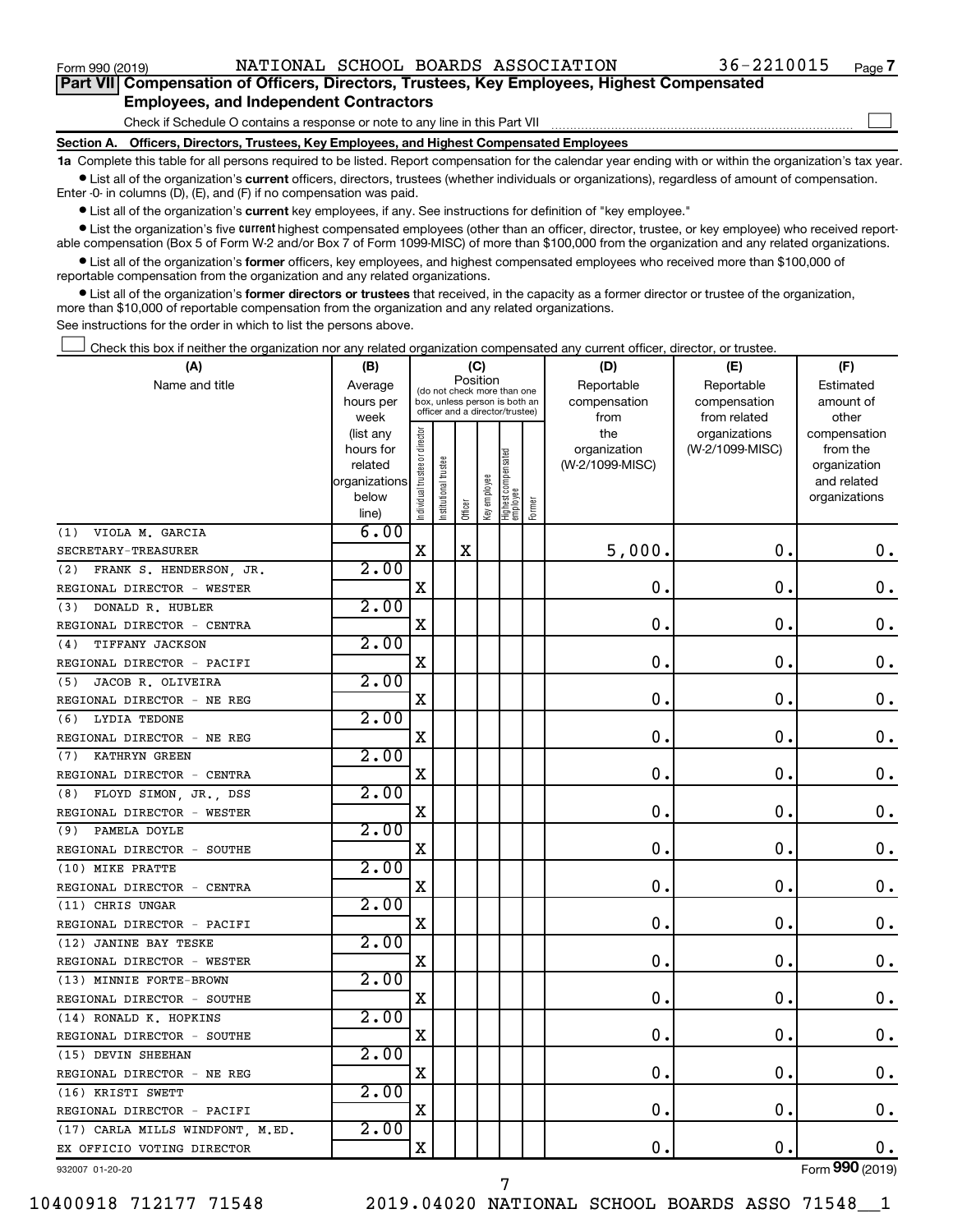$\Box$ 

| Part VII Compensation of Officers, Directors, Trustees, Key Employees, Highest Compensated |  |  |
|--------------------------------------------------------------------------------------------|--|--|
| <b>Employees, and Independent Contractors</b>                                              |  |  |

Check if Schedule O contains a response or note to any line in this Part VII

**Section A. Officers, Directors, Trustees, Key Employees, and Highest Compensated Employees**

**1a**  Complete this table for all persons required to be listed. Report compensation for the calendar year ending with or within the organization's tax year.  $\bullet$  List all of the organization's current officers, directors, trustees (whether individuals or organizations), regardless of amount of compensation.

Enter -0- in columns (D), (E), and (F) if no compensation was paid.

**•** List all of the organization's current key employees, if any. See instructions for definition of "key employee."

• List the organization's five *current* highest compensated employees (other than an officer, director, trustee, or key employee) who received reportable compensation (Box 5 of Form W-2 and/or Box 7 of Form 1099-MISC) of more than \$100,000 from the organization and any related organizations.

 $\bullet$  List all of the organization's former officers, key employees, and highest compensated employees who received more than \$100,000 of reportable compensation from the organization and any related organizations.

**•** List all of the organization's former directors or trustees that received, in the capacity as a former director or trustee of the organization, more than \$10,000 of reportable compensation from the organization and any related organizations.

See instructions for the order in which to list the persons above.

Check this box if neither the organization nor any related organization compensated any current officer, director, or trustee.  $\Box$ 

| (A)                              | (B)                    |                                |                                                                  | (C)         |              |                                 |        | (D)                 | (E)                              | (F)                      |
|----------------------------------|------------------------|--------------------------------|------------------------------------------------------------------|-------------|--------------|---------------------------------|--------|---------------------|----------------------------------|--------------------------|
| Name and title                   | Average                |                                | (do not check more than one                                      | Position    |              |                                 |        | Reportable          | Reportable                       | Estimated                |
|                                  | hours per              |                                | box, unless person is both an<br>officer and a director/trustee) |             |              |                                 |        | compensation        | compensation                     | amount of                |
|                                  | week                   |                                |                                                                  |             |              |                                 |        | from                | from related                     | other                    |
|                                  | (list any<br>hours for | Individual trustee or director |                                                                  |             |              |                                 |        | the<br>organization | organizations<br>(W-2/1099-MISC) | compensation<br>from the |
|                                  | related                |                                |                                                                  |             |              |                                 |        | (W-2/1099-MISC)     |                                  | organization             |
|                                  | organizations          |                                | nstitutional trustee                                             |             |              | Highest compensated<br>employee |        |                     |                                  | and related              |
|                                  | below                  |                                |                                                                  |             | Key employee |                                 |        |                     |                                  | organizations            |
|                                  | line)                  |                                |                                                                  | Officer     |              |                                 | Former |                     |                                  |                          |
| VIOLA M. GARCIA<br>(1)           | 6.00                   |                                |                                                                  |             |              |                                 |        |                     |                                  |                          |
| SECRETARY-TREASURER              |                        | $\mathbf x$                    |                                                                  | $\mathbf X$ |              |                                 |        | 5,000.              | $\mathbf 0$ .                    | 0.                       |
| (2)<br>FRANK S. HENDERSON, JR.   | 2.00                   |                                |                                                                  |             |              |                                 |        |                     |                                  |                          |
| REGIONAL DIRECTOR - WESTER       |                        | $\mathbf X$                    |                                                                  |             |              |                                 |        | $\mathbf 0$ .       | $\mathbf 0$ .                    | $\mathbf 0$ .            |
| DONALD R. HUBLER<br>(3)          | 2.00                   |                                |                                                                  |             |              |                                 |        |                     |                                  |                          |
| REGIONAL DIRECTOR - CENTRA       |                        | X                              |                                                                  |             |              |                                 |        | $\mathbf 0$ .       | 0.                               | 0.                       |
| TIFFANY JACKSON<br>(4)           | 2.00                   |                                |                                                                  |             |              |                                 |        |                     |                                  |                          |
| REGIONAL DIRECTOR - PACIFI       |                        | $\mathbf X$                    |                                                                  |             |              |                                 |        | $\mathbf 0$ .       | $\mathbf 0$ .                    | $\mathbf 0$ .            |
| JACOB R. OLIVEIRA<br>(5)         | 2.00                   |                                |                                                                  |             |              |                                 |        |                     |                                  |                          |
| REGIONAL DIRECTOR - NE REG       |                        | $\mathbf X$                    |                                                                  |             |              |                                 |        | $\mathbf 0$ .       | $\mathbf 0$ .                    | $\mathbf 0$ .            |
| <b>LYDIA TEDONE</b><br>(6)       | 2.00                   |                                |                                                                  |             |              |                                 |        |                     |                                  |                          |
| REGIONAL DIRECTOR - NE REG       |                        | X                              |                                                                  |             |              |                                 |        | $\mathbf 0$ .       | $\mathbf 0$ .                    | 0.                       |
| KATHRYN GREEN<br>(7)             | 2.00                   |                                |                                                                  |             |              |                                 |        |                     |                                  |                          |
| REGIONAL DIRECTOR - CENTRA       |                        | X                              |                                                                  |             |              |                                 |        | $\mathbf 0$ .       | $\mathbf 0$ .                    | 0.                       |
| FLOYD SIMON, JR., DSS<br>(8)     | 2.00                   |                                |                                                                  |             |              |                                 |        |                     |                                  |                          |
| REGIONAL DIRECTOR - WESTER       |                        | X                              |                                                                  |             |              |                                 |        | $\mathbf 0$ .       | $\mathbf 0$ .                    | $\mathbf 0$ .            |
| PAMELA DOYLE<br>(9)              | 2.00                   |                                |                                                                  |             |              |                                 |        |                     |                                  |                          |
| REGIONAL DIRECTOR - SOUTHE       |                        | $\mathbf X$                    |                                                                  |             |              |                                 |        | О.                  | $\mathbf 0$ .                    | $\mathbf 0$ .            |
| (10) MIKE PRATTE                 | 2.00                   |                                |                                                                  |             |              |                                 |        |                     |                                  |                          |
| REGIONAL DIRECTOR - CENTRA       |                        | X                              |                                                                  |             |              |                                 |        | $\mathbf 0$ .       | $\mathbf 0$ .                    | 0.                       |
| (11) CHRIS UNGAR                 | 2.00                   |                                |                                                                  |             |              |                                 |        |                     |                                  |                          |
| REGIONAL DIRECTOR - PACIFI       |                        | X                              |                                                                  |             |              |                                 |        | $\mathbf 0$ .       | $\mathbf 0$ .                    | $\mathbf 0$ .            |
| (12) JANINE BAY TESKE            | 2.00                   |                                |                                                                  |             |              |                                 |        |                     |                                  |                          |
| REGIONAL DIRECTOR - WESTER       |                        | $\mathbf X$                    |                                                                  |             |              |                                 |        | $\mathbf 0$ .       | $\mathbf 0$ .                    | $\mathbf 0$ .            |
| (13) MINNIE FORTE-BROWN          | 2.00                   |                                |                                                                  |             |              |                                 |        |                     |                                  |                          |
| REGIONAL DIRECTOR - SOUTHE       |                        | X                              |                                                                  |             |              |                                 |        | $\mathbf 0$ .       | $\mathbf 0$ .                    | $\mathbf 0$ .            |
| (14) RONALD K. HOPKINS           | 2.00                   |                                |                                                                  |             |              |                                 |        |                     |                                  |                          |
| REGIONAL DIRECTOR - SOUTHE       |                        | $\mathbf X$                    |                                                                  |             |              |                                 |        | $\mathbf 0$ .       | О.                               | 0.                       |
| (15) DEVIN SHEEHAN               | 2.00                   |                                |                                                                  |             |              |                                 |        |                     |                                  |                          |
| REGIONAL DIRECTOR - NE REG       |                        | X                              |                                                                  |             |              |                                 |        | $\mathbf 0$ .       | $\mathbf 0$ .                    | 0.                       |
| (16) KRISTI SWETT                | 2.00                   |                                |                                                                  |             |              |                                 |        |                     |                                  |                          |
| REGIONAL DIRECTOR - PACIFI       |                        | $\mathbf X$                    |                                                                  |             |              |                                 |        | 0.                  | $\mathbf 0$ .                    | 0.                       |
| (17) CARLA MILLS WINDFONT, M.ED. | 2.00                   |                                |                                                                  |             |              |                                 |        |                     |                                  |                          |
| EX OFFICIO VOTING DIRECTOR       |                        | X                              |                                                                  |             |              |                                 |        | 0.                  | $\mathbf 0$ .                    | 0.                       |
| 932007 01-20-20                  |                        |                                |                                                                  |             |              |                                 |        |                     |                                  | Form 990 (2019)          |

7

932007 01-20-20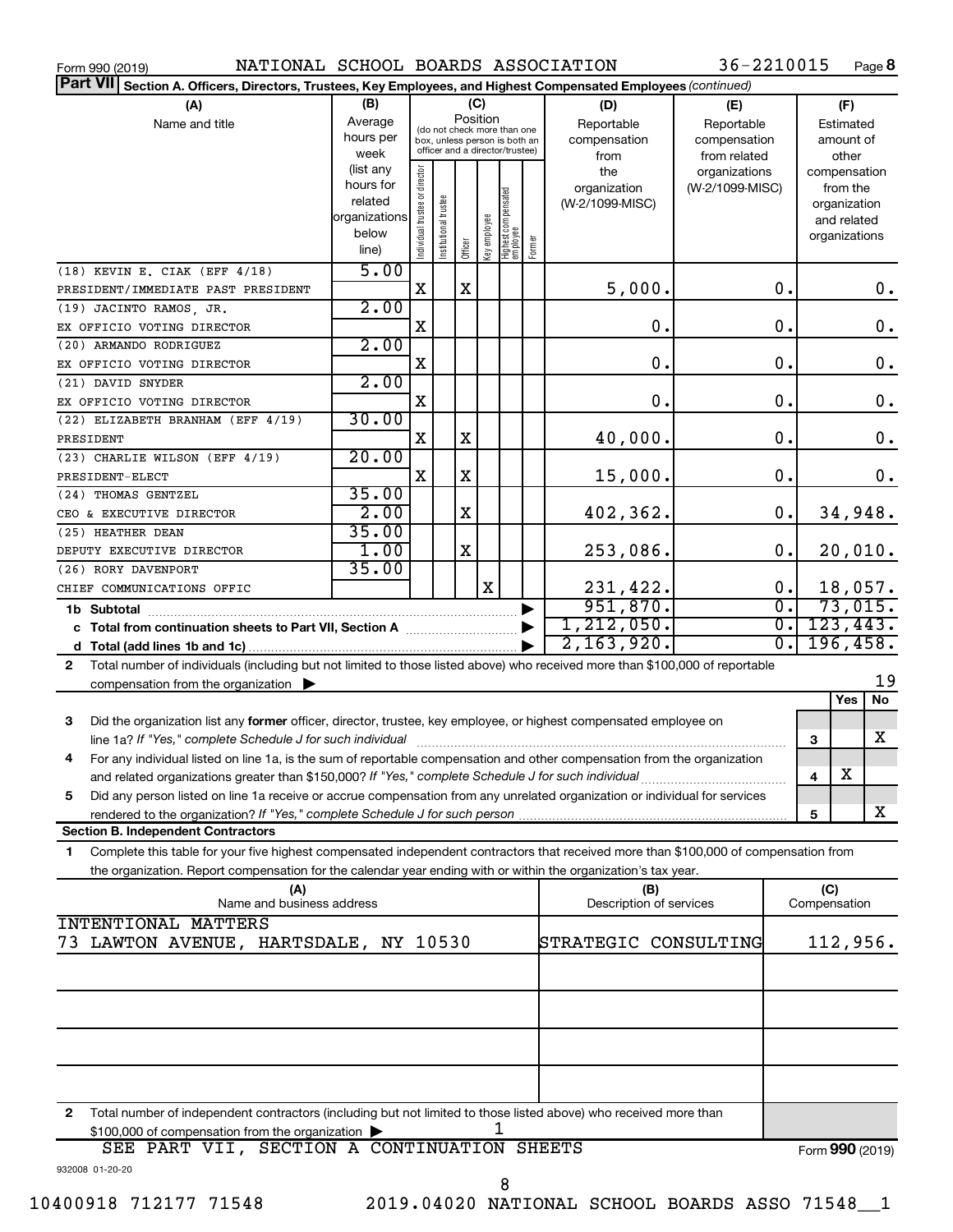| NATIONAL SCHOOL BOARDS ASSOCIATION<br>Form 990 (2019)                                                                                        |                        |                    |                       |          |              |                                                                  |                                 | 36-2210015      |                  |               |                             | Page 8    |
|----------------------------------------------------------------------------------------------------------------------------------------------|------------------------|--------------------|-----------------------|----------|--------------|------------------------------------------------------------------|---------------------------------|-----------------|------------------|---------------|-----------------------------|-----------|
| Part VII Section A. Officers, Directors, Trustees, Key Employees, and Highest Compensated Employees (continued)                              |                        |                    |                       |          |              |                                                                  |                                 |                 |                  |               |                             |           |
| (A)                                                                                                                                          | (B)                    |                    |                       |          | (C)          |                                                                  | (D)                             | (E)             |                  |               | (F)                         |           |
| Name and title                                                                                                                               | Average                |                    |                       | Position |              | (do not check more than one                                      | Reportable                      | Reportable      |                  |               | Estimated                   |           |
|                                                                                                                                              | hours per              |                    |                       |          |              | box, unless person is both an<br>officer and a director/trustee) | compensation                    | compensation    |                  |               | amount of                   |           |
|                                                                                                                                              | week                   |                    |                       |          |              |                                                                  | from                            | from related    |                  |               | other                       |           |
|                                                                                                                                              | (list any<br>hours for | or director        |                       |          |              |                                                                  | the                             | organizations   |                  | compensation  |                             |           |
|                                                                                                                                              | related                |                    |                       |          |              |                                                                  | organization<br>(W-2/1099-MISC) | (W-2/1099-MISC) |                  |               | from the                    |           |
|                                                                                                                                              | organizations          |                    |                       |          |              |                                                                  |                                 |                 |                  |               | organization<br>and related |           |
|                                                                                                                                              | below                  |                    |                       |          |              |                                                                  |                                 |                 |                  | organizations |                             |           |
|                                                                                                                                              | line)                  | Individual trustee | Institutional trustee | Officer  | Key employee | Highest compensated<br>employee<br>Former                        |                                 |                 |                  |               |                             |           |
| (18) KEVIN E. CIAK (EFF 4/18)                                                                                                                | 5.00                   |                    |                       |          |              |                                                                  |                                 |                 |                  |               |                             |           |
| PRESIDENT/IMMEDIATE PAST PRESIDENT                                                                                                           |                        | X                  |                       | X        |              |                                                                  | 5,000.                          |                 | 0.               |               |                             | 0.        |
| (19) JACINTO RAMOS, JR.                                                                                                                      | 2.00                   |                    |                       |          |              |                                                                  |                                 |                 |                  |               |                             |           |
| EX OFFICIO VOTING DIRECTOR                                                                                                                   |                        | X                  |                       |          |              |                                                                  | 0.                              |                 | 0.               |               |                             | 0.        |
| (20) ARMANDO RODRIGUEZ                                                                                                                       | 2.00                   |                    |                       |          |              |                                                                  |                                 |                 |                  |               |                             |           |
| EX OFFICIO VOTING DIRECTOR                                                                                                                   |                        | X                  |                       |          |              |                                                                  | $\mathbf 0$ .                   |                 | 0.               |               |                             | 0.        |
| (21) DAVID SNYDER                                                                                                                            | 2.00                   |                    |                       |          |              |                                                                  |                                 |                 |                  |               |                             |           |
| EX OFFICIO VOTING DIRECTOR                                                                                                                   |                        | X                  |                       |          |              |                                                                  | 0.                              |                 | 0.               |               |                             | 0.        |
| (22) ELIZABETH BRANHAM (EFF 4/19)                                                                                                            | 30.00                  |                    |                       |          |              |                                                                  |                                 |                 |                  |               |                             |           |
| PRESIDENT                                                                                                                                    |                        | X                  |                       | X        |              |                                                                  | 40,000.                         |                 | 0.               |               |                             | 0.        |
| (23) CHARLIE WILSON (EFF 4/19)                                                                                                               | 20.00                  |                    |                       |          |              |                                                                  |                                 |                 |                  |               |                             |           |
| PRESIDENT-ELECT                                                                                                                              |                        | X                  |                       | X        |              |                                                                  | 15,000.                         |                 | 0.               |               |                             | 0.        |
| (24) THOMAS GENTZEL                                                                                                                          | 35.00<br>2.00          |                    |                       | X        |              |                                                                  |                                 |                 | 0.               |               |                             |           |
| CEO & EXECUTIVE DIRECTOR                                                                                                                     | 35.00                  |                    |                       |          |              |                                                                  | 402,362.                        |                 |                  |               |                             | 34,948.   |
| (25) HEATHER DEAN                                                                                                                            | 1.00                   |                    |                       | X        |              |                                                                  | 253,086.                        |                 | 0.               |               |                             | 20,010.   |
| DEPUTY EXECUTIVE DIRECTOR<br>(26) RORY DAVENPORT                                                                                             | 35.00                  |                    |                       |          |              |                                                                  |                                 |                 |                  |               |                             |           |
| CHIEF COMMUNICATIONS OFFIC                                                                                                                   |                        |                    |                       |          | X            |                                                                  | 231,422.                        |                 | 0.               |               |                             | 18,057.   |
| 1b Subtotal                                                                                                                                  |                        |                    |                       |          |              |                                                                  | 951,870.                        |                 | $\overline{0}$ . |               |                             | 73,015.   |
|                                                                                                                                              |                        |                    |                       |          |              |                                                                  | 1, 212, 050.                    |                 | 0.               |               |                             | 123, 443. |
|                                                                                                                                              |                        |                    |                       |          |              |                                                                  | 2, 163, 920.                    |                 | $\overline{0}$ . |               |                             | 196,458.  |
| Total number of individuals (including but not limited to those listed above) who received more than \$100,000 of reportable<br>$\mathbf{2}$ |                        |                    |                       |          |              |                                                                  |                                 |                 |                  |               |                             |           |
| compensation from the organization                                                                                                           |                        |                    |                       |          |              |                                                                  |                                 |                 |                  |               |                             | 19        |
|                                                                                                                                              |                        |                    |                       |          |              |                                                                  |                                 |                 |                  |               | Yes                         | No        |
| 3<br>Did the organization list any former officer, director, trustee, key employee, or highest compensated employee on                       |                        |                    |                       |          |              |                                                                  |                                 |                 |                  |               |                             |           |
|                                                                                                                                              |                        |                    |                       |          |              |                                                                  |                                 |                 |                  | З             |                             | X         |
| For any individual listed on line 1a, is the sum of reportable compensation and other compensation from the organization                     |                        |                    |                       |          |              |                                                                  |                                 |                 |                  |               |                             |           |
| and related organizations greater than \$150,000? If "Yes," complete Schedule J for such individual                                          |                        |                    |                       |          |              |                                                                  |                                 |                 |                  | 4             | х                           |           |
| Did any person listed on line 1a receive or accrue compensation from any unrelated organization or individual for services<br>5              |                        |                    |                       |          |              |                                                                  |                                 |                 |                  |               |                             |           |
| rendered to the organization? If "Yes," complete Schedule J for such person.                                                                 |                        |                    |                       |          |              |                                                                  |                                 |                 |                  | 5             |                             | x         |
| <b>Section B. Independent Contractors</b>                                                                                                    |                        |                    |                       |          |              |                                                                  |                                 |                 |                  |               |                             |           |
| Complete this table for your five highest compensated independent contractors that received more than \$100,000 of compensation from<br>1    |                        |                    |                       |          |              |                                                                  |                                 |                 |                  |               |                             |           |
| the organization. Report compensation for the calendar year ending with or within the organization's tax year.                               |                        |                    |                       |          |              |                                                                  |                                 |                 |                  |               |                             |           |
| (A)<br>Name and business address                                                                                                             |                        |                    |                       |          |              |                                                                  | (B)                             |                 |                  | (C)           |                             |           |
| <b>INTENTIONAL MATTERS</b>                                                                                                                   |                        |                    |                       |          |              |                                                                  | Description of services         |                 |                  | Compensation  |                             |           |
| LAWTON AVENUE, HARTSDALE, NY 10530<br>73.                                                                                                    |                        |                    |                       |          |              |                                                                  | STRATEGIC CONSULTING            |                 |                  |               |                             | 112,956.  |
|                                                                                                                                              |                        |                    |                       |          |              |                                                                  |                                 |                 |                  |               |                             |           |
|                                                                                                                                              |                        |                    |                       |          |              |                                                                  |                                 |                 |                  |               |                             |           |
|                                                                                                                                              |                        |                    |                       |          |              |                                                                  |                                 |                 |                  |               |                             |           |
|                                                                                                                                              |                        |                    |                       |          |              |                                                                  |                                 |                 |                  |               |                             |           |
|                                                                                                                                              |                        |                    |                       |          |              |                                                                  |                                 |                 |                  |               |                             |           |
|                                                                                                                                              |                        |                    |                       |          |              |                                                                  |                                 |                 |                  |               |                             |           |
|                                                                                                                                              |                        |                    |                       |          |              |                                                                  |                                 |                 |                  |               |                             |           |

**2** Total number of independent contractors (including but not limited to those listed above) who received more than \$100,000 of compensation from the organization 1

932008 01-20-20 Form (2019) **990** SEE PART VII, SECTION A CONTINUATION SHEETS 8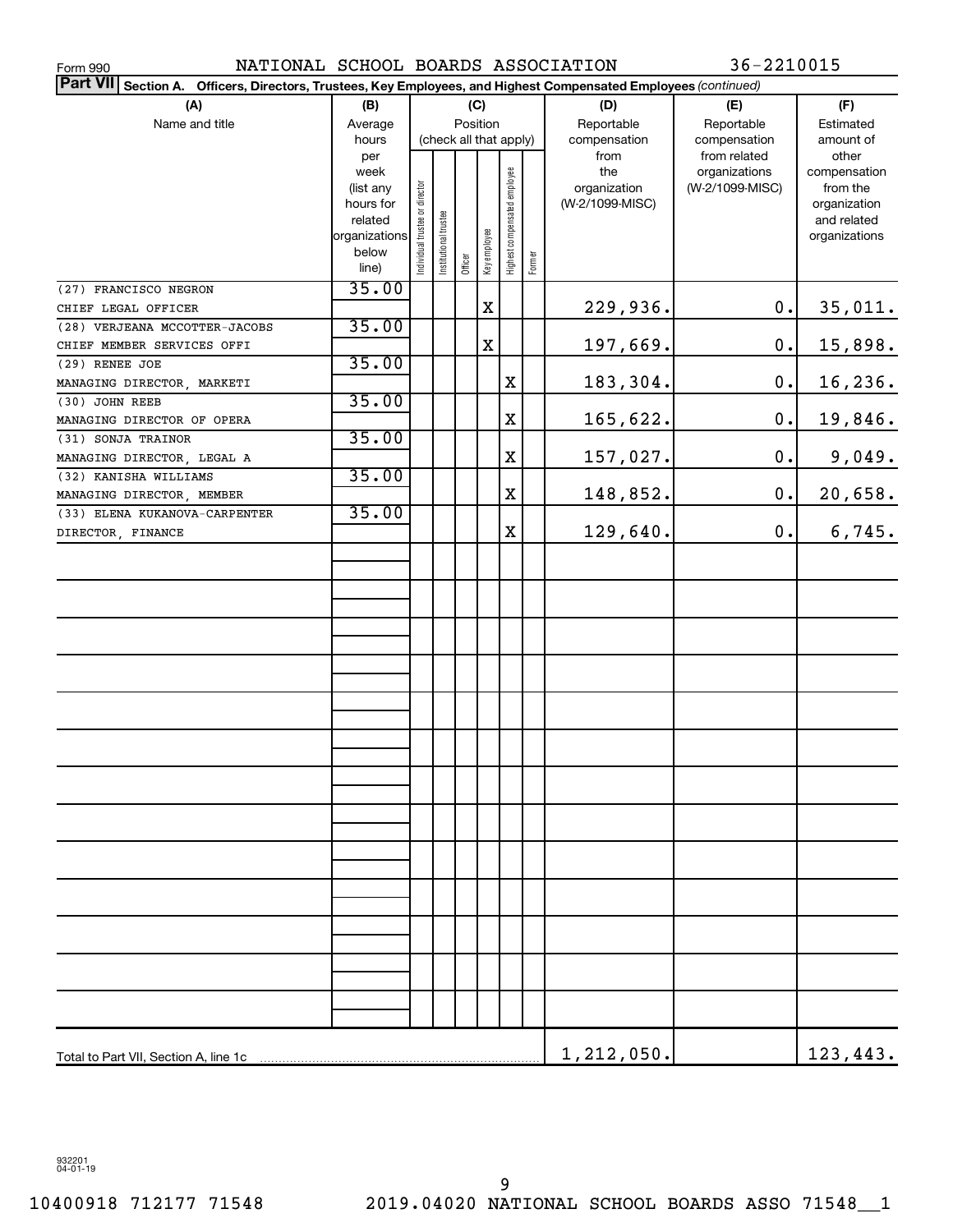| NATIONAL SCHOOL BOARDS ASSOCIATION<br>Form 990                                                                     |                      |                               |                       |                        |              |                              |        |                 | 36-2210015      |                             |
|--------------------------------------------------------------------------------------------------------------------|----------------------|-------------------------------|-----------------------|------------------------|--------------|------------------------------|--------|-----------------|-----------------|-----------------------------|
| Part VII Section A.<br>Officers, Directors, Trustees, Key Employees, and Highest Compensated Employees (continued) |                      |                               |                       |                        |              |                              |        |                 |                 |                             |
| (A)                                                                                                                | (B)                  |                               |                       | (C)                    |              |                              |        | (D)             | (E)             | (F)                         |
| Name and title                                                                                                     | Average              |                               |                       | Position               |              |                              |        | Reportable      | Reportable      | Estimated                   |
|                                                                                                                    | hours                |                               |                       | (check all that apply) |              |                              |        | compensation    | compensation    | amount of                   |
|                                                                                                                    | per                  |                               |                       |                        |              |                              |        | from            | from related    | other                       |
|                                                                                                                    | week                 |                               |                       |                        |              |                              |        | the             | organizations   | compensation                |
|                                                                                                                    | (list any            |                               |                       |                        |              |                              |        | organization    | (W-2/1099-MISC) | from the                    |
|                                                                                                                    | hours for<br>related |                               |                       |                        |              |                              |        | (W-2/1099-MISC) |                 | organization<br>and related |
|                                                                                                                    | organizations        | ndividual trustee or director | Institutional trustee |                        |              | Highest compensated employee |        |                 |                 | organizations               |
|                                                                                                                    | below                |                               |                       |                        | Key employee |                              |        |                 |                 |                             |
|                                                                                                                    | line)                |                               |                       | Officer                |              |                              | Former |                 |                 |                             |
| (27) FRANCISCO NEGRON                                                                                              | 35.00                |                               |                       |                        |              |                              |        |                 |                 |                             |
| CHIEF LEGAL OFFICER                                                                                                |                      |                               |                       |                        | $\mathbf X$  |                              |        | 229,936.        | $\mathbf 0$ .   | 35,011.                     |
| (28) VERJEANA MCCOTTER-JACOBS                                                                                      | 35.00                |                               |                       |                        |              |                              |        |                 |                 |                             |
| CHIEF MEMBER SERVICES OFFI                                                                                         |                      |                               |                       |                        | X            |                              |        | 197,669.        | $\mathbf 0$ .   | 15,898.                     |
| (29) RENEE JOE                                                                                                     | 35.00                |                               |                       |                        |              |                              |        |                 |                 |                             |
| MANAGING DIRECTOR, MARKETI                                                                                         |                      |                               |                       |                        |              | X                            |        | 183,304.        | $\mathbf 0$ .   | 16,236.                     |
| (30) JOHN REEB                                                                                                     | 35.00                |                               |                       |                        |              |                              |        |                 |                 |                             |
| MANAGING DIRECTOR OF OPERA                                                                                         |                      |                               |                       |                        |              | X                            |        | 165,622.        | $\mathbf 0$ .   | 19,846.                     |
| (31) SONJA TRAINOR                                                                                                 | 35.00                |                               |                       |                        |              |                              |        |                 |                 |                             |
| MANAGING DIRECTOR, LEGAL A                                                                                         |                      |                               |                       |                        |              | X                            |        | 157,027.        | 0.              | 9,049.                      |
| (32) KANISHA WILLIAMS                                                                                              | 35.00                |                               |                       |                        |              |                              |        |                 |                 |                             |
|                                                                                                                    |                      |                               |                       |                        |              | X                            |        | 148,852.        | $\mathbf 0$ .   | 20,658.                     |
| MANAGING DIRECTOR, MEMBER<br>(33) ELENA KUKANOVA-CARPENTER                                                         | 35.00                |                               |                       |                        |              |                              |        |                 |                 |                             |
|                                                                                                                    |                      |                               |                       |                        |              | X                            |        | 129,640.        | $\mathbf 0$ .   | 6,745.                      |
| DIRECTOR, FINANCE                                                                                                  |                      |                               |                       |                        |              |                              |        |                 |                 |                             |
|                                                                                                                    |                      |                               |                       |                        |              |                              |        |                 |                 |                             |
|                                                                                                                    |                      |                               |                       |                        |              |                              |        |                 |                 |                             |
|                                                                                                                    |                      |                               |                       |                        |              |                              |        |                 |                 |                             |
|                                                                                                                    |                      |                               |                       |                        |              |                              |        |                 |                 |                             |
|                                                                                                                    |                      |                               |                       |                        |              |                              |        |                 |                 |                             |
|                                                                                                                    |                      |                               |                       |                        |              |                              |        |                 |                 |                             |
|                                                                                                                    |                      |                               |                       |                        |              |                              |        |                 |                 |                             |
|                                                                                                                    |                      |                               |                       |                        |              |                              |        |                 |                 |                             |
|                                                                                                                    |                      |                               |                       |                        |              |                              |        |                 |                 |                             |
|                                                                                                                    |                      |                               |                       |                        |              |                              |        |                 |                 |                             |
|                                                                                                                    |                      |                               |                       |                        |              |                              |        |                 |                 |                             |
|                                                                                                                    |                      |                               |                       |                        |              |                              |        |                 |                 |                             |
|                                                                                                                    |                      |                               |                       |                        |              |                              |        |                 |                 |                             |
|                                                                                                                    |                      |                               |                       |                        |              |                              |        |                 |                 |                             |
|                                                                                                                    |                      |                               |                       |                        |              |                              |        |                 |                 |                             |
|                                                                                                                    |                      |                               |                       |                        |              |                              |        |                 |                 |                             |
|                                                                                                                    |                      |                               |                       |                        |              |                              |        |                 |                 |                             |
|                                                                                                                    |                      |                               |                       |                        |              |                              |        |                 |                 |                             |
|                                                                                                                    |                      |                               |                       |                        |              |                              |        |                 |                 |                             |
|                                                                                                                    |                      |                               |                       |                        |              |                              |        |                 |                 |                             |
|                                                                                                                    |                      |                               |                       |                        |              |                              |        |                 |                 |                             |
|                                                                                                                    |                      |                               |                       |                        |              |                              |        |                 |                 |                             |
|                                                                                                                    |                      |                               |                       |                        |              |                              |        |                 |                 |                             |
|                                                                                                                    |                      |                               |                       |                        |              |                              |        |                 |                 |                             |
|                                                                                                                    |                      |                               |                       |                        |              |                              |        |                 |                 |                             |
|                                                                                                                    |                      |                               |                       |                        |              |                              |        |                 |                 |                             |
|                                                                                                                    |                      |                               |                       |                        |              |                              |        |                 |                 |                             |
|                                                                                                                    |                      |                               |                       |                        |              |                              |        | 1,212,050.      |                 | 123,443.                    |

932201 04-01-19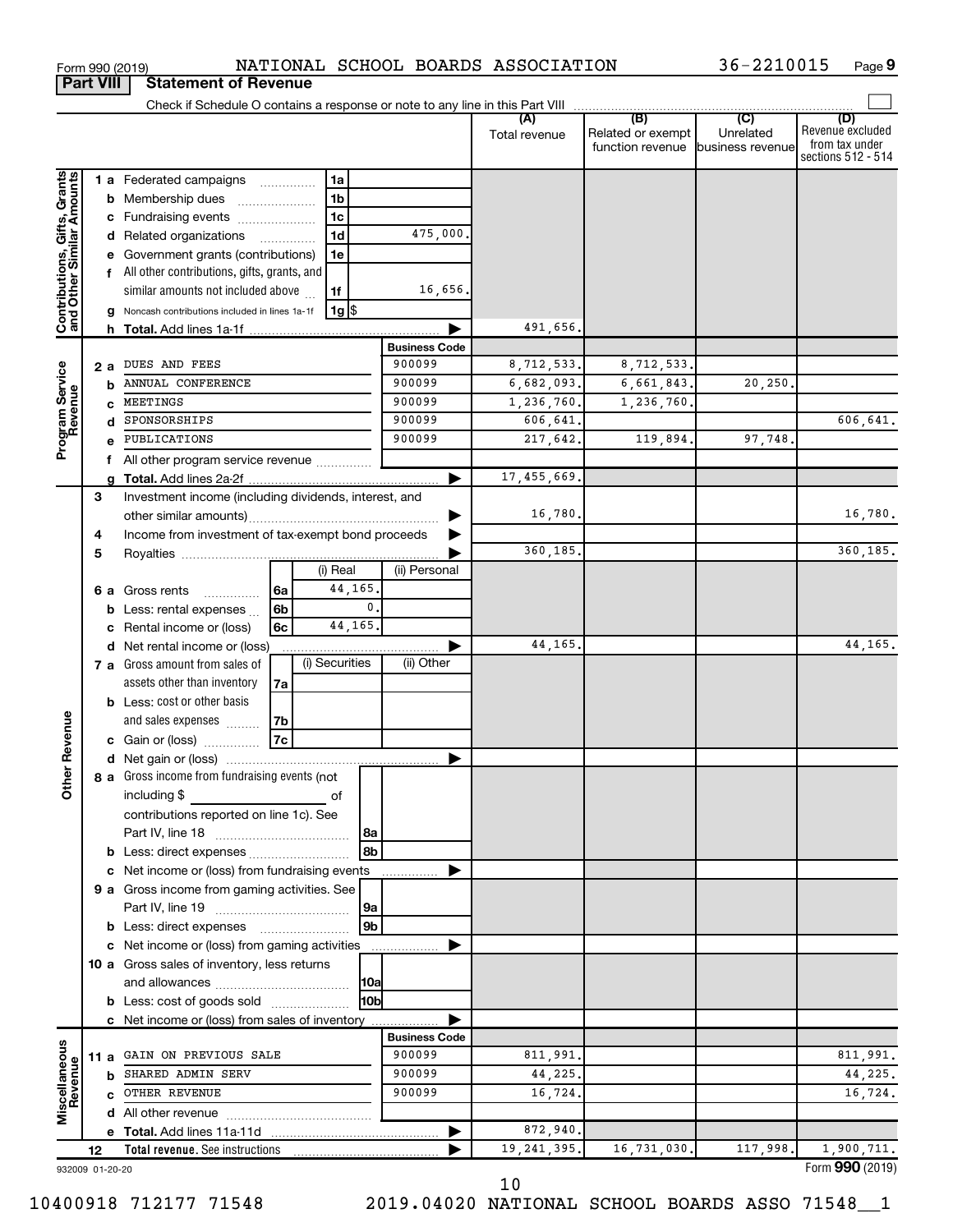|                                                           |                 |    | Form 990 (2019)                                                  |      |                |                |                      | NATIONAL SCHOOL BOARDS ASSOCIATION |                                       | 36-2210015                    | Page 9                                                   |
|-----------------------------------------------------------|-----------------|----|------------------------------------------------------------------|------|----------------|----------------|----------------------|------------------------------------|---------------------------------------|-------------------------------|----------------------------------------------------------|
| <b>Part VIII</b>                                          |                 |    | <b>Statement of Revenue</b>                                      |      |                |                |                      |                                    |                                       |                               |                                                          |
|                                                           |                 |    |                                                                  |      |                |                |                      |                                    |                                       |                               | (D)                                                      |
|                                                           |                 |    |                                                                  |      |                |                |                      | Total revenue                      | Related or exempt<br>function revenue | Unrelated<br>business revenue | Revenue excluded<br>from tax under<br>sections 512 - 514 |
|                                                           |                 |    | <b>1 a</b> Federated campaigns                                   |      | 1a             |                |                      |                                    |                                       |                               |                                                          |
|                                                           |                 |    | <b>b</b> Membership dues<br>$\ldots \ldots \ldots \ldots \ldots$ |      | 1 <sub>b</sub> |                |                      |                                    |                                       |                               |                                                          |
| Contributions, Gifts, Grants<br>and Other Similar Amounts |                 |    | c Fundraising events                                             |      | 1 <sub>c</sub> |                |                      |                                    |                                       |                               |                                                          |
|                                                           |                 |    | d Related organizations                                          |      | 1 <sub>d</sub> |                | 475,000              |                                    |                                       |                               |                                                          |
|                                                           |                 |    | e Government grants (contributions)                              |      | 1e             |                |                      |                                    |                                       |                               |                                                          |
|                                                           |                 |    | f All other contributions, gifts, grants, and                    |      |                |                |                      |                                    |                                       |                               |                                                          |
|                                                           |                 |    | similar amounts not included above                               |      | 1f             |                | 16,656               |                                    |                                       |                               |                                                          |
|                                                           |                 |    | g Noncash contributions included in lines 1a-1f                  |      | ∣ 1g  \$       |                |                      |                                    |                                       |                               |                                                          |
|                                                           |                 |    |                                                                  |      |                |                | <b>Business Code</b> | 491,656.                           |                                       |                               |                                                          |
|                                                           |                 | 2а | DUES AND FEES                                                    |      |                |                | 900099               | 8,712,533.                         | 8,712,533.                            |                               |                                                          |
|                                                           |                 |    | <b>b</b> ANNUAL CONFERENCE                                       |      |                |                | 900099               | 6,682,093.                         | 6,661,843.                            | 20, 250.                      |                                                          |
| Program Service                                           |                 |    | c MEETINGS                                                       |      |                |                | 900099               | 1,236,760.                         | 1,236,760.                            |                               |                                                          |
|                                                           |                 | d  | SPONSORSHIPS                                                     |      |                |                | 900099               | 606,641.                           |                                       |                               | 606,641.                                                 |
|                                                           |                 |    | e PUBLICATIONS                                                   |      |                |                | 900099               | 217,642.                           | 119,894.                              | 97,748.                       |                                                          |
|                                                           |                 |    | f All other program service revenue                              |      |                |                |                      |                                    |                                       |                               |                                                          |
|                                                           |                 | a  |                                                                  |      |                |                |                      | 17,455,669                         |                                       |                               |                                                          |
|                                                           | 3               |    | Investment income (including dividends, interest, and            |      |                |                |                      |                                    |                                       |                               |                                                          |
|                                                           |                 |    |                                                                  |      |                |                |                      | 16,780.                            |                                       |                               | 16,780.                                                  |
|                                                           | 4               |    | Income from investment of tax-exempt bond proceeds               |      |                |                |                      |                                    |                                       |                               |                                                          |
|                                                           | 5               |    |                                                                  |      |                |                |                      | 360,185.                           |                                       |                               | 360,185.                                                 |
|                                                           |                 |    |                                                                  |      | (i) Real       |                | (ii) Personal        |                                    |                                       |                               |                                                          |
|                                                           |                 |    | 6 a Gross rents<br>.                                             | ∣6a  |                | 44,165         |                      |                                    |                                       |                               |                                                          |
|                                                           |                 |    | <b>b</b> Less: rental expenses $\ldots$                          | 6b   |                | 0              |                      |                                    |                                       |                               |                                                          |
|                                                           |                 |    | c Rental income or (loss)                                        | 6с   |                | 44,165         |                      |                                    |                                       |                               |                                                          |
|                                                           |                 |    | d Net rental income or (loss)                                    |      |                |                |                      | 44,165,                            |                                       |                               | 44,165.                                                  |
|                                                           |                 |    | 7 a Gross amount from sales of                                   |      | (i) Securities |                | (ii) Other           |                                    |                                       |                               |                                                          |
|                                                           |                 |    | assets other than inventory                                      | 7a   |                |                |                      |                                    |                                       |                               |                                                          |
|                                                           |                 |    | <b>b</b> Less: cost or other basis                               |      |                |                |                      |                                    |                                       |                               |                                                          |
|                                                           |                 |    | and sales expenses                                               | l 7b |                |                |                      |                                    |                                       |                               |                                                          |
| evenue                                                    |                 |    | c Gain or (loss)                                                 | 7c   |                |                |                      |                                    |                                       |                               |                                                          |
| Other F                                                   |                 |    | 8 a Gross income from fundraising events (not                    |      |                |                |                      |                                    |                                       |                               |                                                          |
|                                                           |                 |    | including $$$                                                    |      | of             |                |                      |                                    |                                       |                               |                                                          |
|                                                           |                 |    | contributions reported on line 1c). See                          |      |                |                |                      |                                    |                                       |                               |                                                          |
|                                                           |                 |    |                                                                  |      |                | 8a             |                      |                                    |                                       |                               |                                                          |
|                                                           |                 |    |                                                                  |      |                |                |                      |                                    |                                       |                               |                                                          |
|                                                           |                 |    | c Net income or (loss) from fundraising events                   |      |                |                |                      |                                    |                                       |                               |                                                          |
|                                                           |                 |    | 9 a Gross income from gaming activities. See                     |      |                |                |                      |                                    |                                       |                               |                                                          |
|                                                           |                 |    |                                                                  |      |                | 9a             |                      |                                    |                                       |                               |                                                          |
|                                                           |                 |    | <b>b</b> Less: direct expenses <b>manually</b>                   |      |                | 9 <sub>b</sub> |                      |                                    |                                       |                               |                                                          |
|                                                           |                 |    | c Net income or (loss) from gaming activities                    |      |                |                |                      |                                    |                                       |                               |                                                          |
|                                                           |                 |    | 10 a Gross sales of inventory, less returns                      |      |                |                |                      |                                    |                                       |                               |                                                          |
|                                                           |                 |    |                                                                  |      |                |                |                      |                                    |                                       |                               |                                                          |
|                                                           |                 |    | <b>b</b> Less: cost of goods sold                                |      |                | l10bl          |                      |                                    |                                       |                               |                                                          |
|                                                           |                 |    | c Net income or (loss) from sales of inventory                   |      |                |                |                      |                                    |                                       |                               |                                                          |
|                                                           |                 |    |                                                                  |      |                |                | <b>Business Code</b> |                                    |                                       |                               |                                                          |
| Miscellaneous<br>Revenue                                  |                 |    | 11 a GAIN ON PREVIOUS SALE                                       |      |                |                | 900099               | 811,991.                           |                                       |                               | 811,991.                                                 |
|                                                           |                 |    | <b>b</b> SHARED ADMIN SERV                                       |      |                |                | 900099               | 44,225.                            |                                       |                               | 44,225.                                                  |
|                                                           |                 |    | C OTHER REVENUE                                                  |      |                |                | 900099               | 16,724.                            |                                       |                               | 16,724.                                                  |
|                                                           |                 |    |                                                                  |      |                |                |                      |                                    |                                       |                               |                                                          |
|                                                           |                 |    |                                                                  |      |                |                |                      | 872,940.                           |                                       |                               |                                                          |
|                                                           | 12              |    | <b>Total revenue.</b> See instructions                           |      |                |                |                      | 19, 241, 395.                      | 16,731,030.                           | 117,998.                      | 1,900,711.                                               |
|                                                           | 932009 01-20-20 |    |                                                                  |      |                |                |                      |                                    |                                       |                               | Form 990 (2019)                                          |

**9**

10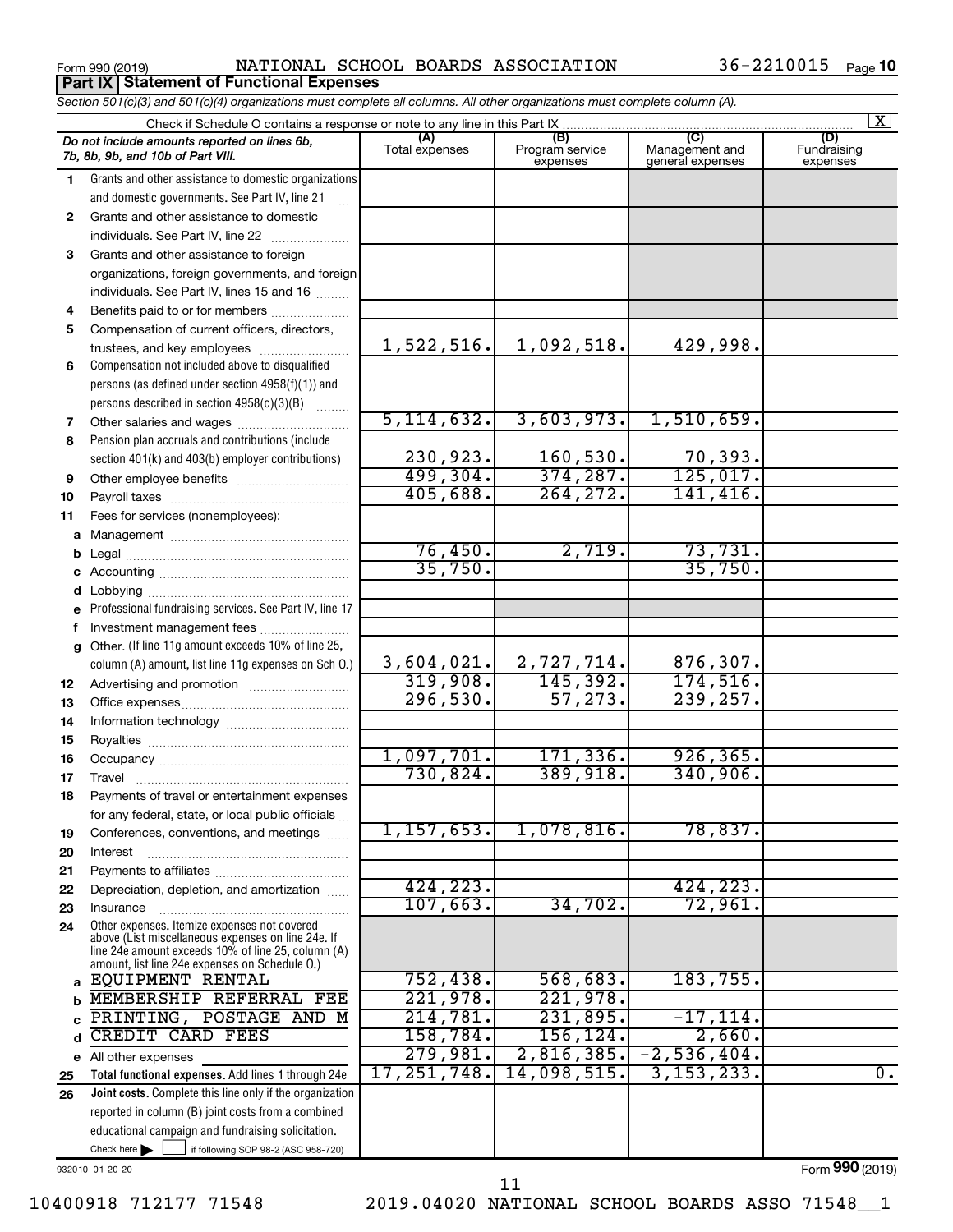**Part IX Statement of Functional Expenses**

Form 990 (2019) Page NATIONAL SCHOOL BOARDS ASSOCIATION 36-2210015

|          | Section 501(c)(3) and 501(c)(4) organizations must complete all columns. All other organizations must complete column (A).                                                                                 |                             |                                    |                                                      |                                |
|----------|------------------------------------------------------------------------------------------------------------------------------------------------------------------------------------------------------------|-----------------------------|------------------------------------|------------------------------------------------------|--------------------------------|
|          | Check if Schedule O contains a response or note to any line in this Part IX                                                                                                                                |                             |                                    |                                                      | X                              |
|          | Do not include amounts reported on lines 6b,<br>7b, 8b, 9b, and 10b of Part VIII.                                                                                                                          | (A)<br>Total expenses       | (B)<br>Program service<br>expenses | $\overline{C}$<br>Management and<br>general expenses | (D)<br>Fundraising<br>expenses |
| 1        | Grants and other assistance to domestic organizations                                                                                                                                                      |                             |                                    |                                                      |                                |
|          | and domestic governments. See Part IV, line 21                                                                                                                                                             |                             |                                    |                                                      |                                |
| 2        | Grants and other assistance to domestic                                                                                                                                                                    |                             |                                    |                                                      |                                |
|          | individuals. See Part IV, line 22                                                                                                                                                                          |                             |                                    |                                                      |                                |
| 3        | Grants and other assistance to foreign                                                                                                                                                                     |                             |                                    |                                                      |                                |
|          | organizations, foreign governments, and foreign                                                                                                                                                            |                             |                                    |                                                      |                                |
|          | individuals. See Part IV, lines 15 and 16                                                                                                                                                                  |                             |                                    |                                                      |                                |
| 4        | Benefits paid to or for members                                                                                                                                                                            |                             |                                    |                                                      |                                |
| 5        | Compensation of current officers, directors,                                                                                                                                                               |                             |                                    |                                                      |                                |
|          | trustees, and key employees                                                                                                                                                                                | 1,522,516.                  | 1,092,518.                         | 429,998.                                             |                                |
| 6        | Compensation not included above to disqualified                                                                                                                                                            |                             |                                    |                                                      |                                |
|          | persons (as defined under section 4958(f)(1)) and                                                                                                                                                          |                             |                                    |                                                      |                                |
|          | persons described in section 4958(c)(3)(B)                                                                                                                                                                 |                             |                                    |                                                      |                                |
| 7        | Other salaries and wages                                                                                                                                                                                   | 5, 114, 632.                | 3,603,973.                         | 1,510,659.                                           |                                |
| 8        | Pension plan accruals and contributions (include                                                                                                                                                           |                             |                                    |                                                      |                                |
|          | section 401(k) and 403(b) employer contributions)                                                                                                                                                          | $\frac{230,923.}{499,304.}$ | $\frac{160,530}{374,287}$          | 70,393.                                              |                                |
| 9        |                                                                                                                                                                                                            |                             |                                    | 125,017.                                             |                                |
| 10       |                                                                                                                                                                                                            | 405,688.                    | 264, 272.                          | 141, 416.                                            |                                |
| 11       | Fees for services (nonemployees):                                                                                                                                                                          |                             |                                    |                                                      |                                |
| а        |                                                                                                                                                                                                            |                             |                                    |                                                      |                                |
|          |                                                                                                                                                                                                            | 76,450.<br>35,750.          | 2,719.                             | 73,731.<br>35,750.                                   |                                |
|          |                                                                                                                                                                                                            |                             |                                    |                                                      |                                |
|          |                                                                                                                                                                                                            |                             |                                    |                                                      |                                |
| е        | Professional fundraising services. See Part IV, line 17                                                                                                                                                    |                             |                                    |                                                      |                                |
|          | Investment management fees                                                                                                                                                                                 |                             |                                    |                                                      |                                |
| g        | Other. (If line 11g amount exceeds 10% of line 25,                                                                                                                                                         | 3,604,021.]                 |                                    |                                                      |                                |
|          | column (A) amount, list line 11g expenses on Sch O.)                                                                                                                                                       | 319,908.                    | $\frac{2,727,714.}{145,392.}$      | $\frac{876,307}{174,516}$                            |                                |
| 12<br>13 |                                                                                                                                                                                                            | 296,530.                    | 57, 273.                           | 239, 257.                                            |                                |
| 14       |                                                                                                                                                                                                            |                             |                                    |                                                      |                                |
| 15       |                                                                                                                                                                                                            |                             |                                    |                                                      |                                |
| 16       |                                                                                                                                                                                                            | 1,097,701.                  | 171, 336.                          | 926, 365.                                            |                                |
| 17       |                                                                                                                                                                                                            | 730,824.                    | 389,918.                           | 340,906.                                             |                                |
| 18       | Payments of travel or entertainment expenses                                                                                                                                                               |                             |                                    |                                                      |                                |
|          | for any federal, state, or local public officials                                                                                                                                                          |                             |                                    |                                                      |                                |
| 19       | Conferences, conventions, and meetings                                                                                                                                                                     | 1, 157, 653.                | 1,078,816.                         | 78,837.                                              |                                |
| 20       | Interest                                                                                                                                                                                                   |                             |                                    |                                                      |                                |
| 21       |                                                                                                                                                                                                            |                             |                                    |                                                      |                                |
| 22       | Depreciation, depletion, and amortization                                                                                                                                                                  | 424,223.                    |                                    | 424,223.                                             |                                |
| 23       | Insurance                                                                                                                                                                                                  | 107,663.                    | 34,702.                            | 72,961.                                              |                                |
| 24       | Other expenses. Itemize expenses not covered<br>above (List miscellaneous expenses on line 24e. If<br>line 24e amount exceeds 10% of line 25, column (A)<br>amount, list line 24e expenses on Schedule O.) |                             |                                    |                                                      |                                |
| a        | EQUIPMENT RENTAL                                                                                                                                                                                           | 752,438.                    | 568,683.                           | 183,755.                                             |                                |
|          | MEMBERSHIP REFERRAL FEE                                                                                                                                                                                    | 221,978.                    | 221,978.                           |                                                      |                                |
|          | PRINTING, POSTAGE AND M                                                                                                                                                                                    | 214,781.                    | 231,895.                           | $-17, 114.$                                          |                                |
| d        | <b>CREDIT CARD FEES</b>                                                                                                                                                                                    | 158,784.                    | 156, 124.                          | 2,660.                                               |                                |
|          | e All other expenses                                                                                                                                                                                       | 279,981.                    | 2,816,385.                         | $-2,536,404.$                                        |                                |
| 25       | Total functional expenses. Add lines 1 through 24e                                                                                                                                                         | 17, 251, 748.               | 14,098,515.                        | 3, 153, 233.                                         | $\overline{0}$ .               |
| 26       | Joint costs. Complete this line only if the organization                                                                                                                                                   |                             |                                    |                                                      |                                |
|          | reported in column (B) joint costs from a combined                                                                                                                                                         |                             |                                    |                                                      |                                |
|          | educational campaign and fundraising solicitation.                                                                                                                                                         |                             |                                    |                                                      |                                |
|          | Check here $\blacktriangleright$<br>if following SOP 98-2 (ASC 958-720)                                                                                                                                    |                             |                                    |                                                      |                                |

932010 01-20-20

Form (2019) **990**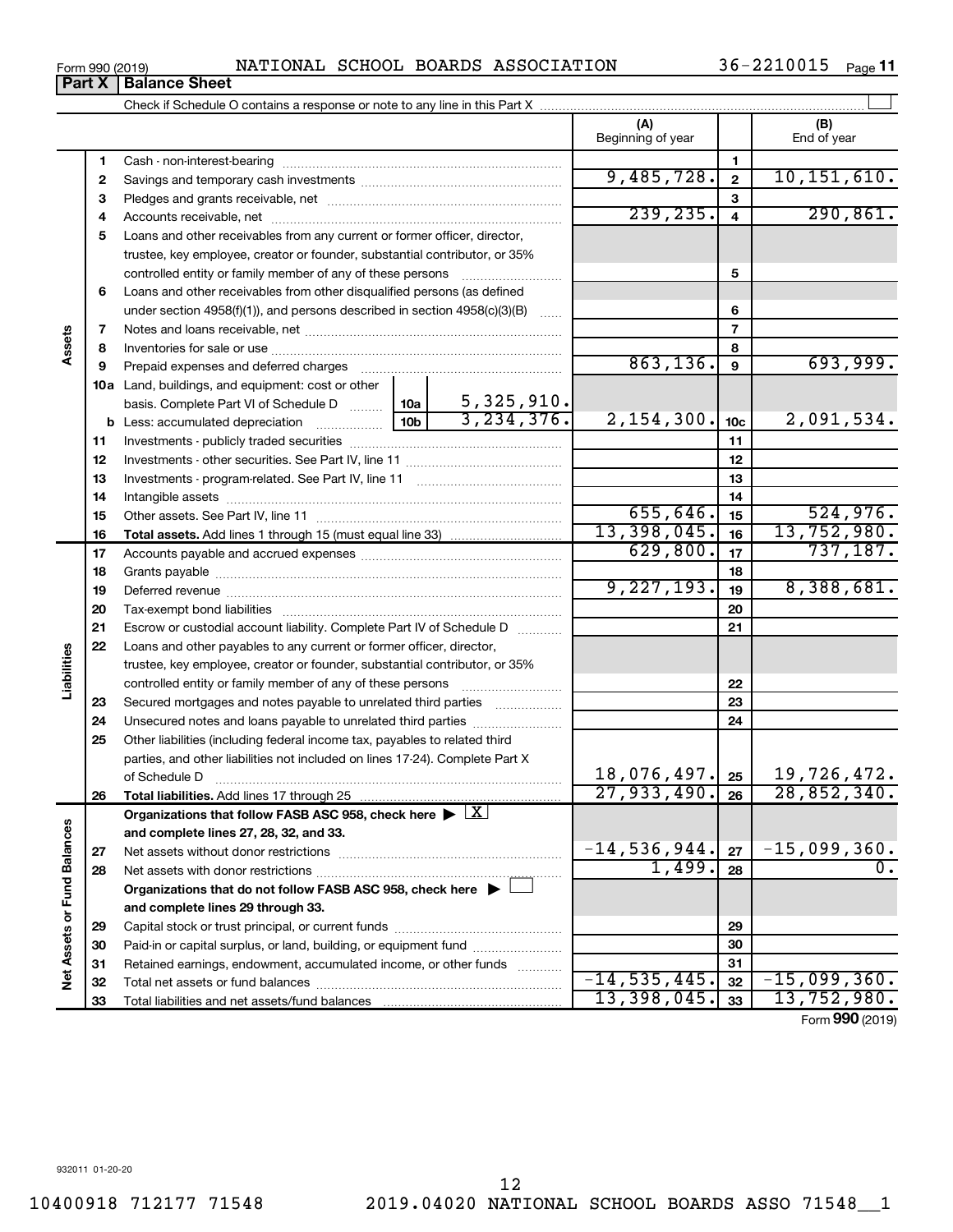Form 990 (2019) Page NATIONAL SCHOOL BOARDS ASSOCIATION 36-2210015

36-2210015 Page 11

|                             |    |                                                                                                        |                               | (A)               |                         | (B)             |
|-----------------------------|----|--------------------------------------------------------------------------------------------------------|-------------------------------|-------------------|-------------------------|-----------------|
|                             |    |                                                                                                        |                               | Beginning of year |                         | End of year     |
|                             | 1  |                                                                                                        |                               |                   | $\mathbf{1}$            |                 |
|                             | 2  |                                                                                                        |                               | 9,485,728.        | $\mathbf{2}$            | 10, 151, 610.   |
|                             | 3  |                                                                                                        |                               |                   | 3                       |                 |
|                             | 4  |                                                                                                        |                               | 239, 235.         | $\overline{\mathbf{4}}$ | 290, 861.       |
|                             | 5  | Loans and other receivables from any current or former officer, director,                              |                               |                   |                         |                 |
|                             |    | trustee, key employee, creator or founder, substantial contributor, or 35%                             |                               |                   |                         |                 |
|                             |    | controlled entity or family member of any of these persons                                             |                               |                   | 5                       |                 |
|                             | 6  | Loans and other receivables from other disqualified persons (as defined                                |                               |                   |                         |                 |
|                             |    | under section $4958(f)(1)$ , and persons described in section $4958(c)(3)(B)$                          |                               |                   | 6                       |                 |
|                             | 7  |                                                                                                        |                               |                   | $\overline{7}$          |                 |
| Assets                      | 8  |                                                                                                        |                               |                   | 8                       |                 |
|                             | 9  |                                                                                                        |                               | 863,136.          | 9                       | 693,999.        |
|                             |    | <b>10a</b> Land, buildings, and equipment: cost or other                                               |                               |                   |                         |                 |
|                             |    | basis. Complete Part VI of Schedule D  10a                                                             |                               |                   |                         |                 |
|                             |    |                                                                                                        | $\frac{5,325,910}{3,234,376}$ | 2, 154, 300.      | 10 <sub>c</sub>         | 2,091,534.      |
|                             | 11 |                                                                                                        |                               |                   | 11                      |                 |
|                             | 12 |                                                                                                        |                               |                   | 12                      |                 |
|                             | 13 |                                                                                                        |                               |                   | 13                      |                 |
|                             | 14 |                                                                                                        |                               |                   | 14                      |                 |
|                             | 15 |                                                                                                        |                               | 655,646.          | 15                      | 524,976.        |
|                             | 16 |                                                                                                        |                               | 13,398,045.       | 16                      | 13,752,980.     |
|                             | 17 |                                                                                                        |                               | 629,800.          | 17                      | 737,187.        |
|                             | 18 |                                                                                                        |                               |                   | 18                      |                 |
|                             | 19 |                                                                                                        |                               | 9,227,193.        | 19                      | 8,388,681.      |
|                             | 20 |                                                                                                        |                               |                   | 20                      |                 |
|                             | 21 | Escrow or custodial account liability. Complete Part IV of Schedule D                                  |                               |                   | 21                      |                 |
|                             | 22 | Loans and other payables to any current or former officer, director,                                   |                               |                   |                         |                 |
| Liabilities                 |    | trustee, key employee, creator or founder, substantial contributor, or 35%                             |                               |                   |                         |                 |
|                             |    | controlled entity or family member of any of these persons                                             |                               |                   | 22                      |                 |
|                             | 23 | Secured mortgages and notes payable to unrelated third parties                                         |                               |                   | 23                      |                 |
|                             | 24 | Unsecured notes and loans payable to unrelated third parties                                           |                               |                   | 24                      |                 |
|                             | 25 | Other liabilities (including federal income tax, payables to related third                             |                               |                   |                         |                 |
|                             |    | parties, and other liabilities not included on lines 17-24). Complete Part X                           |                               |                   |                         |                 |
|                             |    | of Schedule D                                                                                          |                               | 18,076,497.       | 25                      | 19,726,472.     |
|                             | 26 | Total liabilities. Add lines 17 through 25                                                             |                               | 27,933,490.       | 26                      | 28,852,340.     |
|                             |    | Organizations that follow FASB ASC 958, check here $\blacktriangleright \lfloor \underline{X} \rfloor$ |                               |                   |                         |                 |
|                             |    | and complete lines 27, 28, 32, and 33.                                                                 |                               |                   |                         |                 |
|                             | 27 |                                                                                                        |                               | $-14,536,944.$    | 27                      | $-15,099,360$ . |
|                             | 28 |                                                                                                        |                               | 1,499.            | 28                      |                 |
|                             |    | Organizations that do not follow FASB ASC 958, check here $\blacktriangleright$                        |                               |                   |                         |                 |
|                             |    | and complete lines 29 through 33.                                                                      |                               |                   |                         |                 |
|                             | 29 |                                                                                                        |                               |                   | 29                      |                 |
|                             | 30 | Paid-in or capital surplus, or land, building, or equipment fund                                       |                               |                   | 30                      |                 |
| Net Assets or Fund Balances | 31 | Retained earnings, endowment, accumulated income, or other funds                                       |                               |                   | 31                      |                 |
|                             | 32 |                                                                                                        |                               | $-14,535,445.$    | 32                      | $-15,099,360.$  |
|                             | 33 |                                                                                                        |                               | 13,398,045.       | 33                      | 13,752,980.     |
|                             |    |                                                                                                        |                               |                   |                         | Form 990 (2019) |

**Part X Balance Sheet**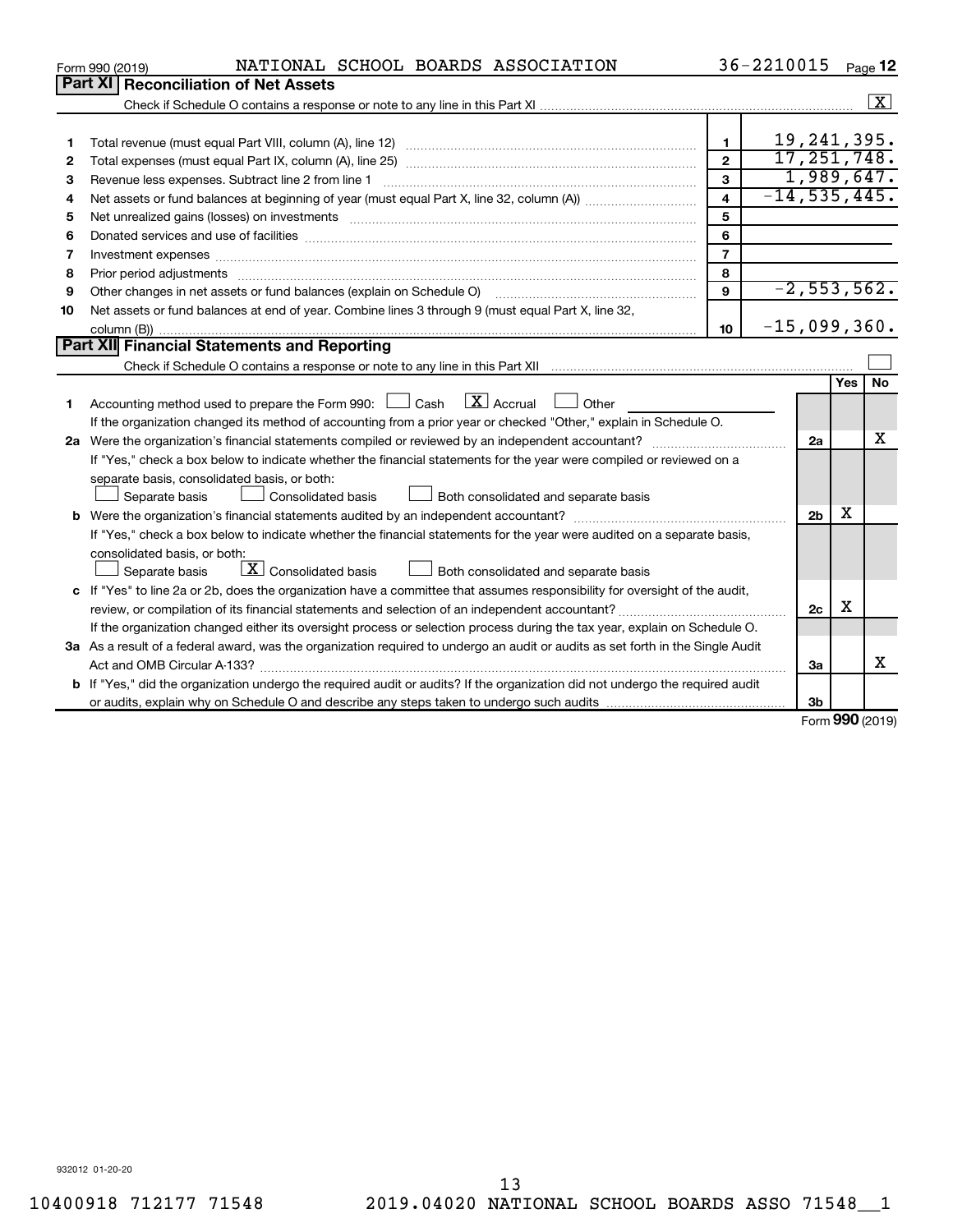|    | NATIONAL SCHOOL BOARDS ASSOCIATION<br>Form 990 (2019)                                                                                |                         | 36-2210015       |                |                   | Page 12              |
|----|--------------------------------------------------------------------------------------------------------------------------------------|-------------------------|------------------|----------------|-------------------|----------------------|
|    | Part XI<br><b>Reconciliation of Net Assets</b>                                                                                       |                         |                  |                |                   |                      |
|    |                                                                                                                                      |                         |                  |                |                   | $\boxed{\textbf{X}}$ |
|    |                                                                                                                                      |                         |                  |                |                   |                      |
| 1  |                                                                                                                                      | $\mathbf{1}$            |                  | 19, 241, 395.  |                   |                      |
| 2  |                                                                                                                                      | $\mathbf{2}$            |                  | 17, 251, 748.  |                   |                      |
| 3  | Revenue less expenses. Subtract line 2 from line 1                                                                                   | 3                       |                  |                |                   | 1,989,647.           |
| 4  |                                                                                                                                      | $\overline{\mathbf{4}}$ | $-14, 535, 445.$ |                |                   |                      |
| 5  |                                                                                                                                      | 5                       |                  |                |                   |                      |
| 6  |                                                                                                                                      | 6                       |                  |                |                   |                      |
| 7  |                                                                                                                                      | $\overline{7}$          |                  |                |                   |                      |
| 8  |                                                                                                                                      | 8                       |                  |                |                   |                      |
| 9  | Other changes in net assets or fund balances (explain on Schedule O)                                                                 | 9                       |                  |                |                   | $-2,553,562.$        |
| 10 | Net assets or fund balances at end of year. Combine lines 3 through 9 (must equal Part X, line 32,                                   |                         |                  |                |                   |                      |
|    |                                                                                                                                      | 10                      | $-15,099,360.$   |                |                   |                      |
|    | Part XII Financial Statements and Reporting                                                                                          |                         |                  |                |                   |                      |
|    |                                                                                                                                      |                         |                  |                |                   |                      |
|    |                                                                                                                                      |                         |                  |                | Yes               | <b>No</b>            |
| 1  | $\lfloor x \rfloor$ Accrual<br>Accounting method used to prepare the Form 990: $\Box$ Cash<br>$\Box$ Other                           |                         |                  |                |                   |                      |
|    | If the organization changed its method of accounting from a prior year or checked "Other," explain in Schedule O.                    |                         |                  |                |                   |                      |
|    |                                                                                                                                      |                         |                  | 2a             |                   | x                    |
|    | If "Yes," check a box below to indicate whether the financial statements for the year were compiled or reviewed on a                 |                         |                  |                |                   |                      |
|    | separate basis, consolidated basis, or both:                                                                                         |                         |                  |                |                   |                      |
|    | Both consolidated and separate basis<br>Separate basis<br><b>Consolidated basis</b>                                                  |                         |                  |                |                   |                      |
|    |                                                                                                                                      |                         |                  | 2 <sub>b</sub> | x                 |                      |
|    | If "Yes," check a box below to indicate whether the financial statements for the year were audited on a separate basis,              |                         |                  |                |                   |                      |
|    | consolidated basis, or both:                                                                                                         |                         |                  |                |                   |                      |
|    | $X$ Consolidated basis<br>Both consolidated and separate basis<br>Separate basis                                                     |                         |                  |                |                   |                      |
|    | c If "Yes" to line 2a or 2b, does the organization have a committee that assumes responsibility for oversight of the audit,          |                         |                  |                |                   |                      |
|    | review, or compilation of its financial statements and selection of an independent accountant?                                       |                         |                  | 2c             | X                 |                      |
|    | If the organization changed either its oversight process or selection process during the tax year, explain on Schedule O.            |                         |                  |                |                   |                      |
|    | 3a As a result of a federal award, was the organization required to undergo an audit or audits as set forth in the Single Audit      |                         |                  |                |                   |                      |
|    |                                                                                                                                      |                         |                  | 3a             |                   | x                    |
|    | <b>b</b> If "Yes," did the organization undergo the required audit or audits? If the organization did not undergo the required audit |                         |                  |                |                   |                      |
|    |                                                                                                                                      |                         |                  | Зb             | $000 \, \text{m}$ |                      |

Form (2019) **990**

932012 01-20-20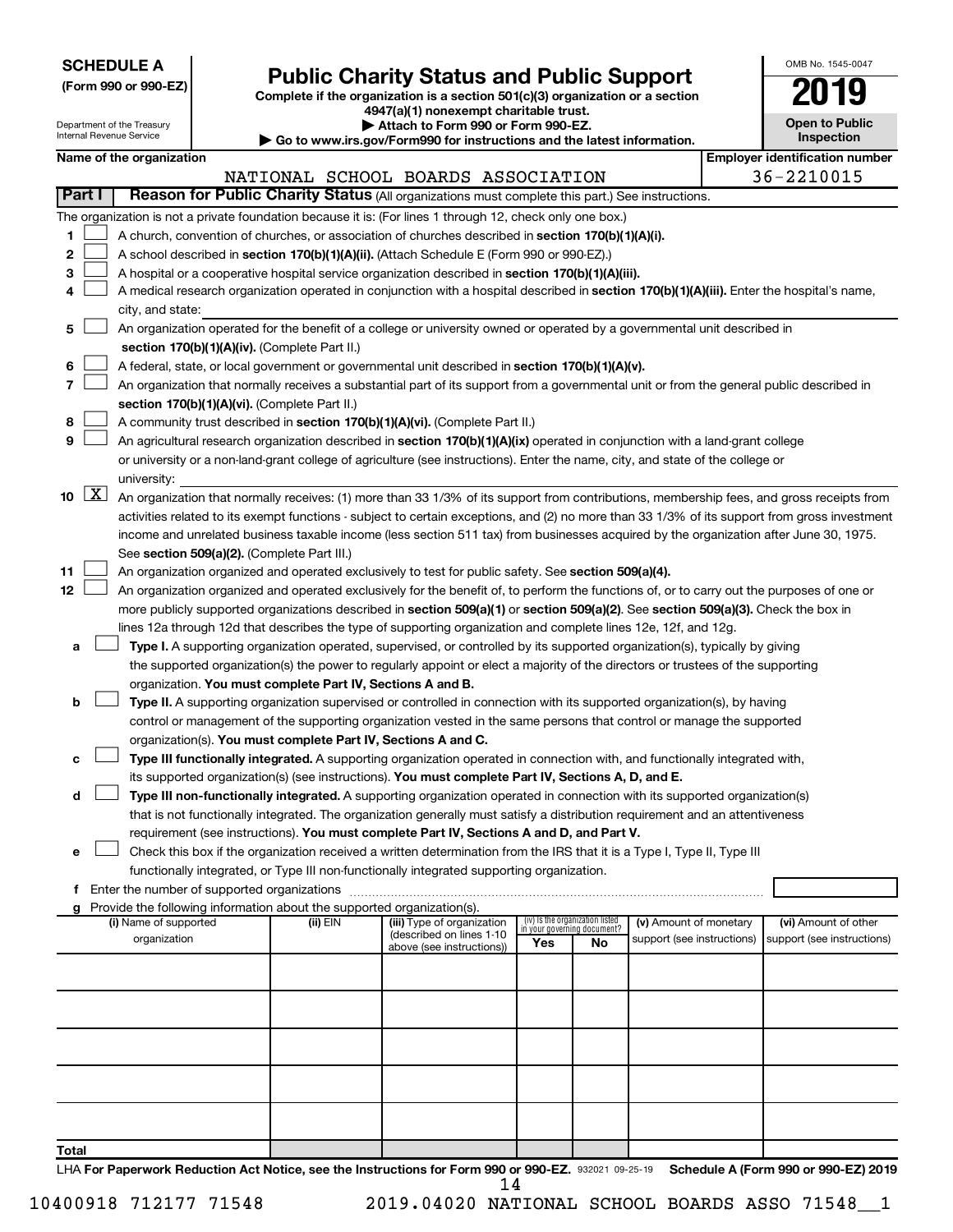| <b>SCHEDULE A</b> |  |
|-------------------|--|
|-------------------|--|

## Form 990 or 990-EZ) **Public Charity Status and Public Support**<br>
Complete if the organization is a section 501(c)(3) organization or a section<br> **2019**

**4947(a)(1) nonexempt charitable trust.**

| OMB No 1545-0047      |
|-----------------------|
| 11                    |
| <b>Open to Public</b> |

|       |                     | Department of the Treasury<br>Internal Revenue Service |                                                                                    | Attach to Form 990 or Form 990-EZ.<br>Go to www.irs.gov/Form990 for instructions and the latest information.                                  |                                 |                             |                            | <b>Open to Public</b><br><b>Inspection</b> |
|-------|---------------------|--------------------------------------------------------|------------------------------------------------------------------------------------|-----------------------------------------------------------------------------------------------------------------------------------------------|---------------------------------|-----------------------------|----------------------------|--------------------------------------------|
|       |                     | Name of the organization                               |                                                                                    |                                                                                                                                               |                                 |                             |                            | <b>Employer identification number</b>      |
|       |                     |                                                        |                                                                                    | NATIONAL SCHOOL BOARDS ASSOCIATION                                                                                                            |                                 |                             |                            | 36-2210015                                 |
|       | Part I              |                                                        |                                                                                    | Reason for Public Charity Status (All organizations must complete this part.) See instructions.                                               |                                 |                             |                            |                                            |
|       |                     |                                                        |                                                                                    | The organization is not a private foundation because it is: (For lines 1 through 12, check only one box.)                                     |                                 |                             |                            |                                            |
| 1     |                     |                                                        |                                                                                    | A church, convention of churches, or association of churches described in section 170(b)(1)(A)(i).                                            |                                 |                             |                            |                                            |
| 2     |                     |                                                        |                                                                                    | A school described in section 170(b)(1)(A)(ii). (Attach Schedule E (Form 990 or 990-EZ).)                                                     |                                 |                             |                            |                                            |
| з     |                     |                                                        |                                                                                    | A hospital or a cooperative hospital service organization described in section 170(b)(1)(A)(iii).                                             |                                 |                             |                            |                                            |
| 4     |                     |                                                        |                                                                                    | A medical research organization operated in conjunction with a hospital described in section 170(b)(1)(A)(iii). Enter the hospital's name,    |                                 |                             |                            |                                            |
|       |                     | city, and state:                                       |                                                                                    |                                                                                                                                               |                                 |                             |                            |                                            |
| 5     |                     |                                                        |                                                                                    | An organization operated for the benefit of a college or university owned or operated by a governmental unit described in                     |                                 |                             |                            |                                            |
|       |                     |                                                        | section 170(b)(1)(A)(iv). (Complete Part II.)                                      |                                                                                                                                               |                                 |                             |                            |                                            |
| 6     |                     |                                                        |                                                                                    | A federal, state, or local government or governmental unit described in section 170(b)(1)(A)(v).                                              |                                 |                             |                            |                                            |
| 7     |                     |                                                        |                                                                                    | An organization that normally receives a substantial part of its support from a governmental unit or from the general public described in     |                                 |                             |                            |                                            |
|       |                     |                                                        | section 170(b)(1)(A)(vi). (Complete Part II.)                                      |                                                                                                                                               |                                 |                             |                            |                                            |
| 8     |                     |                                                        |                                                                                    | A community trust described in section 170(b)(1)(A)(vi). (Complete Part II.)                                                                  |                                 |                             |                            |                                            |
| 9     |                     |                                                        |                                                                                    | An agricultural research organization described in section 170(b)(1)(A)(ix) operated in conjunction with a land-grant college                 |                                 |                             |                            |                                            |
|       |                     |                                                        |                                                                                    | or university or a non-land-grant college of agriculture (see instructions). Enter the name, city, and state of the college or                |                                 |                             |                            |                                            |
|       |                     | university:                                            |                                                                                    |                                                                                                                                               |                                 |                             |                            |                                            |
| 10    | $\lfloor x \rfloor$ |                                                        |                                                                                    | An organization that normally receives: (1) more than 33 1/3% of its support from contributions, membership fees, and gross receipts from     |                                 |                             |                            |                                            |
|       |                     |                                                        |                                                                                    | activities related to its exempt functions - subject to certain exceptions, and (2) no more than 33 1/3% of its support from gross investment |                                 |                             |                            |                                            |
|       |                     |                                                        |                                                                                    | income and unrelated business taxable income (less section 511 tax) from businesses acquired by the organization after June 30, 1975.         |                                 |                             |                            |                                            |
|       |                     |                                                        | See section 509(a)(2). (Complete Part III.)                                        |                                                                                                                                               |                                 |                             |                            |                                            |
| 11    |                     |                                                        |                                                                                    | An organization organized and operated exclusively to test for public safety. See section 509(a)(4).                                          |                                 |                             |                            |                                            |
| 12    |                     |                                                        |                                                                                    | An organization organized and operated exclusively for the benefit of, to perform the functions of, or to carry out the purposes of one or    |                                 |                             |                            |                                            |
|       |                     |                                                        |                                                                                    | more publicly supported organizations described in section 509(a)(1) or section 509(a)(2). See section 509(a)(3). Check the box in            |                                 |                             |                            |                                            |
|       |                     |                                                        |                                                                                    | lines 12a through 12d that describes the type of supporting organization and complete lines 12e, 12f, and 12g.                                |                                 |                             |                            |                                            |
| а     |                     |                                                        |                                                                                    | Type I. A supporting organization operated, supervised, or controlled by its supported organization(s), typically by giving                   |                                 |                             |                            |                                            |
|       |                     |                                                        |                                                                                    | the supported organization(s) the power to regularly appoint or elect a majority of the directors or trustees of the supporting               |                                 |                             |                            |                                            |
|       |                     |                                                        | organization. You must complete Part IV, Sections A and B.                         |                                                                                                                                               |                                 |                             |                            |                                            |
| b     |                     |                                                        |                                                                                    | Type II. A supporting organization supervised or controlled in connection with its supported organization(s), by having                       |                                 |                             |                            |                                            |
|       |                     |                                                        |                                                                                    | control or management of the supporting organization vested in the same persons that control or manage the supported                          |                                 |                             |                            |                                            |
|       |                     |                                                        | organization(s). You must complete Part IV, Sections A and C.                      |                                                                                                                                               |                                 |                             |                            |                                            |
| с     |                     |                                                        |                                                                                    | Type III functionally integrated. A supporting organization operated in connection with, and functionally integrated with,                    |                                 |                             |                            |                                            |
|       |                     |                                                        |                                                                                    | its supported organization(s) (see instructions). You must complete Part IV, Sections A, D, and E.                                            |                                 |                             |                            |                                            |
| d     |                     |                                                        |                                                                                    | Type III non-functionally integrated. A supporting organization operated in connection with its supported organization(s)                     |                                 |                             |                            |                                            |
|       |                     |                                                        |                                                                                    | that is not functionally integrated. The organization generally must satisfy a distribution requirement and an attentiveness                  |                                 |                             |                            |                                            |
|       |                     |                                                        |                                                                                    | requirement (see instructions). You must complete Part IV, Sections A and D, and Part V.                                                      |                                 |                             |                            |                                            |
| е     |                     |                                                        |                                                                                    | Check this box if the organization received a written determination from the IRS that it is a Type I, Type II, Type III                       |                                 |                             |                            |                                            |
|       |                     |                                                        |                                                                                    | functionally integrated, or Type III non-functionally integrated supporting organization.                                                     |                                 |                             |                            |                                            |
|       |                     |                                                        |                                                                                    |                                                                                                                                               |                                 |                             |                            |                                            |
| g     |                     | (i) Name of supported                                  | Provide the following information about the supported organization(s).<br>(ii) EIN | (iii) Type of organization                                                                                                                    | (iv) Is the organization listed |                             | (v) Amount of monetary     | (vi) Amount of other                       |
|       |                     | organization                                           |                                                                                    | (described on lines 1-10)                                                                                                                     |                                 | in your governing document? | support (see instructions) | support (see instructions)                 |
|       |                     |                                                        |                                                                                    | above (see instructions))                                                                                                                     | Yes                             | No                          |                            |                                            |
|       |                     |                                                        |                                                                                    |                                                                                                                                               |                                 |                             |                            |                                            |
|       |                     |                                                        |                                                                                    |                                                                                                                                               |                                 |                             |                            |                                            |
|       |                     |                                                        |                                                                                    |                                                                                                                                               |                                 |                             |                            |                                            |
|       |                     |                                                        |                                                                                    |                                                                                                                                               |                                 |                             |                            |                                            |
|       |                     |                                                        |                                                                                    |                                                                                                                                               |                                 |                             |                            |                                            |
|       |                     |                                                        |                                                                                    |                                                                                                                                               |                                 |                             |                            |                                            |
|       |                     |                                                        |                                                                                    |                                                                                                                                               |                                 |                             |                            |                                            |
|       |                     |                                                        |                                                                                    |                                                                                                                                               |                                 |                             |                            |                                            |
|       |                     |                                                        |                                                                                    |                                                                                                                                               |                                 |                             |                            |                                            |
| Total |                     |                                                        |                                                                                    |                                                                                                                                               |                                 |                             |                            |                                            |
|       |                     |                                                        |                                                                                    |                                                                                                                                               |                                 |                             |                            |                                            |

LHA For Paperwork Reduction Act Notice, see the Instructions for Form 990 or 990-EZ. 932021 09-25-19 Schedule A (Form 990 or 990-EZ) 2019 14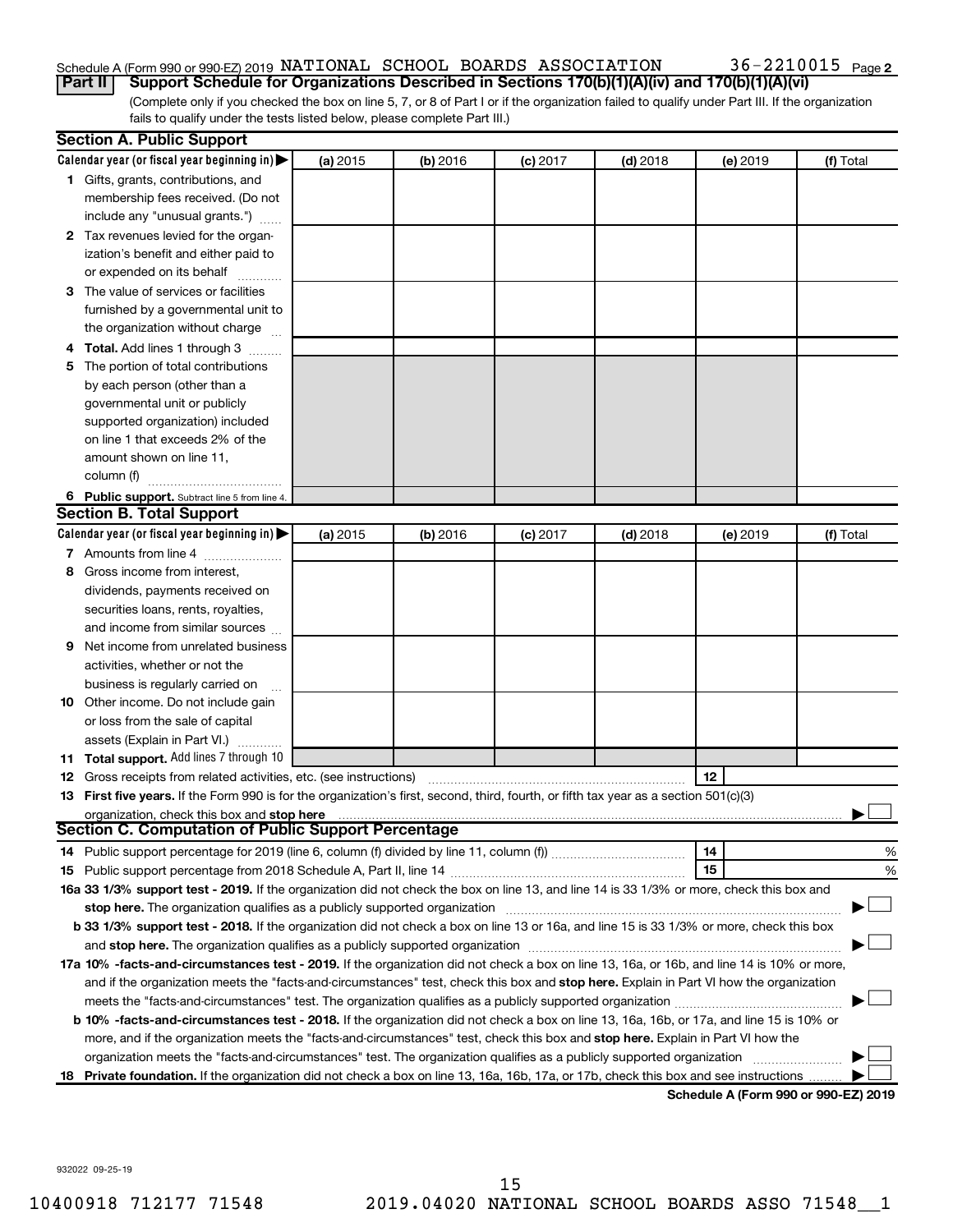## Schedule A (Form 990 or 990-EZ) 2019 NATIONAL SCHOOL BOARDS ASSOCIATION  $36$  –  $2210015$  Page

(Complete only if you checked the box on line 5, 7, or 8 of Part I or if the organization failed to qualify under Part III. If the organization fails to qualify under the tests listed below, please complete Part III.) **Part II Support Schedule for Organizations Described in Sections 170(b)(1)(A)(iv) and 170(b)(1)(A)(vi)**

| Calendar year (or fiscal year beginning in)<br>(a) 2015<br>(b) 2016<br>$(c)$ 2017<br>$(d)$ 2018<br>(e) 2019<br>1 Gifts, grants, contributions, and<br>membership fees received. (Do not<br>include any "unusual grants.")<br>2 Tax revenues levied for the organ-<br>ization's benefit and either paid to<br>or expended on its behalf<br>3 The value of services or facilities<br>furnished by a governmental unit to<br>the organization without charge<br>4 Total. Add lines 1 through 3<br>5 The portion of total contributions<br>by each person (other than a<br>governmental unit or publicly<br>supported organization) included<br>on line 1 that exceeds 2% of the | (f) Total |
|------------------------------------------------------------------------------------------------------------------------------------------------------------------------------------------------------------------------------------------------------------------------------------------------------------------------------------------------------------------------------------------------------------------------------------------------------------------------------------------------------------------------------------------------------------------------------------------------------------------------------------------------------------------------------|-----------|
|                                                                                                                                                                                                                                                                                                                                                                                                                                                                                                                                                                                                                                                                              |           |
|                                                                                                                                                                                                                                                                                                                                                                                                                                                                                                                                                                                                                                                                              |           |
|                                                                                                                                                                                                                                                                                                                                                                                                                                                                                                                                                                                                                                                                              |           |
|                                                                                                                                                                                                                                                                                                                                                                                                                                                                                                                                                                                                                                                                              |           |
|                                                                                                                                                                                                                                                                                                                                                                                                                                                                                                                                                                                                                                                                              |           |
|                                                                                                                                                                                                                                                                                                                                                                                                                                                                                                                                                                                                                                                                              |           |
|                                                                                                                                                                                                                                                                                                                                                                                                                                                                                                                                                                                                                                                                              |           |
|                                                                                                                                                                                                                                                                                                                                                                                                                                                                                                                                                                                                                                                                              |           |
|                                                                                                                                                                                                                                                                                                                                                                                                                                                                                                                                                                                                                                                                              |           |
|                                                                                                                                                                                                                                                                                                                                                                                                                                                                                                                                                                                                                                                                              |           |
|                                                                                                                                                                                                                                                                                                                                                                                                                                                                                                                                                                                                                                                                              |           |
|                                                                                                                                                                                                                                                                                                                                                                                                                                                                                                                                                                                                                                                                              |           |
|                                                                                                                                                                                                                                                                                                                                                                                                                                                                                                                                                                                                                                                                              |           |
|                                                                                                                                                                                                                                                                                                                                                                                                                                                                                                                                                                                                                                                                              |           |
|                                                                                                                                                                                                                                                                                                                                                                                                                                                                                                                                                                                                                                                                              |           |
|                                                                                                                                                                                                                                                                                                                                                                                                                                                                                                                                                                                                                                                                              |           |
| amount shown on line 11,                                                                                                                                                                                                                                                                                                                                                                                                                                                                                                                                                                                                                                                     |           |
| column (f)                                                                                                                                                                                                                                                                                                                                                                                                                                                                                                                                                                                                                                                                   |           |
| 6 Public support. Subtract line 5 from line 4.                                                                                                                                                                                                                                                                                                                                                                                                                                                                                                                                                                                                                               |           |
| <b>Section B. Total Support</b>                                                                                                                                                                                                                                                                                                                                                                                                                                                                                                                                                                                                                                              |           |
| Calendar year (or fiscal year beginning in)<br>(a) 2015<br>(b) 2016<br>$(c)$ 2017<br>$(d)$ 2018<br>(e) 2019                                                                                                                                                                                                                                                                                                                                                                                                                                                                                                                                                                  | (f) Total |
| 7 Amounts from line 4                                                                                                                                                                                                                                                                                                                                                                                                                                                                                                                                                                                                                                                        |           |
| Gross income from interest,<br>8                                                                                                                                                                                                                                                                                                                                                                                                                                                                                                                                                                                                                                             |           |
| dividends, payments received on                                                                                                                                                                                                                                                                                                                                                                                                                                                                                                                                                                                                                                              |           |
| securities loans, rents, royalties,                                                                                                                                                                                                                                                                                                                                                                                                                                                                                                                                                                                                                                          |           |
| and income from similar sources                                                                                                                                                                                                                                                                                                                                                                                                                                                                                                                                                                                                                                              |           |
| Net income from unrelated business<br>9                                                                                                                                                                                                                                                                                                                                                                                                                                                                                                                                                                                                                                      |           |
| activities, whether or not the                                                                                                                                                                                                                                                                                                                                                                                                                                                                                                                                                                                                                                               |           |
| business is regularly carried on                                                                                                                                                                                                                                                                                                                                                                                                                                                                                                                                                                                                                                             |           |
| 10 Other income. Do not include gain                                                                                                                                                                                                                                                                                                                                                                                                                                                                                                                                                                                                                                         |           |
| or loss from the sale of capital                                                                                                                                                                                                                                                                                                                                                                                                                                                                                                                                                                                                                                             |           |
| assets (Explain in Part VI.)                                                                                                                                                                                                                                                                                                                                                                                                                                                                                                                                                                                                                                                 |           |
| 11 Total support. Add lines 7 through 10                                                                                                                                                                                                                                                                                                                                                                                                                                                                                                                                                                                                                                     |           |
| 12<br><b>12</b> Gross receipts from related activities, etc. (see instructions)                                                                                                                                                                                                                                                                                                                                                                                                                                                                                                                                                                                              |           |
| 13 First five years. If the Form 990 is for the organization's first, second, third, fourth, or fifth tax year as a section 501(c)(3)                                                                                                                                                                                                                                                                                                                                                                                                                                                                                                                                        |           |
| organization, check this box and stop here                                                                                                                                                                                                                                                                                                                                                                                                                                                                                                                                                                                                                                   |           |
| <b>Section C. Computation of Public Support Percentage</b>                                                                                                                                                                                                                                                                                                                                                                                                                                                                                                                                                                                                                   |           |
| 14                                                                                                                                                                                                                                                                                                                                                                                                                                                                                                                                                                                                                                                                           | %         |
| 15                                                                                                                                                                                                                                                                                                                                                                                                                                                                                                                                                                                                                                                                           | %         |
| 16a 33 1/3% support test - 2019. If the organization did not check the box on line 13, and line 14 is 33 1/3% or more, check this box and                                                                                                                                                                                                                                                                                                                                                                                                                                                                                                                                    |           |
| stop here. The organization qualifies as a publicly supported organization manufaction manufacture or the organization manufacture or the organization manufacture or the organization manufacture or the state of the state o                                                                                                                                                                                                                                                                                                                                                                                                                                               |           |
| b 33 1/3% support test - 2018. If the organization did not check a box on line 13 or 16a, and line 15 is 33 1/3% or more, check this box                                                                                                                                                                                                                                                                                                                                                                                                                                                                                                                                     |           |
|                                                                                                                                                                                                                                                                                                                                                                                                                                                                                                                                                                                                                                                                              |           |
| 17a 10% -facts-and-circumstances test - 2019. If the organization did not check a box on line 13, 16a, or 16b, and line 14 is 10% or more,                                                                                                                                                                                                                                                                                                                                                                                                                                                                                                                                   |           |
| and if the organization meets the "facts-and-circumstances" test, check this box and stop here. Explain in Part VI how the organization                                                                                                                                                                                                                                                                                                                                                                                                                                                                                                                                      |           |
|                                                                                                                                                                                                                                                                                                                                                                                                                                                                                                                                                                                                                                                                              |           |
| b 10% -facts-and-circumstances test - 2018. If the organization did not check a box on line 13, 16a, 16b, or 17a, and line 15 is 10% or                                                                                                                                                                                                                                                                                                                                                                                                                                                                                                                                      |           |
| more, and if the organization meets the "facts-and-circumstances" test, check this box and stop here. Explain in Part VI how the                                                                                                                                                                                                                                                                                                                                                                                                                                                                                                                                             |           |
| organization meets the "facts-and-circumstances" test. The organization qualifies as a publicly supported organization                                                                                                                                                                                                                                                                                                                                                                                                                                                                                                                                                       |           |
| 18 Private foundation. If the organization did not check a box on line 13, 16a, 16b, 17a, or 17b, check this box and see instructions<br>Schodule A (Form 990 or 990-F7) 2019                                                                                                                                                                                                                                                                                                                                                                                                                                                                                                |           |

**Schedule A (Form 990 or 990-EZ) 2019**

932022 09-25-19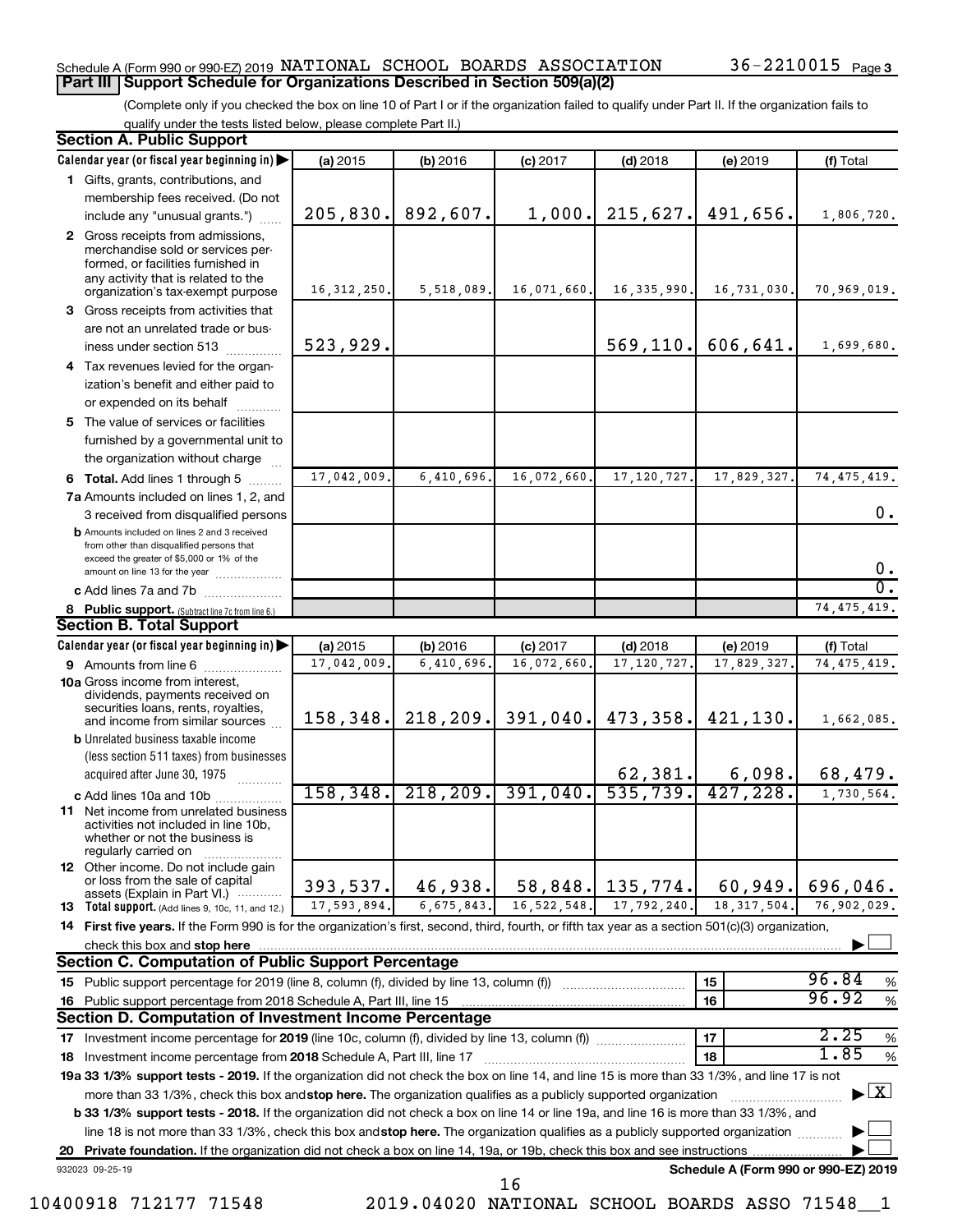### Schedule A (Form 990 or 990-EZ) 2019 NATIONAL SCHOOL BOARDS ASSOCIATION  $36$  –  $2210015$  Page **Part III Support Schedule for Organizations Described in Section 509(a)(2)**

(Complete only if you checked the box on line 10 of Part I or if the organization failed to qualify under Part II. If the organization fails to qualify under the tests listed below, please complete Part II.)

|    | <b>Section A. Public Support</b>                                                                                                                                                 |               |            |               |               |                                      |                                          |
|----|----------------------------------------------------------------------------------------------------------------------------------------------------------------------------------|---------------|------------|---------------|---------------|--------------------------------------|------------------------------------------|
|    | Calendar year (or fiscal year beginning in)                                                                                                                                      | (a) 2015      | (b) 2016   | $(c)$ 2017    | $(d)$ 2018    | (e) 2019                             | (f) Total                                |
|    | 1 Gifts, grants, contributions, and                                                                                                                                              |               |            |               |               |                                      |                                          |
|    | membership fees received. (Do not                                                                                                                                                |               |            |               |               |                                      |                                          |
|    | include any "unusual grants.")                                                                                                                                                   | 205,830.      | 892,607.   | 1,000.        | 215,627.      | 491,656.                             | 1,806,720.                               |
|    | 2 Gross receipts from admissions,<br>merchandise sold or services per-<br>formed, or facilities furnished in<br>any activity that is related to the                              |               |            |               |               |                                      |                                          |
|    | organization's tax-exempt purpose                                                                                                                                                | 16, 312, 250. | 5,518,089. | 16,071,660.   | 16, 335, 990. | 16,731,030.                          | 70,969,019.                              |
|    | 3 Gross receipts from activities that                                                                                                                                            |               |            |               |               |                                      |                                          |
|    | are not an unrelated trade or bus-                                                                                                                                               |               |            |               |               |                                      |                                          |
|    | iness under section 513                                                                                                                                                          | 523,929.      |            |               | 569, 110.     | 606,641.                             | 1,699,680.                               |
|    | 4 Tax revenues levied for the organ-                                                                                                                                             |               |            |               |               |                                      |                                          |
|    | ization's benefit and either paid to<br>or expended on its behalf                                                                                                                |               |            |               |               |                                      |                                          |
|    | 5 The value of services or facilities                                                                                                                                            |               |            |               |               |                                      |                                          |
|    | furnished by a governmental unit to                                                                                                                                              |               |            |               |               |                                      |                                          |
|    | the organization without charge                                                                                                                                                  |               |            |               |               |                                      |                                          |
|    | 6 Total. Add lines 1 through 5                                                                                                                                                   | 17,042,009    | 6,410,696. | 16,072,660    | 17, 120, 727  | 17,829,327.                          | 74, 475, 419.                            |
|    | 7a Amounts included on lines 1, 2, and                                                                                                                                           |               |            |               |               |                                      |                                          |
|    | 3 received from disqualified persons                                                                                                                                             |               |            |               |               |                                      | 0.                                       |
|    | <b>b</b> Amounts included on lines 2 and 3 received<br>from other than disqualified persons that<br>exceed the greater of \$5,000 or 1% of the<br>amount on line 13 for the year |               |            |               |               |                                      | 0.                                       |
|    | c Add lines 7a and 7b                                                                                                                                                            |               |            |               |               |                                      | σ.                                       |
|    | 8 Public support. (Subtract line 7c from line 6.)                                                                                                                                |               |            |               |               |                                      | 74, 475, 419.                            |
|    | <b>Section B. Total Support</b>                                                                                                                                                  |               |            |               |               |                                      |                                          |
|    | Calendar year (or fiscal year beginning in)                                                                                                                                      | (a) 2015      | (b) 2016   | $(c)$ 2017    | $(d)$ 2018    | (e) 2019                             | (f) Total                                |
|    | <b>9</b> Amounts from line 6                                                                                                                                                     | 17,042,009    | 6,410,696  | 16,072,660    | 17, 120, 727  | 17,829,327.                          | 74, 475, 419.                            |
|    | <b>10a</b> Gross income from interest,<br>dividends, payments received on<br>securities loans, rents, royalties,                                                                 |               |            |               |               |                                      |                                          |
|    | and income from similar sources                                                                                                                                                  | 158, 348.     | 218,209.   | 391,040.      | 473,358.      | 421, 130.                            | 1,662,085.                               |
|    | <b>b</b> Unrelated business taxable income                                                                                                                                       |               |            |               |               |                                      |                                          |
|    | (less section 511 taxes) from businesses                                                                                                                                         |               |            |               | 62, 381.      | 6,098.                               | 68,479.                                  |
|    | acquired after June 30, 1975                                                                                                                                                     | 158,348.      | 218, 209.  | 391,040.      | 535,739.      | 427, 228.                            |                                          |
|    | c Add lines 10a and 10b<br><b>11</b> Net income from unrelated business                                                                                                          |               |            |               |               |                                      | 1,730,564.                               |
|    | activities not included in line 10b,<br>whether or not the business is<br>regularly carried on                                                                                   |               |            |               |               |                                      |                                          |
|    | <b>12</b> Other income. Do not include gain<br>or loss from the sale of capital<br>assets (Explain in Part VI.)                                                                  | 393,537.      | 46,938.    | 58,848.       | 135,774.      | 60,949.                              | 696,046.                                 |
|    | 13 Total support. (Add lines 9, 10c, 11, and 12.)                                                                                                                                | 17,593,894.   | 6,675,843. | 16, 522, 548. | 17,792,240    | 18, 317, 504.                        | 76,902,029.                              |
|    | 14 First five years. If the Form 990 is for the organization's first, second, third, fourth, or fifth tax year as a section 501(c)(3) organization,                              |               |            |               |               |                                      |                                          |
|    | check this box and stop here                                                                                                                                                     |               |            |               |               |                                      |                                          |
|    | <b>Section C. Computation of Public Support Percentage</b>                                                                                                                       |               |            |               |               |                                      |                                          |
|    | 15 Public support percentage for 2019 (line 8, column (f), divided by line 13, column (f))                                                                                       |               |            |               |               | 15                                   | 96.84<br>%                               |
|    | 16 Public support percentage from 2018 Schedule A, Part III, line 15                                                                                                             |               |            |               |               | 16                                   | 96.92<br>$\%$                            |
|    | Section D. Computation of Investment Income Percentage                                                                                                                           |               |            |               |               |                                      |                                          |
|    |                                                                                                                                                                                  |               |            |               |               | 17                                   | 2.25<br>$\%$                             |
|    | 18 Investment income percentage from 2018 Schedule A, Part III, line 17                                                                                                          |               |            |               |               | 18                                   | 1.85<br>%                                |
|    | 19a 33 1/3% support tests - 2019. If the organization did not check the box on line 14, and line 15 is more than 33 1/3%, and line 17 is not                                     |               |            |               |               |                                      |                                          |
|    | more than 33 1/3%, check this box and stop here. The organization qualifies as a publicly supported organization                                                                 |               |            |               |               |                                      | $\blacktriangleright$ $\boxed{\text{X}}$ |
|    | b 33 1/3% support tests - 2018. If the organization did not check a box on line 14 or line 19a, and line 16 is more than 33 1/3%, and                                            |               |            |               |               |                                      |                                          |
|    | line 18 is not more than 33 1/3%, check this box and stop here. The organization qualifies as a publicly supported organization                                                  |               |            |               |               |                                      |                                          |
| 20 |                                                                                                                                                                                  |               |            |               |               |                                      |                                          |
|    | 932023 09-25-19                                                                                                                                                                  |               |            | 16            |               | Schedule A (Form 990 or 990-EZ) 2019 |                                          |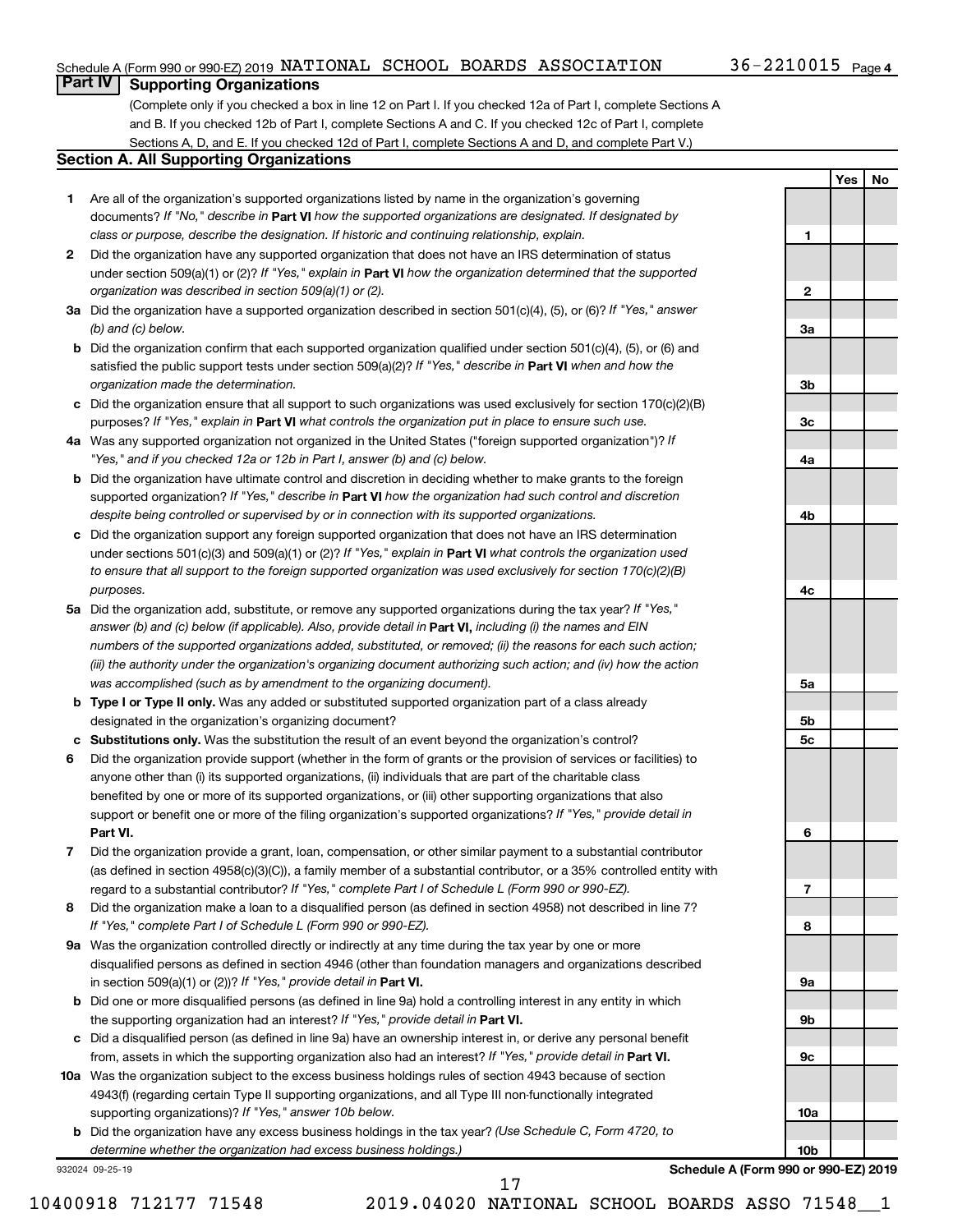**1**

**2**

**3a**

**3b**

**3c**

**4a**

**4b**

**4c**

**5a**

**5b 5c** **Yes No**

## **Part IV Supporting Organizations**

(Complete only if you checked a box in line 12 on Part I. If you checked 12a of Part I, complete Sections A and B. If you checked 12b of Part I, complete Sections A and C. If you checked 12c of Part I, complete Sections A, D, and E. If you checked 12d of Part I, complete Sections A and D, and complete Part V.)

### **Section A. All Supporting Organizations**

- **1** Are all of the organization's supported organizations listed by name in the organization's governing documents? If "No," describe in Part VI how the supported organizations are designated. If designated by *class or purpose, describe the designation. If historic and continuing relationship, explain.*
- **2** Did the organization have any supported organization that does not have an IRS determination of status under section 509(a)(1) or (2)? If "Yes," explain in Part **VI** how the organization determined that the supported *organization was described in section 509(a)(1) or (2).*
- **3a** Did the organization have a supported organization described in section 501(c)(4), (5), or (6)? If "Yes," answer *(b) and (c) below.*
- **b** Did the organization confirm that each supported organization qualified under section 501(c)(4), (5), or (6) and satisfied the public support tests under section 509(a)(2)? If "Yes," describe in Part VI when and how the *organization made the determination.*
- **c** Did the organization ensure that all support to such organizations was used exclusively for section 170(c)(2)(B) purposes? If "Yes," explain in Part VI what controls the organization put in place to ensure such use.
- **4 a** *If* Was any supported organization not organized in the United States ("foreign supported organization")? *"Yes," and if you checked 12a or 12b in Part I, answer (b) and (c) below.*
- **b** Did the organization have ultimate control and discretion in deciding whether to make grants to the foreign supported organization? If "Yes," describe in Part VI how the organization had such control and discretion *despite being controlled or supervised by or in connection with its supported organizations.*
- **c** Did the organization support any foreign supported organization that does not have an IRS determination under sections 501(c)(3) and 509(a)(1) or (2)? If "Yes," explain in Part VI what controls the organization used *to ensure that all support to the foreign supported organization was used exclusively for section 170(c)(2)(B) purposes.*
- **5a** Did the organization add, substitute, or remove any supported organizations during the tax year? If "Yes," answer (b) and (c) below (if applicable). Also, provide detail in **Part VI,** including (i) the names and EIN *numbers of the supported organizations added, substituted, or removed; (ii) the reasons for each such action; (iii) the authority under the organization's organizing document authorizing such action; and (iv) how the action was accomplished (such as by amendment to the organizing document).*
- **b Type I or Type II only.** Was any added or substituted supported organization part of a class already designated in the organization's organizing document?
- **c Substitutions only.**  Was the substitution the result of an event beyond the organization's control?
- **6** Did the organization provide support (whether in the form of grants or the provision of services or facilities) to **Part VI.** support or benefit one or more of the filing organization's supported organizations? If "Yes," provide detail in anyone other than (i) its supported organizations, (ii) individuals that are part of the charitable class benefited by one or more of its supported organizations, or (iii) other supporting organizations that also
- **7** Did the organization provide a grant, loan, compensation, or other similar payment to a substantial contributor regard to a substantial contributor? If "Yes," complete Part I of Schedule L (Form 990 or 990-EZ). (as defined in section 4958(c)(3)(C)), a family member of a substantial contributor, or a 35% controlled entity with
- **8** Did the organization make a loan to a disqualified person (as defined in section 4958) not described in line 7? *If "Yes," complete Part I of Schedule L (Form 990 or 990-EZ).*
- **9 a** Was the organization controlled directly or indirectly at any time during the tax year by one or more in section 509(a)(1) or (2))? If "Yes," provide detail in **Part VI.** disqualified persons as defined in section 4946 (other than foundation managers and organizations described
- **b** Did one or more disqualified persons (as defined in line 9a) hold a controlling interest in any entity in which the supporting organization had an interest? If "Yes," provide detail in Part VI.
- **c** Did a disqualified person (as defined in line 9a) have an ownership interest in, or derive any personal benefit from, assets in which the supporting organization also had an interest? If "Yes," provide detail in Part VI.
- **10 a** Was the organization subject to the excess business holdings rules of section 4943 because of section supporting organizations)? If "Yes," answer 10b below. 4943(f) (regarding certain Type II supporting organizations, and all Type III non-functionally integrated
	- **b** Did the organization have any excess business holdings in the tax year? (Use Schedule C, Form 4720, to *determine whether the organization had excess business holdings.)*

932024 09-25-19

10400918 712177 71548 2019.04020 NATIONAL SCHOOL BOARDS ASSO 71548\_\_1

17

**6 7 8 9a 9b 9c 10a 10b Schedule A (Form 990 or 990-EZ) 2019**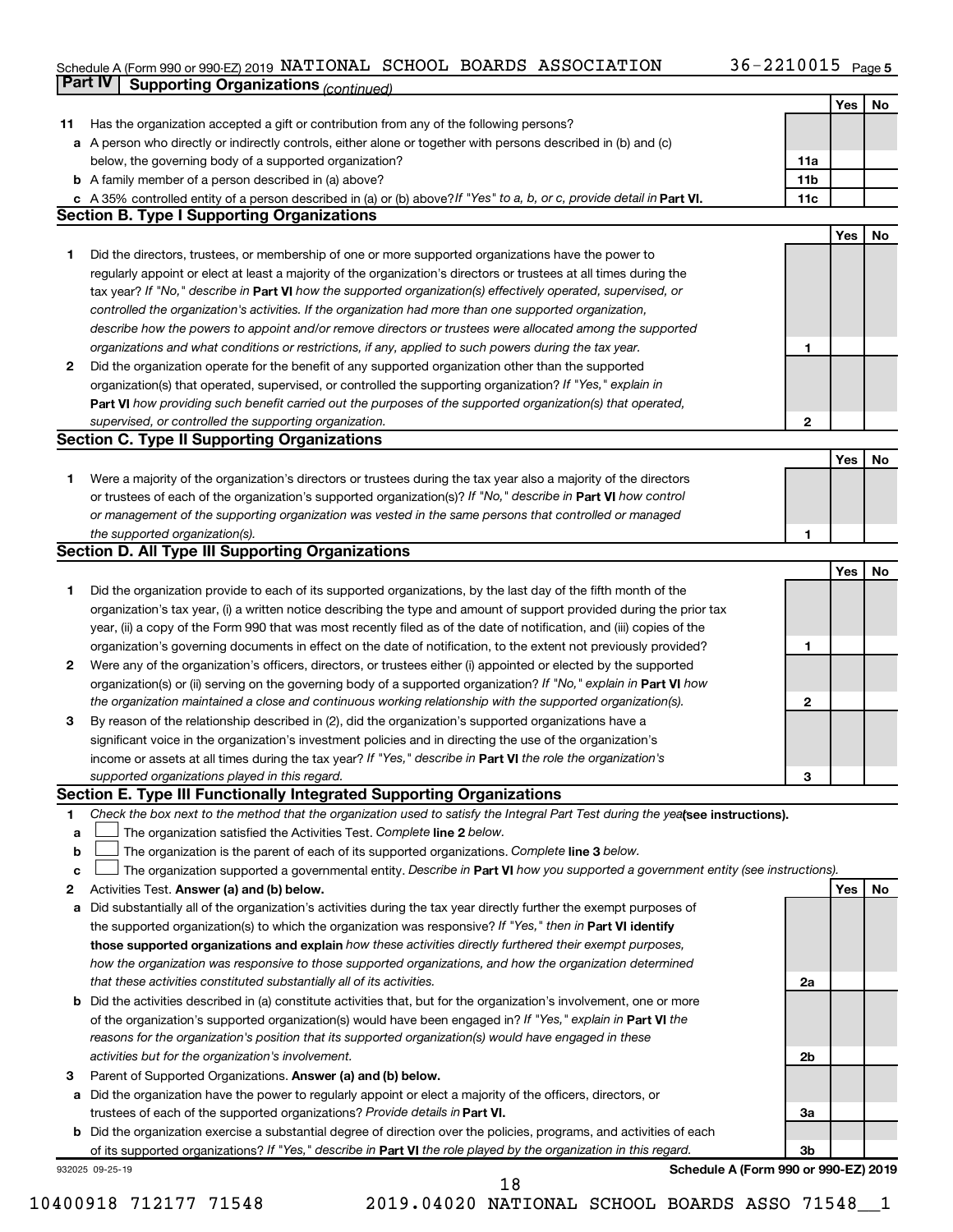#### Schedule A (Form 990 or 990-EZ) 2019 NATIONAL SCHOOL BOARDS ASSOCIATION  $36-2210015$  Page NATIONAL SCHOOL BOARDS ASSOCIATION 36-2210015

|    | Part IV<br><b>Supporting Organizations (continued)</b>                                                                          |                 |     |    |
|----|---------------------------------------------------------------------------------------------------------------------------------|-----------------|-----|----|
|    |                                                                                                                                 |                 | Yes | No |
| 11 | Has the organization accepted a gift or contribution from any of the following persons?                                         |                 |     |    |
|    | a A person who directly or indirectly controls, either alone or together with persons described in (b) and (c)                  |                 |     |    |
|    | below, the governing body of a supported organization?                                                                          | 11a             |     |    |
|    | <b>b</b> A family member of a person described in (a) above?                                                                    | 11 <sub>b</sub> |     |    |
|    | c A 35% controlled entity of a person described in (a) or (b) above? If "Yes" to a, b, or c, provide detail in Part VI.         | 11c             |     |    |
|    | <b>Section B. Type I Supporting Organizations</b>                                                                               |                 |     |    |
|    |                                                                                                                                 |                 | Yes | No |
|    |                                                                                                                                 |                 |     |    |
| 1  | Did the directors, trustees, or membership of one or more supported organizations have the power to                             |                 |     |    |
|    | regularly appoint or elect at least a majority of the organization's directors or trustees at all times during the              |                 |     |    |
|    | tax year? If "No," describe in Part VI how the supported organization(s) effectively operated, supervised, or                   |                 |     |    |
|    | controlled the organization's activities. If the organization had more than one supported organization,                         |                 |     |    |
|    | describe how the powers to appoint and/or remove directors or trustees were allocated among the supported                       |                 |     |    |
|    | organizations and what conditions or restrictions, if any, applied to such powers during the tax year.                          | 1               |     |    |
| 2  | Did the organization operate for the benefit of any supported organization other than the supported                             |                 |     |    |
|    | organization(s) that operated, supervised, or controlled the supporting organization? If "Yes," explain in                      |                 |     |    |
|    | Part VI how providing such benefit carried out the purposes of the supported organization(s) that operated,                     |                 |     |    |
|    | supervised, or controlled the supporting organization.                                                                          | $\mathbf{2}$    |     |    |
|    | <b>Section C. Type II Supporting Organizations</b>                                                                              |                 |     |    |
|    |                                                                                                                                 |                 | Yes | No |
| 1. | Were a majority of the organization's directors or trustees during the tax year also a majority of the directors                |                 |     |    |
|    | or trustees of each of the organization's supported organization(s)? If "No," describe in Part VI how control                   |                 |     |    |
|    | or management of the supporting organization was vested in the same persons that controlled or managed                          |                 |     |    |
|    | the supported organization(s).                                                                                                  | 1               |     |    |
|    | <b>Section D. All Type III Supporting Organizations</b>                                                                         |                 |     |    |
|    |                                                                                                                                 |                 | Yes | No |
| 1  |                                                                                                                                 |                 |     |    |
|    | Did the organization provide to each of its supported organizations, by the last day of the fifth month of the                  |                 |     |    |
|    | organization's tax year, (i) a written notice describing the type and amount of support provided during the prior tax           |                 |     |    |
|    | year, (ii) a copy of the Form 990 that was most recently filed as of the date of notification, and (iii) copies of the          |                 |     |    |
|    | organization's governing documents in effect on the date of notification, to the extent not previously provided?                | 1               |     |    |
| 2  | Were any of the organization's officers, directors, or trustees either (i) appointed or elected by the supported                |                 |     |    |
|    | organization(s) or (ii) serving on the governing body of a supported organization? If "No," explain in Part VI how              |                 |     |    |
|    | the organization maintained a close and continuous working relationship with the supported organization(s).                     | 2               |     |    |
| 3  | By reason of the relationship described in (2), did the organization's supported organizations have a                           |                 |     |    |
|    | significant voice in the organization's investment policies and in directing the use of the organization's                      |                 |     |    |
|    | income or assets at all times during the tax year? If "Yes," describe in Part VI the role the organization's                    |                 |     |    |
|    | supported organizations played in this regard.                                                                                  | з               |     |    |
|    | Section E. Type III Functionally Integrated Supporting Organizations                                                            |                 |     |    |
| 1  | Check the box next to the method that the organization used to satisfy the Integral Part Test during the yealsee instructions). |                 |     |    |
| а  | The organization satisfied the Activities Test. Complete line 2 below.                                                          |                 |     |    |
| b  | The organization is the parent of each of its supported organizations. Complete line 3 below.                                   |                 |     |    |
| с  | The organization supported a governmental entity. Describe in Part VI how you supported a government entity (see instructions). |                 |     |    |
| 2  | Activities Test. Answer (a) and (b) below.                                                                                      |                 | Yes | No |
| а  | Did substantially all of the organization's activities during the tax year directly further the exempt purposes of              |                 |     |    |
|    | the supported organization(s) to which the organization was responsive? If "Yes," then in Part VI identify                      |                 |     |    |
|    | those supported organizations and explain how these activities directly furthered their exempt purposes,                        |                 |     |    |
|    |                                                                                                                                 |                 |     |    |
|    | how the organization was responsive to those supported organizations, and how the organization determined                       |                 |     |    |
|    | that these activities constituted substantially all of its activities.                                                          | 2a              |     |    |
| b  | Did the activities described in (a) constitute activities that, but for the organization's involvement, one or more             |                 |     |    |
|    | of the organization's supported organization(s) would have been engaged in? If "Yes," explain in Part VI the                    |                 |     |    |
|    | reasons for the organization's position that its supported organization(s) would have engaged in these                          |                 |     |    |
|    | activities but for the organization's involvement.                                                                              | 2b              |     |    |
| 3  | Parent of Supported Organizations. Answer (a) and (b) below.                                                                    |                 |     |    |
| а  | Did the organization have the power to regularly appoint or elect a majority of the officers, directors, or                     |                 |     |    |
|    | trustees of each of the supported organizations? Provide details in Part VI.                                                    | За              |     |    |
|    | <b>b</b> Did the organization exercise a substantial degree of direction over the policies, programs, and activities of each    |                 |     |    |
|    | of its supported organizations? If "Yes," describe in Part VI the role played by the organization in this regard.               | 3b              |     |    |
|    | Schedule A (Form 990 or 990-EZ) 2019<br>932025 09-25-19                                                                         |                 |     |    |

18

<sup>10400918 712177 71548 2019.04020</sup> NATIONAL SCHOOL BOARDS ASSO 71548\_\_1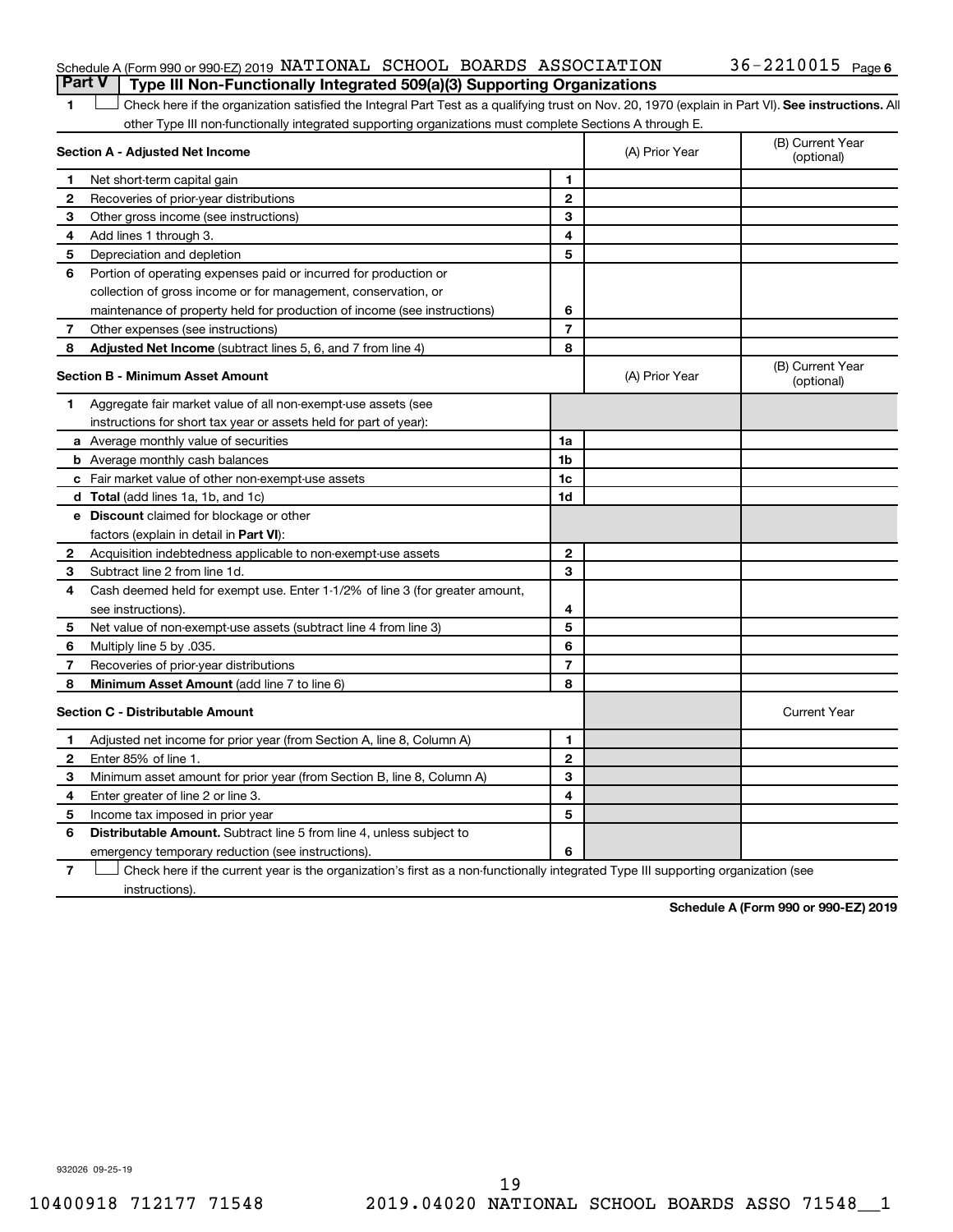## Schedule A (Form 990 or 990-EZ) 2019 NATIONAL SCHOOL BOARDS ASSOCIATION  $36$  –  $2210015$  Page **Part V Type III Non-Functionally Integrated 509(a)(3) Supporting Organizations**

1 **Letter See instructions.** All Check here if the organization satisfied the Integral Part Test as a qualifying trust on Nov. 20, 1970 (explain in Part VI). See instructions. All other Type III non-functionally integrated supporting organizations must complete Sections A through E.

|              | Section A - Adjusted Net Income                                              | (A) Prior Year | (B) Current Year<br>(optional) |                                |
|--------------|------------------------------------------------------------------------------|----------------|--------------------------------|--------------------------------|
| 1            | Net short-term capital gain                                                  | 1              |                                |                                |
| 2            | Recoveries of prior-year distributions                                       | $\mathbf{2}$   |                                |                                |
| 3            | Other gross income (see instructions)                                        | 3              |                                |                                |
| 4            | Add lines 1 through 3.                                                       | 4              |                                |                                |
| 5            | Depreciation and depletion                                                   | 5              |                                |                                |
| 6            | Portion of operating expenses paid or incurred for production or             |                |                                |                                |
|              | collection of gross income or for management, conservation, or               |                |                                |                                |
|              | maintenance of property held for production of income (see instructions)     | 6              |                                |                                |
| 7            | Other expenses (see instructions)                                            | $\overline{7}$ |                                |                                |
| 8            | Adjusted Net Income (subtract lines 5, 6, and 7 from line 4)                 | 8              |                                |                                |
|              | <b>Section B - Minimum Asset Amount</b>                                      |                | (A) Prior Year                 | (B) Current Year<br>(optional) |
| 1.           | Aggregate fair market value of all non-exempt-use assets (see                |                |                                |                                |
|              | instructions for short tax year or assets held for part of year):            |                |                                |                                |
|              | <b>a</b> Average monthly value of securities                                 | 1a             |                                |                                |
|              | <b>b</b> Average monthly cash balances                                       | 1 <sub>b</sub> |                                |                                |
|              | <b>c</b> Fair market value of other non-exempt-use assets                    | 1c             |                                |                                |
|              | d Total (add lines 1a, 1b, and 1c)                                           | 1d             |                                |                                |
|              | e Discount claimed for blockage or other                                     |                |                                |                                |
|              | factors (explain in detail in <b>Part VI</b> ):                              |                |                                |                                |
| 2            | Acquisition indebtedness applicable to non-exempt-use assets                 | $\mathbf{2}$   |                                |                                |
| З            | Subtract line 2 from line 1d.                                                | 3              |                                |                                |
| 4            | Cash deemed held for exempt use. Enter 1-1/2% of line 3 (for greater amount, |                |                                |                                |
|              | see instructions)                                                            | 4              |                                |                                |
| 5            | Net value of non-exempt-use assets (subtract line 4 from line 3)             | 5              |                                |                                |
| 6            | Multiply line 5 by .035.                                                     | 6              |                                |                                |
| 7            | Recoveries of prior-year distributions                                       | $\overline{7}$ |                                |                                |
| 8            | <b>Minimum Asset Amount (add line 7 to line 6)</b>                           | 8              |                                |                                |
|              | <b>Section C - Distributable Amount</b>                                      |                |                                | <b>Current Year</b>            |
| 1            | Adjusted net income for prior year (from Section A, line 8, Column A)        | 1              |                                |                                |
| $\mathbf{2}$ | Enter 85% of line 1.                                                         | $\mathbf{2}$   |                                |                                |
| З            | Minimum asset amount for prior year (from Section B, line 8, Column A)       | 3              |                                |                                |
| 4            | Enter greater of line 2 or line 3.                                           | 4              |                                |                                |
| 5            | Income tax imposed in prior year                                             | 5              |                                |                                |
| 6            | Distributable Amount. Subtract line 5 from line 4, unless subject to         |                |                                |                                |
|              | emergency temporary reduction (see instructions).                            | 6              |                                |                                |
|              |                                                                              |                |                                |                                |

**7** Check here if the current year is the organization's first as a non-functionally integrated Type III supporting organization (see † instructions).

**Schedule A (Form 990 or 990-EZ) 2019**

932026 09-25-19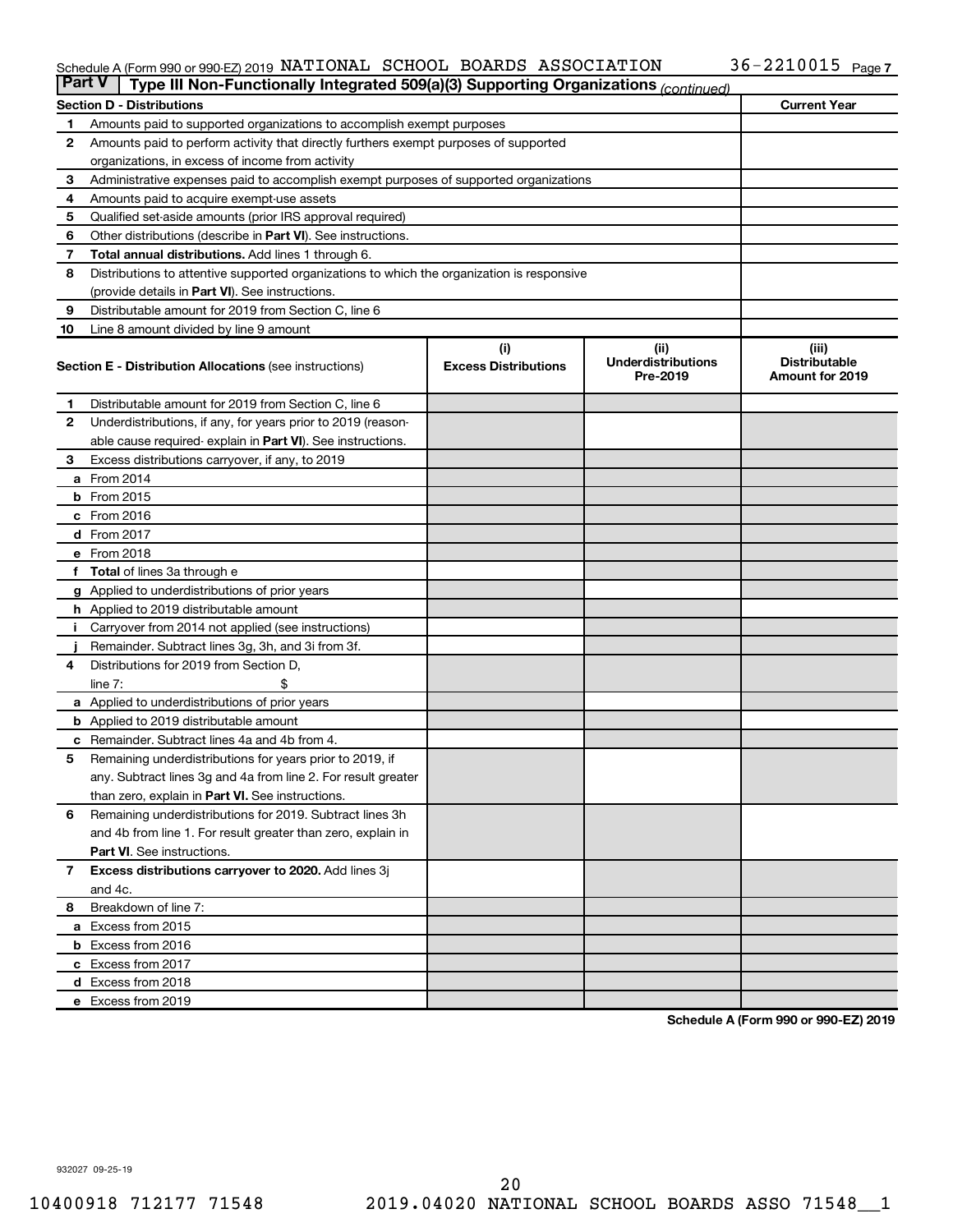#### Schedule A (Form 990 or 990-EZ) 2019 NATIONAL SCHOOL BOARDS ASSOCIATION  $36-2210015$  Page NATIONAL SCHOOL BOARDS ASSOCIATION 36-2210015

| <b>Part V</b><br>Type III Non-Functionally Integrated 509(a)(3) Supporting Organizations (continued) |                                                                                            |                             |                                       |                                                |  |  |  |  |
|------------------------------------------------------------------------------------------------------|--------------------------------------------------------------------------------------------|-----------------------------|---------------------------------------|------------------------------------------------|--|--|--|--|
|                                                                                                      | <b>Current Year</b><br><b>Section D - Distributions</b>                                    |                             |                                       |                                                |  |  |  |  |
| 1                                                                                                    | Amounts paid to supported organizations to accomplish exempt purposes                      |                             |                                       |                                                |  |  |  |  |
| $\mathbf{2}$                                                                                         | Amounts paid to perform activity that directly furthers exempt purposes of supported       |                             |                                       |                                                |  |  |  |  |
|                                                                                                      | organizations, in excess of income from activity                                           |                             |                                       |                                                |  |  |  |  |
| 3                                                                                                    | Administrative expenses paid to accomplish exempt purposes of supported organizations      |                             |                                       |                                                |  |  |  |  |
| 4                                                                                                    | Amounts paid to acquire exempt-use assets                                                  |                             |                                       |                                                |  |  |  |  |
| 5                                                                                                    | Qualified set-aside amounts (prior IRS approval required)                                  |                             |                                       |                                                |  |  |  |  |
| 6                                                                                                    | Other distributions (describe in <b>Part VI</b> ). See instructions.                       |                             |                                       |                                                |  |  |  |  |
| 7                                                                                                    | Total annual distributions. Add lines 1 through 6.                                         |                             |                                       |                                                |  |  |  |  |
| 8                                                                                                    | Distributions to attentive supported organizations to which the organization is responsive |                             |                                       |                                                |  |  |  |  |
|                                                                                                      | (provide details in Part VI). See instructions.                                            |                             |                                       |                                                |  |  |  |  |
| 9                                                                                                    | Distributable amount for 2019 from Section C, line 6                                       |                             |                                       |                                                |  |  |  |  |
| 10                                                                                                   | Line 8 amount divided by line 9 amount                                                     |                             |                                       |                                                |  |  |  |  |
|                                                                                                      |                                                                                            | (i)                         | (ii)                                  | (iii)                                          |  |  |  |  |
|                                                                                                      | <b>Section E - Distribution Allocations (see instructions)</b>                             | <b>Excess Distributions</b> | <b>Underdistributions</b><br>Pre-2019 | <b>Distributable</b><br><b>Amount for 2019</b> |  |  |  |  |
| 1                                                                                                    | Distributable amount for 2019 from Section C, line 6                                       |                             |                                       |                                                |  |  |  |  |
| 2                                                                                                    | Underdistributions, if any, for years prior to 2019 (reason-                               |                             |                                       |                                                |  |  |  |  |
|                                                                                                      | able cause required-explain in Part VI). See instructions.                                 |                             |                                       |                                                |  |  |  |  |
| 3                                                                                                    | Excess distributions carryover, if any, to 2019                                            |                             |                                       |                                                |  |  |  |  |
|                                                                                                      | a From 2014                                                                                |                             |                                       |                                                |  |  |  |  |
|                                                                                                      | <b>b</b> From 2015                                                                         |                             |                                       |                                                |  |  |  |  |
|                                                                                                      | c From 2016                                                                                |                             |                                       |                                                |  |  |  |  |
|                                                                                                      | d From 2017                                                                                |                             |                                       |                                                |  |  |  |  |
|                                                                                                      | e From 2018                                                                                |                             |                                       |                                                |  |  |  |  |
|                                                                                                      | f Total of lines 3a through e                                                              |                             |                                       |                                                |  |  |  |  |
|                                                                                                      | <b>g</b> Applied to underdistributions of prior years                                      |                             |                                       |                                                |  |  |  |  |
|                                                                                                      | <b>h</b> Applied to 2019 distributable amount                                              |                             |                                       |                                                |  |  |  |  |
| Ť.                                                                                                   | Carryover from 2014 not applied (see instructions)                                         |                             |                                       |                                                |  |  |  |  |
|                                                                                                      | Remainder. Subtract lines 3g, 3h, and 3i from 3f.                                          |                             |                                       |                                                |  |  |  |  |
| 4                                                                                                    | Distributions for 2019 from Section D,                                                     |                             |                                       |                                                |  |  |  |  |
|                                                                                                      | line $7:$                                                                                  |                             |                                       |                                                |  |  |  |  |
|                                                                                                      | a Applied to underdistributions of prior years                                             |                             |                                       |                                                |  |  |  |  |
|                                                                                                      | <b>b</b> Applied to 2019 distributable amount                                              |                             |                                       |                                                |  |  |  |  |
| c                                                                                                    | Remainder. Subtract lines 4a and 4b from 4.                                                |                             |                                       |                                                |  |  |  |  |
| 5                                                                                                    | Remaining underdistributions for years prior to 2019, if                                   |                             |                                       |                                                |  |  |  |  |
|                                                                                                      | any. Subtract lines 3g and 4a from line 2. For result greater                              |                             |                                       |                                                |  |  |  |  |
|                                                                                                      | than zero, explain in Part VI. See instructions.                                           |                             |                                       |                                                |  |  |  |  |
| 6                                                                                                    | Remaining underdistributions for 2019. Subtract lines 3h                                   |                             |                                       |                                                |  |  |  |  |
|                                                                                                      | and 4b from line 1. For result greater than zero, explain in                               |                             |                                       |                                                |  |  |  |  |
|                                                                                                      | <b>Part VI.</b> See instructions.                                                          |                             |                                       |                                                |  |  |  |  |
| $\overline{7}$                                                                                       | Excess distributions carryover to 2020. Add lines 3j                                       |                             |                                       |                                                |  |  |  |  |
|                                                                                                      | and 4c.                                                                                    |                             |                                       |                                                |  |  |  |  |
| 8                                                                                                    | Breakdown of line 7:                                                                       |                             |                                       |                                                |  |  |  |  |
|                                                                                                      | a Excess from 2015                                                                         |                             |                                       |                                                |  |  |  |  |
|                                                                                                      | <b>b</b> Excess from 2016                                                                  |                             |                                       |                                                |  |  |  |  |
|                                                                                                      | c Excess from 2017                                                                         |                             |                                       |                                                |  |  |  |  |
|                                                                                                      | d Excess from 2018                                                                         |                             |                                       |                                                |  |  |  |  |
|                                                                                                      | e Excess from 2019                                                                         |                             |                                       |                                                |  |  |  |  |

**Schedule A (Form 990 or 990-EZ) 2019**

932027 09-25-19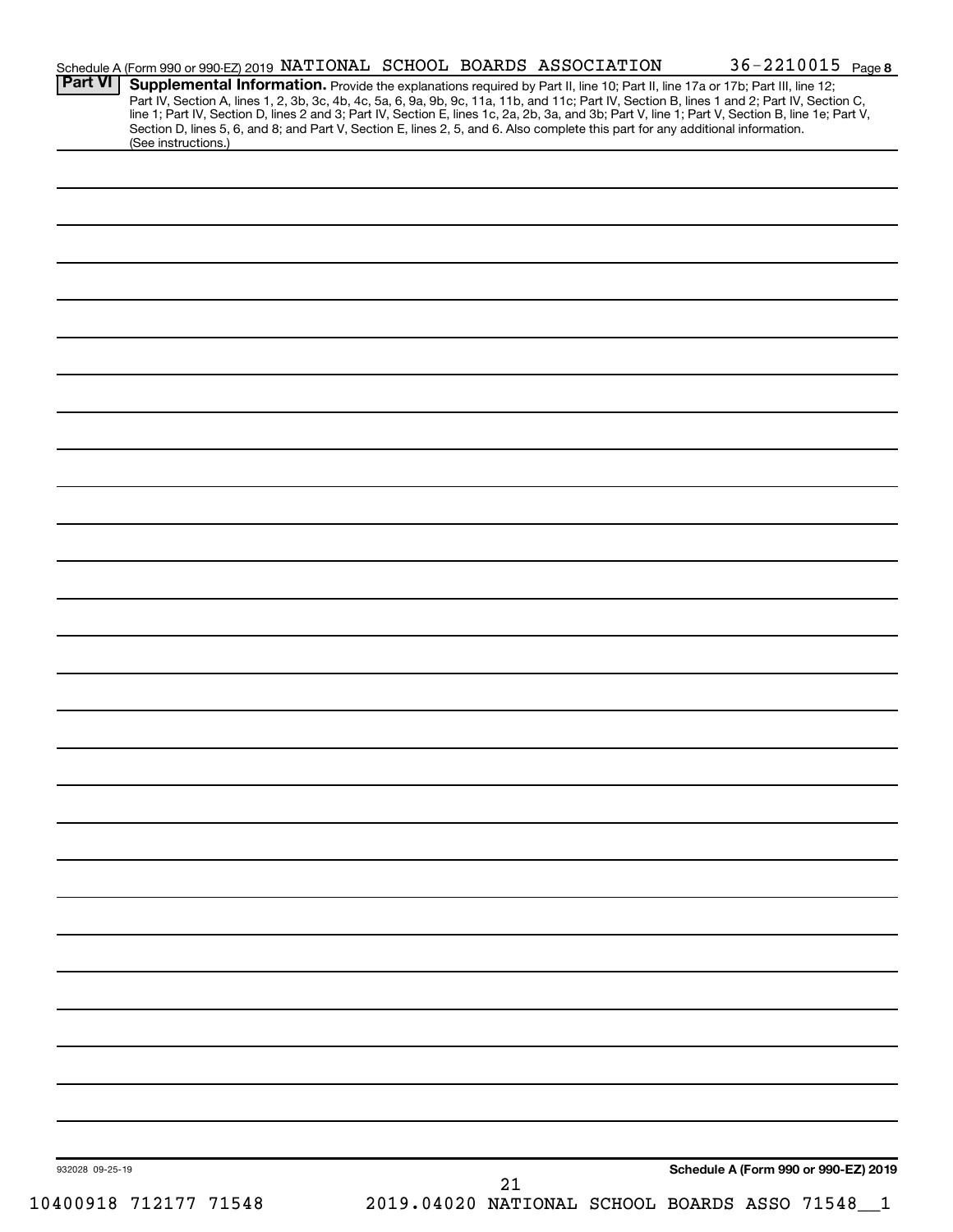| <b>Part VI</b>  |                     |  |    | Schedule A (Form 990 or 990-EZ) 2019 NATIONAL SCHOOL BOARDS ASSOCIATION |                                                                                                                                                                                                                                                                                     | $36 - 2210015$ Page 8 |
|-----------------|---------------------|--|----|-------------------------------------------------------------------------|-------------------------------------------------------------------------------------------------------------------------------------------------------------------------------------------------------------------------------------------------------------------------------------|-----------------------|
|                 |                     |  |    |                                                                         | Supplemental Information. Provide the explanations required by Part II, line 10; Part II, line 17a or 17b; Part III, line 12;<br>Part IV, Section A, lines 1, 2, 3b, 3c, 4b, 4c, 5a, 6, 9a, 9b, 9c, 11a, 11b, and 11c; Part IV, Section B, lines 1 and 2; Part IV, Section C,       |                       |
|                 |                     |  |    |                                                                         | line 1; Part IV, Section D, lines 2 and 3; Part IV, Section E, lines 1c, 2a, 2b, 3a, and 3b; Part V, line 1; Part V, Section B, line 1e; Part V,<br>Section D, lines 5, 6, and 8; and Part V, Section E, lines 2, 5, and 6. Also complete this part for any additional information. |                       |
|                 | (See instructions.) |  |    |                                                                         |                                                                                                                                                                                                                                                                                     |                       |
|                 |                     |  |    |                                                                         |                                                                                                                                                                                                                                                                                     |                       |
|                 |                     |  |    |                                                                         |                                                                                                                                                                                                                                                                                     |                       |
|                 |                     |  |    |                                                                         |                                                                                                                                                                                                                                                                                     |                       |
|                 |                     |  |    |                                                                         |                                                                                                                                                                                                                                                                                     |                       |
|                 |                     |  |    |                                                                         |                                                                                                                                                                                                                                                                                     |                       |
|                 |                     |  |    |                                                                         |                                                                                                                                                                                                                                                                                     |                       |
|                 |                     |  |    |                                                                         |                                                                                                                                                                                                                                                                                     |                       |
|                 |                     |  |    |                                                                         |                                                                                                                                                                                                                                                                                     |                       |
|                 |                     |  |    |                                                                         |                                                                                                                                                                                                                                                                                     |                       |
|                 |                     |  |    |                                                                         |                                                                                                                                                                                                                                                                                     |                       |
|                 |                     |  |    |                                                                         |                                                                                                                                                                                                                                                                                     |                       |
|                 |                     |  |    |                                                                         |                                                                                                                                                                                                                                                                                     |                       |
|                 |                     |  |    |                                                                         |                                                                                                                                                                                                                                                                                     |                       |
|                 |                     |  |    |                                                                         |                                                                                                                                                                                                                                                                                     |                       |
|                 |                     |  |    |                                                                         |                                                                                                                                                                                                                                                                                     |                       |
|                 |                     |  |    |                                                                         |                                                                                                                                                                                                                                                                                     |                       |
|                 |                     |  |    |                                                                         |                                                                                                                                                                                                                                                                                     |                       |
|                 |                     |  |    |                                                                         |                                                                                                                                                                                                                                                                                     |                       |
|                 |                     |  |    |                                                                         |                                                                                                                                                                                                                                                                                     |                       |
|                 |                     |  |    |                                                                         |                                                                                                                                                                                                                                                                                     |                       |
|                 |                     |  |    |                                                                         |                                                                                                                                                                                                                                                                                     |                       |
|                 |                     |  |    |                                                                         |                                                                                                                                                                                                                                                                                     |                       |
|                 |                     |  |    |                                                                         |                                                                                                                                                                                                                                                                                     |                       |
|                 |                     |  |    |                                                                         |                                                                                                                                                                                                                                                                                     |                       |
|                 |                     |  |    |                                                                         |                                                                                                                                                                                                                                                                                     |                       |
|                 |                     |  |    |                                                                         |                                                                                                                                                                                                                                                                                     |                       |
|                 |                     |  |    |                                                                         |                                                                                                                                                                                                                                                                                     |                       |
|                 |                     |  |    |                                                                         |                                                                                                                                                                                                                                                                                     |                       |
|                 |                     |  |    |                                                                         |                                                                                                                                                                                                                                                                                     |                       |
|                 |                     |  |    |                                                                         |                                                                                                                                                                                                                                                                                     |                       |
|                 |                     |  |    |                                                                         |                                                                                                                                                                                                                                                                                     |                       |
|                 |                     |  |    |                                                                         |                                                                                                                                                                                                                                                                                     |                       |
|                 |                     |  |    |                                                                         |                                                                                                                                                                                                                                                                                     |                       |
|                 |                     |  |    |                                                                         |                                                                                                                                                                                                                                                                                     |                       |
|                 |                     |  |    |                                                                         |                                                                                                                                                                                                                                                                                     |                       |
|                 |                     |  |    |                                                                         |                                                                                                                                                                                                                                                                                     |                       |
|                 |                     |  |    |                                                                         |                                                                                                                                                                                                                                                                                     |                       |
|                 |                     |  |    |                                                                         |                                                                                                                                                                                                                                                                                     |                       |
|                 |                     |  |    |                                                                         |                                                                                                                                                                                                                                                                                     |                       |
|                 |                     |  |    |                                                                         |                                                                                                                                                                                                                                                                                     |                       |
|                 |                     |  |    |                                                                         |                                                                                                                                                                                                                                                                                     |                       |
|                 |                     |  |    |                                                                         |                                                                                                                                                                                                                                                                                     |                       |
|                 |                     |  |    |                                                                         |                                                                                                                                                                                                                                                                                     |                       |
|                 |                     |  |    |                                                                         |                                                                                                                                                                                                                                                                                     |                       |
|                 |                     |  |    |                                                                         |                                                                                                                                                                                                                                                                                     |                       |
|                 |                     |  |    |                                                                         |                                                                                                                                                                                                                                                                                     |                       |
|                 |                     |  |    |                                                                         |                                                                                                                                                                                                                                                                                     |                       |
| 932028 09-25-19 |                     |  | 21 |                                                                         | Schedule A (Form 990 or 990-EZ) 2019                                                                                                                                                                                                                                                |                       |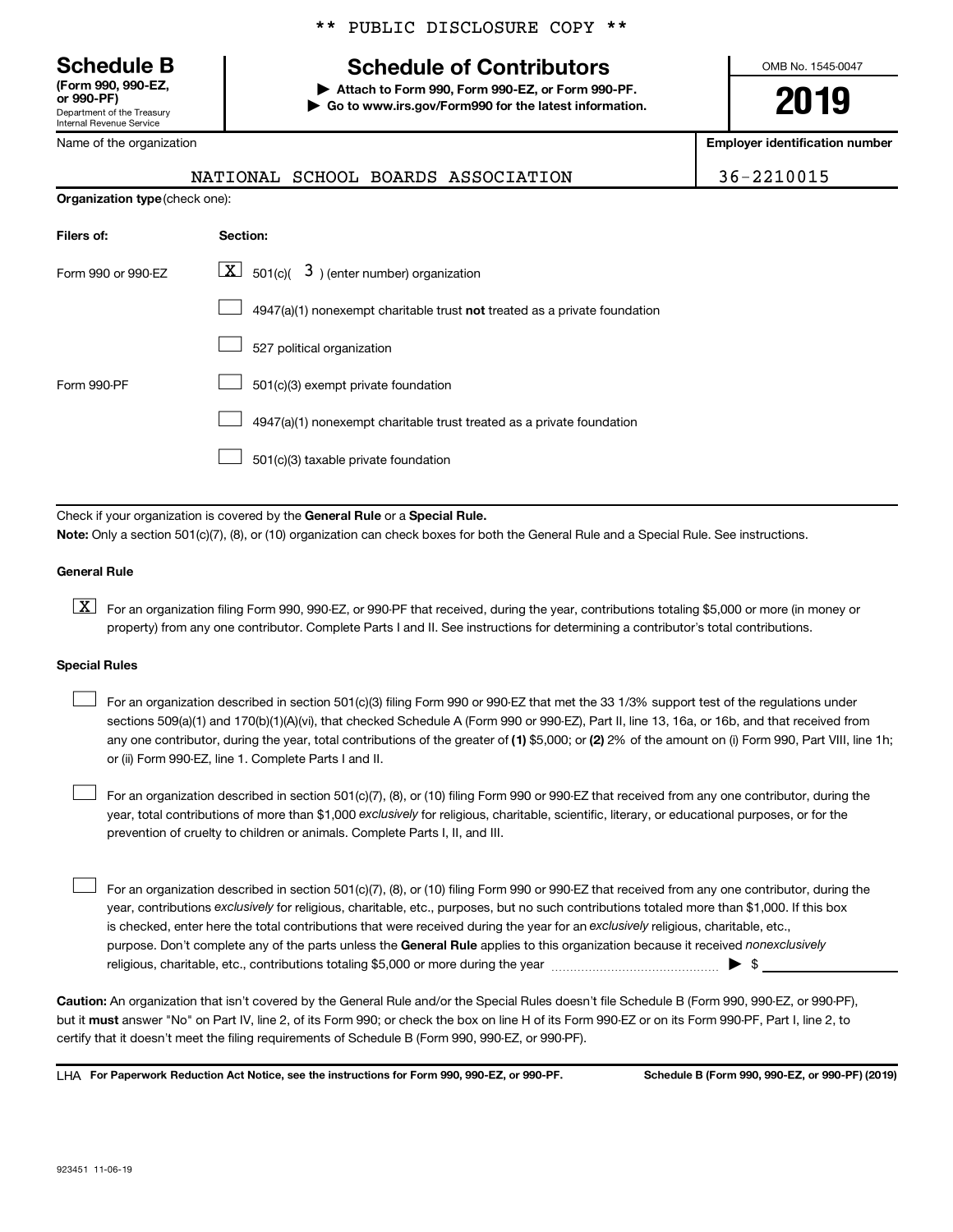# **(Form 990, 990-EZ,**

Department of the Treasury Internal Revenue Service

Name of the organization

**Organization type** (check one):

## \*\* PUBLIC DISCLOSURE COPY \*\*

## **Schedule B Schedule of Contributors**

**or 990-PF) | Attach to Form 990, Form 990-EZ, or Form 990-PF. | Go to www.irs.gov/Form990 for the latest information.** OMB No. 1545-0047

**2019**

**Employer identification number**

|  |  | 36-2210015 |  |
|--|--|------------|--|
|--|--|------------|--|

|  | NATIONAL SCHOOL BOARDS ASSOCIATION | 36-2210015 |
|--|------------------------------------|------------|
|  |                                    |            |

| Filers of:         | <b>Section:</b>                                                                    |
|--------------------|------------------------------------------------------------------------------------|
| Form 990 or 990-FZ | $\lfloor x \rfloor$ 501(c)( 3) (enter number) organization                         |
|                    | $4947(a)(1)$ nonexempt charitable trust <b>not</b> treated as a private foundation |
|                    | 527 political organization                                                         |
| Form 990-PF        | 501(c)(3) exempt private foundation                                                |
|                    | 4947(a)(1) nonexempt charitable trust treated as a private foundation              |
|                    | 501(c)(3) taxable private foundation                                               |

Check if your organization is covered by the General Rule or a Special Rule. **Note:**  Only a section 501(c)(7), (8), or (10) organization can check boxes for both the General Rule and a Special Rule. See instructions.

#### **General Rule**

**K** For an organization filing Form 990, 990-EZ, or 990-PF that received, during the year, contributions totaling \$5,000 or more (in money or property) from any one contributor. Complete Parts I and II. See instructions for determining a contributor's total contributions.

#### **Special Rules**

 $\Box$ 

any one contributor, during the year, total contributions of the greater of (1) \$5,000; or (2) 2% of the amount on (i) Form 990, Part VIII, line 1h; For an organization described in section 501(c)(3) filing Form 990 or 990-EZ that met the 33 1/3% support test of the regulations under sections 509(a)(1) and 170(b)(1)(A)(vi), that checked Schedule A (Form 990 or 990-EZ), Part II, line 13, 16a, or 16b, and that received from or (ii) Form 990-EZ, line 1. Complete Parts I and II.  $\Box$ 

year, total contributions of more than \$1,000 *exclusively* for religious, charitable, scientific, literary, or educational purposes, or for the For an organization described in section 501(c)(7), (8), or (10) filing Form 990 or 990-EZ that received from any one contributor, during the prevention of cruelty to children or animals. Complete Parts I, II, and III.

purpose. Don't complete any of the parts unless the General Rule applies to this organization because it received nonexclusively year, contributions exclusively for religious, charitable, etc., purposes, but no such contributions totaled more than \$1,000. If this box is checked, enter here the total contributions that were received during the year for an exclusively religious, charitable, etc., For an organization described in section 501(c)(7), (8), or (10) filing Form 990 or 990-EZ that received from any one contributor, during the religious, charitable, etc., contributions totaling \$5,000 or more during the year  $\ldots$  $\ldots$  $\ldots$  $\ldots$  $\ldots$  $\ldots$  $\Box$ 

**Caution:**  An organization that isn't covered by the General Rule and/or the Special Rules doesn't file Schedule B (Form 990, 990-EZ, or 990-PF),  **must** but it answer "No" on Part IV, line 2, of its Form 990; or check the box on line H of its Form 990-EZ or on its Form 990-PF, Part I, line 2, to certify that it doesn't meet the filing requirements of Schedule B (Form 990, 990-EZ, or 990-PF).

**For Paperwork Reduction Act Notice, see the instructions for Form 990, 990-EZ, or 990-PF. Schedule B (Form 990, 990-EZ, or 990-PF) (2019)** LHA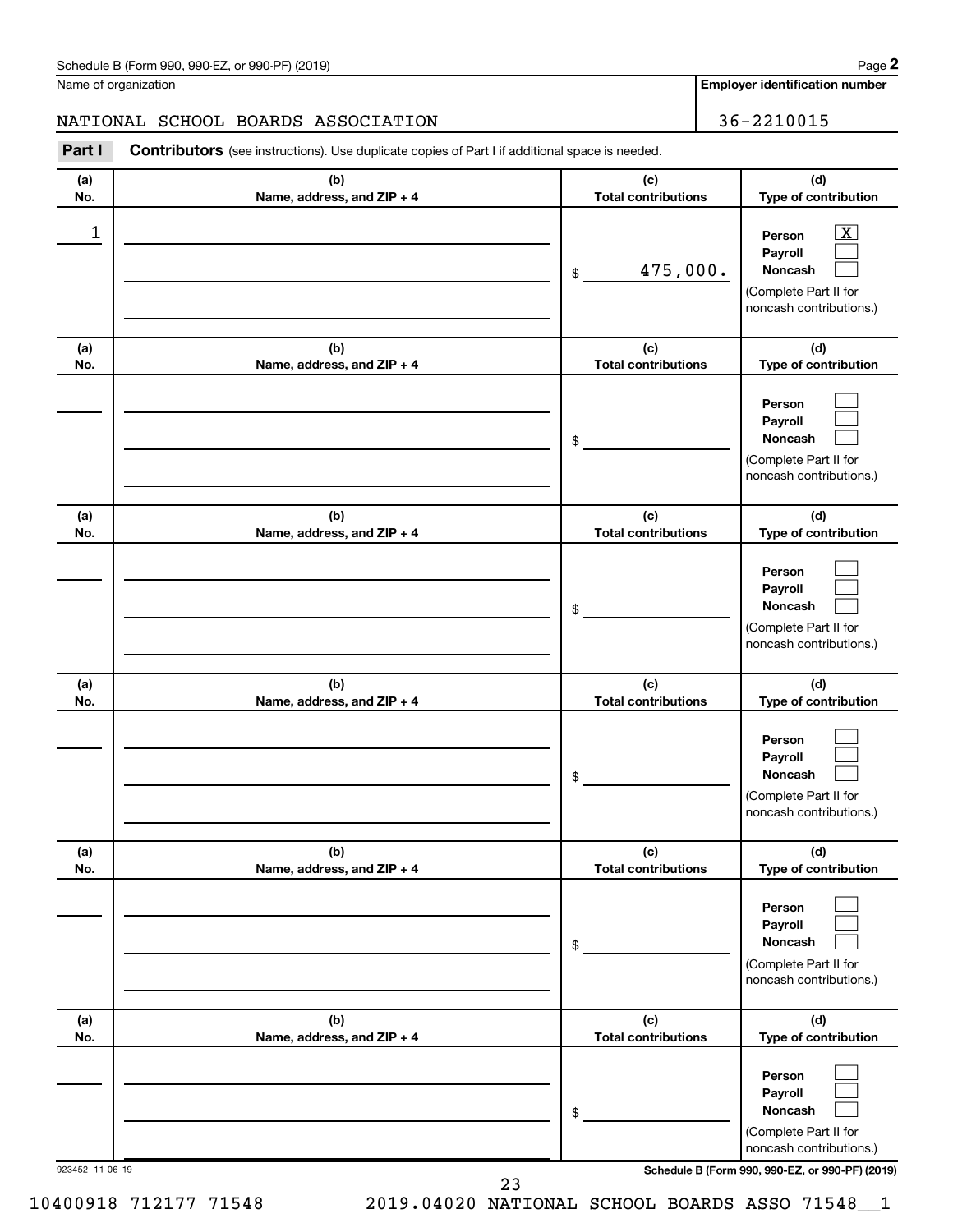| Schedule B (Form 990, 990-EZ, or 990-PF) (2019)<br>$\sqrt{2}$ and $\sqrt{2}$ and $\sqrt{2}$ and $\sqrt{2}$ and $\sqrt{2}$ and $\sqrt{2}$ and $\sqrt{2}$ and $\sqrt{2}$ and $\sqrt{2}$ and $\sqrt{2}$ and $\sqrt{2}$ and $\sqrt{2}$ and $\sqrt{2}$ and $\sqrt{2}$ and $\sqrt{2}$ and $\sqrt{2}$ and $\sqrt{2}$ and $\sqrt{2}$ and $\sqrt{2$ | Page |
|--------------------------------------------------------------------------------------------------------------------------------------------------------------------------------------------------------------------------------------------------------------------------------------------------------------------------------------------|------|
|--------------------------------------------------------------------------------------------------------------------------------------------------------------------------------------------------------------------------------------------------------------------------------------------------------------------------------------------|------|

Name of organization

**Employer identification number**

## NATIONAL SCHOOL BOARDS ASSOCIATION 36-2210015

**Part I** Contributors (see instructions). Use duplicate copies of Part I if additional space is needed.

| (a)<br>No.      | (b)<br>Name, address, and ZIP + 4 | (c)<br><b>Total contributions</b> | (d)<br>Type of contribution                                                                  |
|-----------------|-----------------------------------|-----------------------------------|----------------------------------------------------------------------------------------------|
| 1               |                                   | 475,000.<br>\$                    | x<br>Person<br>Payroll<br><b>Noncash</b><br>(Complete Part II for<br>noncash contributions.) |
| (a)<br>No.      | (b)<br>Name, address, and ZIP + 4 | (c)<br><b>Total contributions</b> | (d)<br>Type of contribution                                                                  |
|                 |                                   | \$                                | Person<br>Payroll<br>Noncash<br>(Complete Part II for<br>noncash contributions.)             |
| (a)<br>No.      | (b)<br>Name, address, and ZIP + 4 | (c)<br><b>Total contributions</b> | (d)<br>Type of contribution                                                                  |
|                 |                                   | \$                                | Person<br>Payroll<br>Noncash<br>(Complete Part II for<br>noncash contributions.)             |
| (a)<br>No.      | (b)<br>Name, address, and ZIP + 4 | (c)<br><b>Total contributions</b> | (d)<br>Type of contribution                                                                  |
|                 |                                   | \$                                | Person<br>Payroll<br>Noncash<br>(Complete Part II for<br>noncash contributions.)             |
| (a)<br>No.      | (b)<br>Name, address, and ZIP + 4 | (c)<br><b>Total contributions</b> | (d)<br>Type of contribution                                                                  |
|                 |                                   | \$                                | Person<br>Payroll<br>Noncash<br>(Complete Part II for<br>noncash contributions.)             |
| (a)<br>No.      | (b)<br>Name, address, and ZIP + 4 | (c)<br><b>Total contributions</b> | (d)<br>Type of contribution                                                                  |
|                 |                                   | \$                                | Person<br>Payroll<br>Noncash<br>(Complete Part II for<br>noncash contributions.)             |
| 923452 11-06-19 |                                   |                                   | Schedule B (Form 990, 990-EZ, or 990-PF) (2019)                                              |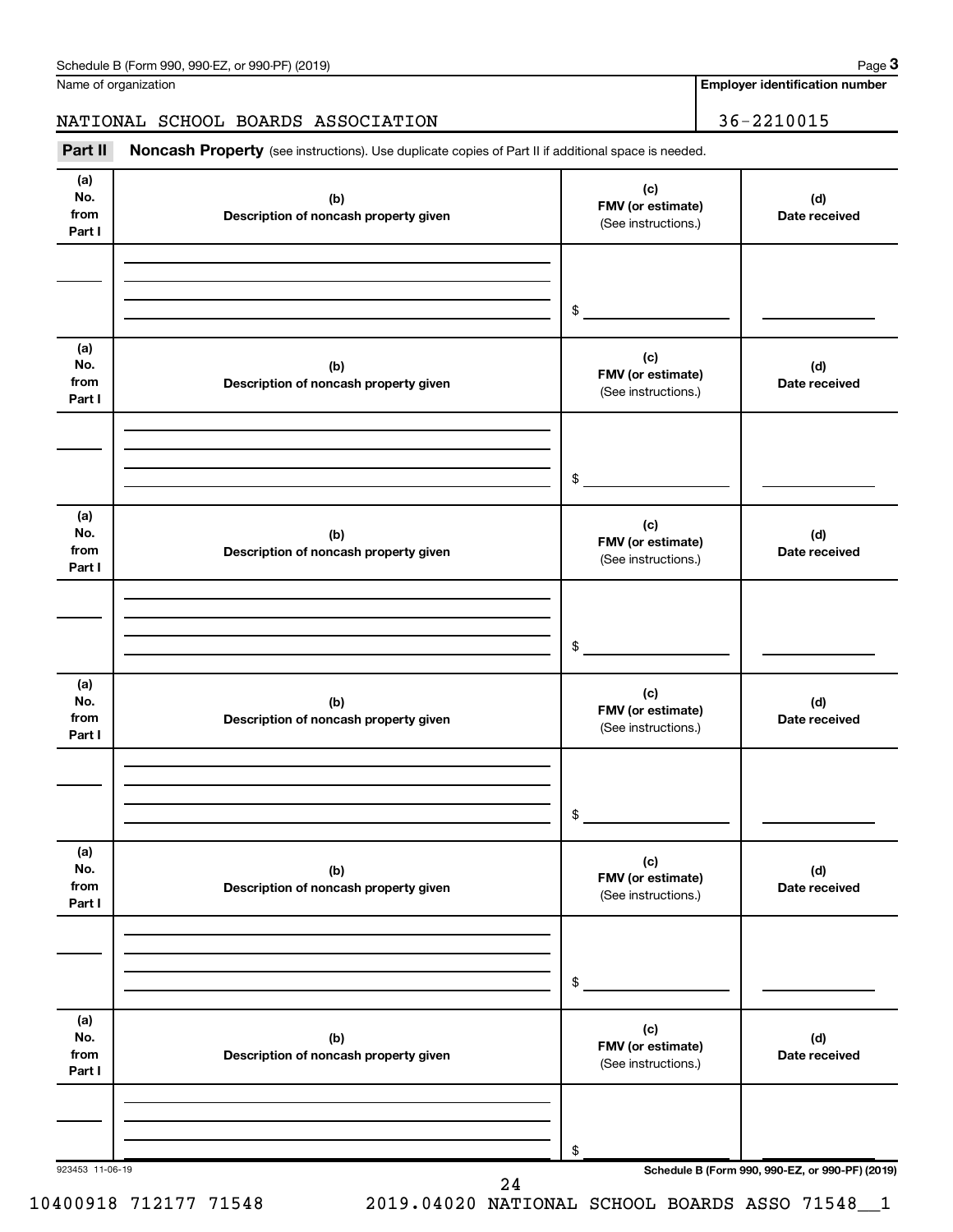Name of organization

**Employer identification number**

## NATIONAL SCHOOL BOARDS ASSOCIATION 36-2210015

Part II Noncash Property (see instructions). Use duplicate copies of Part II if additional space is needed.

| (a)<br>No.<br>from<br>Part I | (b)<br>Description of noncash property given | (c)<br>FMV (or estimate)<br>(See instructions.) | (d)<br>Date received                            |
|------------------------------|----------------------------------------------|-------------------------------------------------|-------------------------------------------------|
|                              |                                              | \$                                              |                                                 |
| (a)<br>No.<br>from<br>Part I | (b)<br>Description of noncash property given | (c)<br>FMV (or estimate)<br>(See instructions.) | (d)<br>Date received                            |
|                              |                                              | \$                                              |                                                 |
| (a)<br>No.<br>from<br>Part I | (b)<br>Description of noncash property given | (c)<br>FMV (or estimate)<br>(See instructions.) | (d)<br>Date received                            |
|                              |                                              | \$                                              |                                                 |
| (a)<br>No.<br>from<br>Part I | (b)<br>Description of noncash property given | (c)<br>FMV (or estimate)<br>(See instructions.) | (d)<br>Date received                            |
|                              |                                              | $\$$                                            |                                                 |
| (a)<br>No.<br>from<br>Part I | (b)<br>Description of noncash property given | (c)<br>FMV (or estimate)<br>(See instructions.) | (d)<br>Date received                            |
|                              |                                              | \$                                              |                                                 |
| (a)<br>No.<br>from<br>Part I | (b)<br>Description of noncash property given | (c)<br>FMV (or estimate)<br>(See instructions.) | (d)<br>Date received                            |
|                              |                                              | \$                                              |                                                 |
| 923453 11-06-19              | 24                                           |                                                 | Schedule B (Form 990, 990-EZ, or 990-PF) (2019) |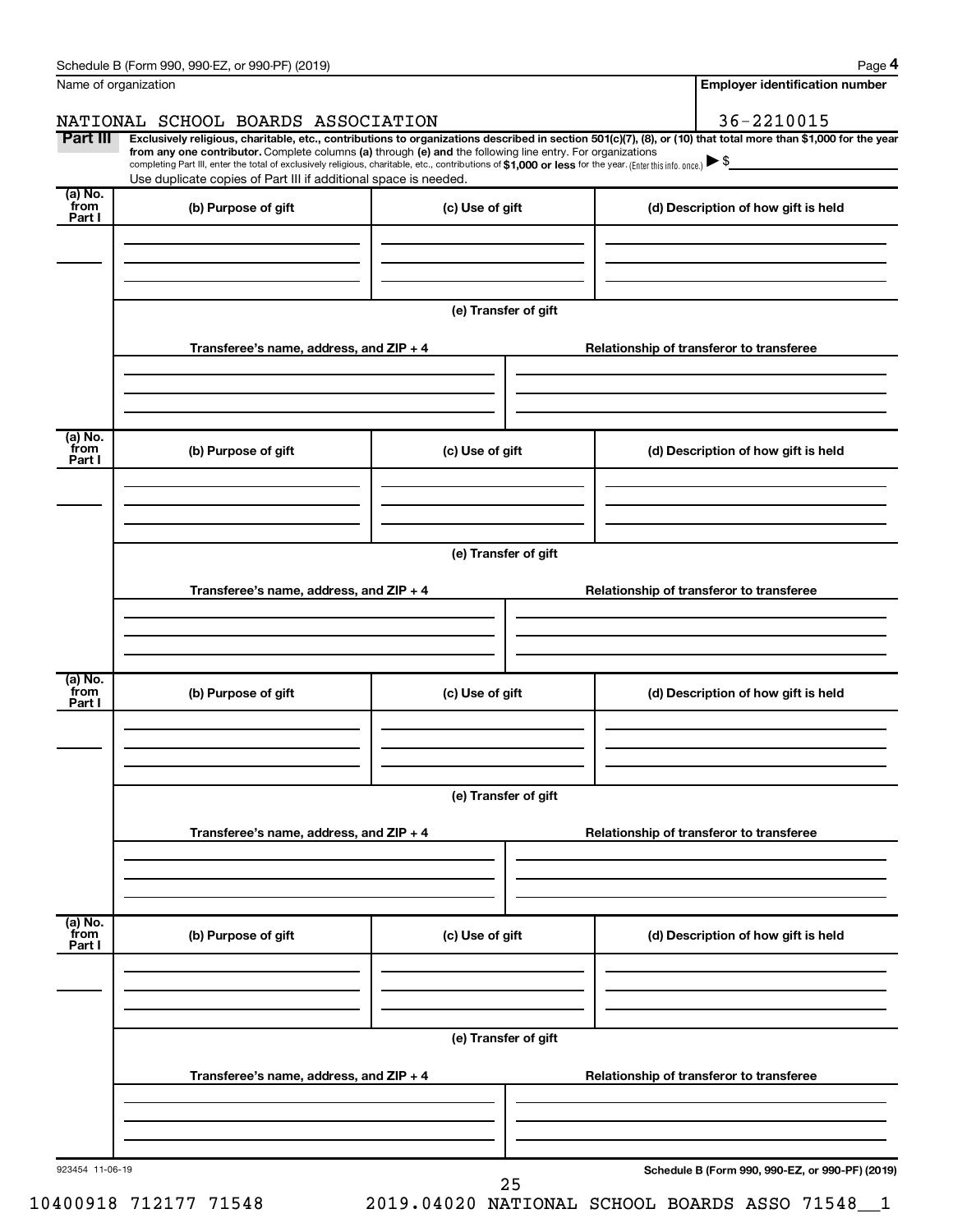|                           | Schedule B (Form 990, 990-EZ, or 990-PF) (2019)                                                                                                                                                                             |                      | Page 4                                                                                                                                                         |  |  |  |  |
|---------------------------|-----------------------------------------------------------------------------------------------------------------------------------------------------------------------------------------------------------------------------|----------------------|----------------------------------------------------------------------------------------------------------------------------------------------------------------|--|--|--|--|
|                           | Name of organization                                                                                                                                                                                                        |                      | <b>Employer identification number</b>                                                                                                                          |  |  |  |  |
|                           | NATIONAL SCHOOL BOARDS ASSOCIATION                                                                                                                                                                                          |                      | 36-2210015                                                                                                                                                     |  |  |  |  |
| Part III                  | from any one contributor. Complete columns (a) through (e) and the following line entry. For organizations                                                                                                                  |                      | Exclusively religious, charitable, etc., contributions to organizations described in section 501(c)(7), (8), or (10) that total more than \$1,000 for the year |  |  |  |  |
|                           | completing Part III, enter the total of exclusively religious, charitable, etc., contributions of \$1,000 or less for the year. (Enter this info. once.)<br>Use duplicate copies of Part III if additional space is needed. |                      |                                                                                                                                                                |  |  |  |  |
| (a) No.<br>from           | (b) Purpose of gift                                                                                                                                                                                                         | (c) Use of gift      | (d) Description of how gift is held                                                                                                                            |  |  |  |  |
| Part I                    |                                                                                                                                                                                                                             |                      |                                                                                                                                                                |  |  |  |  |
|                           |                                                                                                                                                                                                                             | (e) Transfer of gift |                                                                                                                                                                |  |  |  |  |
|                           | Transferee's name, address, and ZIP + 4                                                                                                                                                                                     |                      | Relationship of transferor to transferee                                                                                                                       |  |  |  |  |
|                           |                                                                                                                                                                                                                             |                      |                                                                                                                                                                |  |  |  |  |
| (a) No.<br>from           | (b) Purpose of gift                                                                                                                                                                                                         | (c) Use of gift      | (d) Description of how gift is held                                                                                                                            |  |  |  |  |
| Part I                    |                                                                                                                                                                                                                             |                      |                                                                                                                                                                |  |  |  |  |
|                           |                                                                                                                                                                                                                             |                      |                                                                                                                                                                |  |  |  |  |
|                           | (e) Transfer of gift                                                                                                                                                                                                        |                      |                                                                                                                                                                |  |  |  |  |
|                           | Transferee's name, address, and ZIP + 4                                                                                                                                                                                     |                      | Relationship of transferor to transferee                                                                                                                       |  |  |  |  |
|                           |                                                                                                                                                                                                                             |                      |                                                                                                                                                                |  |  |  |  |
| (a) No.<br>from<br>Part I | (b) Purpose of gift                                                                                                                                                                                                         | (c) Use of gift      | (d) Description of how gift is held                                                                                                                            |  |  |  |  |
|                           |                                                                                                                                                                                                                             |                      |                                                                                                                                                                |  |  |  |  |
|                           |                                                                                                                                                                                                                             | (e) Transfer of gift |                                                                                                                                                                |  |  |  |  |
|                           | Transferee's name, address, and ZIP + 4                                                                                                                                                                                     |                      | Relationship of transferor to transferee                                                                                                                       |  |  |  |  |
|                           |                                                                                                                                                                                                                             |                      |                                                                                                                                                                |  |  |  |  |
| (a) No.<br>from<br>Part I | (b) Purpose of gift                                                                                                                                                                                                         | (c) Use of gift      | (d) Description of how gift is held                                                                                                                            |  |  |  |  |
|                           |                                                                                                                                                                                                                             |                      |                                                                                                                                                                |  |  |  |  |
|                           | (e) Transfer of gift                                                                                                                                                                                                        |                      |                                                                                                                                                                |  |  |  |  |
|                           | Transferee's name, address, and ZIP + 4                                                                                                                                                                                     |                      | Relationship of transferor to transferee                                                                                                                       |  |  |  |  |
|                           |                                                                                                                                                                                                                             |                      |                                                                                                                                                                |  |  |  |  |
| 923454 11-06-19           |                                                                                                                                                                                                                             | 25                   | Schedule B (Form 990, 990-EZ, or 990-PF) (2019)                                                                                                                |  |  |  |  |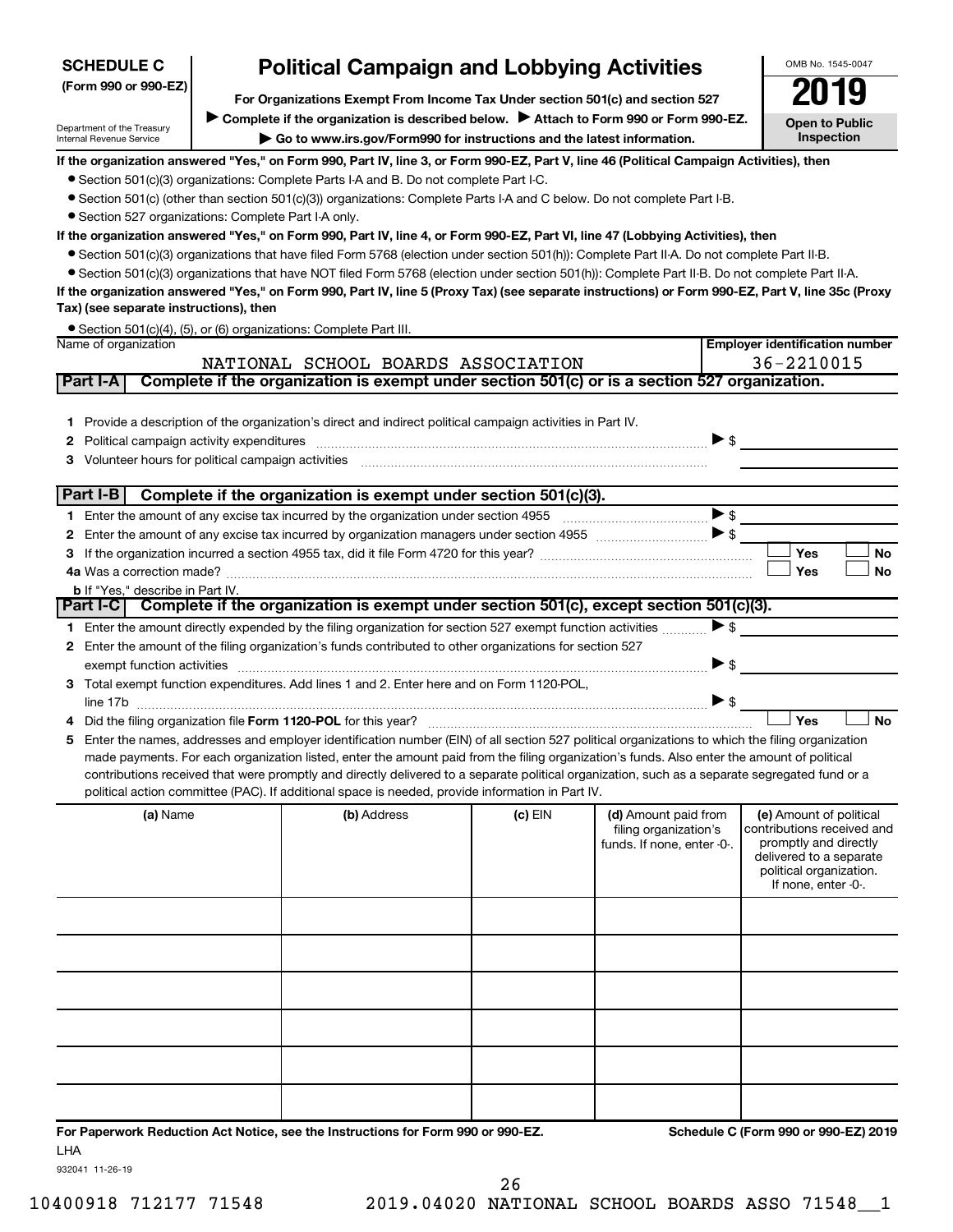| <b>SCHEDULE C</b>                       | <b>Political Campaign and Lobbying Activities</b>                                                                                                                                      |                                                                                                                                                                                                                                                                                                |         |                            |                                                  |    |  |  |  |  |
|-----------------------------------------|----------------------------------------------------------------------------------------------------------------------------------------------------------------------------------------|------------------------------------------------------------------------------------------------------------------------------------------------------------------------------------------------------------------------------------------------------------------------------------------------|---------|----------------------------|--------------------------------------------------|----|--|--|--|--|
| (Form 990 or 990-EZ)                    | For Organizations Exempt From Income Tax Under section 501(c) and section 527                                                                                                          |                                                                                                                                                                                                                                                                                                |         |                            |                                                  |    |  |  |  |  |
|                                         |                                                                                                                                                                                        |                                                                                                                                                                                                                                                                                                |         |                            | Ľ                                                |    |  |  |  |  |
| Department of the Treasury              |                                                                                                                                                                                        | Complete if the organization is described below.<br>Attach to Form 990 or Form 990-EZ.                                                                                                                                                                                                         |         |                            | <b>Open to Public</b><br><b>Inspection</b>       |    |  |  |  |  |
| Internal Revenue Service                |                                                                                                                                                                                        | Go to www.irs.gov/Form990 for instructions and the latest information.                                                                                                                                                                                                                         |         |                            |                                                  |    |  |  |  |  |
|                                         |                                                                                                                                                                                        | If the organization answered "Yes," on Form 990, Part IV, line 3, or Form 990-EZ, Part V, line 46 (Political Campaign Activities), then                                                                                                                                                        |         |                            |                                                  |    |  |  |  |  |
|                                         |                                                                                                                                                                                        | • Section 501(c)(3) organizations: Complete Parts I-A and B. Do not complete Part I-C.<br>• Section 501(c) (other than section 501(c)(3)) organizations: Complete Parts I-A and C below. Do not complete Part I-B.                                                                             |         |                            |                                                  |    |  |  |  |  |
|                                         |                                                                                                                                                                                        |                                                                                                                                                                                                                                                                                                |         |                            |                                                  |    |  |  |  |  |
|                                         | • Section 527 organizations: Complete Part I-A only.<br>If the organization answered "Yes," on Form 990, Part IV, line 4, or Form 990-EZ, Part VI, line 47 (Lobbying Activities), then |                                                                                                                                                                                                                                                                                                |         |                            |                                                  |    |  |  |  |  |
|                                         | • Section 501(c)(3) organizations that have filed Form 5768 (election under section 501(h)): Complete Part II-A. Do not complete Part II-B.                                            |                                                                                                                                                                                                                                                                                                |         |                            |                                                  |    |  |  |  |  |
|                                         |                                                                                                                                                                                        | • Section 501(c)(3) organizations that have NOT filed Form 5768 (election under section 501(h)): Complete Part II-B. Do not complete Part II-A.                                                                                                                                                |         |                            |                                                  |    |  |  |  |  |
|                                         |                                                                                                                                                                                        | If the organization answered "Yes," on Form 990, Part IV, line 5 (Proxy Tax) (see separate instructions) or Form 990-EZ, Part V, line 35c (Proxy                                                                                                                                               |         |                            |                                                  |    |  |  |  |  |
| Tax) (see separate instructions), then  |                                                                                                                                                                                        |                                                                                                                                                                                                                                                                                                |         |                            |                                                  |    |  |  |  |  |
|                                         |                                                                                                                                                                                        | • Section 501(c)(4), (5), or (6) organizations: Complete Part III.                                                                                                                                                                                                                             |         |                            |                                                  |    |  |  |  |  |
| Name of organization                    |                                                                                                                                                                                        |                                                                                                                                                                                                                                                                                                |         |                            | <b>Employer identification number</b>            |    |  |  |  |  |
|                                         |                                                                                                                                                                                        | NATIONAL SCHOOL BOARDS ASSOCIATION                                                                                                                                                                                                                                                             |         |                            | 36-2210015                                       |    |  |  |  |  |
| Part I-A                                |                                                                                                                                                                                        | Complete if the organization is exempt under section 501(c) or is a section 527 organization.                                                                                                                                                                                                  |         |                            |                                                  |    |  |  |  |  |
|                                         |                                                                                                                                                                                        |                                                                                                                                                                                                                                                                                                |         |                            |                                                  |    |  |  |  |  |
|                                         |                                                                                                                                                                                        | 1 Provide a description of the organization's direct and indirect political campaign activities in Part IV.                                                                                                                                                                                    |         |                            |                                                  |    |  |  |  |  |
| 2                                       |                                                                                                                                                                                        |                                                                                                                                                                                                                                                                                                |         |                            | $\triangleright$ \$                              |    |  |  |  |  |
| 3                                       |                                                                                                                                                                                        |                                                                                                                                                                                                                                                                                                |         |                            |                                                  |    |  |  |  |  |
| Part I-B                                |                                                                                                                                                                                        | Complete if the organization is exempt under section 501(c)(3).                                                                                                                                                                                                                                |         |                            |                                                  |    |  |  |  |  |
|                                         |                                                                                                                                                                                        |                                                                                                                                                                                                                                                                                                |         |                            | $\blacktriangleright$ \$                         |    |  |  |  |  |
| 2                                       |                                                                                                                                                                                        |                                                                                                                                                                                                                                                                                                |         |                            |                                                  |    |  |  |  |  |
| з                                       |                                                                                                                                                                                        |                                                                                                                                                                                                                                                                                                |         |                            | Yes                                              | No |  |  |  |  |
|                                         |                                                                                                                                                                                        |                                                                                                                                                                                                                                                                                                |         |                            | Yes                                              | No |  |  |  |  |
| <b>b</b> If "Yes," describe in Part IV. |                                                                                                                                                                                        |                                                                                                                                                                                                                                                                                                |         |                            |                                                  |    |  |  |  |  |
| Part I-C                                |                                                                                                                                                                                        | Complete if the organization is exempt under section 501(c), except section 501(c)(3).                                                                                                                                                                                                         |         |                            |                                                  |    |  |  |  |  |
|                                         |                                                                                                                                                                                        | 1 Enter the amount directly expended by the filing organization for section 527 exempt function activities                                                                                                                                                                                     |         |                            | $\blacktriangleright$ \$                         |    |  |  |  |  |
|                                         |                                                                                                                                                                                        | 2 Enter the amount of the filing organization's funds contributed to other organizations for section 527                                                                                                                                                                                       |         |                            |                                                  |    |  |  |  |  |
| exempt function activities              |                                                                                                                                                                                        |                                                                                                                                                                                                                                                                                                |         |                            | $\blacktriangleright$ \$                         |    |  |  |  |  |
| 3                                       |                                                                                                                                                                                        | Total exempt function expenditures. Add lines 1 and 2. Enter here and on Form 1120-POL,                                                                                                                                                                                                        |         |                            |                                                  |    |  |  |  |  |
|                                         |                                                                                                                                                                                        |                                                                                                                                                                                                                                                                                                |         |                            |                                                  |    |  |  |  |  |
|                                         |                                                                                                                                                                                        |                                                                                                                                                                                                                                                                                                |         |                            | Yes                                              | No |  |  |  |  |
| 5                                       |                                                                                                                                                                                        | Enter the names, addresses and employer identification number (EIN) of all section 527 political organizations to which the filing organization<br>made payments. For each organization listed, enter the amount paid from the filing organization's funds. Also enter the amount of political |         |                            |                                                  |    |  |  |  |  |
|                                         |                                                                                                                                                                                        | contributions received that were promptly and directly delivered to a separate political organization, such as a separate segregated fund or a                                                                                                                                                 |         |                            |                                                  |    |  |  |  |  |
|                                         |                                                                                                                                                                                        | political action committee (PAC). If additional space is needed, provide information in Part IV.                                                                                                                                                                                               |         |                            |                                                  |    |  |  |  |  |
| (a) Name                                |                                                                                                                                                                                        | (b) Address                                                                                                                                                                                                                                                                                    | (c) EIN | (d) Amount paid from       | (e) Amount of political                          |    |  |  |  |  |
|                                         |                                                                                                                                                                                        |                                                                                                                                                                                                                                                                                                |         | filing organization's      | contributions received and                       |    |  |  |  |  |
|                                         |                                                                                                                                                                                        |                                                                                                                                                                                                                                                                                                |         | funds. If none, enter -0-. | promptly and directly<br>delivered to a separate |    |  |  |  |  |
|                                         |                                                                                                                                                                                        |                                                                                                                                                                                                                                                                                                |         |                            | political organization.                          |    |  |  |  |  |
|                                         |                                                                                                                                                                                        |                                                                                                                                                                                                                                                                                                |         |                            | If none, enter -0-.                              |    |  |  |  |  |
|                                         |                                                                                                                                                                                        |                                                                                                                                                                                                                                                                                                |         |                            |                                                  |    |  |  |  |  |
|                                         |                                                                                                                                                                                        |                                                                                                                                                                                                                                                                                                |         |                            |                                                  |    |  |  |  |  |
|                                         |                                                                                                                                                                                        |                                                                                                                                                                                                                                                                                                |         |                            |                                                  |    |  |  |  |  |
|                                         |                                                                                                                                                                                        |                                                                                                                                                                                                                                                                                                |         |                            |                                                  |    |  |  |  |  |
|                                         |                                                                                                                                                                                        |                                                                                                                                                                                                                                                                                                |         |                            |                                                  |    |  |  |  |  |
|                                         |                                                                                                                                                                                        |                                                                                                                                                                                                                                                                                                |         |                            |                                                  |    |  |  |  |  |
|                                         |                                                                                                                                                                                        |                                                                                                                                                                                                                                                                                                |         |                            |                                                  |    |  |  |  |  |
|                                         |                                                                                                                                                                                        |                                                                                                                                                                                                                                                                                                |         |                            |                                                  |    |  |  |  |  |
|                                         |                                                                                                                                                                                        |                                                                                                                                                                                                                                                                                                |         |                            |                                                  |    |  |  |  |  |
|                                         |                                                                                                                                                                                        |                                                                                                                                                                                                                                                                                                |         |                            |                                                  |    |  |  |  |  |

**For Paperwork Reduction Act Notice, see the Instructions for Form 990 or 990-EZ. Schedule C (Form 990 or 990-EZ) 2019** LHA

OMB No. 1545-0047

932041 11-26-19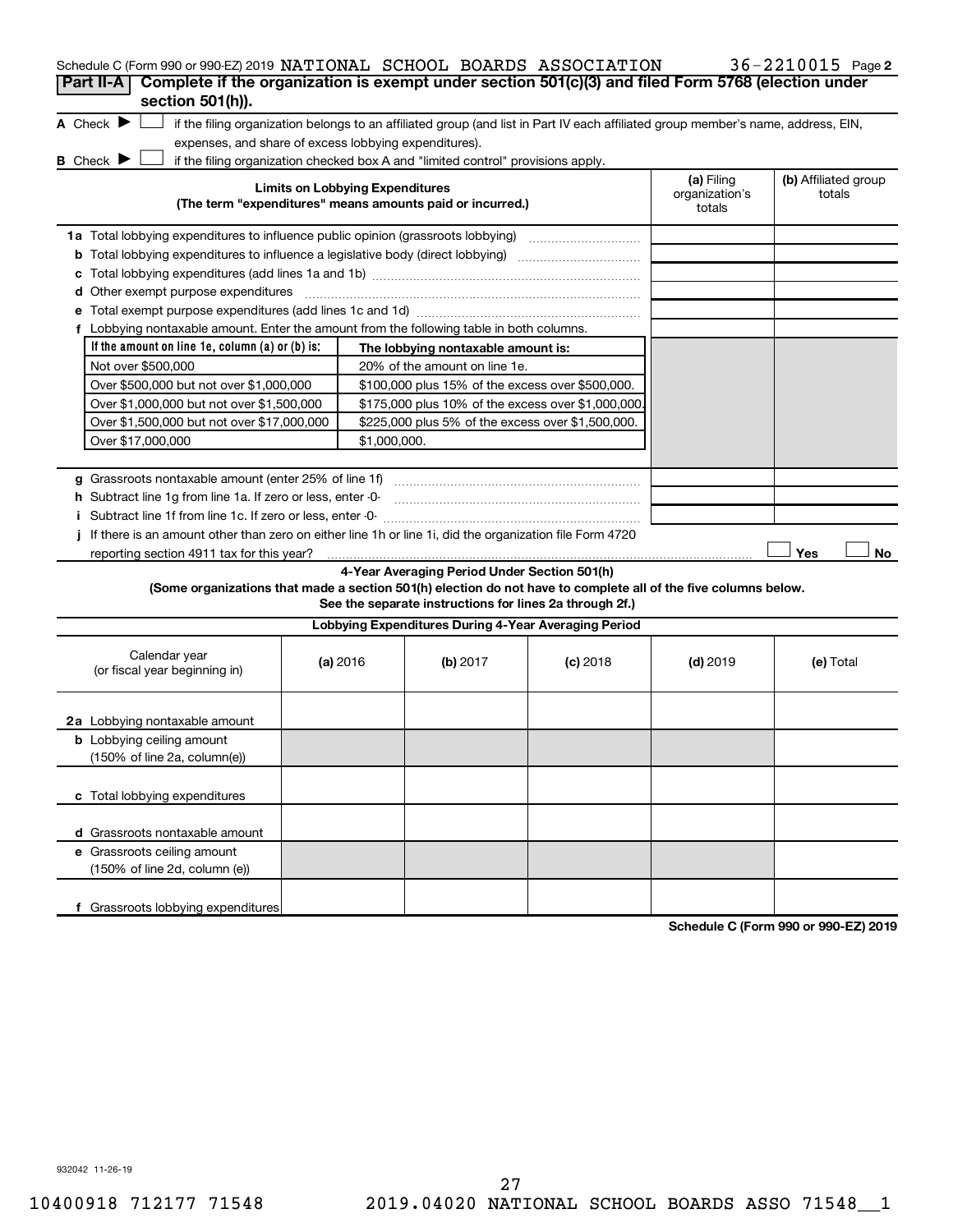| Schedule C (Form 990 or 990-EZ) 2019 NATIONAL SCHOOL BOARDS ASSOCIATION                                         |                                        |              |                                                                                                                                   |            |                                        | 36-2210015 Page 2              |
|-----------------------------------------------------------------------------------------------------------------|----------------------------------------|--------------|-----------------------------------------------------------------------------------------------------------------------------------|------------|----------------------------------------|--------------------------------|
| Complete if the organization is exempt under section 501(c)(3) and filed Form 5768 (election under<br>Part II-A |                                        |              |                                                                                                                                   |            |                                        |                                |
| section 501(h)).                                                                                                |                                        |              |                                                                                                                                   |            |                                        |                                |
| A Check $\blacktriangleright$                                                                                   |                                        |              | if the filing organization belongs to an affiliated group (and list in Part IV each affiliated group member's name, address, EIN, |            |                                        |                                |
| expenses, and share of excess lobbying expenditures).                                                           |                                        |              |                                                                                                                                   |            |                                        |                                |
| <b>B</b> Check $\blacktriangleright$                                                                            |                                        |              | if the filing organization checked box A and "limited control" provisions apply.                                                  |            |                                        |                                |
|                                                                                                                 | <b>Limits on Lobbying Expenditures</b> |              | (The term "expenditures" means amounts paid or incurred.)                                                                         |            | (a) Filing<br>organization's<br>totals | (b) Affiliated group<br>totals |
| 1a Total lobbying expenditures to influence public opinion (grassroots lobbying)                                |                                        |              |                                                                                                                                   |            |                                        |                                |
|                                                                                                                 |                                        |              |                                                                                                                                   |            |                                        |                                |
| c                                                                                                               |                                        |              |                                                                                                                                   |            |                                        |                                |
| Other exempt purpose expenditures<br>d                                                                          |                                        |              |                                                                                                                                   |            |                                        |                                |
|                                                                                                                 |                                        |              |                                                                                                                                   |            |                                        |                                |
| f Lobbying nontaxable amount. Enter the amount from the following table in both columns.                        |                                        |              |                                                                                                                                   |            |                                        |                                |
| If the amount on line 1e, column $(a)$ or $(b)$ is:                                                             |                                        |              | The lobbying nontaxable amount is:                                                                                                |            |                                        |                                |
| Not over \$500,000                                                                                              |                                        |              | 20% of the amount on line 1e.                                                                                                     |            |                                        |                                |
| Over \$500,000 but not over \$1,000,000                                                                         |                                        |              | \$100,000 plus 15% of the excess over \$500,000.                                                                                  |            |                                        |                                |
| Over \$1,000,000 but not over \$1,500,000                                                                       |                                        |              | \$175,000 plus 10% of the excess over \$1,000,000.                                                                                |            |                                        |                                |
| Over \$1,500,000 but not over \$17,000,000                                                                      |                                        |              | \$225,000 plus 5% of the excess over \$1,500,000.                                                                                 |            |                                        |                                |
| Over \$17,000,000                                                                                               |                                        | \$1,000,000. |                                                                                                                                   |            |                                        |                                |
|                                                                                                                 |                                        |              |                                                                                                                                   |            |                                        |                                |
| <b>g</b> Grassroots nontaxable amount (enter 25% of line 1f)                                                    |                                        |              |                                                                                                                                   |            |                                        |                                |
| h Subtract line 1g from line 1a. If zero or less, enter -0-                                                     |                                        |              |                                                                                                                                   |            |                                        |                                |
| i Subtract line 1f from line 1c. If zero or less, enter 0-                                                      |                                        |              |                                                                                                                                   |            |                                        |                                |
| If there is an amount other than zero on either line 1h or line 1i, did the organization file Form 4720         |                                        |              |                                                                                                                                   |            |                                        |                                |
| reporting section 4911 tax for this year?                                                                       |                                        |              |                                                                                                                                   |            |                                        | Yes<br>No                      |
|                                                                                                                 |                                        |              | 4-Year Averaging Period Under Section 501(h)                                                                                      |            |                                        |                                |
| (Some organizations that made a section 501(h) election do not have to complete all of the five columns below.  |                                        |              | See the separate instructions for lines 2a through 2f.)                                                                           |            |                                        |                                |
|                                                                                                                 |                                        |              | Lobbying Expenditures During 4-Year Averaging Period                                                                              |            |                                        |                                |
| Calendar year<br>(or fiscal year beginning in)                                                                  | (a) 2016                               |              | (b) 2017                                                                                                                          | $(c)$ 2018 | $(d)$ 2019                             | (e) Total                      |
| 2a Lobbying nontaxable amount                                                                                   |                                        |              |                                                                                                                                   |            |                                        |                                |
| <b>b</b> Lobbying ceiling amount<br>(150% of line 2a, column(e))                                                |                                        |              |                                                                                                                                   |            |                                        |                                |
| c Total lobbying expenditures                                                                                   |                                        |              |                                                                                                                                   |            |                                        |                                |
| <b>d</b> Grassroots nontaxable amount                                                                           |                                        |              |                                                                                                                                   |            |                                        |                                |
| e Grassroots ceiling amount                                                                                     |                                        |              |                                                                                                                                   |            |                                        |                                |
| (150% of line 2d, column (e))                                                                                   |                                        |              |                                                                                                                                   |            |                                        |                                |
| f Grassroots lobbying expenditures                                                                              |                                        |              |                                                                                                                                   |            |                                        |                                |

**Schedule C (Form 990 or 990-EZ) 2019**

932042 11-26-19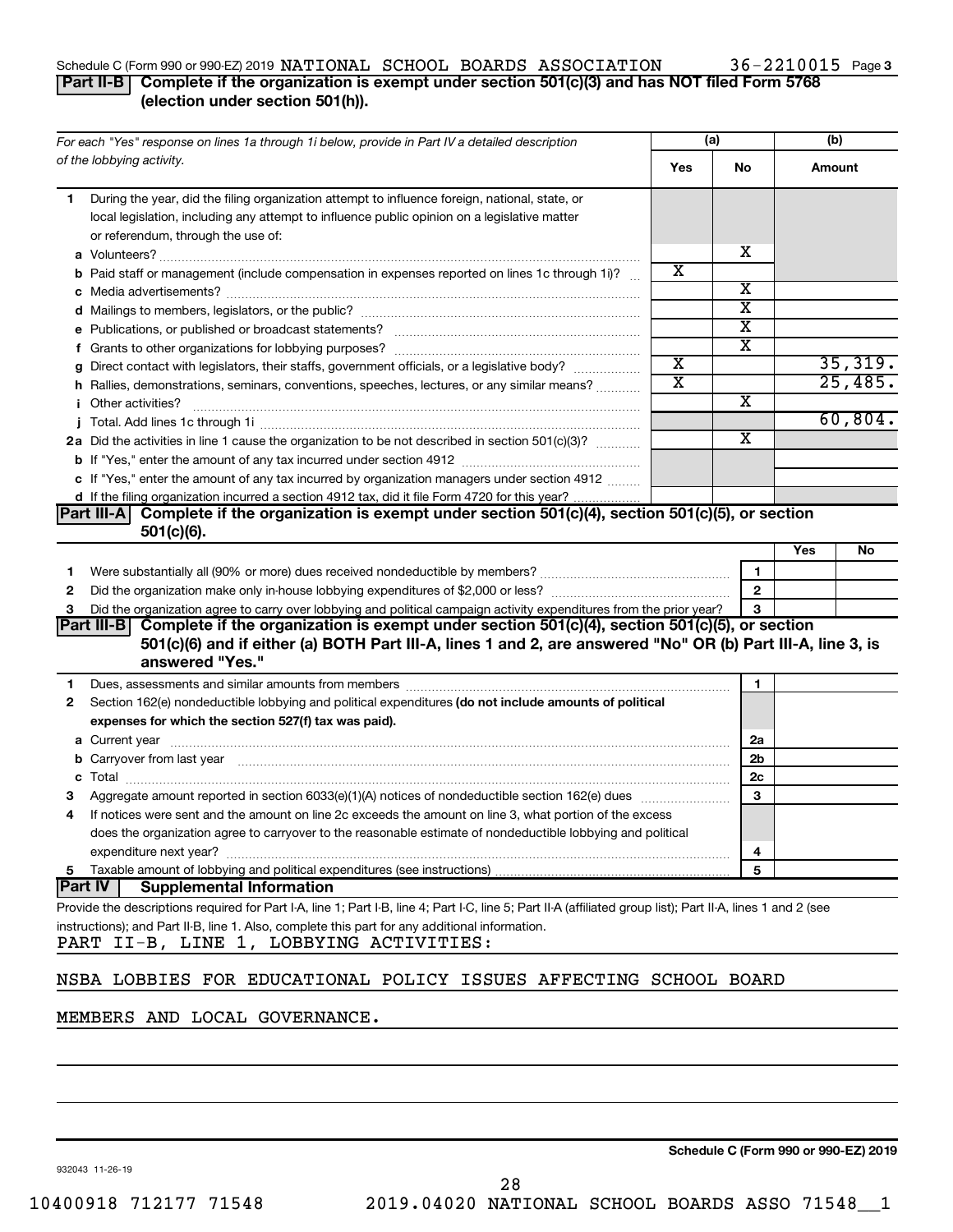## Schedule C (Form 990 or 990-EZ) 2019 NATIONAL SCHOOL BOARDS ASSOCIATION  $36-2210015$  Page

## **Part II-B Complete if the organization is exempt under section 501(c)(3) and has NOT filed Form 5768 (election under section 501(h)).**

|   | For each "Yes" response on lines 1a through 1i below, provide in Part IV a detailed description                                                                                                                                |                       | (a)                     | (b)       |  |
|---|--------------------------------------------------------------------------------------------------------------------------------------------------------------------------------------------------------------------------------|-----------------------|-------------------------|-----------|--|
|   | of the lobbying activity.                                                                                                                                                                                                      | Yes                   | No                      | Amount    |  |
| 1 | During the year, did the filing organization attempt to influence foreign, national, state, or                                                                                                                                 |                       |                         |           |  |
|   | local legislation, including any attempt to influence public opinion on a legislative matter                                                                                                                                   |                       |                         |           |  |
|   | or referendum, through the use of:                                                                                                                                                                                             |                       |                         |           |  |
|   |                                                                                                                                                                                                                                |                       | x                       |           |  |
|   | <b>b</b> Paid staff or management (include compensation in expenses reported on lines 1c through 1i)?                                                                                                                          | х                     |                         |           |  |
|   |                                                                                                                                                                                                                                |                       | х                       |           |  |
|   |                                                                                                                                                                                                                                |                       | $\overline{\textbf{x}}$ |           |  |
|   |                                                                                                                                                                                                                                |                       | $\overline{\textbf{x}}$ |           |  |
|   |                                                                                                                                                                                                                                |                       | $\overline{\textbf{x}}$ |           |  |
|   | g Direct contact with legislators, their staffs, government officials, or a legislative body?                                                                                                                                  | $\overline{\text{x}}$ |                         | 35,319.   |  |
|   | h Rallies, demonstrations, seminars, conventions, speeches, lectures, or any similar means?                                                                                                                                    | $\overline{\text{x}}$ |                         | 25,485.   |  |
|   | <i>i</i> Other activities?                                                                                                                                                                                                     |                       | х                       |           |  |
|   |                                                                                                                                                                                                                                |                       |                         | 60,804.   |  |
|   | 2a Did the activities in line 1 cause the organization to be not described in section 501(c)(3)?                                                                                                                               |                       | $\overline{\mathbf{X}}$ |           |  |
|   |                                                                                                                                                                                                                                |                       |                         |           |  |
|   | c If "Yes," enter the amount of any tax incurred by organization managers under section 4912                                                                                                                                   |                       |                         |           |  |
|   | d If the filing organization incurred a section 4912 tax, did it file Form 4720 for this year?                                                                                                                                 |                       |                         |           |  |
|   | Complete if the organization is exempt under section 501(c)(4), section 501(c)(5), or section<br> Part III-A <br>$501(c)(6)$ .                                                                                                 |                       |                         |           |  |
|   |                                                                                                                                                                                                                                |                       |                         | Yes<br>No |  |
| 1 |                                                                                                                                                                                                                                |                       | 1                       |           |  |
| 2 |                                                                                                                                                                                                                                |                       | $\mathbf{2}$            |           |  |
| З | Did the organization agree to carry over lobbying and political campaign activity expenditures from the prior year?                                                                                                            |                       | 3                       |           |  |
|   | Complete if the organization is exempt under section 501(c)(4), section 501(c)(5), or section<br> Part III-B                                                                                                                   |                       |                         |           |  |
|   | 501(c)(6) and if either (a) BOTH Part III-A, lines 1 and 2, are answered "No" OR (b) Part III-A, line 3, is<br>answered "Yes."                                                                                                 |                       |                         |           |  |
| 1 | Dues, assessments and similar amounts from members [111] Dues, assessments and similar and similar amounts from members [111] Dues, assessments and similar amounts from members [11] Dues and Superior and Superior and Super |                       | 1                       |           |  |
| 2 | Section 162(e) nondeductible lobbying and political expenditures (do not include amounts of political                                                                                                                          |                       |                         |           |  |
|   | expenses for which the section 527(f) tax was paid).                                                                                                                                                                           |                       |                         |           |  |
|   |                                                                                                                                                                                                                                |                       | 2a                      |           |  |
|   | b Carryover from last year manufactured and content to content the content of the content of the content of the content of the content of the content of the content of the content of the content of the content of the conte |                       | 2b                      |           |  |
|   |                                                                                                                                                                                                                                |                       | 2c                      |           |  |
|   |                                                                                                                                                                                                                                |                       | 3                       |           |  |
| 4 | If notices were sent and the amount on line 2c exceeds the amount on line 3, what portion of the excess                                                                                                                        |                       |                         |           |  |
|   | does the organization agree to carryover to the reasonable estimate of nondeductible lobbying and political                                                                                                                    |                       |                         |           |  |
|   | expenditure next year?                                                                                                                                                                                                         |                       | 4                       |           |  |
| 5 |                                                                                                                                                                                                                                |                       | 5                       |           |  |
|   | <b>Part IV</b><br><b>Supplemental Information</b>                                                                                                                                                                              |                       |                         |           |  |
|   | Provide the descriptions required for Part I-A, line 1; Part I-B, line 4; Part I-C, line 5; Part II-A (affiliated group list); Part II-A, lines 1 and 2 (see                                                                   |                       |                         |           |  |
|   | instructions); and Part II-B, line 1. Also, complete this part for any additional information.                                                                                                                                 |                       |                         |           |  |
|   | PART II-B, LINE 1, LOBBYING ACTIVITIES:                                                                                                                                                                                        |                       |                         |           |  |
|   |                                                                                                                                                                                                                                |                       |                         |           |  |
|   | NIODA IODDIEC EOD EDUCAMIONAI DOITOV ICCUES AREROMING COUODI DOADE                                                                                                                                                             |                       |                         |           |  |

## NSBA LOBBIES FOR EDUCATIONAL POLICY ISSUES AFFECTING SCHOOL BOARD

## MEMBERS AND LOCAL GOVERNANCE.

932043 11-26-19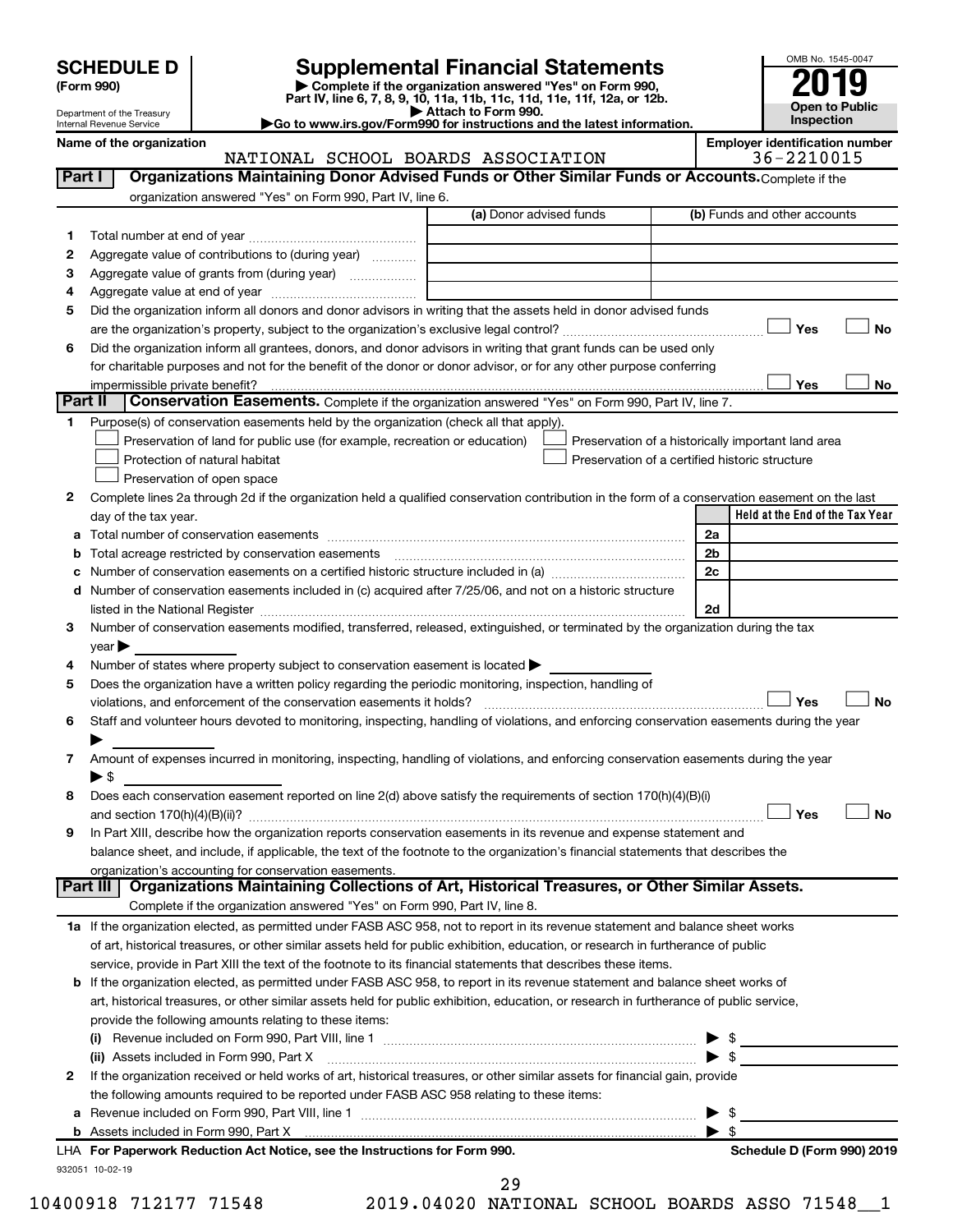| <b>SCHEDULE D</b> |  |
|-------------------|--|
|-------------------|--|

| (Form 990) |
|------------|
|            |

## **SCHEDULE D Supplemental Financial Statements**<br> **Form 990 2019**<br> **Part IV** line 6.7.8.9.10, 11a, 11b, 11d, 11d, 11d, 11d, 11d, 12a, 0r, 12b

**(Form 990) | Complete if the organization answered "Yes" on Form 990, Part IV, line 6, 7, 8, 9, 10, 11a, 11b, 11c, 11d, 11e, 11f, 12a, or 12b.**

**| Attach to Form 990. |Go to www.irs.gov/Form990 for instructions and the latest information.**



| Name of the organization   |
|----------------------------|
| Internal Revenue Service   |
| Department of the Treasury |

#### on **NATIONAL SCHOOL BOARDS ASSOCIATION Employer identification number**<br>16-2210015 - 36 NATIONAL SCHOOL BOARDS ASSOCIATION

|    | organization answered "Yes" on Form 990, Part IV, line 6.                                                                                                                                                                     | (a) Donor advised funds | (b) Funds and other accounts                       |
|----|-------------------------------------------------------------------------------------------------------------------------------------------------------------------------------------------------------------------------------|-------------------------|----------------------------------------------------|
| 1  |                                                                                                                                                                                                                               |                         |                                                    |
| 2  | Aggregate value of contributions to (during year)                                                                                                                                                                             |                         |                                                    |
| З  |                                                                                                                                                                                                                               |                         |                                                    |
| 4  |                                                                                                                                                                                                                               |                         |                                                    |
| 5  | Did the organization inform all donors and donor advisors in writing that the assets held in donor advised funds                                                                                                              |                         |                                                    |
|    |                                                                                                                                                                                                                               |                         | Yes<br>No                                          |
| 6  | Did the organization inform all grantees, donors, and donor advisors in writing that grant funds can be used only                                                                                                             |                         |                                                    |
|    | for charitable purposes and not for the benefit of the donor or donor advisor, or for any other purpose conferring                                                                                                            |                         |                                                    |
|    |                                                                                                                                                                                                                               |                         | Yes<br>No                                          |
|    | Part II<br>Conservation Easements. Complete if the organization answered "Yes" on Form 990, Part IV, line 7.                                                                                                                  |                         |                                                    |
| 1. | Purpose(s) of conservation easements held by the organization (check all that apply).                                                                                                                                         |                         |                                                    |
|    | Preservation of land for public use (for example, recreation or education)                                                                                                                                                    |                         | Preservation of a historically important land area |
|    | Protection of natural habitat                                                                                                                                                                                                 |                         | Preservation of a certified historic structure     |
|    | Preservation of open space                                                                                                                                                                                                    |                         |                                                    |
| 2  | Complete lines 2a through 2d if the organization held a qualified conservation contribution in the form of a conservation easement on the last                                                                                |                         |                                                    |
|    | day of the tax year.                                                                                                                                                                                                          |                         | Held at the End of the Tax Year                    |
| а  |                                                                                                                                                                                                                               |                         | 2a                                                 |
|    |                                                                                                                                                                                                                               |                         | 2 <sub>b</sub>                                     |
|    |                                                                                                                                                                                                                               |                         | 2c                                                 |
| d  | Number of conservation easements included in (c) acquired after 7/25/06, and not on a historic structure                                                                                                                      |                         |                                                    |
|    | listed in the National Register [111] Marshall Register [11] Marshall Register [11] Marshall Register [11] Marshall Register [11] Marshall Register [11] Marshall Register [11] Marshall Register [11] Marshall Register [11] |                         | 2d                                                 |
| 3  | Number of conservation easements modified, transferred, released, extinguished, or terminated by the organization during the tax                                                                                              |                         |                                                    |
|    | year                                                                                                                                                                                                                          |                         |                                                    |
| 4  | Number of states where property subject to conservation easement is located >                                                                                                                                                 |                         |                                                    |
| 5  | Does the organization have a written policy regarding the periodic monitoring, inspection, handling of                                                                                                                        |                         |                                                    |
|    |                                                                                                                                                                                                                               |                         | Yes<br>No                                          |
| 6  | Staff and volunteer hours devoted to monitoring, inspecting, handling of violations, and enforcing conservation easements during the year                                                                                     |                         |                                                    |
|    |                                                                                                                                                                                                                               |                         |                                                    |
| 7  | Amount of expenses incurred in monitoring, inspecting, handling of violations, and enforcing conservation easements during the year                                                                                           |                         |                                                    |
|    | $\blacktriangleright$ \$                                                                                                                                                                                                      |                         |                                                    |
| 8  | Does each conservation easement reported on line 2(d) above satisfy the requirements of section 170(h)(4)(B)(i)                                                                                                               |                         |                                                    |
|    |                                                                                                                                                                                                                               |                         | Yes<br>No                                          |
| 9  | In Part XIII, describe how the organization reports conservation easements in its revenue and expense statement and                                                                                                           |                         |                                                    |
|    | balance sheet, and include, if applicable, the text of the footnote to the organization's financial statements that describes the                                                                                             |                         |                                                    |
|    | organization's accounting for conservation easements.                                                                                                                                                                         |                         |                                                    |
|    | Organizations Maintaining Collections of Art, Historical Treasures, or Other Similar Assets.<br>Part III                                                                                                                      |                         |                                                    |
|    | Complete if the organization answered "Yes" on Form 990, Part IV, line 8.                                                                                                                                                     |                         |                                                    |
|    | 1a If the organization elected, as permitted under FASB ASC 958, not to report in its revenue statement and balance sheet works                                                                                               |                         |                                                    |
|    | of art, historical treasures, or other similar assets held for public exhibition, education, or research in furtherance of public                                                                                             |                         |                                                    |
|    | service, provide in Part XIII the text of the footnote to its financial statements that describes these items.                                                                                                                |                         |                                                    |
|    | b If the organization elected, as permitted under FASB ASC 958, to report in its revenue statement and balance sheet works of                                                                                                 |                         |                                                    |
|    | art, historical treasures, or other similar assets held for public exhibition, education, or research in furtherance of public service,                                                                                       |                         |                                                    |
|    | provide the following amounts relating to these items:                                                                                                                                                                        |                         |                                                    |
|    |                                                                                                                                                                                                                               |                         |                                                    |
|    | (ii) Assets included in Form 990, Part X                                                                                                                                                                                      |                         | $\blacktriangleright$ \$                           |
| 2  | If the organization received or held works of art, historical treasures, or other similar assets for financial gain, provide                                                                                                  |                         |                                                    |
|    | the following amounts required to be reported under FASB ASC 958 relating to these items:                                                                                                                                     |                         |                                                    |
| а  |                                                                                                                                                                                                                               |                         | $\blacktriangleright$ \$                           |
|    |                                                                                                                                                                                                                               |                         | $\blacktriangleright$ s                            |
|    |                                                                                                                                                                                                                               |                         |                                                    |
|    |                                                                                                                                                                                                                               |                         | Schedule D (Form 990) 2019                         |
|    | LHA For Paperwork Reduction Act Notice, see the Instructions for Form 990.<br>932051 10-02-19                                                                                                                                 |                         |                                                    |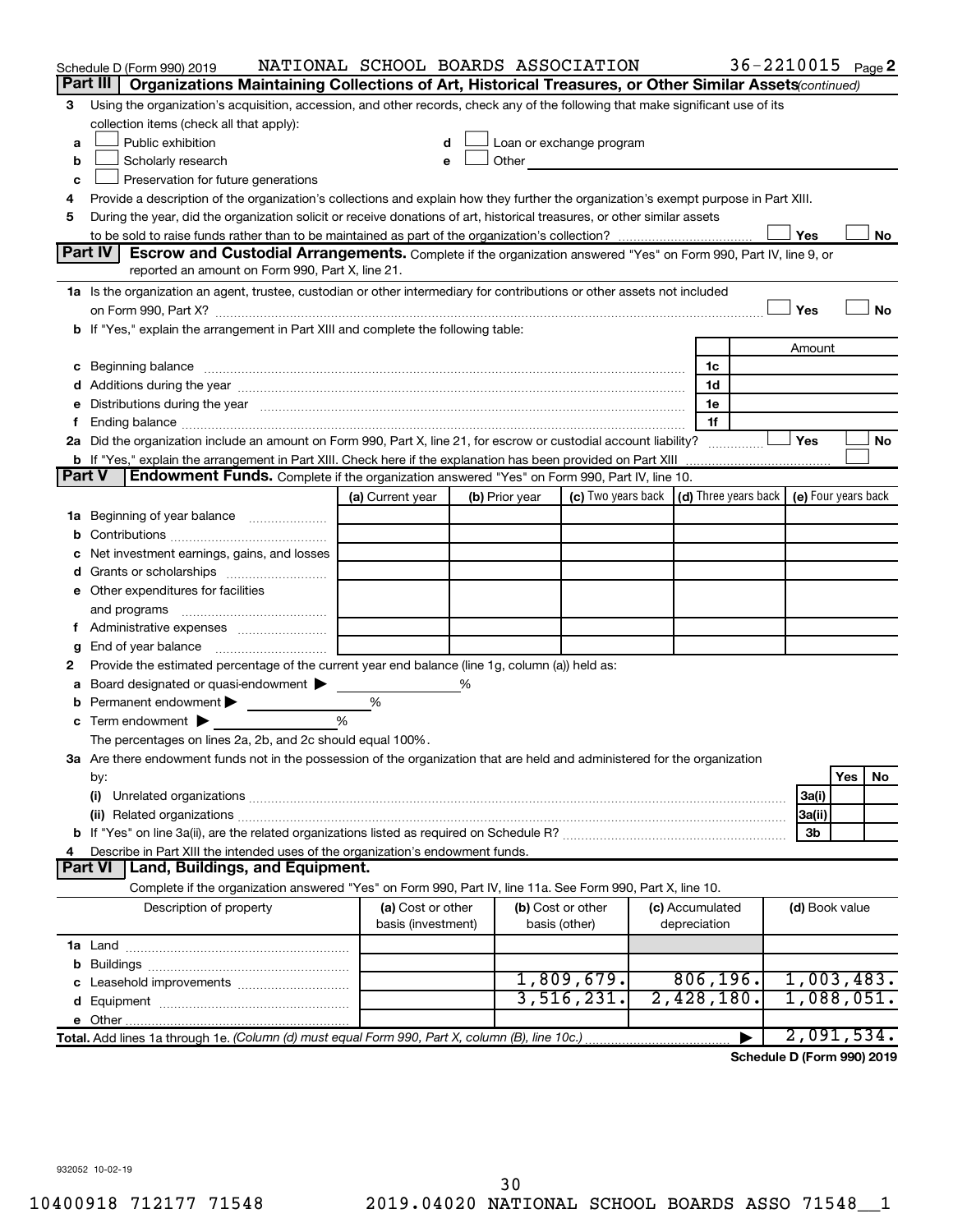|               | Schedule D (Form 990) 2019                                                                                                                                                                                                    | NATIONAL SCHOOL BOARDS ASSOCIATION |   |                |                                                                                                                                                                                                                                 |                 | 36-2210015 Page 2 |                |     |           |
|---------------|-------------------------------------------------------------------------------------------------------------------------------------------------------------------------------------------------------------------------------|------------------------------------|---|----------------|---------------------------------------------------------------------------------------------------------------------------------------------------------------------------------------------------------------------------------|-----------------|-------------------|----------------|-----|-----------|
|               | Part III<br>Organizations Maintaining Collections of Art, Historical Treasures, or Other Similar Assets (continued)                                                                                                           |                                    |   |                |                                                                                                                                                                                                                                 |                 |                   |                |     |           |
| 3             | Using the organization's acquisition, accession, and other records, check any of the following that make significant use of its<br>collection items (check all that apply):                                                   |                                    |   |                |                                                                                                                                                                                                                                 |                 |                   |                |     |           |
| a             | Public exhibition                                                                                                                                                                                                             |                                    |   |                | Loan or exchange program                                                                                                                                                                                                        |                 |                   |                |     |           |
| b             | Scholarly research                                                                                                                                                                                                            |                                    |   |                | Other and the contract of the contract of the contract of the contract of the contract of the contract of the contract of the contract of the contract of the contract of the contract of the contract of the contract of the c |                 |                   |                |     |           |
| c             | Preservation for future generations                                                                                                                                                                                           |                                    |   |                |                                                                                                                                                                                                                                 |                 |                   |                |     |           |
| 4             | Provide a description of the organization's collections and explain how they further the organization's exempt purpose in Part XIII.                                                                                          |                                    |   |                |                                                                                                                                                                                                                                 |                 |                   |                |     |           |
| 5             | During the year, did the organization solicit or receive donations of art, historical treasures, or other similar assets                                                                                                      |                                    |   |                |                                                                                                                                                                                                                                 |                 |                   |                |     |           |
|               |                                                                                                                                                                                                                               |                                    |   |                |                                                                                                                                                                                                                                 |                 |                   | Yes            |     | No        |
|               | Part IV<br><b>Escrow and Custodial Arrangements.</b> Complete if the organization answered "Yes" on Form 990, Part IV, line 9, or                                                                                             |                                    |   |                |                                                                                                                                                                                                                                 |                 |                   |                |     |           |
|               | reported an amount on Form 990, Part X, line 21.                                                                                                                                                                              |                                    |   |                |                                                                                                                                                                                                                                 |                 |                   |                |     |           |
|               | 1a Is the organization an agent, trustee, custodian or other intermediary for contributions or other assets not included                                                                                                      |                                    |   |                |                                                                                                                                                                                                                                 |                 |                   |                |     |           |
|               |                                                                                                                                                                                                                               |                                    |   |                |                                                                                                                                                                                                                                 |                 |                   | Yes            |     | <b>No</b> |
|               | b If "Yes," explain the arrangement in Part XIII and complete the following table:                                                                                                                                            |                                    |   |                |                                                                                                                                                                                                                                 |                 |                   |                |     |           |
|               |                                                                                                                                                                                                                               |                                    |   |                |                                                                                                                                                                                                                                 |                 |                   | Amount         |     |           |
|               |                                                                                                                                                                                                                               |                                    |   |                |                                                                                                                                                                                                                                 | 1c              |                   |                |     |           |
|               |                                                                                                                                                                                                                               |                                    |   |                |                                                                                                                                                                                                                                 | 1d              |                   |                |     |           |
|               | e Distributions during the year manufactured and continuum control of the control of the control of the state of the control of the control of the control of the control of the control of the control of the control of the |                                    |   |                |                                                                                                                                                                                                                                 | 1e              |                   |                |     |           |
|               |                                                                                                                                                                                                                               |                                    |   |                |                                                                                                                                                                                                                                 | 1f              |                   |                |     |           |
|               | 2a Did the organization include an amount on Form 990, Part X, line 21, for escrow or custodial account liability?                                                                                                            |                                    |   |                |                                                                                                                                                                                                                                 |                 |                   | Yes            |     | No        |
|               | <b>b</b> If "Yes," explain the arrangement in Part XIII. Check here if the explanation has been provided on Part XIII                                                                                                         |                                    |   |                |                                                                                                                                                                                                                                 |                 |                   |                |     |           |
| <b>Part V</b> | <b>Endowment Funds.</b> Complete if the organization answered "Yes" on Form 990, Part IV, line 10.                                                                                                                            |                                    |   |                |                                                                                                                                                                                                                                 |                 |                   |                |     |           |
|               |                                                                                                                                                                                                                               | (a) Current year                   |   | (b) Prior year | (c) Two years back $\vert$ (d) Three years back $\vert$ (e) Four years back                                                                                                                                                     |                 |                   |                |     |           |
|               | 1a Beginning of year balance                                                                                                                                                                                                  |                                    |   |                |                                                                                                                                                                                                                                 |                 |                   |                |     |           |
| b             |                                                                                                                                                                                                                               |                                    |   |                |                                                                                                                                                                                                                                 |                 |                   |                |     |           |
|               | Net investment earnings, gains, and losses                                                                                                                                                                                    |                                    |   |                |                                                                                                                                                                                                                                 |                 |                   |                |     |           |
|               |                                                                                                                                                                                                                               |                                    |   |                |                                                                                                                                                                                                                                 |                 |                   |                |     |           |
|               | e Other expenditures for facilities                                                                                                                                                                                           |                                    |   |                |                                                                                                                                                                                                                                 |                 |                   |                |     |           |
|               | and programs                                                                                                                                                                                                                  |                                    |   |                |                                                                                                                                                                                                                                 |                 |                   |                |     |           |
|               |                                                                                                                                                                                                                               |                                    |   |                |                                                                                                                                                                                                                                 |                 |                   |                |     |           |
| g             |                                                                                                                                                                                                                               |                                    |   |                |                                                                                                                                                                                                                                 |                 |                   |                |     |           |
| 2             | Provide the estimated percentage of the current year end balance (line 1g, column (a)) held as:                                                                                                                               |                                    |   |                |                                                                                                                                                                                                                                 |                 |                   |                |     |           |
| а             | Board designated or quasi-endowment                                                                                                                                                                                           |                                    | % |                |                                                                                                                                                                                                                                 |                 |                   |                |     |           |
| b             | Permanent endowment                                                                                                                                                                                                           | %                                  |   |                |                                                                                                                                                                                                                                 |                 |                   |                |     |           |
| с             | Term endowment $\blacktriangleright$                                                                                                                                                                                          | %                                  |   |                |                                                                                                                                                                                                                                 |                 |                   |                |     |           |
|               | The percentages on lines 2a, 2b, and 2c should equal 100%.                                                                                                                                                                    |                                    |   |                |                                                                                                                                                                                                                                 |                 |                   |                |     |           |
|               | 3a Are there endowment funds not in the possession of the organization that are held and administered for the organization                                                                                                    |                                    |   |                |                                                                                                                                                                                                                                 |                 |                   |                |     |           |
|               | by:                                                                                                                                                                                                                           |                                    |   |                |                                                                                                                                                                                                                                 |                 |                   |                | Yes | No        |
|               | (i)                                                                                                                                                                                                                           |                                    |   |                |                                                                                                                                                                                                                                 |                 |                   | 3a(i)          |     |           |
|               |                                                                                                                                                                                                                               |                                    |   |                |                                                                                                                                                                                                                                 |                 |                   | 3a(ii)<br>3b   |     |           |
| 4             |                                                                                                                                                                                                                               |                                    |   |                |                                                                                                                                                                                                                                 |                 |                   |                |     |           |
|               | Describe in Part XIII the intended uses of the organization's endowment funds.<br><b>Land, Buildings, and Equipment.</b><br><b>Part VI</b>                                                                                    |                                    |   |                |                                                                                                                                                                                                                                 |                 |                   |                |     |           |
|               | Complete if the organization answered "Yes" on Form 990, Part IV, line 11a. See Form 990, Part X, line 10.                                                                                                                    |                                    |   |                |                                                                                                                                                                                                                                 |                 |                   |                |     |           |
|               | Description of property                                                                                                                                                                                                       | (a) Cost or other                  |   |                | (b) Cost or other                                                                                                                                                                                                               | (c) Accumulated |                   | (d) Book value |     |           |
|               |                                                                                                                                                                                                                               | basis (investment)                 |   |                | basis (other)                                                                                                                                                                                                                   | depreciation    |                   |                |     |           |
|               |                                                                                                                                                                                                                               |                                    |   |                |                                                                                                                                                                                                                                 |                 |                   |                |     |           |
|               |                                                                                                                                                                                                                               |                                    |   |                |                                                                                                                                                                                                                                 |                 |                   |                |     |           |
|               |                                                                                                                                                                                                                               |                                    |   |                | 1,809,679.                                                                                                                                                                                                                      | 806, 196.       |                   | 1,003,483.     |     |           |
|               |                                                                                                                                                                                                                               |                                    |   |                | 3,516,231.                                                                                                                                                                                                                      | 2,428,180.      |                   | 1,088,051.     |     |           |
|               |                                                                                                                                                                                                                               |                                    |   |                |                                                                                                                                                                                                                                 |                 |                   |                |     |           |
|               | Total. Add lines 1a through 1e. (Column (d) must equal Form 990, Part X, column (B), line 10c.)                                                                                                                               |                                    |   |                |                                                                                                                                                                                                                                 |                 |                   | 2,091,534.     |     |           |
|               |                                                                                                                                                                                                                               |                                    |   |                |                                                                                                                                                                                                                                 |                 |                   |                |     |           |

**Schedule D (Form 990) 2019**

932052 10-02-19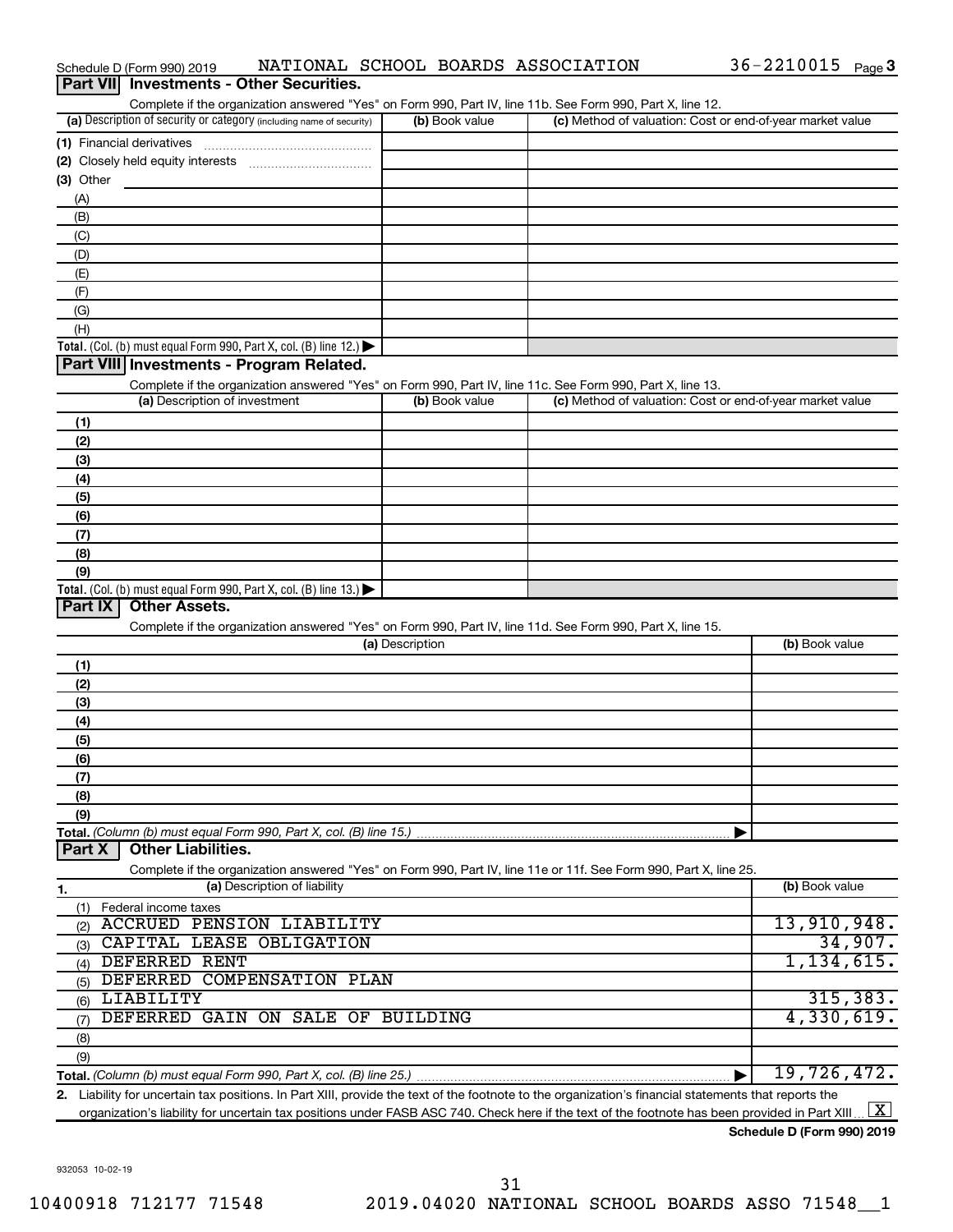| Part VII Investments - Other Securities.<br>Complete if the organization answered "Yes" on Form 990, Part IV, line 11b. See Form 990, Part X, line 12. |                 |                                                           |                |
|--------------------------------------------------------------------------------------------------------------------------------------------------------|-----------------|-----------------------------------------------------------|----------------|
| (a) Description of security or category (including name of security)                                                                                   | (b) Book value  | (c) Method of valuation: Cost or end-of-year market value |                |
| (1) Financial derivatives                                                                                                                              |                 |                                                           |                |
|                                                                                                                                                        |                 |                                                           |                |
| $(3)$ Other                                                                                                                                            |                 |                                                           |                |
| (A)                                                                                                                                                    |                 |                                                           |                |
| (B)                                                                                                                                                    |                 |                                                           |                |
| (C)                                                                                                                                                    |                 |                                                           |                |
| (D)                                                                                                                                                    |                 |                                                           |                |
| (E)                                                                                                                                                    |                 |                                                           |                |
| (F)                                                                                                                                                    |                 |                                                           |                |
| (G)                                                                                                                                                    |                 |                                                           |                |
| (H)                                                                                                                                                    |                 |                                                           |                |
| Total. (Col. (b) must equal Form 990, Part X, col. (B) line 12.)                                                                                       |                 |                                                           |                |
| Part VIII Investments - Program Related.                                                                                                               |                 |                                                           |                |
| Complete if the organization answered "Yes" on Form 990, Part IV, line 11c. See Form 990, Part X, line 13.                                             |                 |                                                           |                |
| (a) Description of investment                                                                                                                          | (b) Book value  | (c) Method of valuation: Cost or end-of-year market value |                |
| (1)                                                                                                                                                    |                 |                                                           |                |
| (2)                                                                                                                                                    |                 |                                                           |                |
| (3)                                                                                                                                                    |                 |                                                           |                |
| (4)                                                                                                                                                    |                 |                                                           |                |
| (5)                                                                                                                                                    |                 |                                                           |                |
| (6)                                                                                                                                                    |                 |                                                           |                |
| (7)                                                                                                                                                    |                 |                                                           |                |
| (8)                                                                                                                                                    |                 |                                                           |                |
| (9)                                                                                                                                                    |                 |                                                           |                |
| Total. (Col. (b) must equal Form 990, Part X, col. (B) line 13.) $\blacktriangleright$<br>Part IX<br><b>Other Assets.</b>                              |                 |                                                           |                |
|                                                                                                                                                        |                 |                                                           |                |
| Complete if the organization answered "Yes" on Form 990, Part IV, line 11d. See Form 990, Part X, line 15.                                             | (a) Description |                                                           | (b) Book value |
|                                                                                                                                                        |                 |                                                           |                |
| (1)                                                                                                                                                    |                 |                                                           |                |
| (2)<br>(3)                                                                                                                                             |                 |                                                           |                |
| (4)                                                                                                                                                    |                 |                                                           |                |
| (5)                                                                                                                                                    |                 |                                                           |                |
| (6)                                                                                                                                                    |                 |                                                           |                |
| (7)                                                                                                                                                    |                 |                                                           |                |
| (8)                                                                                                                                                    |                 |                                                           |                |
| (9)                                                                                                                                                    |                 |                                                           |                |
| Total. (Column (b) must equal Form 990, Part X, col. (B) line 15.)                                                                                     |                 |                                                           |                |
| <b>Other Liabilities.</b><br>Part X                                                                                                                    |                 |                                                           |                |
| Complete if the organization answered "Yes" on Form 990, Part IV, line 11e or 11f. See Form 990, Part X, line 25.                                      |                 |                                                           |                |
| (a) Description of liability<br>1.                                                                                                                     |                 |                                                           | (b) Book value |
| Federal income taxes<br>(1)                                                                                                                            |                 |                                                           |                |
| <b>ACCRUED PENSION LIABILITY</b><br>(2)                                                                                                                |                 |                                                           | 13,910,948.    |
| CAPITAL LEASE OBLIGATION<br>(3)                                                                                                                        |                 |                                                           | 34,907.        |
| DEFERRED RENT<br>(4)                                                                                                                                   |                 |                                                           | 1, 134, 615.   |
| DEFERRED COMPENSATION PLAN<br>(5)                                                                                                                      |                 |                                                           |                |
| LIABILITY<br>(6)                                                                                                                                       |                 |                                                           | 315, 383.      |
| DEFERRED GAIN ON SALE OF BUILDING<br>(7)                                                                                                               |                 |                                                           | 4,330,619.     |
| (8)                                                                                                                                                    |                 |                                                           |                |
| (9)                                                                                                                                                    |                 |                                                           |                |
|                                                                                                                                                        |                 |                                                           | 19,726,472.    |
| 2. Liability for uncertain tax positions. In Part XIII, provide the text of the footnote to the organization's financial statements that reports the   |                 |                                                           |                |

Schedule D (Form 990) 2019 NATIONAL SCHOOL BOARDS ASSOCIATION 36-2210015 Page

organization's liability for uncertain tax positions under FASB ASC 740. Check here if the text of the footnote has been provided in Part XIII ...  $\fbox{\bf X}$ 

**Schedule D (Form 990) 2019**

36-2210015 Page 3

932053 10-02-19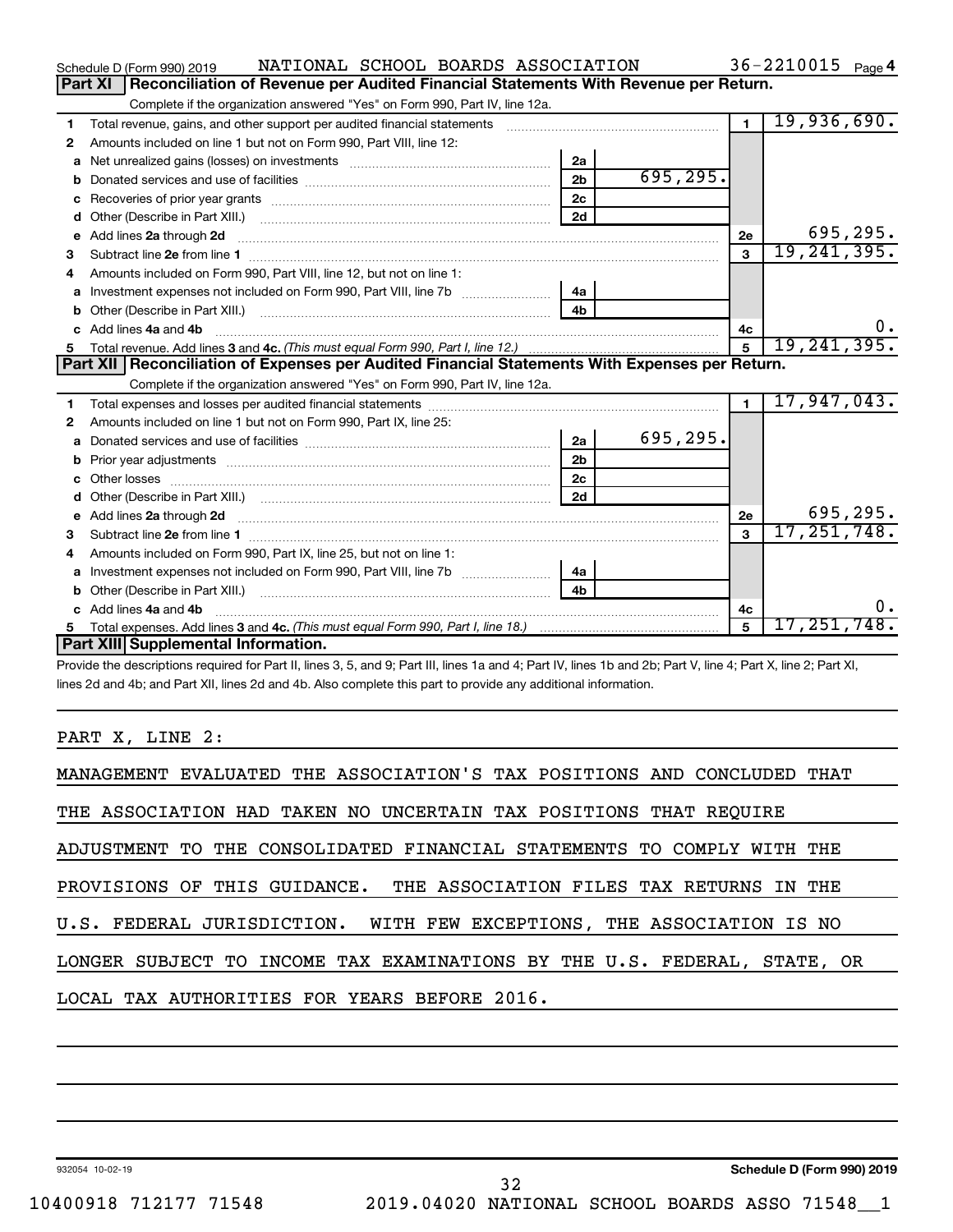|   | NATIONAL SCHOOL BOARDS ASSOCIATION<br>Schedule D (Form 990) 2019                                      |                |           |                | 36-2210015 $_{Page 4}$ |
|---|-------------------------------------------------------------------------------------------------------|----------------|-----------|----------------|------------------------|
|   | Reconciliation of Revenue per Audited Financial Statements With Revenue per Return.<br><b>Part XI</b> |                |           |                |                        |
|   | Complete if the organization answered "Yes" on Form 990, Part IV, line 12a.                           |                |           |                |                        |
| 1 | Total revenue, gains, and other support per audited financial statements                              |                |           | $\overline{1}$ | 19,936,690.            |
| 2 | Amounts included on line 1 but not on Form 990, Part VIII, line 12:                                   |                |           |                |                        |
| a |                                                                                                       | 2a             |           |                |                        |
|   |                                                                                                       | 2 <sub>b</sub> | 695, 295. |                |                        |
| c |                                                                                                       | 2 <sub>c</sub> |           |                |                        |
|   |                                                                                                       | 2d             |           |                |                        |
| е | Add lines 2a through 2d                                                                               |                |           | 2e             | 695,295.               |
| 3 |                                                                                                       |                |           | $\mathbf{3}$   | 19, 241, 395.          |
| 4 | Amounts included on Form 990, Part VIII, line 12, but not on line 1:                                  |                |           |                |                        |
|   |                                                                                                       | 4a             |           |                |                        |
|   |                                                                                                       | 4 <sub>b</sub> |           |                |                        |
|   | c Add lines 4a and 4b                                                                                 |                |           | 4с             |                        |
|   |                                                                                                       |                |           |                |                        |
|   |                                                                                                       |                |           | 5              | 19, 241, 395.          |
|   | Part XII   Reconciliation of Expenses per Audited Financial Statements With Expenses per Return.      |                |           |                |                        |
|   | Complete if the organization answered "Yes" on Form 990, Part IV, line 12a.                           |                |           |                |                        |
| 1 |                                                                                                       |                |           | $\blacksquare$ | 17,947,043.            |
| 2 | Amounts included on line 1 but not on Form 990, Part IX, line 25:                                     |                |           |                |                        |
| a |                                                                                                       | 2a             | 695,295.  |                |                        |
| b |                                                                                                       | 2 <sub>b</sub> |           |                |                        |
| c |                                                                                                       | 2c             |           |                |                        |
| d |                                                                                                       | 2d             |           |                |                        |
|   |                                                                                                       |                |           | 2e             | 695,295.               |
| 3 |                                                                                                       |                |           | $\mathbf{3}$   | 17, 251, 748.          |
| 4 | Amounts included on Form 990, Part IX, line 25, but not on line 1:                                    |                |           |                |                        |
| a |                                                                                                       | 4a             |           |                |                        |
|   |                                                                                                       | 4b             |           |                |                        |
|   | c Add lines 4a and 4b                                                                                 |                |           | 4c             | 0.                     |
|   | Part XIII Supplemental Information.                                                                   |                |           | $\mathbf{5}$   | 17,251,748 <b>.</b>    |

Provide the descriptions required for Part II, lines 3, 5, and 9; Part III, lines 1a and 4; Part IV, lines 1b and 2b; Part V, line 4; Part X, line 2; Part XI, lines 2d and 4b; and Part XII, lines 2d and 4b. Also complete this part to provide any additional information.

## PART X, LINE 2:

| MANAGEMENT EVALUATED THE ASSOCIATION'S TAX POSITIONS AND CONCLUDED THAT  |
|--------------------------------------------------------------------------|
| THE ASSOCIATION HAD TAKEN NO UNCERTAIN TAX POSITIONS THAT REQUIRE        |
| ADJUSTMENT TO THE CONSOLIDATED FINANCIAL STATEMENTS TO COMPLY WITH THE   |
| PROVISIONS OF THIS GUIDANCE. THE ASSOCIATION FILES TAX RETURNS IN THE    |
| U.S. FEDERAL JURISDICTION. WITH FEW EXCEPTIONS, THE ASSOCIATION IS NO    |
| LONGER SUBJECT TO INCOME TAX EXAMINATIONS BY THE U.S. FEDERAL, STATE, OR |
| LOCAL TAX AUTHORITIES FOR YEARS BEFORE 2016.                             |
|                                                                          |

932054 10-02-19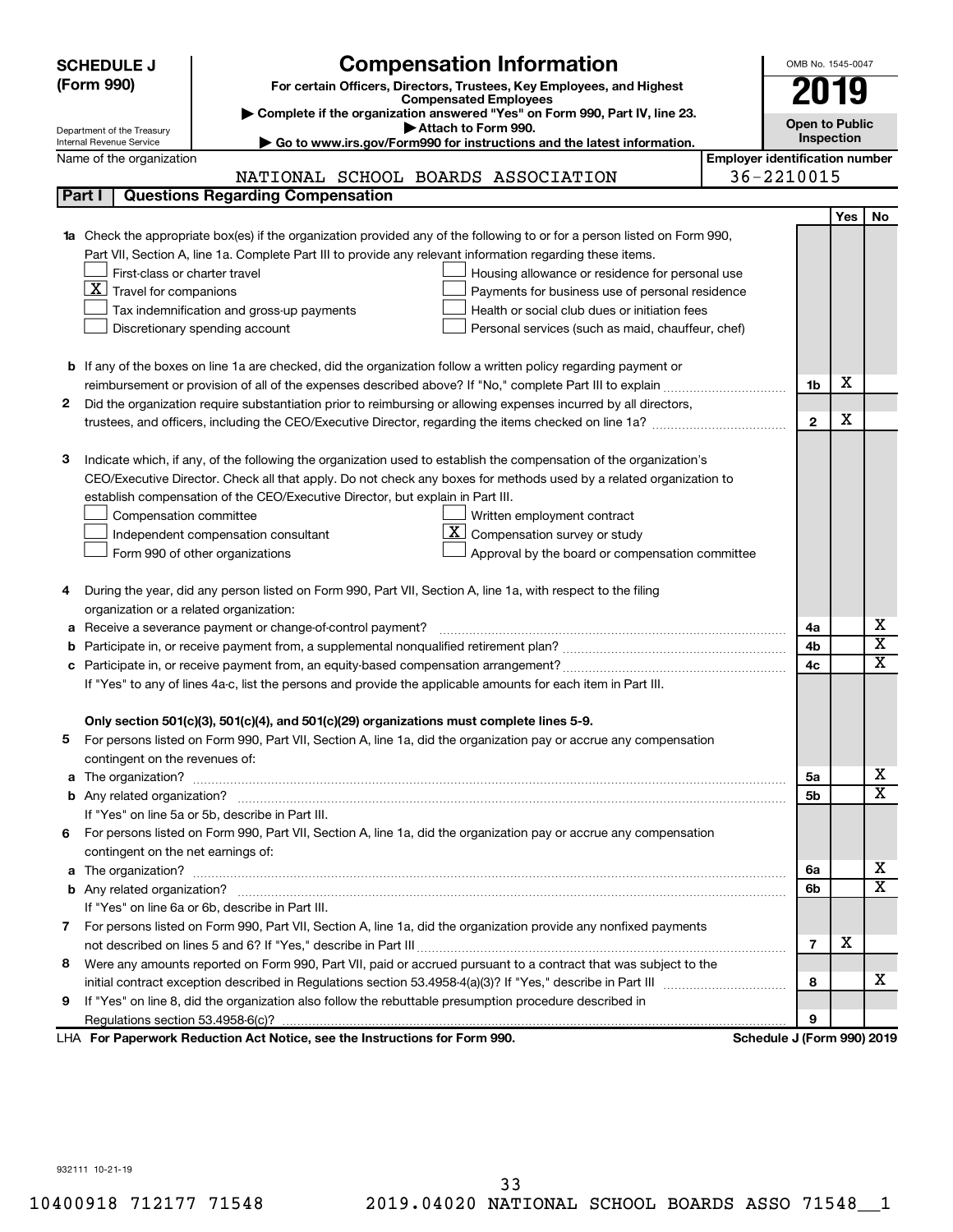|    | <b>Compensation Information</b><br><b>SCHEDULE J</b>                                                                      |  | OMB No. 1545-0047          |                                       |             |  |  |  |
|----|---------------------------------------------------------------------------------------------------------------------------|--|----------------------------|---------------------------------------|-------------|--|--|--|
|    | (Form 990)<br>For certain Officers, Directors, Trustees, Key Employees, and Highest                                       |  | 2019                       |                                       |             |  |  |  |
|    | <b>Compensated Employees</b><br>Complete if the organization answered "Yes" on Form 990, Part IV, line 23.                |  |                            |                                       |             |  |  |  |
|    | Attach to Form 990.<br>Department of the Treasury                                                                         |  | <b>Open to Public</b>      |                                       |             |  |  |  |
|    | Internal Revenue Service<br>Go to www.irs.gov/Form990 for instructions and the latest information.                        |  |                            | Inspection                            |             |  |  |  |
|    | Name of the organization                                                                                                  |  |                            | <b>Employer identification number</b> |             |  |  |  |
|    | NATIONAL SCHOOL BOARDS ASSOCIATION                                                                                        |  | 36-2210015                 |                                       |             |  |  |  |
|    | Part I<br><b>Questions Regarding Compensation</b>                                                                         |  |                            |                                       |             |  |  |  |
|    |                                                                                                                           |  |                            | Yes                                   | No          |  |  |  |
|    | 1a Check the appropriate box(es) if the organization provided any of the following to or for a person listed on Form 990, |  |                            |                                       |             |  |  |  |
|    | Part VII, Section A, line 1a. Complete Part III to provide any relevant information regarding these items.                |  |                            |                                       |             |  |  |  |
|    | First-class or charter travel<br>Housing allowance or residence for personal use                                          |  |                            |                                       |             |  |  |  |
|    | $X$ Travel for companions<br>Payments for business use of personal residence                                              |  |                            |                                       |             |  |  |  |
|    | Tax indemnification and gross-up payments<br>Health or social club dues or initiation fees                                |  |                            |                                       |             |  |  |  |
|    | Discretionary spending account<br>Personal services (such as maid, chauffeur, chef)                                       |  |                            |                                       |             |  |  |  |
|    |                                                                                                                           |  |                            |                                       |             |  |  |  |
|    | <b>b</b> If any of the boxes on line 1a are checked, did the organization follow a written policy regarding payment or    |  |                            |                                       |             |  |  |  |
|    |                                                                                                                           |  | 1b                         | х                                     |             |  |  |  |
| 2  | Did the organization require substantiation prior to reimbursing or allowing expenses incurred by all directors,          |  |                            |                                       |             |  |  |  |
|    |                                                                                                                           |  | $\mathbf{2}$               | х                                     |             |  |  |  |
|    |                                                                                                                           |  |                            |                                       |             |  |  |  |
| з  | Indicate which, if any, of the following the organization used to establish the compensation of the organization's        |  |                            |                                       |             |  |  |  |
|    | CEO/Executive Director. Check all that apply. Do not check any boxes for methods used by a related organization to        |  |                            |                                       |             |  |  |  |
|    | establish compensation of the CEO/Executive Director, but explain in Part III.                                            |  |                            |                                       |             |  |  |  |
|    | Compensation committee<br>Written employment contract<br>ΧI<br>Compensation survey or study                               |  |                            |                                       |             |  |  |  |
|    | Independent compensation consultant                                                                                       |  |                            |                                       |             |  |  |  |
|    | Form 990 of other organizations<br>Approval by the board or compensation committee                                        |  |                            |                                       |             |  |  |  |
| 4  | During the year, did any person listed on Form 990, Part VII, Section A, line 1a, with respect to the filing              |  |                            |                                       |             |  |  |  |
|    | organization or a related organization:                                                                                   |  |                            |                                       |             |  |  |  |
| а  | Receive a severance payment or change-of-control payment?                                                                 |  | 4a                         |                                       | х           |  |  |  |
| b  |                                                                                                                           |  | 4b                         |                                       | х           |  |  |  |
| c  |                                                                                                                           |  | 4c                         |                                       | $\mathbf x$ |  |  |  |
|    | If "Yes" to any of lines 4a-c, list the persons and provide the applicable amounts for each item in Part III.             |  |                            |                                       |             |  |  |  |
|    |                                                                                                                           |  |                            |                                       |             |  |  |  |
|    | Only section 501(c)(3), 501(c)(4), and 501(c)(29) organizations must complete lines 5-9.                                  |  |                            |                                       |             |  |  |  |
|    | For persons listed on Form 990, Part VII, Section A, line 1a, did the organization pay or accrue any compensation         |  |                            |                                       |             |  |  |  |
|    | contingent on the revenues of:                                                                                            |  |                            |                                       |             |  |  |  |
|    |                                                                                                                           |  | 5а                         |                                       | х           |  |  |  |
|    |                                                                                                                           |  | 5b                         |                                       | X           |  |  |  |
|    | If "Yes" on line 5a or 5b, describe in Part III.                                                                          |  |                            |                                       |             |  |  |  |
| 6. | For persons listed on Form 990, Part VII, Section A, line 1a, did the organization pay or accrue any compensation         |  |                            |                                       |             |  |  |  |
|    | contingent on the net earnings of:                                                                                        |  |                            |                                       |             |  |  |  |
|    |                                                                                                                           |  | 6a                         |                                       | х           |  |  |  |
|    |                                                                                                                           |  | 6b                         |                                       | x           |  |  |  |
|    | If "Yes" on line 6a or 6b, describe in Part III.                                                                          |  |                            |                                       |             |  |  |  |
|    | 7 For persons listed on Form 990, Part VII, Section A, line 1a, did the organization provide any nonfixed payments        |  |                            |                                       |             |  |  |  |
|    |                                                                                                                           |  | $\overline{7}$             | х                                     |             |  |  |  |
| 8  | Were any amounts reported on Form 990, Part VII, paid or accrued pursuant to a contract that was subject to the           |  |                            |                                       |             |  |  |  |
|    |                                                                                                                           |  | 8                          |                                       | х           |  |  |  |
| 9  | If "Yes" on line 8, did the organization also follow the rebuttable presumption procedure described in                    |  |                            |                                       |             |  |  |  |
|    |                                                                                                                           |  | 9                          |                                       |             |  |  |  |
|    | LHA For Paperwork Reduction Act Notice, see the Instructions for Form 990.                                                |  | Schedule J (Form 990) 2019 |                                       |             |  |  |  |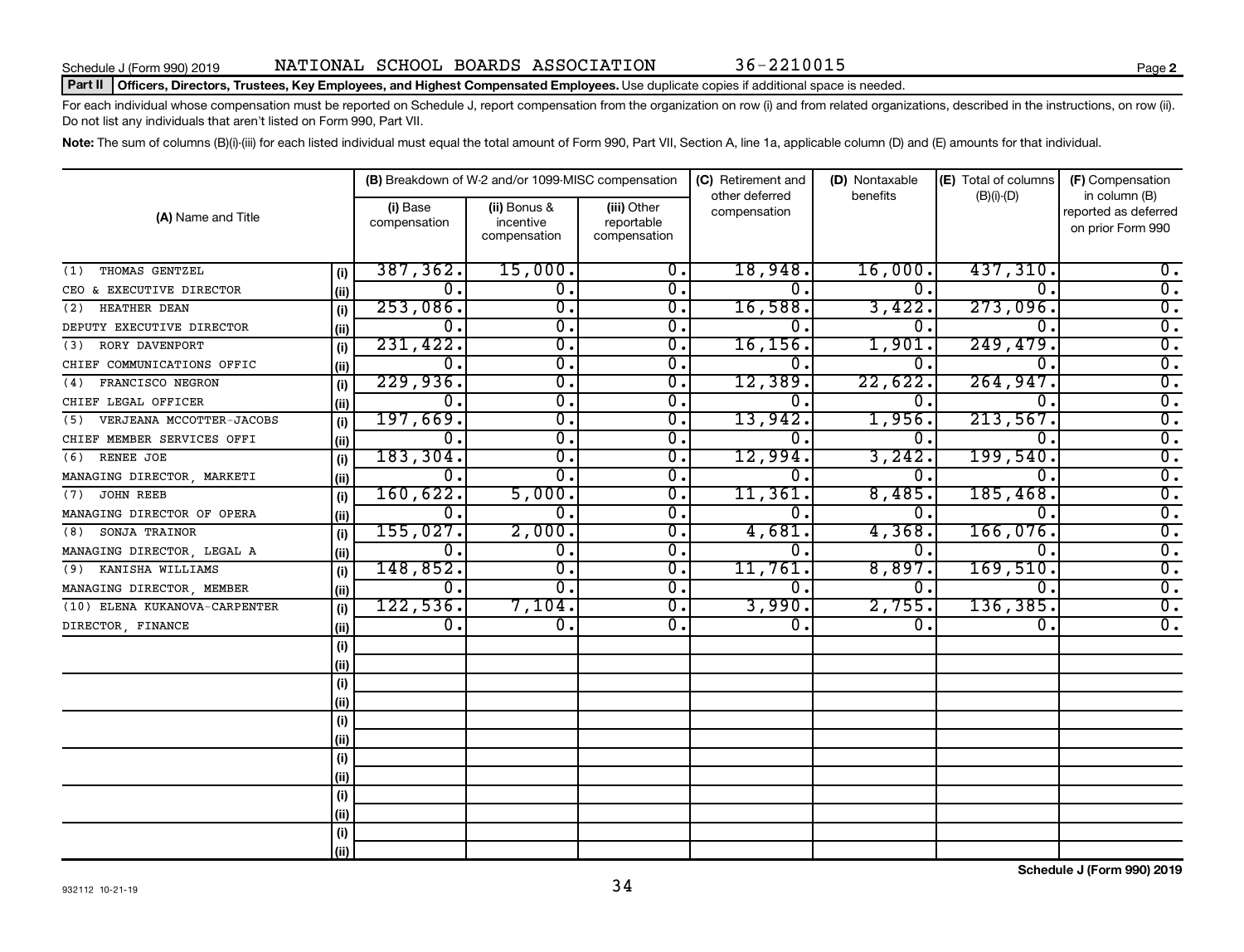#### Part II | Officers, Directors, Trustees, Key Employees, and Highest Compensated Employees. Use duplicate copies if additional space is needed.

For each individual whose compensation must be reported on Schedule J, report compensation from the organization on row (i) and from related organizations, described in the instructions, on row (ii). Do not list any individuals that aren't listed on Form 990, Part VII.

Note: The sum of columns (B)(i)-(iii) for each listed individual must equal the total amount of Form 990, Part VII, Section A, line 1a, applicable column (D) and (E) amounts for that individual.

|                               |       |                          | (B) Breakdown of W-2 and/or 1099-MISC compensation |                                           | (C) Retirement and             | (D) Nontaxable | (E) Total of columns | (F) Compensation                                           |  |  |
|-------------------------------|-------|--------------------------|----------------------------------------------------|-------------------------------------------|--------------------------------|----------------|----------------------|------------------------------------------------------------|--|--|
| (A) Name and Title            |       | (i) Base<br>compensation | (ii) Bonus &<br>incentive<br>compensation          | (iii) Other<br>reportable<br>compensation | other deferred<br>compensation | benefits       | $(B)(i)-(D)$         | in column (B)<br>reported as deferred<br>on prior Form 990 |  |  |
| THOMAS GENTZEL<br>(1)         | (i)   | 387, 362.                | 15,000.                                            | 0.                                        | 18,948.                        | 16,000         | 437,310.             | 0.                                                         |  |  |
| CEO & EXECUTIVE DIRECTOR      | (ii)  | $\overline{0}$ .         | $\overline{\mathfrak{o}}$ .                        | $0$ .                                     | 0.                             | $\mathbf{0}$ . | $\Omega$ .           | $\overline{0}$ .                                           |  |  |
| HEATHER DEAN<br>(2)           | (i)   | 253,086.                 | $\overline{\mathfrak{o}}$ .                        | $\overline{0}$ .                          | 16,588.                        | 3,422          | 273,096.             | $\overline{0}$ .                                           |  |  |
| DEPUTY EXECUTIVE DIRECTOR     | (ii)  | 0.                       | $\overline{\mathfrak{o}}$ .                        | $\overline{0}$ .                          | 0.                             | 0.             | 0.                   | $\overline{0}$ .                                           |  |  |
| RORY DAVENPORT<br>(3)         | (i)   | 231,422.                 | $\overline{0}$ .                                   | $\overline{0}$ .                          | 16, 156.                       | 1,901          | 249,479.             | $\overline{0}$ .                                           |  |  |
| CHIEF COMMUNICATIONS OFFIC    | (ii)  | 0.                       | 0.                                                 | 0.                                        |                                | 0.             | $\Omega$ .           | $\overline{0}$ .                                           |  |  |
| FRANCISCO NEGRON<br>(4)       | (i)   | 229,936.                 | $\overline{\mathfrak{o}}$ .                        | $\overline{0}$ .                          | 12,389.                        | 22,622         | 264,947.             | $\overline{0}$ .                                           |  |  |
| CHIEF LEGAL OFFICER           | (ii)  | 0.                       | σ.                                                 | $\overline{0}$ .                          |                                | 0.             | 0.                   | $\overline{0}$ .                                           |  |  |
| (5) VERJEANA MCCOTTER-JACOBS  | (i)   | 197,669.                 | σ.                                                 | $\overline{0}$ .                          | 13,942.                        | 1,956          | 213,567.             | $\overline{0}$ .                                           |  |  |
| CHIEF MEMBER SERVICES OFFI    | (ii)  | О.                       | $\overline{\mathfrak{o}}$ .                        | $\overline{0}$ .                          |                                | 0.             | 0                    | $\overline{0}$ .                                           |  |  |
| RENEE JOE<br>(6)              | (i)   | 183, 304.                | σ.                                                 | $\mathbf{0}$ .                            | 12,994.                        | 3,242          | 199,540              | $\overline{0}$ .                                           |  |  |
| MANAGING DIRECTOR, MARKETI    | (ii)  | 0.                       | $\overline{0}$ .                                   | $\overline{0}$ .                          |                                | 0.             | $\mathbf 0$ .        | $\overline{0}$ .                                           |  |  |
| JOHN REEB<br>(7)              | (i)   | 160,622.                 | 5,000.                                             | $\overline{0}$ .                          | 11,361                         | 8,485          | 185,468.             | $\overline{0}$ .                                           |  |  |
| MANAGING DIRECTOR OF OPERA    | (ii)  | 0.                       | σ.                                                 | $\overline{0}$ .                          | 0.                             | 0.             | 0.                   | $\overline{0}$ .                                           |  |  |
| SONJA TRAINOR<br>(8)          | (i)   | 155,027.                 | 2,000.                                             | $\overline{0}$ .                          | 4,681.                         | 4,368          | 166,076.             | $\overline{0}$ .                                           |  |  |
| MANAGING DIRECTOR, LEGAL A    | (ii)  | $\overline{0}$ .         | 0.                                                 | 0.                                        | О.                             | 0.             | 0.                   | $\overline{0}$ .                                           |  |  |
| KANISHA WILLIAMS<br>(9)       | (i)   | 148,852.                 | σ.                                                 | 0.                                        | 11,761.                        | 8,897          | 169,510.             | $\overline{0}$ .                                           |  |  |
| MANAGING DIRECTOR, MEMBER     | (ii)  | 0.                       | $\overline{0}$ .                                   | $\mathbf{0}$ .                            | 0.                             | 0.             | 0.                   | $\overline{0}$ .                                           |  |  |
| (10) ELENA KUKANOVA-CARPENTER | (i)   | 122,536.                 | 7,104.                                             | $\overline{0}$ .                          | 3,990.                         | 2,755.         | 136, 385.            | $\overline{0}$ .                                           |  |  |
| DIRECTOR, FINANCE             | (ii)  | $\overline{0}$ .         | $\overline{0}$ .                                   | $\mathbf{0}$ .                            | 0.                             | 0.             | $\overline{0}$ .     | $\overline{0}$ .                                           |  |  |
|                               | (i)   |                          |                                                    |                                           |                                |                |                      |                                                            |  |  |
|                               | (ii)  |                          |                                                    |                                           |                                |                |                      |                                                            |  |  |
|                               | (i)   |                          |                                                    |                                           |                                |                |                      |                                                            |  |  |
|                               | (ii)  |                          |                                                    |                                           |                                |                |                      |                                                            |  |  |
|                               | (i)   |                          |                                                    |                                           |                                |                |                      |                                                            |  |  |
|                               | (ii)  |                          |                                                    |                                           |                                |                |                      |                                                            |  |  |
|                               | (i)   |                          |                                                    |                                           |                                |                |                      |                                                            |  |  |
|                               | (ii)  |                          |                                                    |                                           |                                |                |                      |                                                            |  |  |
|                               | (i)   |                          |                                                    |                                           |                                |                |                      |                                                            |  |  |
|                               | (iii) |                          |                                                    |                                           |                                |                |                      |                                                            |  |  |
|                               | (i)   |                          |                                                    |                                           |                                |                |                      |                                                            |  |  |
|                               | (ii)  |                          |                                                    |                                           |                                |                |                      |                                                            |  |  |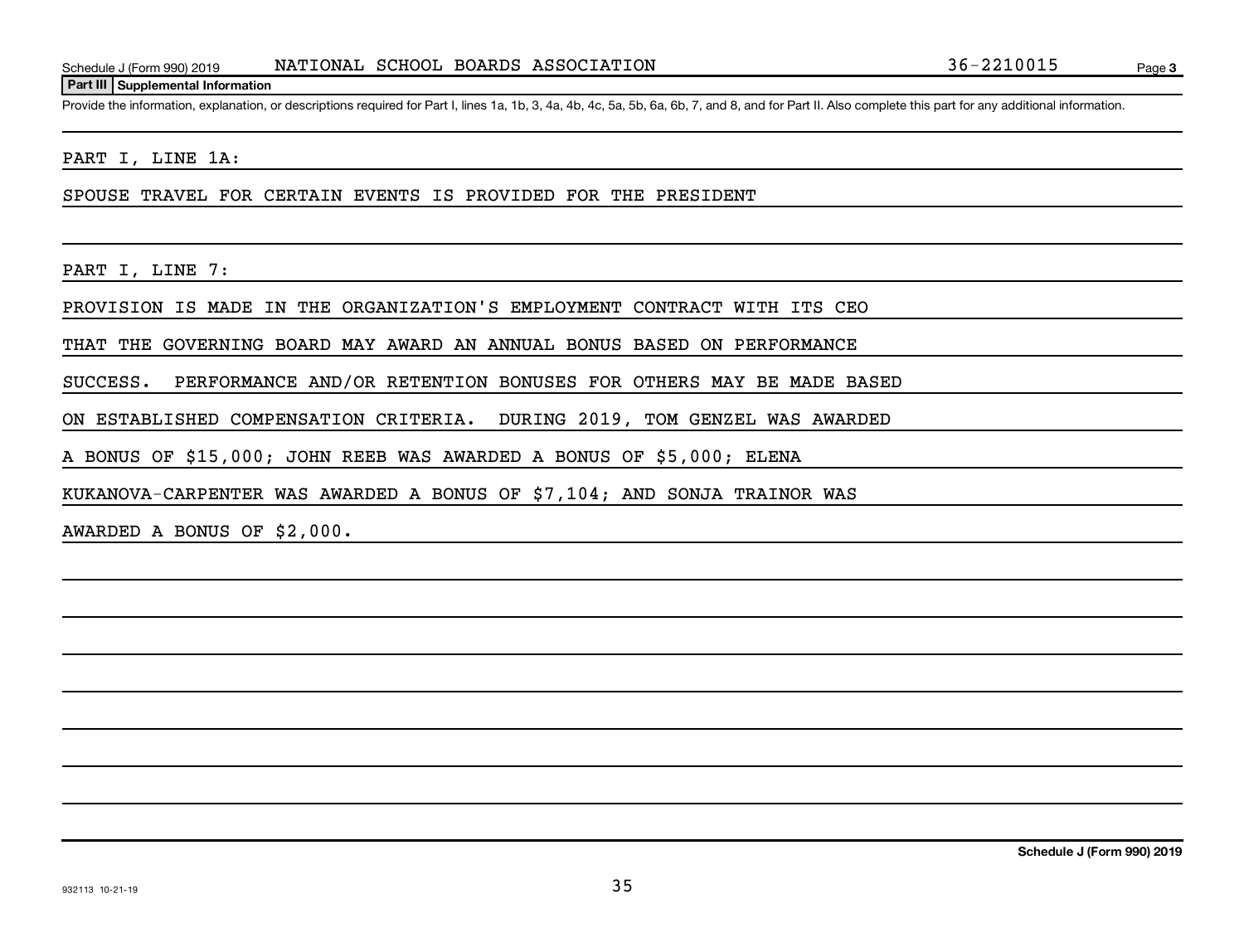#### **Part III Supplemental Information**

Provide the information, explanation, or descriptions required for Part I, lines 1a, 1b, 3, 4a, 4b, 4c, 5a, 5b, 6a, 6b, 7, and 8, and for Part II. Also complete this part for any additional information.

PART I, LINE 1A:

SPOUSE TRAVEL FOR CERTAIN EVENTS IS PROVIDED FOR THE PRESIDENT

PART I, LINE 7:

PROVISION IS MADE IN THE ORGANIZATION'S EMPLOYMENT CONTRACT WITH ITS CEO

THAT THE GOVERNING BOARD MAY AWARD AN ANNUAL BONUS BASED ON PERFORMANCE

SUCCESS. PERFORMANCE AND/OR RETENTION BONUSES FOR OTHERS MAY BE MADE BASED

ON ESTABLISHED COMPENSATION CRITERIA. DURING 2019, TOM GENZEL WAS AWARDED

A BONUS OF \$15,000; JOHN REEB WAS AWARDED A BONUS OF \$5,000; ELENA

KUKANOVA-CARPENTER WAS AWARDED A BONUS OF \$7,104; AND SONJA TRAINOR WAS

AWARDED A BONUS OF \$2,000.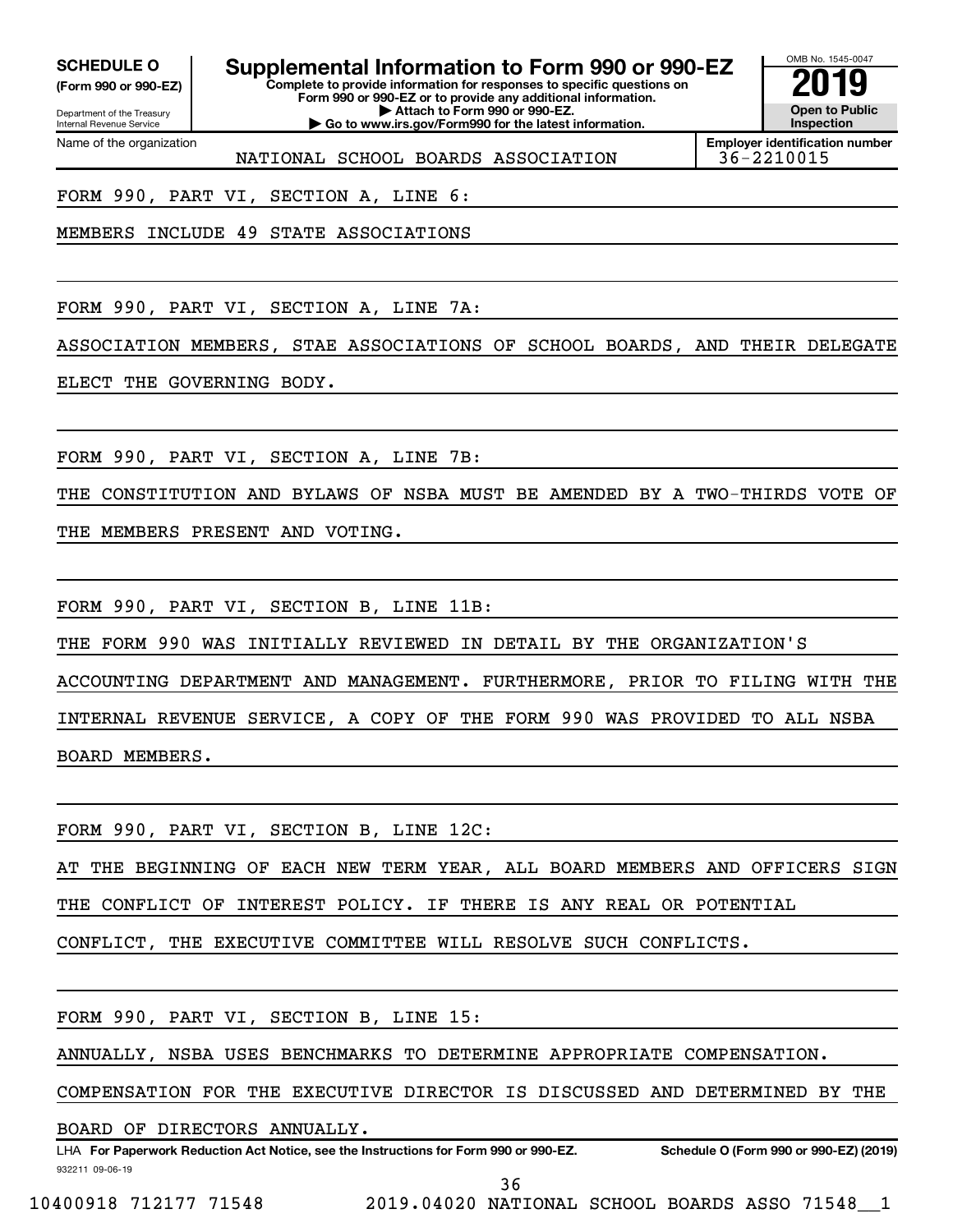Department of the Treasury **(Form 990 or 990-EZ)**

Name of the organization

Internal Revenue Service

**SCHEDULE O Supplemental Information to Form 990 or 990-EZ 2019** 

**Complete to provide information for responses to specific questions on Form 990 or 990-EZ or to provide any additional information. | Attach to Form 990 or 990-EZ. | Go to www.irs.gov/Form990 for the latest information.**



**Employer identification number** NATIONAL SCHOOL BOARDS ASSOCIATION 36-2210015

FORM 990, PART VI, SECTION A, LINE 6:

MEMBERS INCLUDE 49 STATE ASSOCIATIONS

FORM 990, PART VI, SECTION A, LINE 7A:

ASSOCIATION MEMBERS, STAE ASSOCIATIONS OF SCHOOL BOARDS, AND THEIR DELEGATE

ELECT THE GOVERNING BODY.

FORM 990, PART VI, SECTION A, LINE 7B:

THE CONSTITUTION AND BYLAWS OF NSBA MUST BE AMENDED BY A TWO-THIRDS VOTE OF

THE MEMBERS PRESENT AND VOTING.

FORM 990, PART VI, SECTION B, LINE 11B:

THE FORM 990 WAS INITIALLY REVIEWED IN DETAIL BY THE ORGANIZATION'S

ACCOUNTING DEPARTMENT AND MANAGEMENT. FURTHERMORE, PRIOR TO FILING WITH THE INTERNAL REVENUE SERVICE, A COPY OF THE FORM 990 WAS PROVIDED TO ALL NSBA BOARD MEMBERS.

FORM 990, PART VI, SECTION B, LINE 12C:

AT THE BEGINNING OF EACH NEW TERM YEAR, ALL BOARD MEMBERS AND OFFICERS SIGN THE CONFLICT OF INTEREST POLICY. IF THERE IS ANY REAL OR POTENTIAL

CONFLICT, THE EXECUTIVE COMMITTEE WILL RESOLVE SUCH CONFLICTS.

FORM 990, PART VI, SECTION B, LINE 15:

ANNUALLY, NSBA USES BENCHMARKS TO DETERMINE APPROPRIATE COMPENSATION.

COMPENSATION FOR THE EXECUTIVE DIRECTOR IS DISCUSSED AND DETERMINED BY THE

BOARD OF DIRECTORS ANNUALLY.

932211 09-06-19 LHA For Paperwork Reduction Act Notice, see the Instructions for Form 990 or 990-EZ. Schedule O (Form 990 or 990-EZ) (2019)

36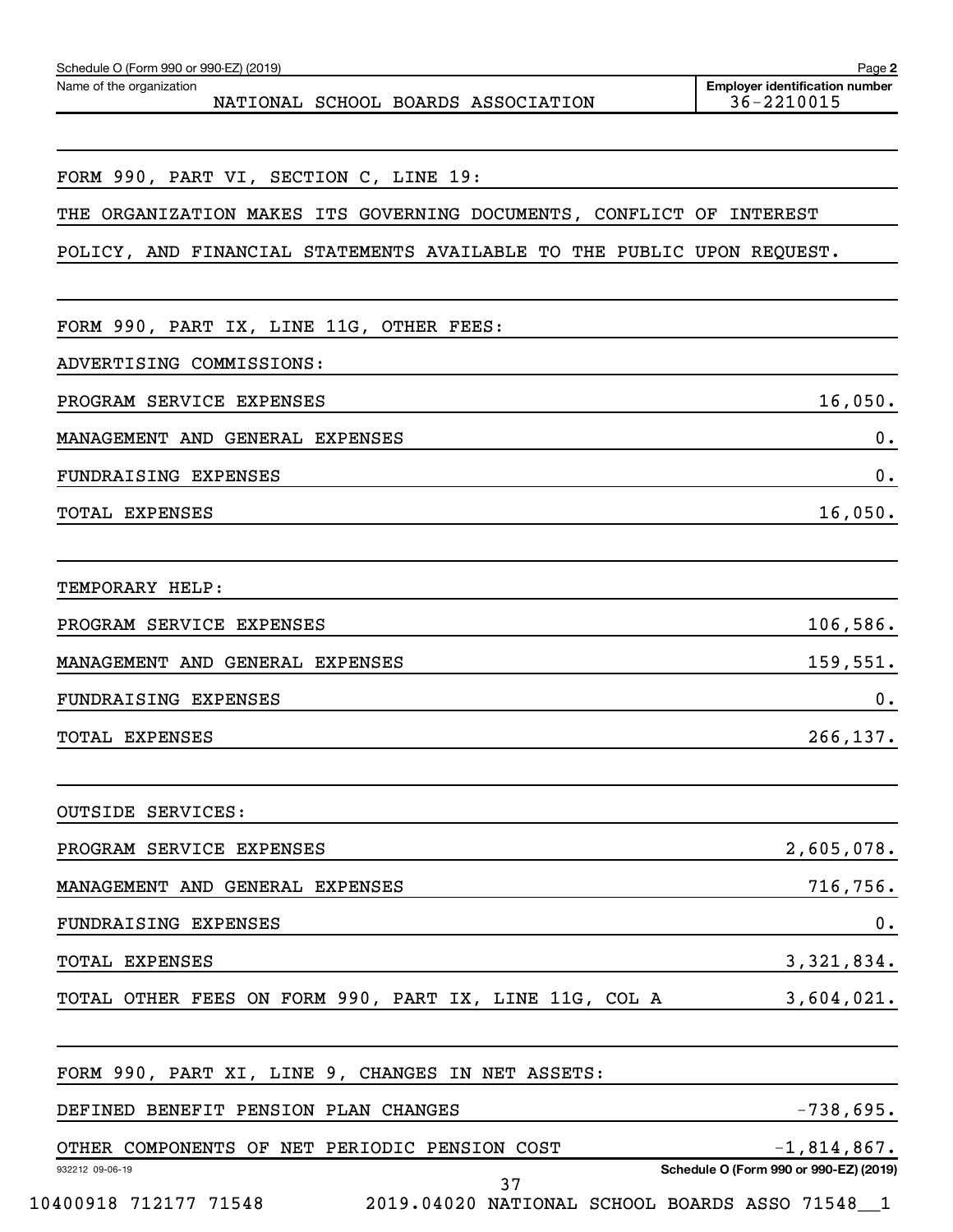| Name of the organization<br>NATIONAL SCHOOL BOARDS ASSOCIATION         | <b>Employer identification number</b><br>36-2210015 |
|------------------------------------------------------------------------|-----------------------------------------------------|
|                                                                        |                                                     |
| FORM 990, PART VI, SECTION C, LINE 19:                                 |                                                     |
| THE ORGANIZATION MAKES ITS GOVERNING DOCUMENTS, CONFLICT OF INTEREST   |                                                     |
| POLICY, AND FINANCIAL STATEMENTS AVAILABLE TO THE PUBLIC UPON REQUEST. |                                                     |
| FORM 990, PART IX, LINE 11G, OTHER FEES:                               |                                                     |
| ADVERTISING COMMISSIONS:                                               |                                                     |
| PROGRAM SERVICE EXPENSES                                               | 16,050.                                             |
| MANAGEMENT AND GENERAL EXPENSES                                        | 0.                                                  |
| FUNDRAISING EXPENSES                                                   | 0.                                                  |
| TOTAL EXPENSES                                                         | 16,050.                                             |
| TEMPORARY HELP:                                                        |                                                     |
| PROGRAM SERVICE EXPENSES                                               | 106,586.                                            |
| MANAGEMENT AND GENERAL EXPENSES                                        | 159,551.                                            |
| FUNDRAISING EXPENSES                                                   | 0.                                                  |
| <b>TOTAL EXPENSES</b>                                                  | 266,137.                                            |
| <b>OUTSIDE SERVICES:</b>                                               |                                                     |
| PROGRAM SERVICE EXPENSES                                               | 2,605,078.                                          |
| MANAGEMENT AND GENERAL EXPENSES                                        | 716,756.                                            |
| FUNDRAISING EXPENSES                                                   | 0.                                                  |
| TOTAL EXPENSES                                                         | 3,321,834.                                          |
| TOTAL OTHER FEES ON FORM 990, PART IX, LINE 11G, COL A                 | $3,604,021$ .                                       |
| FORM 990, PART XI, LINE 9, CHANGES IN NET ASSETS:                      |                                                     |
| DEFINED BENEFIT PENSION PLAN CHANGES                                   | $-738,695.$                                         |
| OTHER COMPONENTS OF NET PERIODIC PENSION COST                          | $-1,814,867$ .                                      |
| 932212 09-06-19<br>37                                                  | Schedule O (Form 990 or 990-EZ) (2019)              |

10400918 712177 71548 2019.04020 NATIONAL SCHOOL BOARDS ASSO 71548\_\_1

Schedule O (Form 990 or 990-EZ) (2019)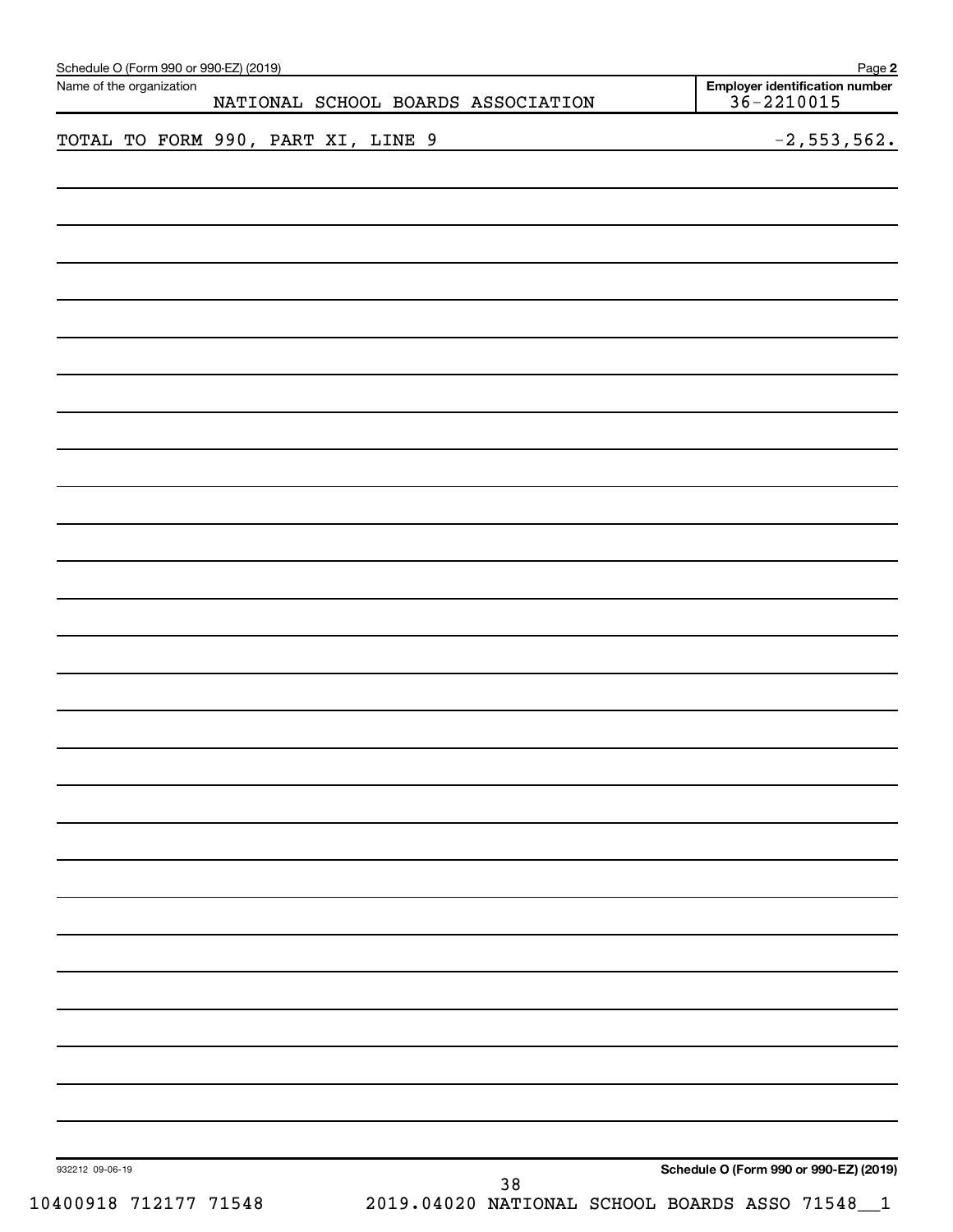| Schedule O (Form 990 or 990-EZ) (2019)<br>Name of the organization |                                                    | Employer identification number<br>$36 - 2210015$ |
|--------------------------------------------------------------------|----------------------------------------------------|--------------------------------------------------|
|                                                                    | NATIONAL SCHOOL BOARDS ASSOCIATION                 |                                                  |
|                                                                    | TOTAL TO FORM 990, PART XI, LINE 9                 | $-2, 553, 562.$                                  |
|                                                                    |                                                    |                                                  |
|                                                                    |                                                    |                                                  |
|                                                                    |                                                    |                                                  |
|                                                                    |                                                    |                                                  |
|                                                                    |                                                    |                                                  |
|                                                                    |                                                    |                                                  |
|                                                                    |                                                    |                                                  |
|                                                                    |                                                    |                                                  |
|                                                                    |                                                    |                                                  |
|                                                                    |                                                    |                                                  |
|                                                                    |                                                    |                                                  |
|                                                                    |                                                    |                                                  |
|                                                                    |                                                    |                                                  |
|                                                                    |                                                    |                                                  |
|                                                                    |                                                    |                                                  |
|                                                                    |                                                    |                                                  |
|                                                                    |                                                    |                                                  |
|                                                                    |                                                    |                                                  |
|                                                                    |                                                    |                                                  |
|                                                                    |                                                    |                                                  |
|                                                                    |                                                    |                                                  |
|                                                                    |                                                    |                                                  |
|                                                                    |                                                    |                                                  |
|                                                                    |                                                    |                                                  |
|                                                                    |                                                    |                                                  |
|                                                                    |                                                    |                                                  |
| 932212 09-06-19                                                    |                                                    | Schedule O (Form 990 or 990-EZ) (2019)           |
| 10400918 712177 71548                                              | 38<br>2019.04020 NATIONAL SCHOOL BOARDS ASSO 71548 | $\sqrt{1}$                                       |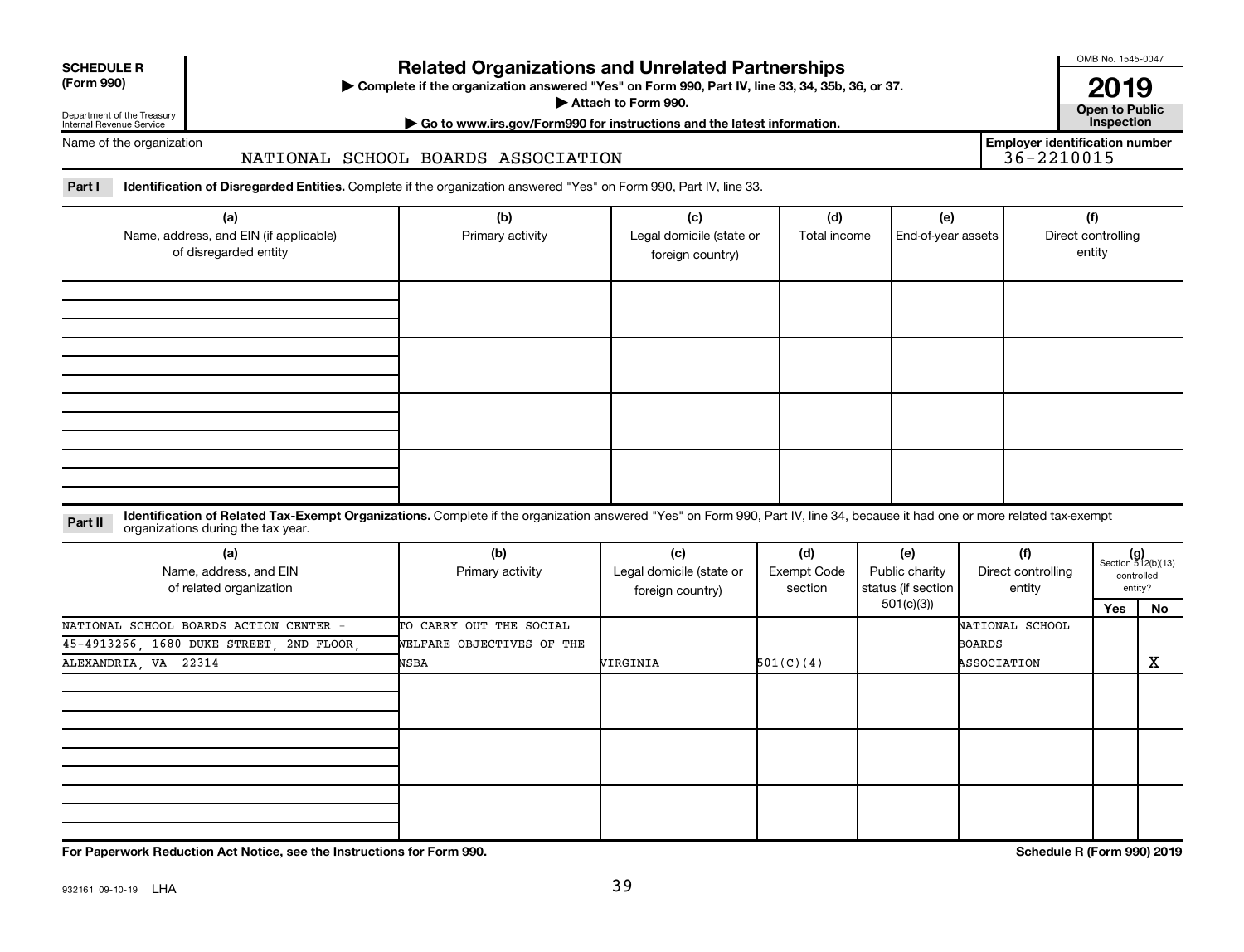| <b>SCHEDULE R</b> |
|-------------------|
|                   |

Department of the Treasury

## **Related Organizations and Unrelated Partnerships**

**(Form 990) Complete if the organization answered "Yes" on Form 990, Part IV, line 33, 34, 35b, 36, or 37.** |

**Attach to Form 990. Contract to Form 990. Contract to Public** 

OMB No. 1545-0047

**| Go to www.irs.gov/Form990 for instructions and the latest information. Inspection 2019**<br>Open to Public

**Employer identification number**

Internal Revenue Service Name of the organization

### NATIONAL SCHOOL BOARDS ASSOCIATION

Part I ldentification of Disregarded Entities. Complete if the organization answered "Yes" on Form 990, Part IV, line 33.

| (a)<br>Name, address, and EIN (if applicable)<br>of disregarded entity | (b)<br>Primary activity | (c)<br>Legal domicile (state or<br>foreign country) | (d)<br>Total income | (f)<br>End-of-year assets<br>Direct controlling<br>entity |  |
|------------------------------------------------------------------------|-------------------------|-----------------------------------------------------|---------------------|-----------------------------------------------------------|--|
|                                                                        |                         |                                                     |                     |                                                           |  |
|                                                                        |                         |                                                     |                     |                                                           |  |
|                                                                        |                         |                                                     |                     |                                                           |  |
|                                                                        |                         |                                                     |                     |                                                           |  |

#### **Part II** Identification of Related Tax-Exempt Organizations. Complete if the organization answered "Yes" on Form 990, Part IV, line 34, because it had one or more related tax-exempt<br>Part II acconizations during the tax ye organizations during the tax year.

| (a)<br>Name, address, and EIN<br>of related organization | (b)<br>Primary activity   | (c)<br>Legal domicile (state or<br>foreign country) | (d)<br>Exempt Code<br>section | (e)<br>Public charity<br>status (if section | (f)<br>Direct controlling<br>entity | $(g)$<br>Section 512(b)(13) | controlled<br>entity? |
|----------------------------------------------------------|---------------------------|-----------------------------------------------------|-------------------------------|---------------------------------------------|-------------------------------------|-----------------------------|-----------------------|
|                                                          |                           |                                                     |                               | 501(c)(3))                                  |                                     | Yes                         | No                    |
| NATIONAL SCHOOL BOARDS ACTION CENTER -                   | TO CARRY OUT THE SOCIAL   |                                                     |                               |                                             | NATIONAL SCHOOL                     |                             |                       |
| 45-4913266, 1680 DUKE STREET, 2ND FLOOR,                 | WELFARE OBJECTIVES OF THE |                                                     |                               |                                             | BOARDS                              |                             |                       |
| ALEXANDRIA, VA 22314                                     | NSBA                      | VIRGINIA                                            | 501(C)(4)                     |                                             | ASSOCIATION                         |                             | х                     |
|                                                          |                           |                                                     |                               |                                             |                                     |                             |                       |
|                                                          |                           |                                                     |                               |                                             |                                     |                             |                       |
|                                                          |                           |                                                     |                               |                                             |                                     |                             |                       |

**For Paperwork Reduction Act Notice, see the Instructions for Form 990. Schedule R (Form 990) 2019**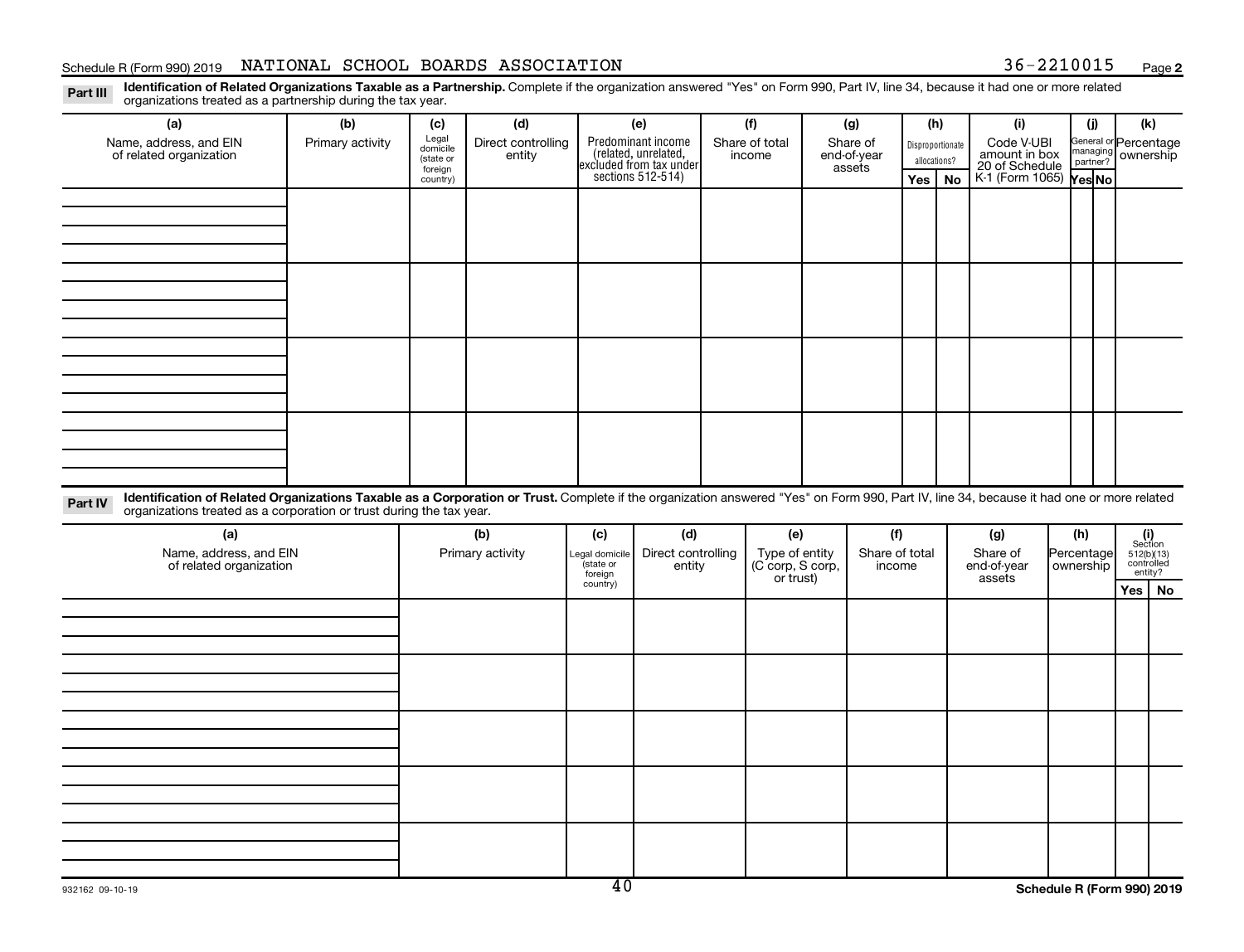### Schedule R (Form 990) 2019 NATIONAL SCHOOL BOARDS ASSOCIATION 36-2210015 Page

**2**

Part III Identification of Related Organizations Taxable as a Partnership. Complete if the organization answered "Yes" on Form 990, Part IV, line 34, because it had one or more related<br>Read to the organizations tracted as organizations treated as a partnership during the tax year.

| organizations treated as a partnership during the tax year.                                                                                                                                                                                                                 |                  |                     |                    |                     |                                                                                            |                                    |          |                |                  |              |                                               |  |                                |                                                                                                              |  |
|-----------------------------------------------------------------------------------------------------------------------------------------------------------------------------------------------------------------------------------------------------------------------------|------------------|---------------------|--------------------|---------------------|--------------------------------------------------------------------------------------------|------------------------------------|----------|----------------|------------------|--------------|-----------------------------------------------|--|--------------------------------|--------------------------------------------------------------------------------------------------------------|--|
| (a)                                                                                                                                                                                                                                                                         | (b)              | (c)                 | (d)                |                     | (e)                                                                                        | (f)                                |          | (g)            |                  | (h)          | (i)                                           |  | (j)                            | (k)                                                                                                          |  |
| Name, address, and EIN                                                                                                                                                                                                                                                      | Primary activity | Legal<br>domicile   | Direct controlling |                     | Predominant income<br>(related, unrelated,<br>excluded from tax under<br>sections 512-514) | Share of total                     | Share of |                | Disproportionate |              | Code V-UBI<br>amount in box<br>20 of Schedule |  | General or Percentage          |                                                                                                              |  |
| of related organization                                                                                                                                                                                                                                                     |                  | (state or           | entity             |                     |                                                                                            | income                             |          | end-of-year    |                  | allocations? |                                               |  | nanaging ownership<br>partner? |                                                                                                              |  |
|                                                                                                                                                                                                                                                                             |                  | foreign<br>country) |                    |                     |                                                                                            |                                    |          | assets         |                  | Yes   $No$   | K-1 (Form 1065) Yes No                        |  |                                |                                                                                                              |  |
|                                                                                                                                                                                                                                                                             |                  |                     |                    |                     |                                                                                            |                                    |          |                |                  |              |                                               |  |                                |                                                                                                              |  |
|                                                                                                                                                                                                                                                                             |                  |                     |                    |                     |                                                                                            |                                    |          |                |                  |              |                                               |  |                                |                                                                                                              |  |
|                                                                                                                                                                                                                                                                             |                  |                     |                    |                     |                                                                                            |                                    |          |                |                  |              |                                               |  |                                |                                                                                                              |  |
|                                                                                                                                                                                                                                                                             |                  |                     |                    |                     |                                                                                            |                                    |          |                |                  |              |                                               |  |                                |                                                                                                              |  |
|                                                                                                                                                                                                                                                                             |                  |                     |                    |                     |                                                                                            |                                    |          |                |                  |              |                                               |  |                                |                                                                                                              |  |
|                                                                                                                                                                                                                                                                             |                  |                     |                    |                     |                                                                                            |                                    |          |                |                  |              |                                               |  |                                |                                                                                                              |  |
|                                                                                                                                                                                                                                                                             |                  |                     |                    |                     |                                                                                            |                                    |          |                |                  |              |                                               |  |                                |                                                                                                              |  |
|                                                                                                                                                                                                                                                                             |                  |                     |                    |                     |                                                                                            |                                    |          |                |                  |              |                                               |  |                                |                                                                                                              |  |
|                                                                                                                                                                                                                                                                             |                  |                     |                    |                     |                                                                                            |                                    |          |                |                  |              |                                               |  |                                |                                                                                                              |  |
|                                                                                                                                                                                                                                                                             |                  |                     |                    |                     |                                                                                            |                                    |          |                |                  |              |                                               |  |                                |                                                                                                              |  |
|                                                                                                                                                                                                                                                                             |                  |                     |                    |                     |                                                                                            |                                    |          |                |                  |              |                                               |  |                                |                                                                                                              |  |
|                                                                                                                                                                                                                                                                             |                  |                     |                    |                     |                                                                                            |                                    |          |                |                  |              |                                               |  |                                |                                                                                                              |  |
|                                                                                                                                                                                                                                                                             |                  |                     |                    |                     |                                                                                            |                                    |          |                |                  |              |                                               |  |                                |                                                                                                              |  |
|                                                                                                                                                                                                                                                                             |                  |                     |                    |                     |                                                                                            |                                    |          |                |                  |              |                                               |  |                                |                                                                                                              |  |
|                                                                                                                                                                                                                                                                             |                  |                     |                    |                     |                                                                                            |                                    |          |                |                  |              |                                               |  |                                |                                                                                                              |  |
|                                                                                                                                                                                                                                                                             |                  |                     |                    |                     |                                                                                            |                                    |          |                |                  |              |                                               |  |                                |                                                                                                              |  |
| Identification of Related Organizations Taxable as a Corporation or Trust. Complete if the organization answered "Yes" on Form 990, Part IV, line 34, because it had one or more related<br>Part IV<br>organizations treated as a corporation or trust during the tax year. |                  |                     |                    |                     |                                                                                            |                                    |          |                |                  |              |                                               |  |                                |                                                                                                              |  |
| (a)                                                                                                                                                                                                                                                                         |                  |                     | (b)                | (c)                 | (d)                                                                                        | (e)                                |          | (f)            |                  |              | (g)                                           |  | (h)                            |                                                                                                              |  |
| Name, address, and EIN                                                                                                                                                                                                                                                      |                  |                     | Primary activity   | egal domicile       | Direct controlling                                                                         |                                    |          | Share of total |                  |              | Share of                                      |  | Percentage                     | $\begin{array}{c} \textbf{(i)}\\ \text{Section}\\ 512 \text{(b)} \text{(13)}\\ \text{controlled}\end{array}$ |  |
| of related organization                                                                                                                                                                                                                                                     |                  |                     |                    | state or            | entity                                                                                     | Type of entity<br>(C corp, S corp, |          | income         |                  |              | end-of-year                                   |  | ownership                      | entity?                                                                                                      |  |
|                                                                                                                                                                                                                                                                             |                  |                     |                    | foreign<br>country) |                                                                                            | or trust)                          |          |                |                  |              | assets                                        |  |                                | Yes   No                                                                                                     |  |
|                                                                                                                                                                                                                                                                             |                  |                     |                    |                     |                                                                                            |                                    |          |                |                  |              |                                               |  |                                |                                                                                                              |  |
|                                                                                                                                                                                                                                                                             |                  |                     |                    |                     |                                                                                            |                                    |          |                |                  |              |                                               |  |                                |                                                                                                              |  |
|                                                                                                                                                                                                                                                                             |                  |                     |                    |                     |                                                                                            |                                    |          |                |                  |              |                                               |  |                                |                                                                                                              |  |
|                                                                                                                                                                                                                                                                             |                  |                     |                    |                     |                                                                                            |                                    |          |                |                  |              |                                               |  |                                |                                                                                                              |  |
|                                                                                                                                                                                                                                                                             |                  |                     |                    |                     |                                                                                            |                                    |          |                |                  |              |                                               |  |                                |                                                                                                              |  |
|                                                                                                                                                                                                                                                                             |                  |                     |                    |                     |                                                                                            |                                    |          |                |                  |              |                                               |  |                                |                                                                                                              |  |
|                                                                                                                                                                                                                                                                             |                  |                     |                    |                     |                                                                                            |                                    |          |                |                  |              |                                               |  |                                |                                                                                                              |  |
|                                                                                                                                                                                                                                                                             |                  |                     |                    |                     |                                                                                            |                                    |          |                |                  |              |                                               |  |                                |                                                                                                              |  |
|                                                                                                                                                                                                                                                                             |                  |                     |                    |                     |                                                                                            |                                    |          |                |                  |              |                                               |  |                                |                                                                                                              |  |
|                                                                                                                                                                                                                                                                             |                  |                     |                    |                     |                                                                                            |                                    |          |                |                  |              |                                               |  |                                |                                                                                                              |  |
|                                                                                                                                                                                                                                                                             |                  |                     |                    |                     |                                                                                            |                                    |          |                |                  |              |                                               |  |                                |                                                                                                              |  |
|                                                                                                                                                                                                                                                                             |                  |                     |                    |                     |                                                                                            |                                    |          |                |                  |              |                                               |  |                                |                                                                                                              |  |
|                                                                                                                                                                                                                                                                             |                  |                     |                    |                     |                                                                                            |                                    |          |                |                  |              |                                               |  |                                |                                                                                                              |  |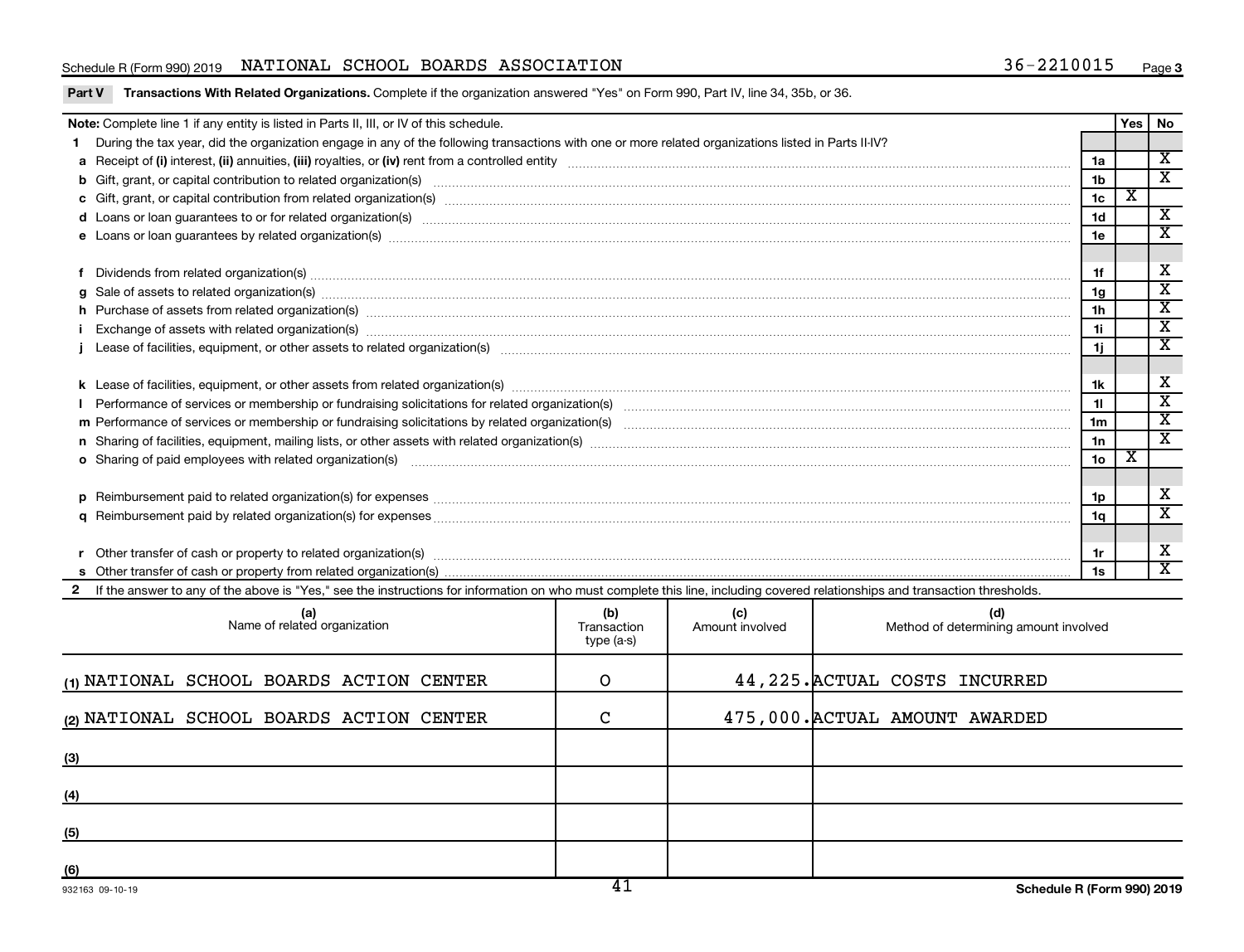### Schedule R (Form 990) 2019 NATIONAL SCHOOL BOARDS ASSOCIATION 36-2210015 Page

|  | Part V Transactions With Related Organizations. Complete if the organization answered "Yes" on Form 990, Part IV, line 34, 35b, or 36. |
|--|----------------------------------------------------------------------------------------------------------------------------------------|
|  |                                                                                                                                        |

| Note: Complete line 1 if any entity is listed in Parts II, III, or IV of this schedule.                                                                                                                                              |                                  |                        |                                              |                 | <b>Yes</b>  | No                                                 |  |
|--------------------------------------------------------------------------------------------------------------------------------------------------------------------------------------------------------------------------------------|----------------------------------|------------------------|----------------------------------------------|-----------------|-------------|----------------------------------------------------|--|
| During the tax year, did the organization engage in any of the following transactions with one or more related organizations listed in Parts II-IV?                                                                                  |                                  |                        |                                              |                 |             |                                                    |  |
|                                                                                                                                                                                                                                      |                                  |                        |                                              | 1a              |             | $\overline{\mathbf{X}}$                            |  |
|                                                                                                                                                                                                                                      |                                  |                        |                                              | 1 <sub>b</sub>  |             | $\overline{\textbf{x}}$                            |  |
|                                                                                                                                                                                                                                      |                                  |                        |                                              | 1c              | $\mathbf x$ |                                                    |  |
|                                                                                                                                                                                                                                      |                                  |                        |                                              | 1 <sub>d</sub>  |             | $\overline{\mathbf{X}}$                            |  |
|                                                                                                                                                                                                                                      |                                  |                        |                                              |                 |             |                                                    |  |
|                                                                                                                                                                                                                                      |                                  |                        |                                              |                 |             |                                                    |  |
| Dividends from related organization(s) machinary contract and contract and contract and contract and contract and contract and contract and contract and contract and contract and contract and contract and contract and cont<br>1f |                                  |                        |                                              |                 |             |                                                    |  |
|                                                                                                                                                                                                                                      |                                  |                        |                                              | 1 <sub>g</sub>  |             | $\overline{\mathtt{x}}$                            |  |
| h Purchase of assets from related organization(s) manufactured and content to the content of the content of the content of the content of the content of the content of the content of the content of the content of the conte       |                                  |                        |                                              | 1 <sub>h</sub>  |             | $\overline{\mathbf{x}}$                            |  |
|                                                                                                                                                                                                                                      |                                  |                        |                                              | 11              |             | $\overline{\mathbf{X}}$<br>$\overline{\mathtt{x}}$ |  |
|                                                                                                                                                                                                                                      |                                  |                        |                                              |                 |             |                                                    |  |
| 1j.                                                                                                                                                                                                                                  |                                  |                        |                                              |                 |             |                                                    |  |
|                                                                                                                                                                                                                                      |                                  |                        |                                              |                 |             |                                                    |  |
|                                                                                                                                                                                                                                      |                                  |                        |                                              |                 |             |                                                    |  |
|                                                                                                                                                                                                                                      |                                  |                        |                                              |                 |             | $\overline{\texttt{x}}$                            |  |
|                                                                                                                                                                                                                                      |                                  |                        |                                              |                 |             | $\overline{\mathbf{x}}$                            |  |
| o Sharing of paid employees with related organization(s) manufactured and content to the content of the content of the content of the content of the content of the content of the content of the content of the content of th       |                                  |                        |                                              | 10 <sub>o</sub> | х           |                                                    |  |
|                                                                                                                                                                                                                                      |                                  |                        |                                              |                 |             |                                                    |  |
|                                                                                                                                                                                                                                      |                                  |                        |                                              | 1p              |             | х                                                  |  |
|                                                                                                                                                                                                                                      |                                  |                        |                                              | 1 <sub>a</sub>  |             | $\overline{\mathbf{x}}$                            |  |
|                                                                                                                                                                                                                                      |                                  |                        |                                              |                 |             |                                                    |  |
|                                                                                                                                                                                                                                      |                                  |                        |                                              | 1r              |             | Х                                                  |  |
|                                                                                                                                                                                                                                      |                                  |                        |                                              | 1s              |             | $\overline{\textbf{x}}$                            |  |
| 2 If the answer to any of the above is "Yes," see the instructions for information on who must complete this line, including covered relationships and transaction thresholds.                                                       |                                  |                        |                                              |                 |             |                                                    |  |
| (a)<br>Name of related organization                                                                                                                                                                                                  | (b)<br>Transaction<br>type (a-s) | (c)<br>Amount involved | (d)<br>Method of determining amount involved |                 |             |                                                    |  |
| (1) NATIONAL SCHOOL BOARDS ACTION CENTER                                                                                                                                                                                             | O                                |                        | 44, 225. ACTUAL COSTS INCURRED               |                 |             |                                                    |  |

| (2) NATIONAL SCHOOL BOARDS ACTION CENTER | $\sim$ | 475,000. ACTUAL AMOUNT AWARDED |
|------------------------------------------|--------|--------------------------------|
| (3)                                      |        |                                |
| (4)                                      |        |                                |
| (5)                                      |        |                                |
| (6)                                      |        |                                |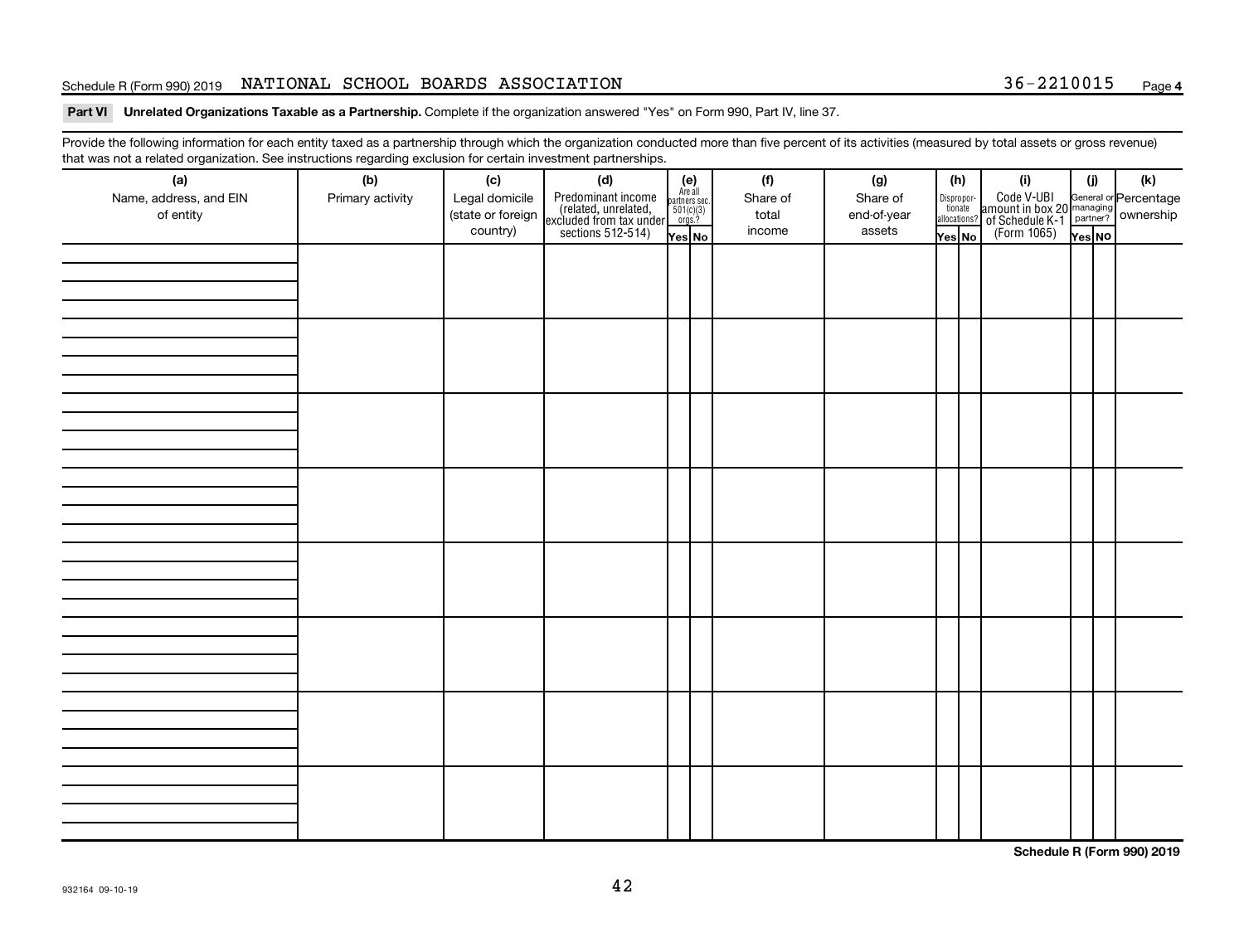### Schedule R (Form 990) 2019 NATIONAL SCHOOL BOARDS ASSOCIATION 36-2210015 Page

Part VI Unrelated Organizations Taxable as a Partnership. Complete if the organization answered "Yes" on Form 990, Part IV, line 37.

Provide the following information for each entity taxed as a partnership through which the organization conducted more than five percent of its activities (measured by total assets or gross revenue) that was not a related organization. See instructions regarding exclusion for certain investment partnerships.

| (a)                                 | (b)              | (c)                                             | mat mac not a rolated organization. Oce included by regarding exercision for contain invectment partneremper<br>(d) |                                                                    | (f)                         | (g)                               |        | (h)                                                                                                                                       | (i)                                                                                                  | (i)    | $(\mathsf{k})$ |
|-------------------------------------|------------------|-------------------------------------------------|---------------------------------------------------------------------------------------------------------------------|--------------------------------------------------------------------|-----------------------------|-----------------------------------|--------|-------------------------------------------------------------------------------------------------------------------------------------------|------------------------------------------------------------------------------------------------------|--------|----------------|
| Name, address, and EIN<br>of entity | Primary activity | Legal domicile<br>(state or foreign<br>country) | Predominant income<br>(related, unrelated,<br>excluded from tax under<br>sections 512-514)                          | (e)<br>Are all<br>partners sec.<br>$501(c)(3)$<br>orgs.?<br>Yes No | Share of<br>total<br>income | Share of<br>end-of-year<br>assets | Yes No | $\fbox{\parbox{0.5cm}{\begin{tabular}{ l l } \hline Disproportion} \\ \hline \text{tion} \\ \hline allocations? \\ \hline \end{tabular}}$ | Code V-UBI<br>amount in box 20 managing<br>of Schedule K-1<br>(Form 1065)<br>$\overline{Y}_{res}$ No | Yes No |                |
|                                     |                  |                                                 |                                                                                                                     |                                                                    |                             |                                   |        |                                                                                                                                           |                                                                                                      |        |                |
|                                     |                  |                                                 |                                                                                                                     |                                                                    |                             |                                   |        |                                                                                                                                           |                                                                                                      |        |                |
|                                     |                  |                                                 |                                                                                                                     |                                                                    |                             |                                   |        |                                                                                                                                           |                                                                                                      |        |                |
|                                     |                  |                                                 |                                                                                                                     |                                                                    |                             |                                   |        |                                                                                                                                           |                                                                                                      |        |                |
|                                     |                  |                                                 |                                                                                                                     |                                                                    |                             |                                   |        |                                                                                                                                           |                                                                                                      |        |                |
|                                     |                  |                                                 |                                                                                                                     |                                                                    |                             |                                   |        |                                                                                                                                           |                                                                                                      |        |                |
|                                     |                  |                                                 |                                                                                                                     |                                                                    |                             |                                   |        |                                                                                                                                           |                                                                                                      |        |                |
|                                     |                  |                                                 |                                                                                                                     |                                                                    |                             |                                   |        |                                                                                                                                           |                                                                                                      |        |                |
|                                     |                  |                                                 |                                                                                                                     |                                                                    |                             |                                   |        |                                                                                                                                           |                                                                                                      |        |                |
|                                     |                  |                                                 |                                                                                                                     |                                                                    |                             |                                   |        |                                                                                                                                           |                                                                                                      |        |                |
|                                     |                  |                                                 |                                                                                                                     |                                                                    |                             |                                   |        |                                                                                                                                           |                                                                                                      |        |                |
|                                     |                  |                                                 |                                                                                                                     |                                                                    |                             |                                   |        |                                                                                                                                           |                                                                                                      |        |                |
|                                     |                  |                                                 |                                                                                                                     |                                                                    |                             |                                   |        |                                                                                                                                           |                                                                                                      |        |                |
|                                     |                  |                                                 |                                                                                                                     |                                                                    |                             |                                   |        |                                                                                                                                           |                                                                                                      |        |                |
|                                     |                  |                                                 |                                                                                                                     |                                                                    |                             |                                   |        |                                                                                                                                           |                                                                                                      |        |                |
|                                     |                  |                                                 |                                                                                                                     |                                                                    |                             |                                   |        |                                                                                                                                           |                                                                                                      |        |                |
|                                     |                  |                                                 |                                                                                                                     |                                                                    |                             |                                   |        |                                                                                                                                           |                                                                                                      |        |                |
|                                     |                  |                                                 |                                                                                                                     |                                                                    |                             |                                   |        |                                                                                                                                           |                                                                                                      |        |                |
|                                     |                  |                                                 |                                                                                                                     |                                                                    |                             |                                   |        |                                                                                                                                           |                                                                                                      |        |                |
|                                     |                  |                                                 |                                                                                                                     |                                                                    |                             |                                   |        |                                                                                                                                           |                                                                                                      |        |                |
|                                     |                  |                                                 |                                                                                                                     |                                                                    |                             |                                   |        |                                                                                                                                           |                                                                                                      |        |                |
|                                     |                  |                                                 |                                                                                                                     |                                                                    |                             |                                   |        |                                                                                                                                           |                                                                                                      |        |                |
|                                     |                  |                                                 |                                                                                                                     |                                                                    |                             |                                   |        |                                                                                                                                           |                                                                                                      |        |                |
|                                     |                  |                                                 |                                                                                                                     |                                                                    |                             |                                   |        |                                                                                                                                           |                                                                                                      |        |                |
|                                     |                  |                                                 |                                                                                                                     |                                                                    |                             |                                   |        |                                                                                                                                           |                                                                                                      |        |                |

**Schedule R (Form 990) 2019**